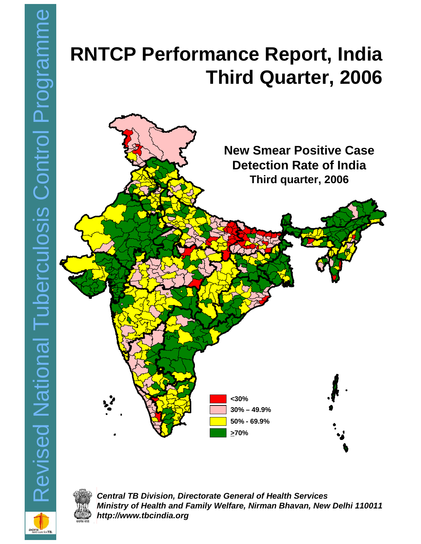# **Third Quarter, 2006**





*Central TB Division, Directorate General of Health Services Ministry of Health and Family Welfare, Nirman Bhavan, New Delhi 110011 http://www.tbcindia.org*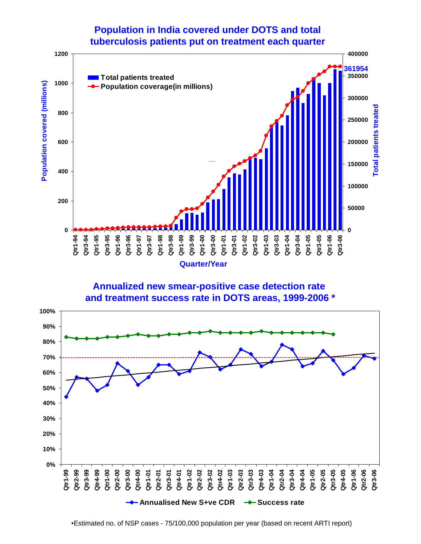## **Population in India covered under DOTS and total tuberculosis patients put on treatment each quarter**







•Estimated no. of NSP cases - 75/100,000 population per year (based on recent ARTI report)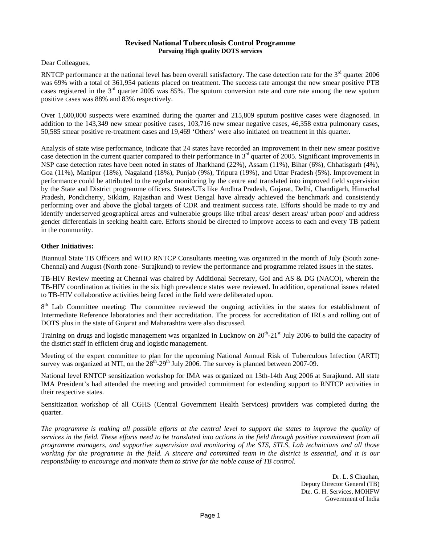#### **Revised National Tuberculosis Control Programme Pursuing High quality DOTS services**

Dear Colleagues,

RNTCP performance at the national level has been overall satisfactory. The case detection rate for the  $3<sup>rd</sup>$  quarter 2006 was 69% with a total of 361,954 patients placed on treatment. The success rate amongst the new smear positive PTB cases registered in the 3<sup>rd</sup> quarter 2005 was 85%. The sputum conversion rate and cure rate among the new sputum positive cases was 88% and 83% respectively.

Over 1,600,000 suspects were examined during the quarter and 215,809 sputum positive cases were diagnosed. In addition to the 143,349 new smear positive cases, 103,716 new smear negative cases, 46,358 extra pulmonary cases, 50,585 smear positive re-treatment cases and 19,469 'Others' were also initiated on treatment in this quarter.

Analysis of state wise performance, indicate that 24 states have recorded an improvement in their new smear positive case detection in the current quarter compared to their performance in  $3<sup>rd</sup>$  quarter of 2005. Significant improvements in NSP case detection rates have been noted in states of Jharkhand (22%), Assam (11%), Bihar (6%), Chhatisgarh (4%), Goa (11%), Manipur (18%), Nagaland (18%), Punjab (9%), Tripura (19%), and Uttar Pradesh (5%). Improvement in performance could be attributed to the regular monitoring by the centre and translated into improved field supervision by the State and District programme officers. States/UTs like Andhra Pradesh, Gujarat, Delhi, Chandigarh, Himachal Pradesh, Pondicherry, Sikkim, Rajasthan and West Bengal have already achieved the benchmark and consistently performing over and above the global targets of CDR and treatment success rate. Efforts should be made to try and identify underserved geographical areas and vulnerable groups like tribal areas/ desert areas/ urban poor/ and address gender differentials in seeking health care. Efforts should be directed to improve access to each and every TB patient in the community.

#### **Other Initiatives:**

Biannual State TB Officers and WHO RNTCP Consultants meeting was organized in the month of July (South zone-Chennai) and August (North zone- Surajkund) to review the performance and programme related issues in the states.

TB-HIV Review meeting at Chennai was chaired by Additional Secretary, GoI and AS & DG (NACO), wherein the TB-HIV coordination activities in the six high prevalence states were reviewed. In addition, operational issues related to TB-HIV collaborative activities being faced in the field were deliberated upon.

8<sup>th</sup> Lab Committee meeting: The committee reviewed the ongoing activities in the states for establishment of Intermediate Reference laboratories and their accreditation. The process for accreditation of IRLs and rolling out of DOTS plus in the state of Gujarat and Maharashtra were also discussed.

Training on drugs and logistic management was organized in Lucknow on  $20^{th}$ - $21^{st}$  July 2006 to build the capacity of the district staff in efficient drug and logistic management.

Meeting of the expert committee to plan for the upcoming National Annual Risk of Tuberculous Infection (ARTI) survey was organized at NTI, on the  $28<sup>th</sup>-29<sup>th</sup>$  July 2006. The survey is planned between 2007-09.

National level RNTCP sensitization workshop for IMA was organized on 13th-14th Aug 2006 at Surajkund. All state IMA President's had attended the meeting and provided commitment for extending support to RNTCP activities in their respective states.

Sensitization workshop of all CGHS (Central Government Health Services) providers was completed during the quarter.

*The programme is making all possible efforts at the central level to support the states to improve the quality of services in the field. These efforts need to be translated into actions in the field through positive commitment from all programme managers, and supportive supervision and monitoring of the STS, STLS, Lab technicians and all those working for the programme in the field. A sincere and committed team in the district is essential, and it is our responsibility to encourage and motivate them to strive for the noble cause of TB control.* 

> Dr. L. S Chauhan, Deputy Director General (TB) Dte. G. H. Services, MOHFW Government of India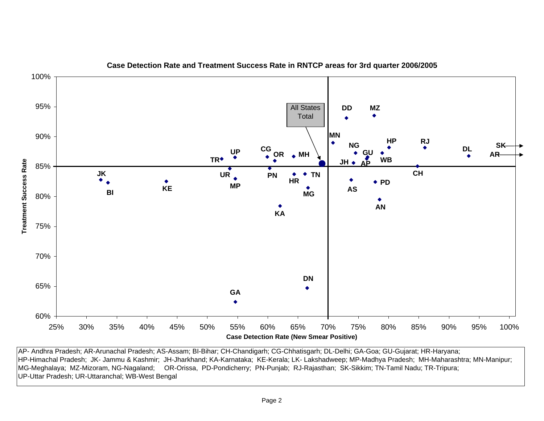

**Case Detection Rate and Treatment Success Rate in RNTCP areas for 3rd quarter 2006/2005**

AP- Andhra Pradesh; AR-Arunachal Pradesh; AS-Assam; BI-Bihar; CH-Chandigarh; CG-Chhatisgarh; DL-Delhi; GA-Goa; GU-Gujarat; HR-Haryana; HP-Himachal Pradesh; JK- Jammu & Kashmir; JH-Jharkhand; KA-Karnataka; KE-Kerala; LK- Lakshadweep; MP-Madhya Pradesh; MH-Maharashtra; MN-Manipur; MG-Meghalaya; MZ-Mizoram, NG-Nagaland; OR-Orissa, PD-Pondicherry; PN-Punjab; RJ-Rajasthan; SK-Sikkim; TN-Tamil Nadu; TR-Tripura; UP-Uttar Pradesh; UR-Uttaranchal; WB-West Bengal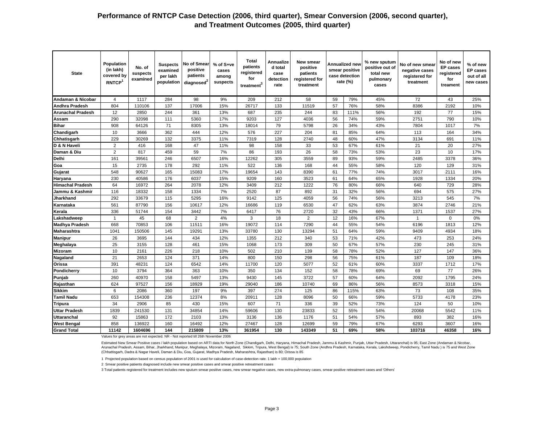| <b>State</b>             | Population<br>(in lakh)<br>covered by<br>RNTCP <sup>1</sup> | No. of<br>suspects<br>examined | <b>Suspects</b><br>examined<br>per lakh<br>population | No of Smear<br>positive<br>patients<br>diagnosed <sup>4</sup> | % of S+ve<br>cases<br>among<br>suspects | <b>Total</b><br>patients<br>registered<br>for<br>treatment <sup>3</sup> | Annualize<br>d total<br>case<br>detection<br>rate | New smear<br>positive<br>patients<br>registered for<br>treatment |    | Annualized new<br>smear positive<br>case detection<br>rate (%) | % new sputum<br>positive out of<br>total new<br>pulmonary<br>cases | No of new smear<br>negative cases<br>registered for<br>treatment | No of new<br><b>EP</b> cases<br>registered<br>for<br>treament | % of new<br><b>EP</b> cases<br>out of all<br>new cases |
|--------------------------|-------------------------------------------------------------|--------------------------------|-------------------------------------------------------|---------------------------------------------------------------|-----------------------------------------|-------------------------------------------------------------------------|---------------------------------------------------|------------------------------------------------------------------|----|----------------------------------------------------------------|--------------------------------------------------------------------|------------------------------------------------------------------|---------------------------------------------------------------|--------------------------------------------------------|
| Andaman & Nicobar        | $\overline{4}$                                              | 1117                           | 284                                                   | 98                                                            | 9%                                      | 209                                                                     | 212                                               | 58                                                               | 59 | 79%                                                            | 45%                                                                | 72                                                               | 43                                                            | 25%                                                    |
| Andhra Pradesh           | 804                                                         | 110106                         | 137                                                   | 17006                                                         | 15%                                     | 26717                                                                   | 133                                               | 11519                                                            | 57 | 76%                                                            | 58%                                                                | 8386                                                             | 2192                                                          | 10%                                                    |
| <b>Arunachal Pradesh</b> | 12                                                          | 2850                           | 244                                                   | 361                                                           | 13%                                     | 687                                                                     | 235                                               | 244                                                              | 83 | 111%                                                           | 56%                                                                | 192                                                              | 77                                                            | 15%                                                    |
| Assam                    | 290                                                         | 32098                          | 111                                                   | 5360                                                          | 17%                                     | 9203                                                                    | 127                                               | 4036                                                             | 56 | 74%                                                            | 59%                                                                | 2751                                                             | 790                                                           | 10%                                                    |
| <b>Bihar</b>             | 908                                                         | 64126                          | 71                                                    | 8305                                                          | 13%                                     | 18014                                                                   | 79                                                | 5798                                                             | 26 | 34%                                                            | 43%                                                                | 7804                                                             | 1017                                                          | 7%                                                     |
| Chandigarh               | 10                                                          | 3666                           | 362                                                   | 444                                                           | 12%                                     | 576                                                                     | 227                                               | 204                                                              | 81 | 85%                                                            | 64%                                                                | 113                                                              | 164                                                           | 34%                                                    |
| Chhatisgarh              | 229                                                         | 30269                          | 132                                                   | 3375                                                          | 11%                                     | 7319                                                                    | 128                                               | 2740                                                             | 48 | 60%                                                            | 47%                                                                | 3134                                                             | 691                                                           | 11%                                                    |
| D & N Haveli             | $\overline{2}$                                              | 416                            | 168                                                   | 47                                                            | 11%                                     | 98                                                                      | 158                                               | 33                                                               | 53 | 67%                                                            | 61%                                                                | 21                                                               | 20                                                            | 27%                                                    |
| Daman & Diu              | $\overline{2}$                                              | 817                            | 459                                                   | 59                                                            | 7%                                      | 86                                                                      | 193                                               | 26                                                               | 58 | 73%                                                            | 53%                                                                | 23                                                               | 10                                                            | 17%                                                    |
| Delhi                    | 161                                                         | 39561                          | 246                                                   | 6507                                                          | 16%                                     | 12262                                                                   | 305                                               | 3559                                                             | 89 | 93%                                                            | 59%                                                                | 2485                                                             | 3378                                                          | 36%                                                    |
| Goa                      | 15                                                          | 2735                           | 178                                                   | 292                                                           | 11%                                     | 522                                                                     | 136                                               | 168                                                              | 44 | 55%                                                            | 58%                                                                | 120                                                              | 129                                                           | 31%                                                    |
| Gujarat                  | 548                                                         | 90627                          | 165                                                   | 15083                                                         | 17%                                     | 19654                                                                   | 143                                               | 8390                                                             | 61 | 77%                                                            | 74%                                                                | 3017                                                             | 2111                                                          | 16%                                                    |
| Haryana                  | 230                                                         | 40586                          | 176                                                   | 6037                                                          | 15%                                     | 9209                                                                    | 160                                               | 3523                                                             | 61 | 64%                                                            | 65%                                                                | 1928                                                             | 1334                                                          | 20%                                                    |
| <b>Himachal Pradesh</b>  | 64                                                          | 16972                          | 264                                                   | 2078                                                          | 12%                                     | 3409                                                                    | 212                                               | 1222                                                             | 76 | 80%                                                            | 66%                                                                | 640                                                              | 729                                                           | 28%                                                    |
| Jammu & Kashmir          | 116                                                         | 18332                          | 158                                                   | 1334                                                          | 7%                                      | 2520                                                                    | 87                                                | 892                                                              | 31 | 32%                                                            | 56%                                                                | 694                                                              | 575                                                           | 27%                                                    |
| <b>Jharkhand</b>         | 292                                                         | 33679                          | 115                                                   | 5295                                                          | 16%                                     | 9142                                                                    | 125                                               | 4059                                                             | 56 | 74%                                                            | 56%                                                                | 3213                                                             | 545                                                           | 7%                                                     |
| Karnataka                | 561                                                         | 87790                          | 156                                                   | 10617                                                         | 12%                                     | 16686                                                                   | 119                                               | 6530                                                             | 47 | 62%                                                            | 63%                                                                | 3874                                                             | 2746                                                          | 21%                                                    |
| Kerala                   | 336                                                         | 51744                          | 154                                                   | 3442                                                          | 7%                                      | 6417                                                                    | 76                                                | 2720                                                             | 32 | 43%                                                            | 66%                                                                | 1371                                                             | 1537                                                          | 27%                                                    |
| .akshadweep              | $\overline{1}$                                              | 45                             | 68                                                    | $\overline{2}$                                                | 4%                                      | 3                                                                       | 18                                                | 2                                                                | 12 | 16%                                                            | 67%                                                                | $\mathbf{1}$                                                     | $\mathbf 0$                                                   | $0\%$                                                  |
| <b>Madhya Pradesh</b>    | 668                                                         | 70853                          | 106                                                   | 11511                                                         | 16%                                     | 19072                                                                   | 114                                               | 7290                                                             | 44 | 55%                                                            | 54%                                                                | 6196                                                             | 1813                                                          | 12%                                                    |
| Maharashtra              | 1041                                                        | 150506                         | 145                                                   | 19291                                                         | 13%                                     | 33780                                                                   | 130                                               | 13294                                                            | 51 | 64%                                                            | 59%                                                                | 9409                                                             | 4934                                                          | 18%                                                    |
| <b>Manipur</b>           | 26                                                          | 3695                           | 144                                                   | 434                                                           | 12%                                     | 1355                                                                    | 212                                               | 340                                                              | 53 | 71%                                                            | 42%                                                                | 473                                                              | 253                                                           | 24%                                                    |
| Meghalaya                | 25                                                          | 3155                           | 128                                                   | 461                                                           | 15%                                     | 1068                                                                    | 173                                               | 309                                                              | 50 | 67%                                                            | 57%                                                                | 230                                                              | 245                                                           | 31%                                                    |
| <b>Mizoram</b>           | 10                                                          | 2161                           | 226                                                   | 218                                                           | 10%                                     | 502                                                                     | 210                                               | 139                                                              | 58 | 78%                                                            | 52%                                                                | 127                                                              | 147                                                           | 36%                                                    |
| Nagaland                 | 21                                                          | 2653                           | 124                                                   | 371                                                           | 14%                                     | 800                                                                     | 150                                               | 298                                                              | 56 | 75%                                                            | 61%                                                                | 187                                                              | 109                                                           | 18%                                                    |
| Orissa                   | 391                                                         | 48231                          | 124                                                   | 6542                                                          | 14%                                     | 11700                                                                   | 120                                               | 5077                                                             | 52 | 61%                                                            | 60%                                                                | 3337                                                             | 1712                                                          | 17%                                                    |
| Pondicherry              | 10                                                          | 3794                           | 364                                                   | 363                                                           | 10%                                     | 350                                                                     | 134                                               | 152                                                              | 58 | 78%                                                            | 69%                                                                | 69                                                               | 77                                                            | 26%                                                    |
| Punjab                   | 260                                                         | 40970                          | 158                                                   | 5497                                                          | 13%                                     | 9430                                                                    | 145                                               | 3722                                                             | 57 | 60%                                                            | 64%                                                                | 2092                                                             | 1795                                                          | 24%                                                    |
| Rajasthan                | 624                                                         | 97527                          | 156                                                   | 18929                                                         | 19%                                     | 29040                                                                   | 186                                               | 10740                                                            | 69 | 86%                                                            | 56%                                                                | 8573                                                             | 3318                                                          | 15%                                                    |
| <b>Sikkim</b>            | 6                                                           | 2086                           | 360                                                   | 197                                                           | 9%                                      | 397                                                                     | 274                                               | 125                                                              | 86 | 115%                                                           | 63%                                                                | 73                                                               | 108                                                           | 35%                                                    |
| <b>Tamil Nadu</b>        | 653                                                         | 154308                         | 236                                                   | 12374                                                         | 8%                                      | 20911                                                                   | 128                                               | 8096                                                             | 50 | 66%                                                            | 59%                                                                | 5733                                                             | 4178                                                          | 23%                                                    |
| <b>Tripura</b>           | 34                                                          | 2906                           | 85                                                    | 430                                                           | 15%                                     | 607                                                                     | 71                                                | 336                                                              | 39 | 52%                                                            | 73%                                                                | 124                                                              | 50                                                            | 10%                                                    |
| <b>Uttar Pradesh</b>     | 1839                                                        | 241530                         | 131                                                   | 34854                                                         | 14%                                     | 59606                                                                   | 130                                               | 23833                                                            | 52 | 55%                                                            | 54%                                                                | 20068                                                            | 5542                                                          | 11%                                                    |
| <b>Uttaranchal</b>       | 92                                                          | 15863                          | 172                                                   | 2103                                                          | 13%                                     | 3136                                                                    | 136                                               | 1176                                                             | 51 | 54%                                                            | 57%                                                                | 893                                                              | 382                                                           | 16%                                                    |
| <b>West Bengal</b>       | 858                                                         | 136922                         | 160                                                   | 16492                                                         | 12%                                     | 27467                                                                   | 128                                               | 12699                                                            | 59 | 79%                                                            | 67%                                                                | 6293                                                             | 3607                                                          | 16%                                                    |
| <b>Grand Total</b>       | 11142                                                       | 1604696                        | 144                                                   | 215809                                                        | 13%                                     | 361954                                                                  | 130                                               | 143349                                                           | 51 | 69%                                                            | 58%                                                                | 103716                                                           | 46358                                                         | 16%                                                    |

Values for grey areas are not expected. NR - Not reported till 26th November 2006

Estimated New Smear Positive cases / lakh population based on ARTI data for North Zone (Chandigarh, Delhi, Haryana, Himachal Pradesh, Jammu & Kashmir, Punjab, Uttar Pradesh, Uttaranchal) is 95; East Zone (Andaman & Nicobar, Arunachal Pradesh, Assam, Bihar, Jharkhand, Manipur, Meghalaya, Mizoram, Nagaland, Sikkim, Tripura, West Bengal) is 75; South Zone (Andhra Pradesh, Karnataka, Kerala, Lakshdweep, Pondicherry, Tamil Nadu ) is 75 and West Zone (Chhattisgarh, Dadra & Nagar Haveli, Daman & Diu, Goa, Gujarat, Madhya Pradesh, Maharashtra, Rajasthan) is 80; Orissa is 85

1 Projected population based on census population of 2001 is used for calculation of case-detection rate. 1 lakh = 100,000 population

2 Smear positive patients diagnosed include new smear positive cases and smear positive retreatment cases

3 Total patients registered for treatment includes new sputum smear positive cases, new smear negative cases, new extra-pulmonary cases, smear positive retreatment cases and 'Others'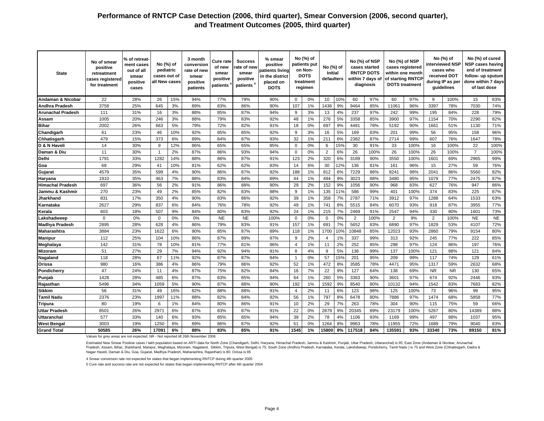| <b>State</b>             | No of smear<br>positive<br>retreatment<br>cases registered<br>for treatment | % of retreat·<br>ment cases<br>out of all<br>smear<br>positive<br>cases | No (%) of<br>pediatric<br>cases out of<br>all New cases |     | 3 month<br>conversion<br>rate of new<br>smear<br>positive<br>patients | Cure rate<br>of new<br>smear<br>positive<br>patients | <b>Success</b><br>ate of new<br>smear<br>positive<br>patients | % smear<br>positive<br>patients living<br>in the district<br>placed on<br><b>DOTS</b> |                | No (%) of<br>patients put<br>on Non-<br><b>DOTS</b><br>treatment<br>regimen | No (%) of<br><b>Initial</b><br>defaulters |     |                | No (%) of NSP<br>cases started<br><b>RNTCP DOTS</b><br>within 7 days of<br>diagnosis |        | No (%) of NSP<br>cases registered<br>within one month<br>of starting RNTCP<br><b>DOTS</b> treatment |           | No (%) of<br>interviewed NSP<br>cases who<br>received DOT<br>during IP as per<br>guidelines | No (%) of cured<br><b>NSP cases having</b><br>end of treatment<br>follow- up sputum<br>done within 7 days<br>of last dose |           |
|--------------------------|-----------------------------------------------------------------------------|-------------------------------------------------------------------------|---------------------------------------------------------|-----|-----------------------------------------------------------------------|------------------------------------------------------|---------------------------------------------------------------|---------------------------------------------------------------------------------------|----------------|-----------------------------------------------------------------------------|-------------------------------------------|-----|----------------|--------------------------------------------------------------------------------------|--------|-----------------------------------------------------------------------------------------------------|-----------|---------------------------------------------------------------------------------------------|---------------------------------------------------------------------------------------------------------------------------|-----------|
| Andaman & Nicobar        | 22                                                                          | 28%                                                                     | 26                                                      | 15% | 94%                                                                   | 77%                                                  | 79%                                                           | 90%                                                                                   | $\Omega$       | 0%                                                                          | 10                                        | 10% | 60             | 97%                                                                                  | 60     | 97%                                                                                                 | 9         | 100%                                                                                        | 15                                                                                                                        | 83%       |
| Andhra Pradesh           | 3758                                                                        | 25%                                                                     | 645                                                     | 3%  | 89%                                                                   | 83%                                                  | 86%                                                           | 90%                                                                                   | 107            | 1%                                                                          | 1436                                      | 9%  | 9464           | 85%                                                                                  | 11061  | 96%                                                                                                 | 3397      | 78%                                                                                         | 7030                                                                                                                      | 74%       |
| <b>Arunachal Pradesh</b> | 111                                                                         | 31%                                                                     | 16                                                      | 3%  | 88%                                                                   | 85%                                                  | 87%                                                           | 94%                                                                                   | 9              | 3%                                                                          | 13                                        | 4%  | 237            | 97%                                                                                  | 242    | 99%                                                                                                 | 195       | 84%                                                                                         | 228                                                                                                                       | 79%       |
| Assam                    | 1005                                                                        | 20%                                                                     | 246                                                     | 3%  | 88%                                                                   | 79%                                                  | 83%                                                           | 92%                                                                                   | 48             | 1%                                                                          | 276                                       | 5%  | 3358           | 85%                                                                                  | 3900   | 97%                                                                                                 | 1154      | 70%                                                                                         | 2290                                                                                                                      | 82%       |
| <b>Bihar</b>             | 2002                                                                        | 26%                                                                     | 663                                                     | 5%  | 79%                                                                   | 72%                                                  | 82%                                                           | 91%                                                                                   | 18             | 0%                                                                          | 697                                       | 9%  | 4481           | 78%                                                                                  | 5192   | 90%                                                                                                 | 1661      | 51%                                                                                         | 1130                                                                                                                      | 71%       |
| Chandigarh               | 61                                                                          | 23%                                                                     | 46                                                      | 10% | 92%                                                                   | 85%                                                  | 85%                                                           | 92%                                                                                   | 9              | 3%                                                                          | 16                                        | 5%  | 169            | 83%                                                                                  | 201    | 99%                                                                                                 | 56        | 95%                                                                                         | 158                                                                                                                       | 96%       |
| Chhatisgarh              | 479                                                                         | 15%                                                                     | 373                                                     | 6%  | 89%                                                                   | 84%                                                  | 87%                                                           | 93%                                                                                   | 32             | 1%                                                                          | 211                                       | 6%  | 2382           | 87%                                                                                  | 2714   | 99%                                                                                                 | 607       | 76%                                                                                         | 1647                                                                                                                      | 78%       |
| D & N Haveli             | 14                                                                          | 30%                                                                     | 9                                                       | 12% | 86%                                                                   | 65%                                                  | 65%                                                           | 85%                                                                                   | $\mathbf 0$    | 0%                                                                          | 6                                         | 15% | 30             | 91%                                                                                  | 33     | 100%                                                                                                | 16        | 100%                                                                                        | 22                                                                                                                        | 100%      |
| Daman & Diu              | 11                                                                          | 30%                                                                     | $\overline{1}$                                          | 2%  | 87%                                                                   | 86%                                                  | 93%                                                           | 94%                                                                                   | $\Omega$       | 0%                                                                          | 2                                         | 6%  | 26             | 100%                                                                                 | 26     | 100%                                                                                                | 26        | 100%                                                                                        | $\overline{7}$                                                                                                            | 100%      |
| Delhi                    | 1791                                                                        | 33%                                                                     | 1282                                                    | 14% | 88%                                                                   | 86%                                                  | 87%                                                           | 91%                                                                                   | 123            | 2%                                                                          | 320                                       | 6%  | 3189           | 90%                                                                                  | 3550   | 100%                                                                                                | 1601      | 69%                                                                                         | 2965                                                                                                                      | 99%       |
| Goa                      | 68                                                                          | 29%                                                                     | 41                                                      | 10% | 81%                                                                   | 62%                                                  | 62%                                                           | 83%                                                                                   | 14             | 6%                                                                          | 30                                        | 12% | 136            | 81%                                                                                  | 161    | 96%                                                                                                 | 15        | 27%                                                                                         | 59                                                                                                                        | 76%       |
| Gujarat                  | 4579                                                                        | 35%                                                                     | 599                                                     | 4%  | 90%                                                                   | 86%                                                  | 87%                                                           | 92%                                                                                   | 188            | 1%                                                                          | 812                                       | 6%  | 7229           | 86%                                                                                  | 8241   | 98%                                                                                                 | 2041      | 86%                                                                                         | 5560                                                                                                                      | 82%       |
| Haryana                  | 1910                                                                        | 35%                                                                     | 463                                                     | 7%  | 88%                                                                   | 83%                                                  | 84%                                                           | 89%                                                                                   | 44             | 1%                                                                          | 494                                       | 9%  | 3023           | 88%                                                                                  | 3480   | 95%                                                                                                 | 1079      | 77%                                                                                         | 2475                                                                                                                      | 87%       |
| <b>Himachal Pradesh</b>  | 697                                                                         | 36%                                                                     | 56                                                      | 2%  | 91%                                                                   | 86%                                                  | 88%                                                           | 90%                                                                                   | 29             | 2%                                                                          | 152                                       | 9%  | 1056           | 90%                                                                                  | 968    | 83%                                                                                                 | 627       | 76%                                                                                         | 947                                                                                                                       | 86%       |
| Jammu & Kashmir          | 270                                                                         | 23%                                                                     | 49                                                      | 2%  | 85%                                                                   | 82%                                                  | 83%                                                           | 88%                                                                                   | 9              | 1%                                                                          | 135                                       | 11% | 586            | 99%                                                                                  | 401    | 100%                                                                                                | 374       | 83%                                                                                         | 225                                                                                                                       | 87%       |
| Jharkhand                | 831                                                                         | 17%                                                                     | 350                                                     | 4%  | 90%                                                                   | 83%                                                  | 86%                                                           | 92%                                                                                   | 39             | 1%                                                                          | 358                                       | 7%  | 2787           | 71%                                                                                  | 3912   | 97%                                                                                                 | 1288      | 64%                                                                                         | 1533                                                                                                                      | 63%       |
| Karnataka                | 2627                                                                        | 29%                                                                     | 837                                                     | 6%  | 84%                                                                   | 76%                                                  | 78%                                                           | 92%                                                                                   | 49             | 1%                                                                          | 741                                       | 8%  | 5515           | 84%                                                                                  | 6070   | 93%                                                                                                 | 918       | 87%                                                                                         | 3955                                                                                                                      | 77%       |
| Kerala                   | 603                                                                         | 18%                                                                     | 507                                                     | 9%  | 84%                                                                   | 80%                                                  | 83%                                                           | 92%                                                                                   | 24             | 1%                                                                          | 215                                       | 7%  | 2469           | 91%                                                                                  | 2547   | 94%                                                                                                 | 330       | 80%                                                                                         | 1601                                                                                                                      | 73%       |
| .akshadweep              | $\mathbf 0$                                                                 | 0%                                                                      | $\Omega$                                                | 0%  | 0%                                                                    | <b>NE</b>                                            | <b>NE</b>                                                     | 100%                                                                                  | $\mathbf 0$    | 0%                                                                          | $\mathbf 0$                               | 0%  | $\overline{2}$ | 100%                                                                                 | 2      | 9%                                                                                                  | 2         | 100%                                                                                        | <b>NE</b>                                                                                                                 | <b>NE</b> |
| <b>Madhya Pradesh</b>    | 2895                                                                        | 28%                                                                     | 628                                                     | 4%  | 86%                                                                   | 79%                                                  | 83%                                                           | 91%                                                                                   | 157            | 1%                                                                          | 691                                       | 7%  | 5652           | 83%                                                                                  | 6890   | 97%                                                                                                 | 1829      | 53%                                                                                         | 4107                                                                                                                      | 72%       |
| Maharashtra              | 3884                                                                        | 23%                                                                     | 1622                                                    | 6%  | 90%                                                                   | 85%                                                  | 87%                                                           | 89%                                                                                   | 118            | 1%                                                                          | 1700                                      | 10% | 10848          | 85%                                                                                  | 12023  | 93%                                                                                                 | 2860      | 79%                                                                                         | 9154                                                                                                                      | 80%       |
| <b>Manipur</b>           | 112                                                                         | 25%                                                                     | 104                                                     | 10% | 86%                                                                   | 87%                                                  | 89%                                                           | 97%                                                                                   | 9              | 2%                                                                          | $\overline{4}$                            | 1%  | 337            | 99%                                                                                  | 313    | 92%                                                                                                 | 245       | 77%                                                                                         | 222                                                                                                                       | 85%       |
| Meghalaya                | 142                                                                         | 31%                                                                     | 78                                                      | 10% | 81%                                                                   | 77%                                                  | 81%                                                           | 96%                                                                                   | $\overline{4}$ | 1%                                                                          | 11                                        | 2%  | 252            | 85%                                                                                  | 298    | 97%                                                                                                 | 124       | 86%                                                                                         | 197                                                                                                                       | 76%       |
| <b>Mizoram</b>           | 51                                                                          | 27%                                                                     | 29                                                      | 7%  | 94%                                                                   | 92%                                                  | 94%                                                           | 91%                                                                                   | 8              | 4%                                                                          | 9                                         | 5%  | 136            | 99%                                                                                  | 137    | 100%                                                                                                | 121       | 88%                                                                                         | 121                                                                                                                       | 84%       |
| Nagaland                 | 118                                                                         | 28%                                                                     | 67                                                      | 11% | 92%                                                                   | 87%                                                  | 87%                                                           | 84%                                                                                   | $\mathbf{1}$   | 0%                                                                          | 57                                        | 15% | 201            | 95%                                                                                  | 209    | 99%                                                                                                 | 117       | 74%                                                                                         | 129                                                                                                                       | 61%       |
| lOrissa                  | 980                                                                         | 16%                                                                     | 386                                                     | 4%  | 86%                                                                   | 79%                                                  | 86%                                                           | 92%                                                                                   | 52             | 1%                                                                          | 472                                       | 8%  | 3585           | 78%                                                                                  | 4471   | 95%                                                                                                 | 1317      | 59%                                                                                         | 2632                                                                                                                      | 68%       |
| Pondicherry              | 47                                                                          | 24%                                                                     | 11                                                      | 4%  | 87%                                                                   | 75%                                                  | 82%                                                           | 84%                                                                                   | 16             | 7%                                                                          | 22                                        | 9%  | 127            | 64%                                                                                  | 138    | 69%                                                                                                 | <b>NR</b> | <b>NR</b>                                                                                   | 130                                                                                                                       | 65%       |
| Punjab                   | 1428                                                                        | 28%                                                                     | 485                                                     | 6%  | 87%                                                                   | 83%                                                  | 85%                                                           | 94%                                                                                   | 64             | 1%                                                                          | 260                                       | 5%  | 3363           | 90%                                                                                  | 3601   | 97%                                                                                                 | 674       | 92%                                                                                         | 2446                                                                                                                      | 93%       |
| Rajasthan                | 5496                                                                        | 34%                                                                     | 1059                                                    | 5%  | 90%                                                                   | 87%                                                  | 88%                                                           | 90%                                                                                   | 192            | 1%                                                                          | 1592                                      | 9%  | 8540           | 80%                                                                                  | 10132  | 94%                                                                                                 | 1542      | 83%                                                                                         | 7683                                                                                                                      | 82%       |
| <b>Sikkim</b>            | 56                                                                          | 31%                                                                     | 49                                                      | 16% | 82%                                                                   | 88%                                                  | 88%                                                           | 91%                                                                                   | $\overline{4}$ | 2%                                                                          | 11                                        | 6%  | 123            | 98%                                                                                  | 125    | 100%                                                                                                | 73        | 96%                                                                                         | 99                                                                                                                        | 95%       |
| Tamil Nadu               | 2376                                                                        | 23%                                                                     | 1997                                                    | 11% | 88%                                                                   | 82%                                                  | 84%                                                           | 92%                                                                                   | 56             | 1%                                                                          | 797                                       | 8%  | 6478           | 80%                                                                                  | 7886   | 97%                                                                                                 | 1474      | 68%                                                                                         | 5858                                                                                                                      | 77%       |
| Tripura                  | 80                                                                          | 19%                                                                     | -6                                                      | 1%  | 84%                                                                   | 80%                                                  | 86%                                                           | 91%                                                                                   | 10             | 2%                                                                          | 29                                        | 7%  | 263            | 78%                                                                                  | 304    | 90%                                                                                                 | 115       | 75%                                                                                         | 59                                                                                                                        | 66%       |
| <b>Uttar Pradesh</b>     | 8501                                                                        | 26%                                                                     | 2971                                                    | 6%  | 87%                                                                   | 83%                                                  | 87%                                                           | 91%                                                                                   | 22             | 0%                                                                          | 2879                                      | 9%  | 20345          | 89%                                                                                  | 23179  | 100%                                                                                                | 5267      | 80%                                                                                         | 14389                                                                                                                     | 88%       |
| <b>Uttaranchal</b>       | 577                                                                         | 33%                                                                     | 140                                                     | 6%  | 93%                                                                   | 85%                                                  | 85%                                                           | 94%                                                                                   | 39             | 2%                                                                          | 78                                        | 4%  | 1106           | 93%                                                                                  | 1169   | 99%                                                                                                 | 497       | 88%                                                                                         | 1037                                                                                                                      | 95%       |
| <b>West Bengal</b>       | 3003                                                                        | 19%                                                                     | 1250                                                    | 6%  | 89%                                                                   | 86%                                                  | 87%                                                           | 92%                                                                                   | 51             | 0%                                                                          | 1264                                      | 8%  | 9963           | 78%                                                                                  | 11955  | 72%                                                                                                 | 1689      | 79%                                                                                         | 9040                                                                                                                      | 83%       |
| <b>Grand Total</b>       | 50585                                                                       | 26%                                                                     | 17091                                                   | 6%  | 88%                                                                   | 83%                                                  | 85%                                                           | 91%                                                                                   | 1545           | 1%                                                                          | 15800                                     | 8%  | 117518         | 84%                                                                                  | 135591 | 93%                                                                                                 | 33340     | 73%                                                                                         | 89150                                                                                                                     | 81%       |

Values for grey areas are not expected. NR - Not reported till 26th November 2006

Estimated New Smear Positive cases / lakh population based on ARTI data for North Zone (Chandigarh, Delhi, Haryana, Himachal Pradesh, Jammu & Kashmir, Punjab, Uttar Pradesh, Uttaranchal) is 95; East Zone (Andaman & Nicobar Pradesh, Assam, Bihar, Jharkhand, Manipur, Meghalaya, Mizoram, Nagaland, Sikkim, Tripura, West Bengal) is 75; South Zone (Andhra Pradesh, Kamataka, Kerala, Lakshdweep, Pondicherry, Tamil Nadu) is 75 and West Zone (Chhattis Nagar Haveli, Daman & Diu, Goa, Gujarat, Madhya Pradesh, Maharashtra, Rajasthan) is 80; Orissa is 85

4 Smear conversion rate not expected for states that began implementing RNTCP during 4th quarter 2005

5 Cure rate and success rate are not expected for states that began implementing RNTCP after 4th quarter 2004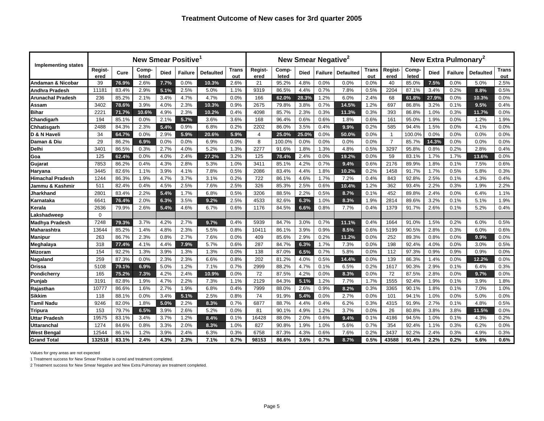| <b>Implementing states</b> |                 |       | <b>New Smear Positive</b> |             |                |                  |              |                 |                |             | New Smear Negative <sup>2</sup> |                  |              |                 |                |             | New Extra Pulmonary <sup>2</sup> |                  |              |
|----------------------------|-----------------|-------|---------------------------|-------------|----------------|------------------|--------------|-----------------|----------------|-------------|---------------------------------|------------------|--------------|-----------------|----------------|-------------|----------------------------------|------------------|--------------|
|                            | Regist-<br>ered | Cure  | Comp-<br>leted            | <b>Died</b> | <b>Failure</b> | <b>Defaulted</b> | Trans<br>out | Regist-<br>ered | Comp-<br>leted | <b>Died</b> | Failure                         | <b>Defaulted</b> | Trans<br>out | Regist-<br>ered | Comp-<br>leted | <b>Died</b> | <b>Failure</b>                   | <b>Defaulted</b> | Trans<br>out |
| Andaman & Nicobar          | 39              | 76.9% | 2.6%                      | 7.7%        | 0.0%           | 10.3%            | 2.6%         | 21              | 95.2%          | 4.8%        | 0.0%                            | 0.0%             | 0.0%         | 40              | 85.0%          | 7.5%        | 0.0%                             | 5.0%             | 2.5%         |
| Andhra Pradesh             | 11181           | 83.4% | 2.9%                      | 5.1%        | 2.5%           | 5.0%             | 1.1%         | 9319            | 86.5%          | 4.4%        | 0.7%                            | 7.8%             | 0.5%         | 2204            | 87.1%          | 3.4%        | 0.2%                             | 8.8%             | 0.5%         |
| <b>Arunachal Pradesh</b>   | 236             | 85.2% | 2.1%                      | 3.4%        | 4.7%           | 4.7%             | 0.0%         | 166             | 62.0%          | 28.3%       | 1.2%                            | 6.0%             | 2.4%         | 68              | 61.8%          | 27.9%       | 0.0%                             | 10.3%            | 0.0%         |
| Assam                      | 3402            | 78.6% | 3.9%                      | 4.0%        | 2.3%           | 10.3%            | 0.9%         | 2675            | 79.8%          | 3.8%        | 0.7%                            | 14.5%            | 1.2%         | 697             | 86.8%          | 3.2%        | 0.1%                             | 9.5%             | 0.4%         |
| <b>Bihar</b>               | 2221            | 71.7% | 10.6%                     | 4.9%        | 2.3%           | 10.2%            | 0.4%         | 4098            | 85.7%          | 2.3%        | 0.3%                            | 11.3%            | 0.3%         | 393             | 86.8%          | 1.0%        | 0.3%                             | 11.7%            | 0.0%         |
| Chandigarh                 | 194             | 85.1% | 0.0%                      | 2.1%        | 5.7%           | 3.6%             | 3.6%         | 168             | 96.4%          | 0.6%        | 0.6%                            | 1.8%             | 0.6%         | 161             | 95.0%          | 1.9%        | 0.0%                             | 1.2%             | 1.9%         |
| Chhatisgarh                | 2488            | 84.3% | 2.3%                      | 5.4%        | 0.9%           | 6.8%             | 0.2%         | 2202            | 86.0%          | 3.5%        | 0.4%                            | 9.9%             | 0.2%         | 585             | 94.4%          | 1.5%        | 0.0%                             | 4.1%             | 0.0%         |
| D & N Haveli               | 34              | 64.7% | 0.0%                      | 2.9%        | 5.9%           | 20.6%            | 5.9%         | 4               | 25.0%          | 25.0%       | 0.0%                            | 50.0%            | 0.0%         | -1              | 100.0%         | 0.0%        | 0.0%                             | 0.0%             | 0.0%         |
| Daman & Diu                | 29              | 86.2% | 6.9%                      | 0.0%        | 0.0%           | 6.9%             | 0.0%         | 8               | 100.0%         | 0.0%        | 0.0%                            | 0.0%             | 0.0%         | $\overline{7}$  | 85.7%          | 14.3%       | 0.0%                             | 0.0%             | 0.0%         |
| IDelhi                     | 3401            | 86.5% | 0.3%                      | 2.7%        | 4.0%           | 5.2%             | 1.3%         | 2277            | 91.6%          | 1.8%        | 1.3%                            | 4.8%             | 0.5%         | 3297            | 95.8%          | 0.8%        | 0.2%                             | 2.8%             | 0.4%         |
| Goa                        | 125             | 62.4% | 0.0%                      | 4.0%        | 2.4%           | 27.2%            | 3.2%         | 125             | 78.4%          | 2.4%        | 0.0%                            | 19.2%            | 0.0%         | 59              | 83.1%          | 1.7%        | 1.7%                             | 13.6%            | 0.0%         |
| Gujarat                    | 7853            | 86.2% | 0.4%                      | 4.3%        | 2.8%           | 5.3%             | 1.0%         | 3411            | 85.1%          | 4.2%        | 0.7%                            | 9.4%             | 0.6%         | 2176            | 89.9%          | 1.8%        | 0.1%                             | 7.5%             | 0.6%         |
| Haryana                    | 3445            | 82.6% | 1.1%                      | 3.9%        | 4.1%           | 7.8%             | 0.5%         | 2086            | 83.4%          | 4.4%        | 1.8%                            | 10.2%            | 0.2%         | 1458            | 91.7%          | 1.7%        | 0.5%                             | 5.8%             | 0.3%         |
| <b>Himachal Pradesh</b>    | 1244            | 86.3% | 1.9%                      | 4.7%        | 3.7%           | 3.1%             | 0.2%         | 722             | 86.1%          | 4.6%        | 1.7%                            | 7.2%             | 0.4%         | 843             | 92.8%          | 2.5%        | 0.1%                             | 4.3%             | 0.4%         |
| Jammu & Kashmir            | 511             | 82.4% | 0.4%                      | 4.5%        | 2.5%           | 7.6%             | 2.5%         | 326             | 85.3%          | 2.5%        | 0.6%                            | 10.4%            | 1.2%         | 362             | 93.4%          | 2.2%        | 0.3%                             | 1.9%             | 2.2%         |
| Jharkhand                  | 2801            | 83.4% | 2.2%                      | 5.4%        | 1.7%           | 6.8%             | 0.5%         | 3206            | 88.5%          | 2.2%        | 0.5%                            | 8.7%             | 0.1%         | 452             | 89.8%          | 2.4%        | 0.0%                             | 6.4%             | 1.1%         |
| Karnataka                  | 6641            | 76.4% | 2.0%                      | 6.3%        | 3.5%           | 9.2%             | 2.5%         | 4533            | 82.6%          | 6.3%        | 1.0%                            | 8.3%             | 1.9%         | 2814            | 89.6%          | 3.2%        | 0.1%                             | 5.1%             | 1.9%         |
| Kerala                     | 2636            | 79.9% | 2.6%                      | 5.4%        | 4.6%           | 6.7%             | 0.6%         | 1176            | 84.5%          | 6.6%        | 0.8%                            | 7.7%             | 0.4%         | 1379            | 91.7%          | 2.6%        | 0.1%                             | 5.2%             | 0.4%         |
| _akshadweep                | $\Omega$        |       |                           |             |                |                  |              |                 |                |             |                                 |                  |              |                 |                |             |                                  |                  |              |
| <b>Madhya Pradesh</b>      | 7248            | 79.3% | 3.7%                      | 4.2%        | 2.7%           | 9.7%             | 0.4%         | 5939            | 84.7%          | 3.0%        | 0.7%                            | 11.1%            | 0.4%         | 1664            | 91.0%          | 1.5%        | 0.2%                             | 6.0%             | 0.5%         |
| Maharashtra                | 13644           | 85.2% | 1.4%                      | 4.8%        | 2.3%           | 5.5%             | 0.8%         | 10411           | 86.1%          | 3.9%        | 0.9%                            | 8.5%             | 0.6%         | 5199            | 90.5%          | 2.8%        | 0.3%                             | 6.0%             | 0.6%         |
| <b>Manipur</b>             | 263             | 86.7% | 2.3%                      | 0.8%        | 2.7%           | 7.6%             | 0.0%         | 409             | 85.6%          | 2.9%        | 0.2%                            | 11.2%            | 0.0%         | 252             | 89.3%          | 0.8%        | 0.0%                             | 9.9%             | 0.0%         |
| Meghalaya                  | 318             | 77.4% | 4.1%                      | 4.4%        | 7.9%           | 5.7%             | 0.6%         | 287             | 84.7%          | 6.3%        | 1.7%                            | 7.3%             | 0.0%         | 198             | 92.4%          | 4.0%        | 0.0%                             | 3.0%             | 0.5%         |
| <b>Mizoram</b>             | 154             | 92.2% | 1.3%                      | 3.9%        | 1.3%           | 1.3%             | 0.0%         | 138             | 87.0%          | 6.5%        | 0.7%                            | 5.8%             | 0.0%         | 112             | 97.3%          | 0.9%        | 0.9%                             | 0.9%             | 0.0%         |
| Nagaland                   | 259             | 87.3% | 0.0%                      | 2.3%        | 2.3%           | 6.6%             | 0.8%         | 202             | 81.2%          | 4.0%        | 0.5%                            | 14.4%            | 0.0%         | 139             | 86.3%          | 1.4%        | 0.0%                             | 12.2%            | 0.0%         |
| Orissa                     | 5108            | 79.1% | 6.9%                      | 5.0%        | 1.2%           | 7.1%             | 0.7%         | 2999            | 88.2%          | 4.7%        | 0.1%                            | 6.5%             | 0.2%         | 1617            | 90.3%          | 2.9%        | 0.1%                             | 6.4%             | 0.3%         |
| <b>Pondicherry</b>         | 165             | 75.2% | 7.3%                      | 4.2%        | 2.4%           | 10.9%            | 0.0%         | 72              | 87.5%          | 4.2%        | 0.0%                            | 8.3%             | 0.0%         | 72              | 87.5%          | 2.8%        | 0.0%                             | 9.7%             | 0.0%         |
| Punjab                     | 3191            | 82.8% | 1.9%                      | 4.7%        | 2.2%           | 7.3%             | 1.1%         | 2129            | 84.3%          | 5.1%        | 1.2%                            | 7.7%             | 1.7%         | 1555            | 92.4%          | 1.9%        | 0.1%                             | 3.9%             | 1.8%         |
| Rajasthan                  | 10777           | 86.6% | 1.6%                      | 2.7%        | 1.9%           | 6.8%             | 0.4%         | 7999            | 88.0%          | 2.6%        | 0.9%                            | 8.2%             | 0.3%         | 3365            | 90.1%          | 1.8%        | 0.1%                             | 7.0%             | 1.0%         |
| <b>Sikkim</b>              | 118             | 88.1% | 0.0%                      | 3.4%        | 5.1%           | 2.5%             | 0.8%         | 74              | 91.9%          | 5.4%        | 0.0%                            | 2.7%             | 0.0%         | 101             | 94.1%          | 1.0%        | 0.0%                             | 5.0%             | 0.0%         |
| <b>Tamil Nadu</b>          | 9246            | 82.0% | 1.8%                      | 5.0%        | 2.2%           | 8.3%             | 0.7%         | 6877            | 88.7%          | 4.4%        | 0.4%                            | 6.2%             | 0.3%         | 4315            | 91.9%          | 2.7%        | 0.1%                             | 4.8%             | 0.5%         |
| Tripura                    | 153             | 79.7% | 6.5%                      | 3.9%        | 2.6%           | 5.2%             | 0.0%         | 81              | 90.1%          | 4.9%        | 1.2%                            | 3.7%             | 0.0%         | 26              | 80.8%          | 3.8%        | 3.8%                             | 11.5%            | 0.0%         |
| Uttar Pradesh              | 19575           | 83.1% | 3.4%                      | 3.7%        | 1.2%           | 8.4%             | 0.1%         | 16428           | 88.0%          | 2.0%        | 0.6%                            | 9.4%             | 0.1%         | 4186            | 94.5%          | 1.0%        | 0.1%                             | 4.3%             | 0.2%         |
| Uttaranchal                | 1274            | 84.6% | 0.8%                      | 3.3%        | 2.0%           | 8.3%             | 1.0%         | 827             | 90.8%          | 1.9%        | 1.0%                            | 5.6%             | 0.7%         | 354             | 92.4%          | 1.1%        | 0.3%                             | 6.2%             | 0.0%         |
| <b>West Bengal</b>         | 12544           | 86.1% | 1.2%                      | 3.9%        | 2.4%           | 6.3%             | 0.3%         | 6758            | 87.3%          | 4.3%        | 0.6%                            | 7.6%             | 0.2%         | 3437            | 92.2%          | 2.4%        | 0.3%                             | 4.9%             | 0.3%         |
| <b>Grand Total</b>         | 132518          | 83.1% | 2.4%                      | 4.3%        | 2.3%           | 7.1%             | 0.7%         | 98153           | 86.6%          | 3.6%        | 0.7%                            | 8.7%             | 0.5%         | 43588           | 91.4%          | 2.2%        | 0.2%                             | 5.6%             | 0.6%         |

Values for grey areas are not expected

1 Treatment success for New Smear Positive is cured and treatment completed.

2 Treatment success for New Smear Negative and New Extra Pulmonary are treatment completed.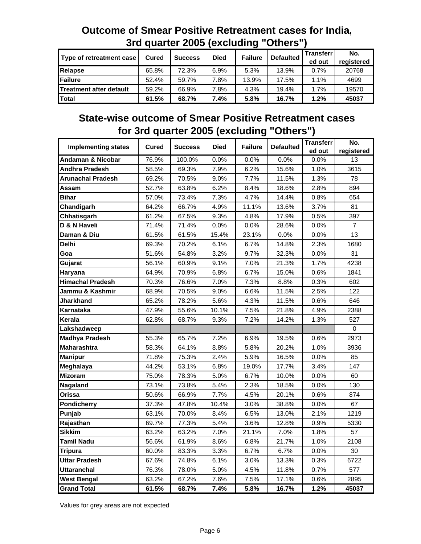|                                |              | <u>UN GUUNO EUUU (UAUNGHIIG</u> |             |                | <b>VUIVIV</b>    |                            |                   |
|--------------------------------|--------------|---------------------------------|-------------|----------------|------------------|----------------------------|-------------------|
| Type of retreatment case       | <b>Cured</b> | <b>Success</b>                  | <b>Died</b> | <b>Failure</b> | <b>Defaulted</b> | <b>Transferr</b><br>ed out | No.<br>registered |
| Relapse                        | 65.8%        | 72.3%                           | 6.9%        | 5.3%           | 13.9%            | 0.7%                       | 20768             |
| <b>IFailure</b>                | 52.4%        | 59.7%                           | 7.8%        | 13.9%          | 17.5%            | $1.1\%$                    | 4699              |
| <b>Treatment after default</b> | 59.2%        | 66.9%                           | 7.8%        | 4.3%           | 19.4%            | 1.7%                       | 19570             |
| Total                          | 61.5%        | 68.7%                           | 7.4%        | 5.8%           | 16.7%            | $1.2\%$                    | 45037             |

# **Outcome of Smear Positive Retreatment cases for India, 3rd quarter 2005 (excluding "Others")**

# **State-wise outcome of Smear Positive Retreatment cases for 3rd quarter 2005 (excluding "Others")**

|                              |              |                |             |                |                  | <b>Transferr</b> | No.            |
|------------------------------|--------------|----------------|-------------|----------------|------------------|------------------|----------------|
| <b>Implementing states</b>   | <b>Cured</b> | <b>Success</b> | <b>Died</b> | <b>Failure</b> | <b>Defaulted</b> | ed out           | registered     |
| <b>Andaman &amp; Nicobar</b> | 76.9%        | 100.0%         | 0.0%        | 0.0%           | 0.0%             | 0.0%             | 13             |
| <b>Andhra Pradesh</b>        | 58.5%        | 69.3%          | 7.9%        | 6.2%           | 15.6%            | 1.0%             | 3615           |
| <b>Arunachal Pradesh</b>     | 69.2%        | 70.5%          | 9.0%        | 7.7%           | 11.5%            | 1.3%             | 78             |
| Assam                        | 52.7%        | 63.8%          | 6.2%        | 8.4%           | 18.6%            | 2.8%             | 894            |
| <b>Bihar</b>                 | 57.0%        | 73.4%          | 7.3%        | 4.7%           | 14.4%            | 0.8%             | 654            |
| Chandigarh                   | 64.2%        | 66.7%          | 4.9%        | 11.1%          | 13.6%            | 3.7%             | 81             |
| Chhatisgarh                  | 61.2%        | 67.5%          | 9.3%        | 4.8%           | 17.9%            | 0.5%             | 397            |
| D & N Haveli                 | 71.4%        | 71.4%          | 0.0%        | 0.0%           | 28.6%            | 0.0%             | $\overline{7}$ |
| Daman & Diu                  | 61.5%        | 61.5%          | 15.4%       | 23.1%          | 0.0%             | 0.0%             | 13             |
| Delhi                        | 69.3%        | 70.2%          | 6.1%        | 6.7%           | 14.8%            | 2.3%             | 1680           |
| Goa                          | 51.6%        | 54.8%          | 3.2%        | 9.7%           | 32.3%            | 0.0%             | 31             |
| Gujarat                      | 56.1%        | 60.9%          | 9.1%        | 7.0%           | 21.3%            | 1.7%             | 4238           |
| Haryana                      | 64.9%        | 70.9%          | 6.8%        | 6.7%           | 15.0%            | 0.6%             | 1841           |
| <b>Himachal Pradesh</b>      | 70.3%        | 76.6%          | 7.0%        | 7.3%           | 8.8%             | 0.3%             | 602            |
| Jammu & Kashmir              | 68.9%        | 70.5%          | 9.0%        | 6.6%           | 11.5%            | 2.5%             | 122            |
| Jharkhand                    | 65.2%        | 78.2%          | 5.6%        | 4.3%           | 11.5%            | 0.6%             | 646            |
| Karnataka                    | 47.9%        | 55.6%          | 10.1%       | 7.5%           | 21.8%            | 4.9%             | 2388           |
| Kerala                       | 62.8%        | 68.7%          | 9.3%        | 7.2%           | 14.2%            | 1.3%             | 527            |
| Lakshadweep                  |              |                |             |                |                  |                  | 0              |
| <b>Madhya Pradesh</b>        | 55.3%        | 65.7%          | 7.2%        | 6.9%           | 19.5%            | 0.6%             | 2973           |
| <b>Maharashtra</b>           | 58.3%        | 64.1%          | 8.8%        | 5.8%           | 20.2%            | 1.0%             | 3936           |
| <b>Manipur</b>               | 71.8%        | 75.3%          | 2.4%        | 5.9%           | 16.5%            | 0.0%             | 85             |
| Meghalaya                    | 44.2%        | 53.1%          | 6.8%        | 19.0%          | 17.7%            | 3.4%             | 147            |
| <b>Mizoram</b>               | 75.0%        | 78.3%          | 5.0%        | 6.7%           | 10.0%            | 0.0%             | 60             |
| Nagaland                     | 73.1%        | 73.8%          | 5.4%        | 2.3%           | 18.5%            | 0.0%             | 130            |
| Orissa                       | 50.6%        | 66.9%          | 7.7%        | 4.5%           | 20.1%            | 0.6%             | 874            |
| <b>Pondicherry</b>           | 37.3%        | 47.8%          | 10.4%       | 3.0%           | 38.8%            | 0.0%             | 67             |
| Punjab                       | 63.1%        | 70.0%          | 8.4%        | 6.5%           | 13.0%            | 2.1%             | 1219           |
| Rajasthan                    | 69.7%        | 77.3%          | 5.4%        | 3.6%           | 12.8%            | 0.9%             | 5330           |
| <b>Sikkim</b>                | 63.2%        | 63.2%          | 7.0%        | 21.1%          | 7.0%             | 1.8%             | 57             |
| Tamil Nadu                   | 56.6%        | 61.9%          | 8.6%        | 6.8%           | 21.7%            | 1.0%             | 2108           |
| Tripura                      | 60.0%        | 83.3%          | 3.3%        | 6.7%           | 6.7%             | 0.0%             | 30             |
| <b>Uttar Pradesh</b>         | 67.6%        | 74.8%          | 6.1%        | 3.0%           | 13.3%            | 0.3%             | 6722           |
| <b>Uttaranchal</b>           | 76.3%        | 78.0%          | 5.0%        | 4.5%           | 11.8%            | 0.7%             | 577            |
| <b>West Bengal</b>           | 63.2%        | 67.2%          | 7.6%        | 7.5%           | 17.1%            | 0.6%             | 2895           |
| <b>Grand Total</b>           | 61.5%        | 68.7%          | 7.4%        | 5.8%           | 16.7%            | 1.2%             | 45037          |

Values for grey areas are not expected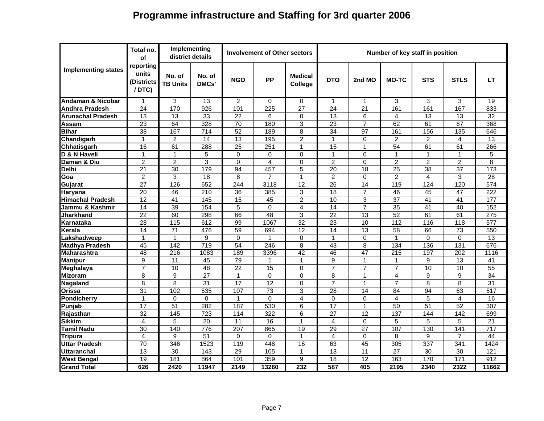# **Programme infrastructure and Staffing for 3rd quarter 2006**

|                            | Total no.<br>оf                           | Implementing<br>district details |                 |                  | <b>Involvement of Other sectors</b> |                                  |                         |                 | Number of key staff in position |                 |                 |                 |
|----------------------------|-------------------------------------------|----------------------------------|-----------------|------------------|-------------------------------------|----------------------------------|-------------------------|-----------------|---------------------------------|-----------------|-----------------|-----------------|
| <b>Implementing states</b> | reporting<br>units<br>(Districts<br>/DTC) | No. of<br><b>TB Units</b>        | No. of<br>DMCs' | <b>NGO</b>       | <b>PP</b>                           | <b>Medical</b><br><b>College</b> | <b>DTO</b>              | 2nd MO          | <b>MO-TC</b>                    | <b>STS</b>      | <b>STLS</b>     | LT.             |
| Andaman & Nicobar          | 1                                         | 3                                | 13              | $\overline{2}$   | 0                                   | 0                                | 1                       | 1               | 3                               | 3               | 3               | 19              |
| Andhra Pradesh             | $\overline{24}$                           | 170                              | 926             | 101              | 225                                 | 27                               | 24                      | $\overline{21}$ | 161                             | 161             | 167             | 833             |
| Arunachal Pradesh          | 13                                        | 13                               | 33              | 22               | 6                                   | $\mathbf 0$                      | 13                      | 6               | 4                               | 13              | 13              | 32              |
| Assam                      | $\overline{23}$                           | 64                               | 328             | $\overline{70}$  | 180                                 | 3                                | $\overline{23}$         | $\overline{7}$  | 62                              | 61              | 67              | 368             |
| <b>Bihar</b>               | 38                                        | 167                              | 714             | $\overline{52}$  | 189                                 | 8                                | 34                      | 97              | 161                             | 156             | 135             | 646             |
| Chandigarh                 | 1                                         | $\overline{2}$                   | 14              | 13               | 195                                 | $\overline{2}$                   | 1                       | 0               | $\overline{2}$                  | 2               | $\overline{4}$  | $\overline{13}$ |
| Chhatisgarh                | 16                                        | 61                               | 288             | $\overline{25}$  | 251                                 | $\mathbf{1}$                     | 15                      | 1               | $\overline{54}$                 | 61              | 61              | 266             |
| D & N Haveli               | 1                                         | 1                                | 5               | $\Omega$         | 0                                   | 0                                | 1                       | 0               | 1                               | 1               | $\mathbf{1}$    | 5               |
| Daman & Diu                | $\overline{2}$                            | $\overline{2}$                   | 3               | $\Omega$         | $\overline{4}$                      | $\Omega$                         | $\overline{2}$          | $\Omega$        | $\overline{2}$                  | 2               | $\overline{2}$  | $\overline{8}$  |
| <b>Delhi</b>               | $\overline{21}$                           | 30                               | 179             | 94               | 457                                 | $\overline{5}$                   | $\overline{20}$         | $\overline{18}$ | 25                              | 38              | $\overline{37}$ | 173             |
| Goa                        | $\overline{2}$                            | 3                                | $\overline{18}$ | 8                | 7                                   | 1                                | $\overline{2}$          | 0               | $\overline{2}$                  | $\overline{4}$  | 3               | 28              |
| Gujarat                    | 27                                        | 126                              | 652             | 244              | 3118                                | 12                               | 26                      | 14              | 119                             | 124             | 120             | 574             |
| Haryana                    | $\overline{20}$                           | 46                               | 210             | 36               | 385                                 | 3                                | 18                      | $\overline{7}$  | 46                              | 45              | 47              | 222             |
| <b>Himachal Pradesh</b>    | $\overline{12}$                           | 41                               | 145             | $\overline{15}$  | 45                                  | $\overline{c}$                   | 10                      | 3               | $\overline{37}$                 | 41              | 41              | 177             |
| Jammu & Kashmir            | $\overline{14}$                           | $\overline{39}$                  | 154             | 5                | 0                                   | 4                                | 14                      | $\overline{7}$  | $\overline{35}$                 | $\overline{41}$ | 40              | 152             |
| Jharkhand                  | 22                                        | 60                               | 298             | 66               | $\overline{48}$                     | 3                                | $\overline{22}$         | 13              | 52                              | 61              | 61              | 275             |
| Karnataka                  | $\overline{28}$                           | 115                              | 612             | 99               | 1067                                | 32                               | $\overline{23}$         | $\overline{10}$ | 112                             | 116             | 118             | 577             |
| Kerala                     | 14                                        | 71                               | 476             | 59               | 694                                 | 12                               | 14                      | 13              | 58                              | 66              | 73              | 550             |
| Lakshadweep                | $\mathbf{1}$                              | $\mathbf{1}$                     | 9               | $\Omega$         | $\mathbf{1}$                        | $\mathbf 0$                      | 1                       | 0               | $\mathbf{1}$                    | $\Omega$        | $\Omega$        | 13              |
| <b>Madhya Pradesh</b>      | 45                                        | 142                              | 719             | 54               | 246                                 | 8                                | 43                      | 8               | 134                             | 136             | 131             | 676             |
| <b>Maharashtra</b>         | $\overline{48}$                           | 216                              | 1083            | 189              | 3396                                | $\overline{42}$                  | 46                      | 47              | $\overline{215}$                | 197             | 202             | 1116            |
| <b>Manipur</b>             | 9                                         | 11                               | 45              | 79               | 1                                   | $\mathbf 1$                      | 9                       | 1               | 1                               | 9               | 13              | 41              |
| <b>Meghalaya</b>           | $\overline{7}$                            | 10                               | $\overline{48}$ | $\overline{22}$  | 15                                  | $\Omega$                         | $\overline{7}$          | $\overline{7}$  | $\overline{7}$                  | 10              | 10              | $\overline{55}$ |
| <b>Mizoram</b>             | 8                                         | 9                                | $\overline{27}$ | $\overline{1}$   | $\Omega$                            | $\Omega$                         | 8                       | $\mathbf 1$     | $\overline{4}$                  | 9               | 9               | $\overline{34}$ |
| Nagaland                   | 8                                         | 8                                | $\overline{31}$ | 17               | 12                                  | $\Omega$                         | $\overline{7}$          | 1               | $\overline{7}$                  | 8               | 8               | $\overline{31}$ |
| Orissa                     | 31                                        | 102                              | 535             | 107              | 73                                  | 3                                | 28                      | 14              | 84                              | 94              | 63              | 517             |
| <b>Pondicherry</b>         | 1                                         | $\Omega$                         | $\mathbf 0$     | $\mathbf{1}$     | $\Omega$                            | 4                                | $\Omega$                | $\Omega$        | 4                               | 5               | $\overline{4}$  | 16              |
| Punjab                     | $\overline{17}$                           | $\overline{51}$                  | 282             | $\overline{187}$ | 530                                 | 6                                | 17                      | $\mathbf{1}$    | $\overline{50}$                 | $\overline{51}$ | $\overline{52}$ | 307             |
| Rajasthan                  | $\overline{32}$                           | 145                              | 723             | 114              | 322                                 | 6                                | 27                      | 12              | 137                             | 144             | 142             | 699             |
| <b>Sikkim</b>              | $\overline{4}$                            | 5                                | $\overline{20}$ | 11               | 16                                  | $\mathbf{1}$                     | $\overline{\mathbf{4}}$ | $\Omega$        | 5                               | 5               | 5               | $\overline{21}$ |
| <b>Tamil Nadu</b>          | $\overline{30}$                           | 140                              | 776             | 207              | 865                                 | 19                               | 29                      | $\overline{27}$ | 107                             | 130             | 141             | 717             |
| Tripura                    | 4                                         | 9                                | $\overline{51}$ | $\Omega$         | $\Omega$                            | $\mathbf{1}$                     | 4                       | $\Omega$        | 8                               | 9               | $\overline{7}$  | 44              |
| Uttar Pradesh              | 70                                        | 346                              | 1523            | 119              | 448                                 | 16                               | 63                      | 45              | 305                             | 337             | 341             | 1424            |
| Uttaranchal                | $\overline{13}$                           | 30                               | 143             | 29               | 105                                 | 1                                | 13                      | 11              | $\overline{27}$                 | 30              | 30              | 121             |
| <b>West Bengal</b>         | $\overline{19}$                           | 181                              | 864             | 101              | 359                                 | $\overline{9}$                   | $\overline{18}$         | $\overline{12}$ | 163                             | 170             | 171             | 912             |
| <b>Grand Total</b>         | 626                                       | 2420                             | 11947           | 2149             | 13260                               | 232                              | 587                     | 405             | 2195                            | 2340            | 2322            | 11662           |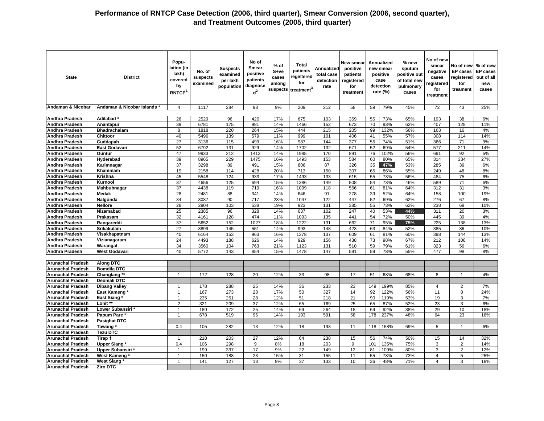| <b>State</b>                                         | <b>District</b>           | Popu-<br>lation (in<br>lakh)<br>covered<br>by<br><b>RNTCP</b> | No. of<br>suspects<br>examined | <b>Suspects</b><br>examined<br>per lakh<br>population | No of<br>Smear<br>positive<br>patients<br>diagnose<br>$d^2$ | % of<br>$S+ve$<br>cases<br>among<br>suspects | Total<br>patients<br>registered<br>for<br>treatment <sup>3</sup> | Annualized<br>total case<br>detection<br>rate | <b>New smear</b><br>positive<br>patients<br>registered<br>for<br>treatment |          | <b>Annualized</b><br>new smear<br>positive<br>case<br>detection<br>rate (%) | $%$ new<br>sputum<br>positive out<br>of total new<br>pulmonary<br>cases | No of new<br>smear<br>negative<br>cases<br>registered<br>for<br>treatment | No of new<br>EP cases<br>egistered<br>for<br>treament | % of new<br><b>EP</b> cases<br>out of all<br>new<br>cases |
|------------------------------------------------------|---------------------------|---------------------------------------------------------------|--------------------------------|-------------------------------------------------------|-------------------------------------------------------------|----------------------------------------------|------------------------------------------------------------------|-----------------------------------------------|----------------------------------------------------------------------------|----------|-----------------------------------------------------------------------------|-------------------------------------------------------------------------|---------------------------------------------------------------------------|-------------------------------------------------------|-----------------------------------------------------------|
| Andaman & Nicobar                                    | Andaman & Nicobar Islands | $\overline{4}$                                                | 1117                           | 284                                                   | 98                                                          | 9%                                           | 209                                                              | 212                                           | 58                                                                         | 59       | 79%                                                                         | 45%                                                                     | 72                                                                        | 43                                                    | 25%                                                       |
|                                                      |                           |                                                               |                                |                                                       |                                                             |                                              |                                                                  |                                               |                                                                            |          |                                                                             |                                                                         |                                                                           |                                                       |                                                           |
| <b>Andhra Pradesh</b>                                | Adilabad <sup>*</sup>     | 26                                                            | 2529                           | 96                                                    | 420                                                         | 17%                                          | 675                                                              | 103                                           | 359                                                                        | 55       | 73%                                                                         | 65%                                                                     | 193                                                                       | 38                                                    | 6%                                                        |
| <b>Andhra Pradesh</b>                                | Anantapur                 | 39                                                            | 6781                           | 175                                                   | 981                                                         | 14%                                          | 1466                                                             | 152                                           | 673                                                                        | 70       | 93%                                                                         | 62%                                                                     | 407                                                                       | 128                                                   | 11%                                                       |
| Andhra Pradesh                                       | <b>Bhadrachalam</b>       | 8                                                             | 1818                           | 220                                                   | 264                                                         | 15%                                          | 444                                                              | 215                                           | 205                                                                        | 99       | 132%                                                                        | 56%                                                                     | 163                                                                       | 16                                                    | 4%                                                        |
| Andhra Pradesh                                       | Chittoor                  | 40                                                            | 5496                           | 139                                                   | 579                                                         | 11%                                          | 999                                                              | 101                                           | 406                                                                        | 41       | 55%                                                                         | 57%                                                                     | 308                                                                       | 114                                                   | 14%                                                       |
| Andhra Pradesh<br>Andhra Pradesh                     | Cuddapah<br>East Godavari | 27<br>52                                                      | 3136<br>6792                   | 115<br>131                                            | 499<br>929                                                  | 16%<br>14%                                   | 987<br>1702                                                      | 144<br>132                                    | 377<br>671                                                                 | 55<br>52 | 74%                                                                         | 51%<br>54%                                                              | 366<br>577                                                                | 71<br>211                                             | 9%<br>14%                                                 |
| <b>Andhra Pradesh</b>                                | Guntur                    | 47                                                            | 9933                           | 212                                                   | 1412                                                        | 14%                                          | 1985                                                             | 170                                           | 891                                                                        | 76       | 69%<br>102%                                                                 | 56%                                                                     | 691                                                                       | 92                                                    | 5%                                                        |
| <b>Andhra Pradesh</b>                                | Hyderabad                 | 39                                                            | 8965                           | 229                                                   | 1475                                                        | 16%                                          | 1493                                                             | 153                                           | 584                                                                        | 60       | 80%                                                                         | 65%                                                                     | 314                                                                       | 334                                                   | 27%                                                       |
| Andhra Pradesh                                       | Karimnagar                | $\overline{37}$                                               | 3298                           | 89                                                    | 491                                                         | 15%                                          | 806                                                              | 87                                            | 326                                                                        | 35       | 47%                                                                         | 53%                                                                     | 285                                                                       | 39                                                    | 6%                                                        |
| <b>Andhra Pradesh</b>                                | Khammam                   | 19                                                            | 2158                           | 114                                                   | 428                                                         | 20%                                          | 713                                                              | 150                                           | 307                                                                        | 65       | 86%                                                                         | 55%                                                                     | 249                                                                       | 48                                                    | 8%                                                        |
| <b>Andhra Pradesh</b>                                | Krishna                   | 45                                                            | 5548                           | 124                                                   | 933                                                         | 17%                                          | 1493                                                             | 133                                           | 615                                                                        | 55       | 73%                                                                         | 56%                                                                     | 484                                                                       | 75                                                    | 6%                                                        |
| Andhra Pradesh                                       | Kurnool                   | $\overline{37}$                                               | 4656                           | 125                                                   | 694                                                         | 15%                                          | 1386                                                             | 149                                           | 508                                                                        | 54       | 73%                                                                         | 46%                                                                     | 589                                                                       | 71                                                    | 6%                                                        |
| Andhra Pradesh                                       | <b>Mahbubnagar</b>        | $\overline{37}$                                               | 4438                           | 119                                                   | 719                                                         | 16%                                          | 1099                                                             | 118                                           | 566                                                                        | 61       | 81%                                                                         | 64%                                                                     | 312                                                                       | 31                                                    | 3%                                                        |
| Andhra Pradesh                                       | Medak                     | 28                                                            | 2481                           | 88                                                    | 341                                                         | 14%                                          | 646                                                              | 91                                            | 278                                                                        | 39       | 52%                                                                         | 64%                                                                     | 158                                                                       | 100                                                   | 19%                                                       |
| Andhra Pradesh                                       | Nalgonda                  | 34                                                            | 3087                           | 90                                                    | 717                                                         | 23%                                          | 1047                                                             | 122                                           | 447                                                                        | 52       | 69%                                                                         | 62%                                                                     | 276                                                                       | 67                                                    | 8%                                                        |
| Andhra Pradesh                                       | Nellore                   | 28                                                            | 2904                           | 103                                                   | 538                                                         | 19%                                          | 923                                                              | 131                                           | 385                                                                        | 55       | 73%                                                                         | 62%                                                                     | 238                                                                       | 68                                                    | 10%                                                       |
| Andhra Pradesh                                       | <b>Nizamabad</b>          | 25                                                            | 2385                           | 96                                                    | 328                                                         | 14%                                          | 637                                                              | 102                                           | 247                                                                        | 40       | 53%                                                                         | 44%                                                                     | 311                                                                       | 20                                                    | 3%                                                        |
| Andhra Pradesh                                       | Prakasam                  | 32                                                            | 4161                           | 128                                                   | 474                                                         | 11%                                          | 1093                                                             | 135                                           | 441                                                                        | 54       | 72%                                                                         | 50%                                                                     | 445                                                                       | 39                                                    | 4%                                                        |
| <b>Andhra Pradesh</b>                                | Rangareddi                | 37                                                            | 5652                           | 152                                                   | 1027                                                        | 18%                                          | 1222                                                             | 131                                           | 662                                                                        | 71       | 95%                                                                         | 75%                                                                     | 225                                                                       | 138                                                   | 13%                                                       |
| Andhra Pradesh                                       | <b>Srikakulam</b>         | 27                                                            | 3899                           | 145                                                   | 551                                                         | 14%                                          | 993                                                              | 148                                           | 423                                                                        | 63       | 84%                                                                         | 52%                                                                     | 385                                                                       | 86                                                    | 10%                                                       |
| Andhra Pradesh                                       | Visakhapatnam             | 40                                                            | 6164                           | 153                                                   | 963                                                         | 16%                                          | 1378                                                             | 137                                           | 609                                                                        | 61       | 81%                                                                         | 60%                                                                     | 398                                                                       | 144                                                   | 13%                                                       |
| Andhra Pradesh                                       | Vizianagaram              | 24                                                            | 4493                           | 188                                                   | 626                                                         | 14%                                          | 929                                                              | 156                                           | 438                                                                        | 73       | 98%                                                                         | 67%                                                                     | 212                                                                       | 108                                                   | 14%                                                       |
| <b>Andhra Pradesh</b>                                | Warangal                  | 34                                                            | 3560                           | 104                                                   | 763                                                         | 21%                                          | 1123                                                             | 131                                           | 510                                                                        | 59       | 79%                                                                         | 61%                                                                     | 323                                                                       | 56                                                    | 6%                                                        |
| Andhra Pradesh                                       | West Godavari             | 40                                                            | 5772                           | 143                                                   | 854                                                         | 15%                                          | 1478                                                             | 147                                           | 591                                                                        | 59       | 78%                                                                         | 55%                                                                     | 477                                                                       | 98                                                    | 8%                                                        |
|                                                      |                           |                                                               |                                |                                                       |                                                             |                                              |                                                                  |                                               |                                                                            |          |                                                                             |                                                                         |                                                                           |                                                       |                                                           |
| <b>Arunachal Pradesh</b>                             | <b>Along DTC</b>          |                                                               |                                |                                                       |                                                             |                                              |                                                                  |                                               |                                                                            |          |                                                                             |                                                                         |                                                                           |                                                       |                                                           |
| <b>Arunachal Pradesh</b>                             | <b>Bomdila DTC</b>        |                                                               |                                |                                                       |                                                             |                                              |                                                                  |                                               |                                                                            |          |                                                                             |                                                                         |                                                                           |                                                       |                                                           |
| <b>Arunachal Pradesh</b>                             | Changlang **              | 1                                                             | 172                            | 128                                                   | 20                                                          | 12%                                          | 33                                                               | 98                                            | 17                                                                         | 51       | 68%                                                                         | 68%                                                                     | 8                                                                         |                                                       | 4%                                                        |
| <b>Arunachal Pradesh</b>                             | Deomali DTC               |                                                               |                                |                                                       |                                                             |                                              |                                                                  |                                               |                                                                            |          |                                                                             |                                                                         |                                                                           |                                                       |                                                           |
| <b>Arunachal Pradesh</b>                             | Dibang Valley             | 1                                                             | 178                            | 288                                                   | 25                                                          | 14%                                          | 36                                                               | 233                                           | 23                                                                         | 149      | 199%                                                                        | 85%                                                                     | 4                                                                         | 2                                                     | 7%                                                        |
| <b>Arunachal Pradesh</b>                             | East Kameng               | $\mathbf{1}$                                                  | 167                            | 273                                                   | 28                                                          | 17%                                          | 50                                                               | 327                                           | 14                                                                         | 92       | 122%                                                                        | 56%                                                                     | 11                                                                        | 8                                                     | 24%                                                       |
| <b>Arunachal Pradesh</b>                             | East Siang*               | $\mathbf{1}$                                                  | 235                            | 251                                                   | 28                                                          | 12%                                          | 51                                                               | 218                                           | 21                                                                         | 90       | 119%                                                                        | 53%                                                                     | 19                                                                        | 3                                                     | 7%                                                        |
| <b>Arunachal Pradesh</b>                             | Lohit **                  | $\overline{2}$                                                | 321                            | 209                                                   | $\overline{37}$                                             | 12%                                          | 65                                                               | 169                                           | 25                                                                         | 65       | 87%                                                                         | 52%                                                                     | 23                                                                        | 3                                                     | 6%                                                        |
| <b>Arunachal Pradesh</b>                             | Lower Subansiri*          | $\mathbf{1}$<br>$\overline{1}$                                | 180                            | 172                                                   | 25<br>96                                                    | 14%                                          | 69                                                               | 264                                           | 18<br>58                                                                   | 69       | 92%                                                                         | 38%                                                                     | 29                                                                        | 10                                                    | 18%                                                       |
| <b>Arunachal Pradesh</b>                             | Papum Pare                |                                                               | 678                            | 519                                                   |                                                             | 14%                                          | 193                                                              | 591                                           |                                                                            | 178      | 237%                                                                        | 48%                                                                     | 64                                                                        | 23                                                    | 16%                                                       |
| <b>Arunachal Pradesh</b>                             | <b>Pasighat DTC</b>       | 0.4                                                           | 105                            |                                                       | 13                                                          | 12%                                          | 18                                                               | 193                                           |                                                                            | 118      |                                                                             | 69%                                                                     |                                                                           |                                                       |                                                           |
| <b>Arunachal Pradesh</b><br><b>Arunachal Pradesh</b> | Tawang<br><b>Tezu DTC</b> |                                                               |                                | 282                                                   |                                                             |                                              |                                                                  |                                               | 11                                                                         |          | 158%                                                                        |                                                                         | 5                                                                         | 1                                                     | 6%                                                        |
| <b>Arunachal Pradesh</b>                             | Tirap †                   | $\mathbf{1}$                                                  | 218                            | 203                                                   | 27                                                          | 12%                                          | 64                                                               | 238                                           | 15                                                                         | 56       | 74%                                                                         | 50%                                                                     | 15                                                                        | 14                                                    | 32%                                                       |
| <b>Arunachal Pradesh</b>                             | Upper Siang*              | 0.4                                                           | 106                            | 298                                                   | 9                                                           | 8%                                           | 18                                                               | 203                                           | 9                                                                          | 101      | 135%                                                                        | 75%                                                                     | 3                                                                         | $\overline{2}$                                        | 14%                                                       |
| <b>Arunachal Pradesh</b>                             | Upper Subansiri *         | $\overline{1}$                                                | 199                            | 337                                                   | 17                                                          | 9%                                           | 22                                                               | 149                                           | 12                                                                         | 81       | 109%                                                                        | 80%                                                                     | 3                                                                         | $\overline{2}$                                        | 12%                                                       |
| <b>Arunachal Pradesh</b>                             | <b>West Kameng</b>        | $\mathbf{1}$                                                  | 150                            | 188                                                   | 23                                                          | 15%                                          | 31                                                               | 155                                           | 11                                                                         | 55       | 73%                                                                         | 73%                                                                     | $\overline{4}$                                                            | 5                                                     | 25%                                                       |
| <b>Arunachal Pradesh</b>                             | <b>West Siang *</b>       | 1                                                             | 141                            | 127                                                   | 13                                                          | 9%                                           | 37                                                               | 133                                           | 10                                                                         | 36       | 48%                                                                         | 71%                                                                     | 4                                                                         | 3                                                     | 18%                                                       |
| <b>Arunachal Pradesh</b>                             | Ziro DTC                  |                                                               |                                |                                                       |                                                             |                                              |                                                                  |                                               |                                                                            |          |                                                                             |                                                                         |                                                                           |                                                       |                                                           |
|                                                      |                           |                                                               |                                |                                                       |                                                             |                                              |                                                                  |                                               |                                                                            |          |                                                                             |                                                                         |                                                                           |                                                       |                                                           |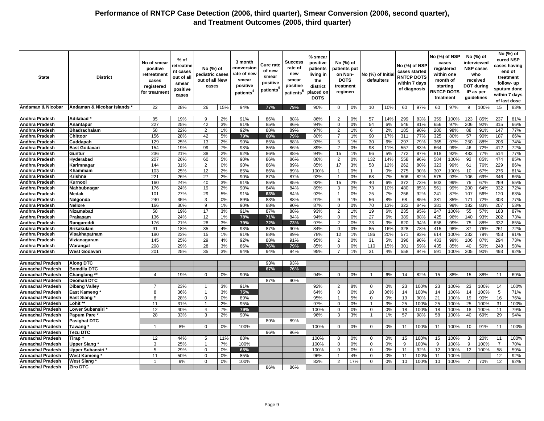| <b>State</b>                                   | <b>District</b>           | No of smear<br>positive<br>retreatment<br>cases<br>registered<br>for treatment | % of<br>retreatme<br>nt cases<br>out of all<br>smear<br>positive<br>cases | No (%) of<br>pediatric cases<br>out of all New<br>cases |          | 3 month<br>conversion<br>rate of new<br>smear<br>positive<br>patients <sup>4</sup> | <b>Cure rate</b><br>of new<br>smear<br>positive<br>patients <sup>5</sup> | Success<br>rate of<br>new<br>smear<br>positive<br>patients <sup>5</sup> | % smear<br>positive<br>patients<br>living in<br>the<br>district<br>placed on<br><b>DOTS</b> | No (%) of<br>patients put<br>on Non-<br><b>DOTS</b><br>treatment<br>regimen |          | No (%) of Initia<br>defaulters |          | No (%) of NSP<br>cases started<br><b>RNTCP DOTS</b><br>within 7 days<br>of diagnosis |            | No (%) of NSP<br>cases<br>registered<br>within one<br>month of<br>starting<br><b>RNTCP DOTS</b><br>treatment |             | <b>DOT during</b><br>guidelines | No (%) of<br>interviewed<br><b>NSP cases</b><br>who<br>received<br>IP as per |                 | No (%) of<br>cured NSP<br>cases having<br>end of<br>treatment<br>follow- up<br>sputum done<br>within 7 days<br>of last dose |
|------------------------------------------------|---------------------------|--------------------------------------------------------------------------------|---------------------------------------------------------------------------|---------------------------------------------------------|----------|------------------------------------------------------------------------------------|--------------------------------------------------------------------------|-------------------------------------------------------------------------|---------------------------------------------------------------------------------------------|-----------------------------------------------------------------------------|----------|--------------------------------|----------|--------------------------------------------------------------------------------------|------------|--------------------------------------------------------------------------------------------------------------|-------------|---------------------------------|------------------------------------------------------------------------------|-----------------|-----------------------------------------------------------------------------------------------------------------------------|
| Andaman & Nicobar                              | Andaman & Nicobar Islands | 22                                                                             | 28%                                                                       | 26                                                      | 15%      | 94%                                                                                | 77%                                                                      | 79%                                                                     | 90%                                                                                         | $\mathbf 0$                                                                 | 0%       | 10                             | 10%      | 60                                                                                   | 97%        | 60                                                                                                           | 97%         | 9                               | 100%                                                                         | 15              | 83%                                                                                                                         |
|                                                |                           |                                                                                |                                                                           |                                                         |          |                                                                                    |                                                                          |                                                                         |                                                                                             |                                                                             |          |                                |          |                                                                                      |            |                                                                                                              |             |                                 |                                                                              |                 |                                                                                                                             |
| <b>Andhra Pradesh</b>                          | Adilabad                  | 85                                                                             | 19%                                                                       | 9                                                       | 2%       | 91%                                                                                | 86%                                                                      | 88%                                                                     | 86%                                                                                         | $\overline{2}$                                                              | 0%       | 57                             | 14%      | 299                                                                                  | 83%        | 359                                                                                                          | 100%        | 123                             | 85%                                                                          | 237             | 81%                                                                                                                         |
| <b>Andhra Pradesh</b>                          | Anantapur                 | 227                                                                            | 25%                                                                       | 42                                                      | 3%       | 91%                                                                                | 85%                                                                      | 86%                                                                     | 94%                                                                                         | $\mathbf 0$                                                                 | 0%       | 54                             | 6%       | 546                                                                                  | 81%        | 656                                                                                                          | 97%         | 206                             | 92%                                                                          | 315             | 66%                                                                                                                         |
| <b>Andhra Pradesh</b>                          | <b>Bhadrachalam</b>       | 58                                                                             | 22%                                                                       | 2                                                       | 1%       | 92%                                                                                | 88%                                                                      | 89%                                                                     | 97%                                                                                         | $\overline{2}$                                                              | 1%       | 6                              | 2%       | 185                                                                                  | 90%        | 200                                                                                                          | 98%         | 88                              | 91%                                                                          | 147             | 77%                                                                                                                         |
| <b>Andhra Pradesh</b>                          | Chittoor                  | 156                                                                            | 28%                                                                       | 42                                                      | 5%       | 79%                                                                                | 69%                                                                      | 79%                                                                     | 80%                                                                                         | $\overline{7}$                                                              | 1%       | 90                             | 17%      | 311                                                                                  | 77%        | 325                                                                                                          | 80%         | 57                              | 90%                                                                          | 187             | 66%                                                                                                                         |
| <b>Andhra Pradesh</b>                          | Cuddapah                  | 129                                                                            | 25%                                                                       | 13                                                      | 2%       | 90%                                                                                | 85%                                                                      | 88%                                                                     | 93%                                                                                         | 5                                                                           | 1%       | 30                             | 6%       | 297                                                                                  | 79%        | 365                                                                                                          | 97%         | 250                             | 88%                                                                          | 206             | 74%                                                                                                                         |
| Andhra Pradesh                                 | East Godavari             | 154                                                                            | 19%                                                                       | 99                                                      | 7%       | 93%                                                                                | 85%                                                                      | 86%                                                                     | 89%                                                                                         | $\overline{2}$                                                              | 0%       | 98                             | 11%      | 557                                                                                  | 83%        | 664                                                                                                          | 99%         | 46                              | 72%                                                                          | 412             | 72%                                                                                                                         |
| <b>Andhra Pradesh</b>                          | Guntur                    | 236                                                                            | 21%                                                                       | 38                                                      | 2%       | 92%                                                                                | 86%                                                                      | 88%                                                                     | 94%                                                                                         | 15                                                                          | 1%       | 66                             | 5%       | 772                                                                                  | 87%        | 818                                                                                                          | 92%         | 483                             | 77%                                                                          | 514             | 77%                                                                                                                         |
| <b>Andhra Pradesh</b>                          | Hyderabad                 | 207                                                                            | 26%                                                                       | 60                                                      | 5%       | 90%                                                                                | 86%                                                                      | 86%                                                                     | 86%                                                                                         | $\overline{2}$                                                              | 0%       | 132                            | 14%      | 558                                                                                  | 96%        | 584                                                                                                          | 100%        | 92                              | 85%                                                                          | 474             | 85%                                                                                                                         |
| Andhra Pradesh                                 | Karimnagar                | 144                                                                            | 31%                                                                       | $\overline{2}$                                          | 0%       | 90%                                                                                | 86%                                                                      | 89%                                                                     | 85%                                                                                         | 17                                                                          | 3%       | 58                             | 12%      | 262                                                                                  | 80%        | 323                                                                                                          | 99%         | 61                              | 76%                                                                          | 229             | 86%                                                                                                                         |
| <b>Andhra Pradesh</b>                          | Khammam                   | 103                                                                            | 25%                                                                       | 12                                                      | 2%       | 85%                                                                                | 86%                                                                      | 89%                                                                     | 100%                                                                                        | $\overline{1}$                                                              | 0%       | $\mathbf{1}$                   | 0%       | 275                                                                                  | 90%        | 307                                                                                                          | 100%        | 10                              | 67%                                                                          | 276             | 81%                                                                                                                         |
| <b>Andhra Pradesh</b>                          | Krishna                   | 221                                                                            | 26%                                                                       | 27                                                      | 2%       | 90%                                                                                | 87%                                                                      | 87%                                                                     | 92%                                                                                         | $\overline{1}$                                                              | 0%       | 68                             | 7%       | 506                                                                                  | 82%        | 575                                                                                                          | 93%         | 106                             | 69%                                                                          | 346             | 66%                                                                                                                         |
| <b>Andhra Pradesh</b>                          | Kurnool                   | 160                                                                            | 24%                                                                       | 40                                                      | 3%       | 91%                                                                                | 85%                                                                      | 85%                                                                     | 92%                                                                                         | 15                                                                          | 2%       | 40                             | 6%       | 372                                                                                  | 73%        | 503                                                                                                          | 99%         | 75                              | 67%                                                                          | 259             | 55%                                                                                                                         |
| <b>Andhra Pradesh</b>                          | Mahbubnagar               | 176                                                                            | 24%                                                                       | 19                                                      | 2%       | 90%                                                                                | 84%                                                                      | 84%                                                                     | 89%                                                                                         | 3                                                                           | 0%       | 73                             | 10%      | 480                                                                                  | 85%        | 561                                                                                                          | 99%         | 200                             | 64%                                                                          | 332             | 72%                                                                                                                         |
| <b>Andhra Pradesh</b>                          | Medak                     | 101                                                                            | 27%                                                                       | 29                                                      | 5%       | 91%                                                                                | 63%                                                                      | 84%                                                                     | 92%                                                                                         | $\overline{1}$                                                              | 0%       | 25                             | 7%       | 256                                                                                  | 92%        | 241                                                                                                          | 87%         | 107                             | 56%                                                                          | 120             | 63%                                                                                                                         |
| Andhra Pradesh                                 | Nalgonda                  | 240                                                                            | 35%                                                                       | 3                                                       | 0%       | 89%                                                                                | 83%                                                                      | 88%                                                                     | 91%                                                                                         | 9                                                                           | 1%       | 56                             | 8%       | 68                                                                                   | 85%        | 381                                                                                                          | 85%         | 171                             | 72%                                                                          | 303             | 77%                                                                                                                         |
| <b>Andhra Pradesh</b>                          | Nellore                   | 166<br>58                                                                      | 30%                                                                       | 9<br>17                                                 | 1%       | 90%<br>91%                                                                         | 88%<br>87%                                                               | 90%<br>88%                                                              | 87%<br>93%                                                                                  | $\mathbf 0$<br>2                                                            | 0%       | 70<br>19                       | 13%      | 322<br>235                                                                           | 84%<br>95% | 381                                                                                                          | 99%<br>100% | 182<br>55                       | 83%                                                                          | 207<br>183      | 53%                                                                                                                         |
| <b>Andhra Pradesh</b><br><b>Andhra Pradesh</b> | Nizamabad                 | 136                                                                            | 19%<br>24%                                                                | 12                                                      | 3%<br>1% | 78%                                                                                | 71%                                                                      | 84%                                                                     | 94%                                                                                         | $\mathbf 0$                                                                 | 1%<br>0% | 27                             | 6%<br>6% | 389                                                                                  | 88%        | 247<br>425                                                                                                   | 96%         | 140                             | 57%<br>93%                                                                   | 202             | 87%<br>73%                                                                                                                  |
| Andhra Pradesh                                 | Prakasam<br>Rangareddi    | 176                                                                            | 21%                                                                       | 28                                                      | 3%       | 79%                                                                                | 72%                                                                      | 73%                                                                     | 97%                                                                                         | $\overline{2}$                                                              | 0%       | 23                             | 3%       | 620                                                                                  | 94%        | 658                                                                                                          | 99%         | 75                              | 88%                                                                          | 332             | 85%                                                                                                                         |
| <b>Andhra Pradesh</b>                          | Srikakulam                | 91                                                                             | 18%                                                                       | 35                                                      | 4%       | 93%                                                                                | 87%                                                                      | 90%                                                                     | 84%                                                                                         | $\mathbf 0$                                                                 | 0%       | 85                             | 16%      | 328                                                                                  | 78%        | 415                                                                                                          | 98%         | 87                              | 76%                                                                          | 261             | 72%                                                                                                                         |
| <b>Andhra Pradesh</b>                          | Visakhapatnam             | 180                                                                            | 23%                                                                       | 15                                                      | 1%       | 91%                                                                                | 88%                                                                      | 89%                                                                     | 78%                                                                                         | 12                                                                          | 1%       | 186                            | 20%      | 571                                                                                  | 93%        | 614                                                                                                          | 100%        | 332                             | 79%                                                                          | 453             | 91%                                                                                                                         |
| <b>Andhra Pradesh</b>                          | Vizianagaram              | 145                                                                            | 25%                                                                       | 29                                                      | 4%       | 92%                                                                                | 88%                                                                      | 91%                                                                     | 95%                                                                                         | 2                                                                           | 0%       | 31                             | 5%       | 396                                                                                  | 90%        | 433                                                                                                          | 99%         | 106                             | 87%                                                                          | 294             | 73%                                                                                                                         |
| <b>Andhra Pradesh</b>                          | Warangal                  | 208                                                                            | 29%                                                                       | 28                                                      | 3%       | 86%                                                                                | 76%                                                                      | 79%                                                                     | 85%                                                                                         | $\mathbf 0$                                                                 | 0%       | 110                            | 15%      | 301                                                                                  | 59%        | 435                                                                                                          | 85%         | 40                              | 50%                                                                          | 248             | 58%                                                                                                                         |
| Andhra Pradesh                                 | <b>West Godavari</b>      | 201                                                                            | 25%                                                                       | 35                                                      | 3%       | 94%                                                                                | 94%                                                                      | 94%                                                                     | 95%                                                                                         |                                                                             | 1%       | 31                             | 4%       | 558                                                                                  | 94%        | 591                                                                                                          | 100%        | 305                             | 90%                                                                          | 493             | 92%                                                                                                                         |
|                                                |                           |                                                                                |                                                                           |                                                         |          |                                                                                    |                                                                          |                                                                         |                                                                                             |                                                                             |          |                                |          |                                                                                      |            |                                                                                                              |             |                                 |                                                                              |                 |                                                                                                                             |
| <b>Arunachal Pradesh</b>                       | <b>Along DTC</b>          |                                                                                |                                                                           |                                                         |          |                                                                                    | 93%                                                                      | 93%                                                                     |                                                                                             |                                                                             |          |                                |          |                                                                                      |            |                                                                                                              |             |                                 |                                                                              |                 |                                                                                                                             |
| <b>Arunachal Pradesh</b>                       | <b>Bomdila DTC</b>        |                                                                                |                                                                           |                                                         |          |                                                                                    | 67%                                                                      | 76%                                                                     |                                                                                             |                                                                             |          |                                |          |                                                                                      |            |                                                                                                              |             |                                 |                                                                              |                 |                                                                                                                             |
| <b>Arunachal Pradesh</b>                       | Changlang **              | 4                                                                              | 19%                                                                       | $\Omega$                                                | 0%       | 90%                                                                                |                                                                          |                                                                         | 94%                                                                                         | $\mathbf 0$                                                                 | 0%       |                                | 6%       | 14                                                                                   | 82%        | 15                                                                                                           | 88%         | 15                              | 88%                                                                          | 11              | 69%                                                                                                                         |
| <b>Arunachal Pradesh</b>                       | Deomali DTC               |                                                                                |                                                                           |                                                         |          |                                                                                    | 87%                                                                      | 90%                                                                     |                                                                                             |                                                                             |          |                                |          |                                                                                      |            |                                                                                                              |             |                                 |                                                                              |                 |                                                                                                                             |
| <b>Arunachal Pradesh</b>                       | <b>Dibang Valley</b>      | 7                                                                              | 23%                                                                       | -1                                                      | 3%       | 91%                                                                                |                                                                          |                                                                         | 92%                                                                                         | 2                                                                           | 8%       | $\mathbf{0}$                   | 0%       | 23                                                                                   | 100%       | 23                                                                                                           | 100%        | 23                              | 100%                                                                         | 14              | 100%                                                                                                                        |
| <b>Arunachal Pradesh</b>                       | East Kameng               | 8                                                                              | 36%                                                                       | $\overline{1}$                                          | 3%       | 75%                                                                                |                                                                          |                                                                         | 64%                                                                                         | $\mathbf 0$                                                                 | 0%       | 10                             | 36%      | 14                                                                                   | 100%       | 14                                                                                                           | 100%        | 14                              | 100%                                                                         | 5               | 71%                                                                                                                         |
| <b>Arunachal Pradesh</b>                       | <b>East Siang</b>         | 8                                                                              | 28%                                                                       | $\mathbf 0$                                             | 0%       | 89%                                                                                |                                                                          |                                                                         | 95%                                                                                         | $\overline{1}$                                                              | 5%       | $\mathbf 0$                    | 0%       | 19                                                                                   | 90%        | 21                                                                                                           | 100%        | 19                              | 90%                                                                          | 16              | 76%                                                                                                                         |
| <b>Arunachal Pradesh</b>                       | Lohit $**$                | 11                                                                             | 31%                                                                       | $\overline{1}$                                          | 2%       | 95%                                                                                |                                                                          |                                                                         | 97%                                                                                         | $\mathbf 0$                                                                 | 0%       | $\overline{1}$                 | 3%       | 25                                                                                   | 100%       | 25                                                                                                           | 100%        | 25                              | 100%                                                                         | 31              | 100%                                                                                                                        |
| <b>Arunachal Pradesh</b>                       | Lower Subansiri *         | 12                                                                             | 40%                                                                       | $\overline{4}$                                          | 7%       | 79%                                                                                |                                                                          |                                                                         | 100%                                                                                        | $\mathbf 0$                                                                 | 0%       | $\mathbf 0$                    | 0%       | 18                                                                                   | 100%       | 18                                                                                                           | 100%        | 18                              | 100%                                                                         | 11              | 79%                                                                                                                         |
| <b>Arunachal Pradesh</b>                       | Papum Pare                | 28                                                                             | 33%                                                                       | 3                                                       | 2%       | 90%                                                                                |                                                                          |                                                                         | 96%                                                                                         | 3                                                                           | 3%       | $\overline{1}$                 | 1%       | 57                                                                                   | 98%        | 58                                                                                                           | 100%        | 40                              | 69%                                                                          | 29              | 94%                                                                                                                         |
| <b>Arunachal Pradesh</b>                       | Pasighat DTC              |                                                                                |                                                                           |                                                         |          |                                                                                    | 89%                                                                      | 89%                                                                     |                                                                                             |                                                                             |          |                                |          |                                                                                      |            |                                                                                                              |             |                                 |                                                                              |                 |                                                                                                                             |
| <b>Arunachal Pradesh</b>                       | Tawang                    | $\mathbf{1}$                                                                   | 8%                                                                        | 0                                                       | 0%       | 100%                                                                               |                                                                          |                                                                         | 100%                                                                                        | $\mathbf 0$                                                                 | 0%       | $\mathbf 0$                    | 0%       | 11                                                                                   | 100%       | 11                                                                                                           | 100%        | 10                              | 91%                                                                          | 11              | 100%                                                                                                                        |
| <b>Arunachal Pradesh</b>                       | Tezu DTC                  |                                                                                |                                                                           |                                                         |          |                                                                                    | 96%                                                                      | 96%                                                                     |                                                                                             |                                                                             |          |                                |          |                                                                                      |            |                                                                                                              |             |                                 |                                                                              |                 |                                                                                                                             |
| <b>Arunachal Pradesh</b>                       | Tirap 1                   | 12                                                                             | 44%                                                                       | 5                                                       | 11%      | 88%                                                                                |                                                                          |                                                                         | 100%                                                                                        | $\mathbf 0$                                                                 | 0%       | $\mathbf{0}$                   | 0%       | 15                                                                                   | 100%       | 15                                                                                                           | 100%        | 3                               | 20%                                                                          | 11              | 100%                                                                                                                        |
| <b>Arunachal Pradesh</b>                       | Upper Siang*              | 3                                                                              | 25%                                                                       | $\overline{1}$                                          | 7%       | 100%                                                                               |                                                                          |                                                                         | 100%                                                                                        | $\mathbf 0$                                                                 | 0%       | $\mathbf{0}$                   | 0%       | 9                                                                                    | 100%       | 9                                                                                                            | 100%        | 9                               | 100%                                                                         | $\overline{7}$  | 70%                                                                                                                         |
| <b>Arunachal Pradesh</b>                       | Upper Subansiri           | 5                                                                              | 29%                                                                       | $\Omega$                                                | 0%       | 65%                                                                                |                                                                          |                                                                         | 100%                                                                                        | $\Omega$                                                                    | 0%       | $\mathbf 0$                    | 0%       | 11                                                                                   | 92%        | 12                                                                                                           | 100%        | 12                              | 100%                                                                         | 58              | 59%                                                                                                                         |
| <b>Arunachal Pradesh</b>                       | <b>West Kameng</b>        | 11                                                                             | 50%                                                                       | $\Omega$                                                | 0%       | 85%                                                                                |                                                                          |                                                                         | 96%                                                                                         | $\overline{1}$                                                              | 4%       | $\mathbf 0$                    | 0%       | 11                                                                                   | 100%       | 11                                                                                                           | 100%        |                                 |                                                                              | 12              | 92%                                                                                                                         |
| <b>Arunachal Pradesh</b>                       | <b>West Siang</b>         | $\mathbf{1}$                                                                   | 9%                                                                        | $\Omega$                                                | 0%       | 100%                                                                               |                                                                          |                                                                         | 83%                                                                                         | $\overline{2}$                                                              | 17%      | $\mathbf 0$                    | 0%       | 10                                                                                   | 100%       | 10                                                                                                           | 100%        | 7                               | 70%                                                                          | 12 <sup>2</sup> | 92%                                                                                                                         |
| <b>Arunachal Pradesh</b>                       | <b>Ziro DTC</b>           |                                                                                |                                                                           |                                                         |          |                                                                                    | 86%                                                                      | 86%                                                                     |                                                                                             |                                                                             |          |                                |          |                                                                                      |            |                                                                                                              |             |                                 |                                                                              |                 |                                                                                                                             |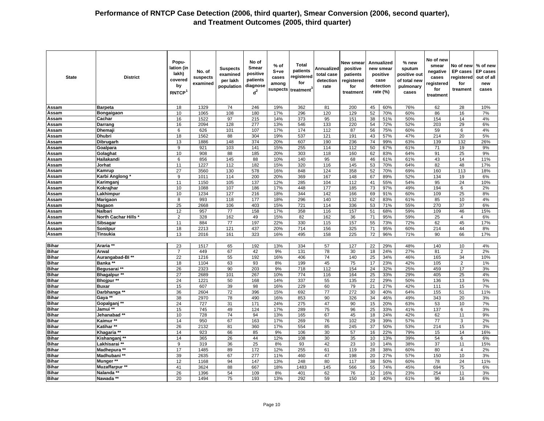| <b>State</b>                 | <b>District</b>              | Popu-<br>lation (in<br>lakh)<br>covered<br>by<br><b>RNTCP</b> | No. of<br>suspects<br>examined | <b>Suspects</b><br>examined<br>per lakh<br>population | No of<br><b>Smear</b><br>positive<br>patients<br>diagnose<br>$d^2$ | % of<br>$S+ve$<br>cases<br>among<br>suspects | Total<br>patients<br>registered<br>for<br>treatment | Annualized<br>total case<br>detection<br>rate | New smear<br>positive<br>patients<br>registered<br>for<br>treatment |                 | Annualized<br>new smear<br>positive<br>case<br>detection<br>rate (%) | % new<br>sputum<br>positive out<br>of total new<br>pulmonary<br>cases | No of new<br>smear<br>negative<br>cases<br>registered<br>for<br>treatment | No of new<br><b>EP</b> cases<br>registered<br>for<br>treament | % of new<br><b>EP</b> cases<br>out of all<br>new<br>cases |
|------------------------------|------------------------------|---------------------------------------------------------------|--------------------------------|-------------------------------------------------------|--------------------------------------------------------------------|----------------------------------------------|-----------------------------------------------------|-----------------------------------------------|---------------------------------------------------------------------|-----------------|----------------------------------------------------------------------|-----------------------------------------------------------------------|---------------------------------------------------------------------------|---------------------------------------------------------------|-----------------------------------------------------------|
| Assam                        | <b>Barpeta</b>               | 18                                                            | 1329                           | 74                                                    | 246                                                                | 19%                                          | 362                                                 | 81                                            | 200                                                                 | 45              | 60%                                                                  | 76%                                                                   | 62                                                                        | 28                                                            | 10%                                                       |
| Assam                        | Bongaigaon                   | 10                                                            | 1065                           | 108                                                   | 180                                                                | 17%                                          | 296                                                 | 120                                           | 129                                                                 | 52              | 70%                                                                  | 60%                                                                   | 86                                                                        | 16                                                            | 7%                                                        |
| Assam                        | Cachar                       | 16                                                            | 1522                           | 97                                                    | 215                                                                | 14%                                          | 373                                                 | 95                                            | 151                                                                 | 38              | 51%                                                                  | 50%                                                                   | 154                                                                       | 14                                                            | 4%                                                        |
| Assam                        | Darrang                      | 16                                                            | 2094                           | 128                                                   | 277                                                                | 13%                                          | 546                                                 | 133                                           | 220                                                                 | 54              | 72%                                                                  | 52%                                                                   | 203                                                                       | 29                                                            | 6%                                                        |
| Assam                        | Dhemaj                       | 6                                                             | 626                            | 101                                                   | 107                                                                | 17%                                          | 174                                                 | 112                                           | 87                                                                  | 56              | 75%                                                                  | 60%                                                                   | 59                                                                        | 6                                                             | 4%                                                        |
| Assam                        | <b>Dhubri</b>                | 18                                                            | 1562                           | 88                                                    | 304                                                                | 19%                                          | 537                                                 | 121                                           | 191                                                                 | 43              | 57%                                                                  | 47%                                                                   | 214                                                                       | 20                                                            | 5%                                                        |
| Assam                        | Dibrugarh                    | 13                                                            | 1886                           | 148                                                   | 374                                                                | 20%                                          | 607                                                 | 190                                           | 236                                                                 | 74              | 99%                                                                  | 63%                                                                   | 139                                                                       | 132                                                           | 26%                                                       |
| Assam                        | Goalpara                     | 9                                                             | 921                            | 103                                                   | 141                                                                | 15%                                          | 255                                                 | 114                                           | 112                                                                 | 50              | 67%                                                                  | 61%                                                                   | 71                                                                        | 19                                                            | 9%                                                        |
| Assam                        | Golaghat                     | 10                                                            | 908                            | 88                                                    | 185                                                                | 20%                                          | 303                                                 | 118                                           | 160                                                                 | 62              | 83%                                                                  | 64%                                                                   | 91                                                                        | 25                                                            | 9%                                                        |
| Assam                        | Hailakandi                   | 6                                                             | 856                            | 145                                                   | 88                                                                 | 10%                                          | 140                                                 | 95                                            | 68                                                                  | 46              | 61%                                                                  | 61%                                                                   | 43                                                                        | 14                                                            | 11%                                                       |
| Assam                        | Jorhat                       | 11<br>27                                                      | 1227                           | 112                                                   | 182                                                                | 15%                                          | 320                                                 | 116<br>124                                    | 145<br>358                                                          | 53              | 70%                                                                  | 64%                                                                   | 82                                                                        | 48                                                            | 17%                                                       |
| Assam<br>Assam               | Kamrup<br>Karbi Anglong *    | 9                                                             | 3560<br>1011                   | 130<br>114                                            | 578<br>200                                                         | 16%<br>20%                                   | 848<br>369                                          | 167                                           | 148                                                                 | 52<br>67        | 70%<br>89%                                                           | 69%<br>52%                                                            | 160<br>134                                                                | 113<br>19                                                     | 18%<br>6%                                                 |
| Assam                        | Karimganj                    | 11                                                            | 1150                           | 105                                                   | 137                                                                | 12%                                          | 285                                                 | 104                                           | 112                                                                 | 41              | 55%                                                                  | 54%                                                                   | 95                                                                        | 24                                                            | 10%                                                       |
| Assam                        | Kokrajhar                    | 10                                                            | 1088                           | 107                                                   | 186                                                                | 17%                                          | 448                                                 | 177                                           | 185                                                                 | 73              | 97%                                                                  | 49%                                                                   | 194                                                                       | 6                                                             | 2%                                                        |
| Assam                        | Lakhimpur                    | 10                                                            | 1234                           | 127                                                   | 216                                                                | 18%                                          | 344                                                 | 142                                           | 166                                                                 | 69              | 91%                                                                  | 60%                                                                   | 109                                                                       | 25                                                            | 8%                                                        |
| Assam                        | Marigaon                     | 8                                                             | 993                            | 118                                                   | 177                                                                | 18%                                          | 296                                                 | 140                                           | 132                                                                 | 62              | 83%                                                                  | 61%                                                                   | 85                                                                        | 10                                                            | 4%                                                        |
| Assam                        | Nagaon                       | $\overline{25}$                                               | 2668                           | 106                                                   | 403                                                                | 15%                                          | 721                                                 | 114                                           | 336                                                                 | 53              | 71%                                                                  | 55%                                                                   | 270                                                                       | 37                                                            | 6%                                                        |
| Assam                        | Nalbari                      | 12                                                            | 957                            | 77                                                    | 158                                                                | 17%                                          | 358                                                 | 116                                           | 157                                                                 | 51              | 68%                                                                  | 59%                                                                   | 109                                                                       | 46                                                            | 15%                                                       |
| Assam                        | <b>North Cachar Hills</b>    | $\overline{c}$                                                | 328                            | 162                                                   | 49                                                                 | 15%                                          | 82                                                  | 162                                           | 36                                                                  | 71              | 95%                                                                  | 59%                                                                   | 25                                                                        | 4                                                             | 6%                                                        |
| Assam                        | <b>Sibsagar</b>              | 11                                                            | 884                            | 77                                                    | 197                                                                | 22%                                          | 330                                                 | 115                                           | 157                                                                 | 55              | 73%                                                                  | 72%                                                                   | 62                                                                        | 45                                                            | 17%                                                       |
| Assam                        | Sonitpur                     | 18                                                            | 2213                           | 121                                                   | 437                                                                | 20%                                          | 714                                                 | 156                                           | 325                                                                 | 71              | 95%                                                                  | 60%                                                                   | 214                                                                       | 44                                                            | 8%                                                        |
| <b>Assam</b>                 | Tinsukia                     | 13                                                            | 2016                           | 161                                                   | 323                                                                | 16%                                          | 495                                                 | 158                                           | 225                                                                 | $\overline{72}$ | 96%                                                                  | 71%                                                                   | 90                                                                        | 66                                                            | 17%                                                       |
|                              |                              |                                                               |                                |                                                       |                                                                    |                                              |                                                     |                                               |                                                                     |                 |                                                                      |                                                                       |                                                                           |                                                               |                                                           |
| <b>Bihar</b>                 | Araria **                    | 23                                                            | 1517                           | 65                                                    | 192                                                                | 13%                                          | 334                                                 | 57                                            | 127                                                                 | 22              | 29%                                                                  | 48%                                                                   | 140                                                                       | 10                                                            | 4%                                                        |
| <b>Bihar</b>                 | Arwal                        | $\overline{7}$                                                | 449                            | 67                                                    | 42                                                                 | 9%                                           | 131                                                 | 78                                            | 30                                                                  | 18              | 24%                                                                  | 27%                                                                   | 81                                                                        | $\overline{2}$                                                | 2%                                                        |
| <b>Bihar</b>                 | Aurangabad-BI**              | 22                                                            | 1216                           | 55                                                    | 192                                                                | 16%                                          | 406                                                 | 74                                            | 140                                                                 | 25              | 34%                                                                  | 46%                                                                   | 165                                                                       | 34                                                            | 10%                                                       |
| <b>Bihar</b>                 | Banka **                     | 18                                                            | 1104                           | 63                                                    | 93                                                                 | 8%                                           | 199                                                 | 45                                            | 75                                                                  | 17              | 23%                                                                  | 42%                                                                   | 105                                                                       | $\overline{2}$                                                | 1%                                                        |
| <b>Bihar</b>                 | Begusarai **                 | 26                                                            | 2323                           | 90                                                    | 203                                                                | 9%                                           | 718                                                 | 112                                           | 154                                                                 | 24              | 32%                                                                  | 25%                                                                   | 459                                                                       | 17                                                            | 3%                                                        |
| <b>Bihar</b>                 | <b>Bhagalpur **</b>          | $\overline{27}$                                               | 2689                           | 101                                                   | 267                                                                | 10%                                          | $\overline{774}$                                    | 116                                           | 164                                                                 | 25              | 33%                                                                  | 29%                                                                   | 405                                                                       | 25                                                            | 4%                                                        |
| <b>Bihar</b>                 | Bhojpur **                   | 24                                                            | 1221                           | 50                                                    | 168                                                                | 14%                                          | 337                                                 | 55                                            | 135                                                                 | 22              | 29%                                                                  | 50%                                                                   | 136                                                                       | 13                                                            | 5%                                                        |
| <b>Bihar</b><br><b>Bihar</b> | <b>Buxar</b><br>Darbhanga ** | 15<br>36                                                      | 607<br>2604                    | 39<br>72                                              | 98<br>396                                                          | 16%                                          | 229<br>692                                          | 60<br>77                                      | 79<br>272                                                           | 21              | 27%<br>40%                                                           | 42%<br>64%                                                            | 111                                                                       | 15<br>51                                                      | 7%<br>11%                                                 |
| <b>Bihar</b>                 | Gaya **                      | 38                                                            | 2970                           | 78                                                    | 490                                                                | 15%<br>16%                                   | 853                                                 | 90                                            | 326                                                                 | 30<br>34        | 46%                                                                  | 49%                                                                   | 155<br>343                                                                | 20                                                            | 3%                                                        |
| <b>Bihar</b>                 | Gopalganj **                 | 24                                                            | 727                            | 31                                                    | 171                                                                | 24%                                          | 275                                                 | 47                                            | 90                                                                  | 15              | 20%                                                                  | 63%                                                                   | 53                                                                        | 10                                                            | 7%                                                        |
| <b>Bihar</b>                 | Jamui **                     | 15                                                            | 745                            | 49                                                    | 124                                                                | 17%                                          | 289                                                 | 75                                            | 96                                                                  | 25              | 33%                                                                  | 41%                                                                   | 137                                                                       | $\,6$                                                         | 3%                                                        |
| <b>Bihar</b>                 | Jehanabad**                  | 10                                                            | 728                            | 74                                                    | 94                                                                 | 13%                                          | 165                                                 | 67                                            | 45                                                                  | 18              | 24%                                                                  | 42%                                                                   | 62                                                                        | 11                                                            | 9%                                                        |
| <b>Bihar</b>                 | Kaimur **                    | 14                                                            | 950                            | 67                                                    | 163                                                                | 17%                                          | 269                                                 | 76                                            | 102                                                                 | 29              | 39%                                                                  | 57%                                                                   | 77                                                                        | 3                                                             | 2%                                                        |
| <b>Bihar</b>                 | Katihar**                    | 26                                                            | 2132                           | 81                                                    | 360                                                                | 17%                                          | 554                                                 | 85                                            | 245                                                                 | 37              | 50%                                                                  | 53%                                                                   | 214                                                                       | 15                                                            | 3%                                                        |
| <b>Bihar</b>                 | Khagaria                     | 14                                                            | 923                            | 66                                                    | 85                                                                 | 9%                                           | 106                                                 | 30                                            | 57                                                                  | 16              | 22%                                                                  | 79%                                                                   | 15                                                                        | 14                                                            | 16%                                                       |
| <b>Bihar</b>                 | Kishanganj **                | 14                                                            | 365                            | 26                                                    | 44                                                                 | 12%                                          | 108                                                 | 30                                            | 35                                                                  | 10              | 13%                                                                  | 39%                                                                   | 54                                                                        | 6                                                             | 6%                                                        |
| <b>Bihar</b>                 | Lakhisarai **                | $9\,$                                                         | 319                            | 36                                                    | 25                                                                 | 8%                                           | 93                                                  | 42                                            | 23                                                                  | 10              | 14%                                                                  | 38%                                                                   | 37                                                                        | 11                                                            | 15%                                                       |
| <b>Bihar</b>                 | Madhepura **                 | 17                                                            | 1485                           | 89                                                    | 172                                                                | 12%                                          | 255                                                 | 61                                            | 119                                                                 | 28              | 38%                                                                  | 60%                                                                   | 80                                                                        | $\overline{4}$                                                | 2%                                                        |
| <b>Bihar</b>                 | Madhubani **                 | 39                                                            | 2635                           | 67                                                    | 277                                                                | 11%                                          | 460                                                 | 47                                            | 198                                                                 | 20              | 27%                                                                  | 57%                                                                   | 150                                                                       | 10                                                            | 3%                                                        |
| <b>Bihar</b>                 | Munger **                    | 12                                                            | 1168                           | 94                                                    | 147                                                                | 13%                                          | 248                                                 | 80                                            | 117                                                                 | 38              | 50%                                                                  | 60%                                                                   | 78                                                                        | 24                                                            | 11%                                                       |
| <b>Bihar</b>                 | <b>Muzaffarpur **</b>        | 41                                                            | 3624                           | 88                                                    | 667                                                                | 18%                                          | 1483                                                | 145                                           | 566                                                                 | 55              | 74%                                                                  | 45%                                                                   | 694                                                                       | 75                                                            | 6%                                                        |
| <b>Bihar</b>                 | Nalanda **                   | 26                                                            | 1396                           | 54                                                    | 109                                                                | 8%                                           | 401                                                 | 62                                            | 76                                                                  | 12              | 16%                                                                  | 23%                                                                   | 254                                                                       | 11                                                            | 3%                                                        |
| <b>Bihar</b>                 | Nawada **                    | 20                                                            | 1494                           | 75                                                    | 193                                                                | 13%                                          | 292                                                 | 59                                            | 150                                                                 | 30              | 40%                                                                  | 61%                                                                   | 96                                                                        | 16                                                            | 6%                                                        |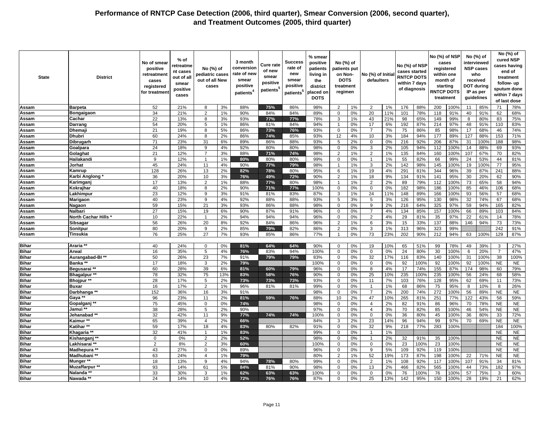| <b>State</b> | <b>District</b>    | No of smear<br>positive<br>retreatment<br>cases<br>registered<br>for treatmen | % of<br>retreatme<br>nt cases<br>out of all<br>smear<br>positive<br>cases | No (%) of<br>pediatric cases<br>out of all New<br>cases |     | 3 month<br>conversion<br>rate of new<br>smear<br>positive<br>patients <sup>4</sup> | Cure rate<br>of new<br>smear<br>positive<br>patients <sup>6</sup> | Success<br>rate of<br>new<br>smear<br>positive<br>patients <sup>5</sup> | % smear<br>positive<br>patients<br>living in<br>the<br>district<br>placed on<br><b>DOTS</b> | No (%) of<br>patients put<br>on Non-<br><b>DOTS</b><br>treatment<br>regimen |    | No (%) of Initia<br>defaulters |     | No (%) of NSP<br>cases started<br><b>RNTCP DOTS</b><br>within 7 days<br>of diagnosis |      | No (%) of NSP<br>cases<br>registered<br>within one<br>month of<br>starting<br><b>RNTCP DOTS</b><br>treatment |      |     | No (%) of<br>interviewed<br><b>NSP cases</b><br>who<br>received<br>DOT during<br>IP as per<br>guidelines |                | No (%) of<br>cured NSP<br>cases having<br>end of<br>treatment<br>follow-up<br>sputum done<br>within 7 days<br>of last dose |
|--------------|--------------------|-------------------------------------------------------------------------------|---------------------------------------------------------------------------|---------------------------------------------------------|-----|------------------------------------------------------------------------------------|-------------------------------------------------------------------|-------------------------------------------------------------------------|---------------------------------------------------------------------------------------------|-----------------------------------------------------------------------------|----|--------------------------------|-----|--------------------------------------------------------------------------------------|------|--------------------------------------------------------------------------------------------------------------|------|-----|----------------------------------------------------------------------------------------------------------|----------------|----------------------------------------------------------------------------------------------------------------------------|
| Assam        | <b>Barpeta</b>     | 52                                                                            | 21%                                                                       | 8                                                       | 3%  | 88%                                                                                | 75%                                                               | 86%                                                                     | 98%                                                                                         | $\overline{2}$                                                              | 1% | $\overline{2}$                 | 1%  | 176                                                                                  | 88%  | 200                                                                                                          | 100% | 11  | 85%                                                                                                      | 71             | 78%                                                                                                                        |
| Assam        | Bongaigaon         | 34                                                                            | 21%                                                                       | $\overline{2}$                                          | 1%  | 90%                                                                                | 84%                                                               | 84%                                                                     | 89%                                                                                         | $\mathsf 0$                                                                 | 0% | 20                             | 11% | 101                                                                                  | 78%  | 118                                                                                                          | 91%  | 40  | 91%                                                                                                      | 62             | 68%                                                                                                                        |
| Assam        | Cachar             | 22                                                                            | 13%                                                                       | 8                                                       | 3%  | 93%                                                                                | 77%                                                               | 77%                                                                     | 78%                                                                                         | 3                                                                           | 1% | 43                             | 21% | 98                                                                                   | 65%  | 149                                                                                                          | 99%  | 8   | 80%                                                                                                      | 83             | 75%                                                                                                                        |
| Assam        | Darrang            | 54                                                                            | 20%                                                                       | 5                                                       | 1%  | 86%                                                                                | 81%                                                               | 84%                                                                     | 94%                                                                                         | $\overline{1}$                                                              | 0% | 17                             | 6%  | 192                                                                                  | 87%  | 214                                                                                                          | 97%  | 48  | 91%                                                                                                      | 110            | 83%                                                                                                                        |
| Assam        | Dhema              | 21                                                                            | 19%                                                                       | 8                                                       | 5%  | 86%                                                                                | 73%                                                               | 76%                                                                     | 93%                                                                                         | $\mathbf 0$                                                                 | 0% | $\overline{7}$                 | 7%  | 75                                                                                   | 86%  | 85                                                                                                           | 98%  | 17  | 68%                                                                                                      | 46             | 74%                                                                                                                        |
| Assam        | Dhubri             | 60                                                                            | 24%                                                                       | 8                                                       | 2%  | 86%                                                                                | 74%                                                               | 85%                                                                     | 93%                                                                                         | 12                                                                          | 4% | 10                             | 3%  | 184                                                                                  | 94%  | 177                                                                                                          | 89%  | 127 | 88%                                                                                                      | 153            | 71%                                                                                                                        |
| Assam        | Dibrugarh          | 71                                                                            | 23%                                                                       | 31                                                      | 6%  | 89%                                                                                | 86%                                                               | 88%                                                                     | 93%                                                                                         | 5                                                                           | 2% | $\mathbf 0$                    | 0%  | 216                                                                                  | 92%  | 206                                                                                                          | 87%  | 31  | 100%                                                                                                     | 188            | 98%                                                                                                                        |
| Assam        | Goalpara           | 24                                                                            | 18%                                                                       | 9                                                       | 4%  | 92%                                                                                | 80%                                                               | 80%                                                                     | 98%                                                                                         | $\mathbf 0$                                                                 | 0% | 3                              | 2%  | 105                                                                                  | 94%  | 112                                                                                                          | 100% | 14  | 88%                                                                                                      | 69             | 93%                                                                                                                        |
| Assam        | Golaghat           | 21                                                                            | 12%                                                                       | $\overline{7}$                                          | 3%  | 88%                                                                                | 71%                                                               | 74%                                                                     | 98%                                                                                         | $\overline{2}$                                                              | 1% | $\overline{2}$                 | 1%  | 135                                                                                  | 84%  | 160                                                                                                          | 100% | 107 | 67%                                                                                                      | 70             | 82%                                                                                                                        |
| Assam        | Hailakandi         | 9                                                                             | 12%                                                                       |                                                         | 1%  | 80%                                                                                | 80%                                                               | 80%                                                                     | 99%                                                                                         | $\mathbf 0$                                                                 | 0% | $\mathbf{1}$                   | 1%  | 55                                                                                   | 82%  | 66                                                                                                           | 99%  | 24  | 53%                                                                                                      | 44             | 81%                                                                                                                        |
| Assam        | Jorhat             | 45                                                                            | 24%                                                                       | 11                                                      | 4%  | 90%                                                                                | 77%                                                               | 79%                                                                     | 98%                                                                                         | $\overline{1}$                                                              | 1% | 3                              | 2%  | 142                                                                                  | 98%  | 145                                                                                                          | 100% | 19  | 100%                                                                                                     | 77             | 95%                                                                                                                        |
| Assam        | Kamrup             | 128                                                                           | 26%                                                                       | 13                                                      | 2%  | 82%                                                                                | 78%                                                               | 80%                                                                     | 95%                                                                                         | $\,6\,$                                                                     | 1% | 19                             | 4%  | 291                                                                                  | 81%  | 344                                                                                                          | 96%  | 39  | 87%                                                                                                      | 241            | 88%                                                                                                                        |
| Assam        | Karbi Anglong      | 36                                                                            | 20%                                                                       | 10                                                      | 3%  | 76%                                                                                | 49%                                                               | 72%                                                                     | 90%                                                                                         | $\overline{2}$                                                              | 1% | 18                             | 9%  | 134                                                                                  | 91%  | 141                                                                                                          | 95%  | 30  | 20%                                                                                                      | 62             | 90%                                                                                                                        |
| Assam        | Karimgan           | 17                                                                            | 13%                                                                       | $\overline{2}$                                          | 1%  | 88%                                                                                | 77%                                                               | 80%                                                                     | 98%                                                                                         | $\overline{1}$                                                              | 1% | 2                              | 2%  | 89                                                                                   | 79%  | 112                                                                                                          | 100% | 73  | 65%                                                                                                      | 58             | 94%                                                                                                                        |
| Assam        | Kokrajhar          | 40                                                                            | 18%                                                                       | 8                                                       | 2%  | 90%                                                                                | 71%                                                               | 77%                                                                     | 100%                                                                                        | $\mathbf 0$                                                                 | 0% | $\mathbf 0$                    | 0%  | 182                                                                                  | 98%  | 186                                                                                                          | 100% | 85  | 46%                                                                                                      | 106            | 68%                                                                                                                        |
| Assam        | Lakhimpuı          | 23                                                                            | 12%                                                                       | 9                                                       | 3%  | 91%                                                                                | 81%                                                               | 83%                                                                     | 87%                                                                                         | 3                                                                           | 1% | 24                             | 11% | 148                                                                                  | 89%  | 166                                                                                                          | 100% | 93  | 56%                                                                                                      | 57             | 68%                                                                                                                        |
| Assam        | Marigaon           | 40                                                                            | 23%                                                                       | 9                                                       | 4%  | 92%                                                                                | 88%                                                               | 88%                                                                     | 93%                                                                                         | 5                                                                           | 3% | 5                              | 3%  | 126                                                                                  | 95%  | 130                                                                                                          | 98%  | 32  | 74%                                                                                                      | 67             | 68%                                                                                                                        |
| Assam        | Nagaon             | 59                                                                            | 15%                                                                       | 21                                                      | 3%  | 93%                                                                                | 86%                                                               | 88%                                                                     | 98%                                                                                         | $\Omega$                                                                    | 0% | 9                              | 2%  | 216                                                                                  | 64%  | 325                                                                                                          | 97%  | 59  | 94%                                                                                                      | 165            | 82%                                                                                                                        |
| Assam        | Nalbari            | 27                                                                            | 15%                                                                       | 19                                                      | 6%  | 90%                                                                                | 87%                                                               | 91%                                                                     | 96%                                                                                         | $\mathbf 0$                                                                 | 0% | $\overline{7}$                 | 4%  | 134                                                                                  | 85%  | 157                                                                                                          | 100% | 66  | 89%                                                                                                      | 103            | 84%                                                                                                                        |
| Assam        | North Cachar Hills | 10                                                                            | 22%                                                                       | 1                                                       | 2%  | 94%                                                                                | 94%                                                               | 94%                                                                     | 96%                                                                                         | $\mathbf 0$                                                                 | 0% | $\overline{2}$                 | 4%  | 29                                                                                   | 81%  | 35                                                                                                           | 97%  | 22  | 61%                                                                                                      | 14             | 78%                                                                                                                        |
| Assam        | Sibsagar           | 56                                                                            | 26%                                                                       | 20                                                      | 8%  | 92%                                                                                | 84%                                                               | 86%                                                                     | 96%                                                                                         | $\overline{2}$                                                              | 1% | 6                              | 3%  | 15                                                                                   | 33%  | 137                                                                                                          | 88%  | 146 | 94%                                                                                                      | 73             | 73%                                                                                                                        |
| Assam        | Sonitpur           | 80                                                                            | 20%                                                                       | 9                                                       | 2%  | 85%                                                                                | 79%                                                               | 82%                                                                     | 86%                                                                                         | $\overline{2}$                                                              | 0% | 3                              | 1%  | 313                                                                                  | 96%  | 323                                                                                                          | 99%  |     |                                                                                                          | 242            | 91%                                                                                                                        |
| Assam        | Tinsukia           | 76                                                                            | 25%                                                                       | 27                                                      | 7%  | 93%                                                                                | 85%                                                               | 86%                                                                     | 77%                                                                                         | $\overline{1}$                                                              | 0% | 73                             | 23% | 202                                                                                  | 90%  | 212                                                                                                          | 94%  | 63  | 100%                                                                                                     | 129            | 87%                                                                                                                        |
|              |                    |                                                                               |                                                                           |                                                         |     |                                                                                    |                                                                   |                                                                         |                                                                                             |                                                                             |    |                                |     |                                                                                      |      |                                                                                                              |      |     |                                                                                                          |                |                                                                                                                            |
| <b>Bihar</b> | Araria             | 40                                                                            | 24%                                                                       | $\Omega$                                                | 0%  | 81%                                                                                | 64%                                                               | 64%                                                                     | 90%                                                                                         | $\mathbf 0$                                                                 | 0% | 19                             | 10% | 65                                                                                   | 51%  | 99                                                                                                           | 78%  | 49  | 39%                                                                                                      | 3              | 27%                                                                                                                        |
| <b>Bihar</b> | Arwal              | 16                                                                            | 35%                                                                       | 5                                                       | 4%  | 76%                                                                                | 83%                                                               | 94%                                                                     | 100%                                                                                        | $\mathbf 0$                                                                 | 0% | $\mathbf 0$                    | 0%  | 24                                                                                   | 80%  | 30                                                                                                           | 100% | 6   | 20%                                                                                                      | $\overline{7}$ | 47%                                                                                                                        |
| <b>Bihar</b> | Aurangabad-BI**    | 50                                                                            | 26%                                                                       | 23                                                      | 7%  | 91%                                                                                | 79%                                                               | 79%                                                                     | 83%                                                                                         | $\mathbf 0$                                                                 | 0% | 32                             | 17% | 116                                                                                  | 83%  | 140                                                                                                          | 100% | 31  | 100%                                                                                                     | 38             | 100%                                                                                                                       |
| <b>Bihar</b> | Banka **           | 17                                                                            | 18%                                                                       | 3                                                       | 2%  | 79%                                                                                |                                                                   |                                                                         | 100%                                                                                        | $\mathbf 0$                                                                 | 0% | $\mathbf 0$                    | 0%  | 92                                                                                   | 100% | 92                                                                                                           | 100% | 92  | 100%                                                                                                     | <b>NE</b>      | <b>NE</b>                                                                                                                  |
| <b>Bihar</b> | Begusarai **       | 60                                                                            | 28%                                                                       | 39                                                      | 6%  | 81%                                                                                | 60%                                                               | 79%                                                                     | 96%                                                                                         | 0                                                                           | 0% | 8                              | 4%  | 17                                                                                   | 74%  | 155                                                                                                          | 87%  | 174 | 98%                                                                                                      | 60             | 79%                                                                                                                        |
| <b>Bihar</b> | Bhagalpur **       | 78                                                                            | 32%                                                                       | 75                                                      | 13% | 83%                                                                                | 58%                                                               | 76%                                                                     | 90%                                                                                         | $\mathbf 0$                                                                 | 0% | 25                             | 10% | 235                                                                                  | 100% | 235                                                                                                          | 100% | 56  | 24%                                                                                                      | 68             | 58%                                                                                                                        |
| <b>Bihar</b> | Bhojpur **         | 28                                                                            | 17%                                                                       | $5\overline{5}$                                         | 2%  | 73%                                                                                | 73%                                                               | 73%                                                                     | 93%                                                                                         | $\Omega$                                                                    | 0% | 11                             | 7%  | 103                                                                                  | 76%  | 128                                                                                                          | 95%  | 62  | 69%                                                                                                      | 11             | 73%                                                                                                                        |
| <b>Bihar</b> | <b>Buxar</b>       | 16                                                                            | 17%                                                                       | $\overline{2}$                                          | 1%  | 96%                                                                                | 81%                                                               | 81%                                                                     | 99%                                                                                         | $\Omega$                                                                    | 0% | $\overline{1}$                 | 1%  | 68                                                                                   | 86%  | 75                                                                                                           | 95%  | 8   | 10%                                                                                                      | 8              | 26%                                                                                                                        |
| <b>Bihar</b> | Darbhanga **       | 152                                                                           | 36%                                                                       | 16                                                      | 3%  | 91%                                                                                |                                                                   |                                                                         | 98%                                                                                         | $\mathbf 0$                                                                 | 0% | $\overline{7}$                 | 2%  | 200                                                                                  | 74%  | 272                                                                                                          | 100% | 56  | 89%                                                                                                      | <b>NE</b>      | <b>NE</b>                                                                                                                  |
| <b>Bihar</b> | Gaya **            | 96                                                                            | 23%                                                                       | 11                                                      | 2%  | 81%                                                                                | 59%                                                               | 76%                                                                     | 88%                                                                                         | 10                                                                          | 2% | 47                             | 10% | 265                                                                                  | 81%  | 251                                                                                                          | 77%  | 122 | 43%                                                                                                      | 58             | 59%                                                                                                                        |
| <b>Bihar</b> | Gopalganj **       | 75                                                                            | 45%                                                                       | $\Omega$                                                | 0%  | 74%                                                                                |                                                                   |                                                                         | 98%                                                                                         | $\Omega$                                                                    | 0% | $\overline{4}$                 | 2%  | 82                                                                                   | 91%  | 86                                                                                                           | 96%  | 70  | 78%                                                                                                      | <b>NE</b>      | <b>NE</b>                                                                                                                  |
| <b>Bihar</b> | Jamui **           | 38                                                                            | 28%                                                                       | 5                                                       | 2%  | 90%                                                                                |                                                                   |                                                                         | 97%                                                                                         | $\mathbf 0$                                                                 | 0% | $\overline{4}$                 | 3%  | 70                                                                                   | 82%  | 85                                                                                                           | 100% | 46  | 54%                                                                                                      | <b>NE</b>      | <b>NE</b>                                                                                                                  |
| <b>Bihar</b> | Jehanabad**        | 32                                                                            | 42%                                                                       | 11                                                      | 9%  | 77%                                                                                | 74%                                                               | 74%                                                                     | 100%                                                                                        | $\mathbf 0$                                                                 | 0% | $\mathbf 0$                    | 0%  | 36                                                                                   | 80%  | 45                                                                                                           | 100% | 36  | 80%                                                                                                      | 33             | 72%                                                                                                                        |
| <b>Bihar</b> | Kaimur             | 65                                                                            | 39%                                                                       | $\overline{4}$                                          | 2%  | 66%                                                                                |                                                                   |                                                                         | 84%                                                                                         | 3                                                                           | 2% | 23                             | 14% | 96                                                                                   | 94%  | 99                                                                                                           | 97%  | 70  | 69%                                                                                                      | <b>NE</b>      | <b>NE</b>                                                                                                                  |
| <b>Bihar</b> | Katihar**          | 59                                                                            | 17%                                                                       | 18                                                      | 4%  | 83%                                                                                | 80%                                                               | 82%                                                                     | 91%                                                                                         | $\Omega$                                                                    | 0% | 32                             | 9%  | 218                                                                                  | 77%  | 283                                                                                                          | 100% |     |                                                                                                          | 184            | 100%                                                                                                                       |
| <b>Bihar</b> | Khagaria           | 32                                                                            | 41%                                                                       | $\overline{1}$                                          | 1%  | 83%                                                                                |                                                                   |                                                                         | 99%                                                                                         | $\mathbf 0$                                                                 | 0% | $\overline{1}$                 | 1%  |                                                                                      |      |                                                                                                              |      |     |                                                                                                          | <b>NE</b>      | <b>NE</b>                                                                                                                  |
| <b>Bihar</b> | Kishanganj **      | $\mathbf 0$                                                                   | 0%                                                                        | $\overline{2}$                                          | 2%  | 52%                                                                                |                                                                   |                                                                         | 98%                                                                                         | $\mathbf 0$                                                                 | 0% | $\overline{1}$                 | 2%  | 32                                                                                   | 91%  | 35                                                                                                           | 100% |     |                                                                                                          | <b>NE</b>      | <b>NE</b>                                                                                                                  |
| <b>Bihar</b> | Lakhisarai **      | $\overline{2}$                                                                | 8%                                                                        | $\overline{2}$                                          | 3%  | 60%                                                                                |                                                                   |                                                                         | 100%                                                                                        | $\mathbf 0$                                                                 | 0% | $\mathbf 0$                    | 0%  | 23                                                                                   | 100% | 23                                                                                                           | 100% |     |                                                                                                          | <b>NE</b>      | <b>NE</b>                                                                                                                  |
| <b>Bihar</b> | Madhepura **       | 43                                                                            | 27%                                                                       | $\Omega$                                                | 0%  | 89%                                                                                |                                                                   |                                                                         | 96%                                                                                         | $\mathbf 0$                                                                 | 0% | 9                              | 5%  | 109                                                                                  | 92%  | 119                                                                                                          | 100% |     |                                                                                                          | <b>NE</b>      | NE                                                                                                                         |
| <b>Bihar</b> | Madhubani **       | 63                                                                            | 24%                                                                       | $\overline{4}$                                          | 1%  | 79%                                                                                |                                                                   |                                                                         | 80%                                                                                         | $\overline{2}$                                                              | 1% | 52                             | 19% | 173                                                                                  | 87%  | 198                                                                                                          | 100% | 22  | 71%                                                                                                      | <b>NE</b>      | <b>NE</b>                                                                                                                  |
| <b>Bihar</b> | Munger **          | 18                                                                            | 13%                                                                       | 9                                                       | 4%  | 94%                                                                                | 78%                                                               | 80%                                                                     | 99%                                                                                         | $\mathbf 0$                                                                 | 0% | $\overline{2}$                 | 1%  | 108                                                                                  | 92%  | 117                                                                                                          | 100% | 107 | 91%                                                                                                      | 34             | 81%                                                                                                                        |
| <b>Bihar</b> | Muzaffarpur **     | 93                                                                            | 14%                                                                       | 61                                                      | 5%  | 84%                                                                                | 81%                                                               | 90%                                                                     | 98%                                                                                         | $\mathbf 0$                                                                 | 0% | 13                             | 2%  | 466                                                                                  | 82%  | 565                                                                                                          | 100% | 44  | 73%                                                                                                      | 182            | 97%                                                                                                                        |
| <b>Bihar</b> | Nalanda **         | 33                                                                            | 30%                                                                       | 3                                                       | 1%  | 62%                                                                                | 63%                                                               | 63%                                                                     | 100%                                                                                        | $\mathsf 0$                                                                 | 0% | $\mathsf 0$                    | 0%  | 76                                                                                   | 100% | 76                                                                                                           | 100% | 57  | 75%                                                                                                      | 3              | 60%                                                                                                                        |
| <b>Bihar</b> | Nawada **          | 24                                                                            | 14%                                                                       | 10                                                      | 4%  | 72%                                                                                | 76%                                                               | 76%                                                                     | 87%                                                                                         | $\Omega$                                                                    | 0% | 25                             | 13% | 142                                                                                  | 95%  | 150                                                                                                          | 100% | 28  | 19%                                                                                                      | 21             | 62%                                                                                                                        |
|              |                    |                                                                               |                                                                           |                                                         |     |                                                                                    |                                                                   |                                                                         |                                                                                             |                                                                             |    |                                |     |                                                                                      |      |                                                                                                              |      |     |                                                                                                          |                |                                                                                                                            |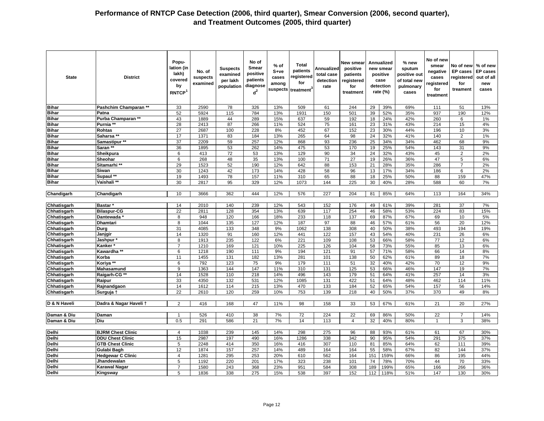| <b>State</b>       | <b>District</b>          | Popu-<br>lation (in<br>lakh)<br>covered<br>by<br>RNTCP <sup>1</sup> | No. of<br>suspects<br>examined | <b>Suspects</b><br>examined<br>per lakh<br>population | No of<br>Smear<br>positive<br>patients<br>diagnose<br>$d^2$ | $%$ of<br>S+ve<br>cases<br>among<br>suspects | <b>Total</b><br>patients<br>registered<br>for<br>treatment | Annualized<br>total case<br>detection<br>rate | New smear<br>positive<br>patients<br>registered<br>for<br>treatment |     | Annualized<br>new smear<br>positive<br>case<br>detection<br>rate (%) | % new<br>sputum<br>positive out<br>of total new<br>pulmonary<br>cases | No of new<br>smear<br>negative<br>cases<br>registered<br>for<br>treatment | No of new<br><b>EP</b> cases<br>registered<br>for<br>treament | % of new<br><b>EP</b> cases<br>out of all<br>new<br>cases |
|--------------------|--------------------------|---------------------------------------------------------------------|--------------------------------|-------------------------------------------------------|-------------------------------------------------------------|----------------------------------------------|------------------------------------------------------------|-----------------------------------------------|---------------------------------------------------------------------|-----|----------------------------------------------------------------------|-----------------------------------------------------------------------|---------------------------------------------------------------------------|---------------------------------------------------------------|-----------------------------------------------------------|
| <b>Bihar</b>       | Pashchim Champaran **    | 33                                                                  | 2590                           | 78                                                    | 326                                                         | 13%                                          | 509                                                        | 61                                            | 244                                                                 | 29  | 39%                                                                  | 69%                                                                   | 111                                                                       | 51                                                            | 13%                                                       |
| <b>Bihar</b>       | Patna                    | 52                                                                  | 5924                           | 115                                                   | 784                                                         | 13%                                          | 1931                                                       | 150                                           | 501                                                                 | 39  | 52%                                                                  | 35%                                                                   | 937                                                                       | 190                                                           | 12%                                                       |
| <b>Bihar</b>       | Purba Champaran **       | 43                                                                  | 1889                           | 44                                                    | 289                                                         | 15%                                          | 637                                                        | 59                                            | 192                                                                 | 18  | 24%                                                                  | 42%                                                                   | 260                                                                       | 6                                                             | 1%                                                        |
| <b>Bihar</b>       | Purnia **                | 28                                                                  | 2413                           | 87                                                    | 266                                                         | 11%                                          | 524                                                        | 75                                            | 161                                                                 | 23  | 31%                                                                  | 43%                                                                   | 214                                                                       | 15                                                            | 4%                                                        |
| <b>Bihar</b>       | <b>Rohtas</b>            | $\overline{27}$                                                     | 2687                           | 100                                                   | 228                                                         | 8%                                           | 452                                                        | 67                                            | 152                                                                 | 23  | 30%                                                                  | 44%                                                                   | 196                                                                       | 10                                                            | 3%                                                        |
| <b>Bihar</b>       | Saharsa **               | 17                                                                  | 1371                           | 83                                                    | 184                                                         | 13%                                          | 265                                                        | 64                                            | 98                                                                  | 24  | 32%                                                                  | 41%                                                                   | 140                                                                       | $\overline{2}$                                                | 1%                                                        |
| <b>Bihar</b>       | Samastipur <sup>**</sup> | 37                                                                  | 2209                           | 59                                                    | 257                                                         | 12%                                          | 868                                                        | 93                                            | 236                                                                 | 25  | 34%                                                                  | 34%                                                                   | 462                                                                       | 68                                                            | 9%                                                        |
| <b>Bihar</b>       | Saran **                 | 36                                                                  | 1895                           | 53                                                    | 262                                                         | 14%                                          | 475                                                        | 53                                            | 170                                                                 | 19  | 25%                                                                  | 54%                                                                   | 143                                                                       | 31                                                            | 9%                                                        |
| <b>Bihar</b>       | Sheikpura                | 6                                                                   | 413                            | 72                                                    | 53                                                          | 13%                                          | 129                                                        | 90                                            | 34                                                                  | 24  | 32%                                                                  | 43%                                                                   | 45                                                                        | 2                                                             | 2%                                                        |
| <b>Bihar</b>       | Sheohar                  | 6                                                                   | 268                            | 48                                                    | 35                                                          | 13%                                          | 100                                                        | 71                                            | $\overline{27}$                                                     | 19  | 26%                                                                  | 36%                                                                   | 47                                                                        | 5                                                             | 6%                                                        |
| <b>Bihar</b>       | Sitamarhi **             | 29                                                                  | 1523                           | 52                                                    | 190                                                         | 12%                                          | 642                                                        | 88                                            | 153                                                                 | 21  | 28%                                                                  | 35%                                                                   | 286                                                                       | $\overline{7}$                                                | 2%                                                        |
| <b>Bihar</b>       | Siwan                    | 30                                                                  | 1243                           | 42                                                    | 173                                                         | 14%                                          | 428                                                        | 58                                            | 96                                                                  | 13  | 17%                                                                  | 34%                                                                   | 186                                                                       | 6                                                             | 2%                                                        |
| <b>Bihar</b>       | Supaul **                | 19                                                                  | 1493                           | 78                                                    | 157                                                         | 11%                                          | 310                                                        | 65                                            | 88                                                                  | 18  | 25%                                                                  | 50%                                                                   | 88                                                                        | 159                                                           | 47%                                                       |
| <b>Bihar</b>       | Vaishali **              | 30                                                                  | 2817                           | 95                                                    | 329                                                         | 12%                                          | 1073                                                       | 144                                           | 225                                                                 | 30  | 40%                                                                  | 28%                                                                   | 588                                                                       | 60                                                            | 7%                                                        |
| Chandigarh         | Chandigarh               | 10                                                                  | 3666                           | 362                                                   | 444                                                         | 12%                                          | 576                                                        | 227                                           | 204                                                                 | 81  | 85%                                                                  | 64%                                                                   | 113                                                                       | 164                                                           | 34%                                                       |
|                    |                          |                                                                     |                                |                                                       |                                                             |                                              |                                                            |                                               |                                                                     |     |                                                                      |                                                                       |                                                                           |                                                               |                                                           |
| Chhatisgarh        | <b>Bastar</b>            | 14                                                                  | 2010                           | 140                                                   | 239                                                         | 12%                                          | 543                                                        | 152                                           | 176                                                                 | 49  | 61%                                                                  | 39%                                                                   | 281                                                                       | 37                                                            | 7%                                                        |
| Chhatisgarh        | <b>Bilaspur-CG</b>       | 22                                                                  | 2811                           | 128                                                   | 354                                                         | 13%                                          | 639                                                        | 117                                           | 254                                                                 | 46  | 58%                                                                  | 53%                                                                   | 224                                                                       | 83                                                            | 15%                                                       |
| Chhatisgarh        | <b>Dantewada</b>         | 8                                                                   | 948                            | 120                                                   | 166                                                         | 18%                                          | 233                                                        | 118                                           | 137                                                                 | 69  | 87%                                                                  | 67%                                                                   | 69                                                                        | 10                                                            | 5%                                                        |
| Chhatisgarh        | <b>Dhamtari</b>          | 8                                                                   | 1044                           | 135                                                   | 127                                                         | 12%                                          | 187                                                        | 97                                            | 88                                                                  | 46  | 57%                                                                  | 61%                                                                   | 56                                                                        | 20                                                            | 12%                                                       |
| Chhatisgarh        | Durg                     | 31                                                                  | 4085                           | 133                                                   | 348                                                         | 9%                                           | 1062                                                       | 138                                           | 308                                                                 | 40  | 50%                                                                  | 38%                                                                   | 493                                                                       | 194                                                           | 19%                                                       |
| Chhatisgarh        | Janjgir                  | 14                                                                  | 1320                           | 91                                                    | 160                                                         | 12%                                          | 441                                                        | 122                                           | 157                                                                 | 43  | 54%                                                                  | 40%                                                                   | 231                                                                       | 26                                                            | 6%                                                        |
| Chhatisgarh        | Jashpur*                 | $\overline{8}$                                                      | 1913                           | 235                                                   | 122                                                         | 6%                                           | 221                                                        | 109                                           | 108                                                                 | 53  | 66%                                                                  | 58%                                                                   | 77                                                                        | 12                                                            | 6%                                                        |
| Chhatisgarh        | Kanker '                 | 7                                                                   | 1210                           | 169                                                   | 121                                                         | 10%                                          | 225                                                        | 126                                           | 104                                                                 | 58  | 73%                                                                  | 55%                                                                   | 85                                                                        | 13                                                            | 6%                                                        |
| Chhatisgarh        | Kawardha **              | 6                                                                   | 1218                           | 190                                                   | 111                                                         | 9%                                           | 194                                                        | 121                                           | 91                                                                  | 57  | 71%                                                                  | 58%                                                                   | 66                                                                        | 14                                                            | 8%                                                        |
| <b>Chhatisgarh</b> | Korba                    | 11                                                                  | 1455                           | 131                                                   | 182                                                         | 13%                                          | 281                                                        | 101                                           | 138                                                                 | 50  | 62%                                                                  | 61%                                                                   | 89                                                                        | 18                                                            | 7%                                                        |
| Chhatisgarh        | Koriya **                | 6                                                                   | 792                            | 123                                                   | 75                                                          | 9%                                           | 179                                                        | 111                                           | 51                                                                  | 32  | 40%                                                                  | 42%                                                                   | 70                                                                        | 12                                                            | 9%                                                        |
| Chhatisgarh        | Mahasamund               | 9                                                                   | 1363                           | 144                                                   | 147                                                         | 11%                                          | 310                                                        | 131                                           | 125                                                                 | 53  | 66%                                                                  | 46%                                                                   | 147                                                                       | 19                                                            | 7%                                                        |
| Chhatisgarh        | Raigarh-CG **            | 14                                                                  | 1528                           | 110                                                   | 218                                                         | 14%                                          | 496                                                        | 143                                           | 179                                                                 | 51  | 64%                                                                  | 41%                                                                   | 257                                                                       | 14                                                            | 3%                                                        |
| Chhatisgarh        | Raipur                   | 33                                                                  | 4350                           | 132                                                   | 531                                                         | 12%                                          | 1085                                                       | 131                                           | 422                                                                 | 51  | 64%                                                                  | 48%                                                                   | 462                                                                       | 114                                                           | 11%                                                       |
| Chhatisgarh        | Rajnandgaon              | 14                                                                  | 1612                           | 114                                                   | 215                                                         | 13%                                          | 470                                                        | 133                                           | 184                                                                 | 52  | 65%                                                                  | 54%                                                                   | 157                                                                       | 56                                                            | 14%                                                       |
| Chhatisgarh        | Surguja †                | 22                                                                  | 2610                           | 120                                                   | 259                                                         | 10%                                          | 753                                                        | 139                                           | 218                                                                 | 40  | 50%                                                                  | 37%                                                                   | 370                                                                       | 49                                                            | 8%                                                        |
| D & N Haveli       | Dadra & Nagar Haveli 1   | 2                                                                   | 416                            | 168                                                   | 47                                                          | 11%                                          | 98                                                         | 158                                           | 33                                                                  | 53  | 67%                                                                  | 61%                                                                   | 21                                                                        | 20                                                            | 27%                                                       |
| Daman & Diu        | Daman                    | $\overline{1}$                                                      | 526                            | 410                                                   | 38                                                          | 7%                                           | 72                                                         | 224                                           | 22                                                                  | 69  | 86%                                                                  | 50%                                                                   | 22                                                                        | $\overline{7}$                                                | 14%                                                       |
| Daman & Diu        | Diu                      | 0.5                                                                 | 291                            | 586                                                   | 21                                                          | 7%                                           | 14                                                         | 113                                           | $\overline{4}$                                                      | 32  | 40%                                                                  | 80%                                                                   | $\overline{1}$                                                            | 3                                                             | 38%                                                       |
|                    |                          |                                                                     |                                |                                                       |                                                             |                                              |                                                            |                                               |                                                                     |     |                                                                      |                                                                       |                                                                           |                                                               |                                                           |
| <b>Delhi</b>       | <b>BJRM Chest Clinic</b> | $\overline{4}$                                                      | 1038                           | 239                                                   | 145                                                         | 14%                                          | 298                                                        | 275                                           | 96                                                                  | 88  | 93%                                                                  | 61%                                                                   | 61                                                                        | 67                                                            | 30%                                                       |
| Delhi              | <b>DDU Chest Clinic</b>  | 15                                                                  | 2987                           | 197                                                   | 490                                                         | 16%                                          | 1286                                                       | 338                                           | 342                                                                 | 90  | 95%                                                                  | 54%                                                                   | 291                                                                       | 375                                                           | 37%                                                       |
| Delhi              | <b>GTB Chest Clinic</b>  | 5                                                                   | 2248                           | 414                                                   | 350                                                         | 16%                                          | 416                                                        | 307                                           | 110                                                                 | 81  | 85%                                                                  | 64%                                                                   | 62                                                                        | 111                                                           | 39%                                                       |
| <b>Delhi</b>       | Gulabi Bagh              | 12                                                                  | 1874                           | 157                                                   | 257                                                         | 14%                                          | 489                                                        | 164                                           | 164                                                                 | 55  | 58%                                                                  | 67%                                                                   | 82                                                                        | 144                                                           | 37%                                                       |
| Delhi              | <b>Hedgewar C Clinic</b> | $\overline{4}$                                                      | 1281                           | 295                                                   | 253                                                         | 20%                                          | 610                                                        | 562                                           | 164                                                                 | 151 | 159%                                                                 | 66%                                                                   | 86                                                                        | 195                                                           | 44%                                                       |
| Delhi              | Jhandewalan              | 5                                                                   | 1192                           | 220                                                   | 201                                                         | 17%                                          | 323                                                        | 238                                           | 101                                                                 | 74  | 78%                                                                  | 70%                                                                   | 44                                                                        | 70                                                            | 33%                                                       |
| Delhi              | <b>Karawal Nagar</b>     | $\overline{7}$                                                      | 1580                           | 243                                                   | 368                                                         | 23%                                          | 951                                                        | 584                                           | 308                                                                 | 189 | 199%                                                                 | 65%                                                                   | 166                                                                       | 266                                                           | 36%                                                       |
| Delhi              | Kingsway                 | 5                                                                   | 1836                           | 338                                                   | 275                                                         | 15%                                          | 538                                                        | 397                                           | 152                                                                 | 112 | 118%                                                                 | 51%                                                                   | 147                                                                       | 130                                                           | 30%                                                       |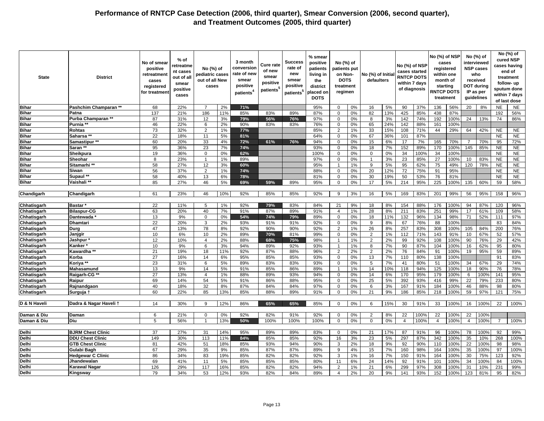| <b>Bihar</b><br>Pashchim Champaran *<br>68<br>22%<br>$\overline{7}$<br>2%<br>71%<br>95%<br>0%<br>16<br>5%<br>90<br>37%<br>136<br>56%<br>20<br><b>NE</b><br>$\mathbf 0$<br>8%<br>137<br>186<br>11%<br>85%<br>89%<br>82<br>425<br>85%<br>438<br>87%<br>192<br><b>Bihar</b><br>21%<br>83%<br>87%<br>0%<br>13%<br>Patna<br>$\mathbf 0$<br><b>Bihar</b><br>Purba Champaran **<br>87<br>74<br>31%<br>12<br>3%<br>56%<br>76%<br>97%<br>0%<br>3%<br>142<br>74%<br>192<br>100%<br>24<br>13%<br>79%<br>$\mathbf 0$<br>8<br><b>Bihar</b><br>46<br>22%<br>2%<br>90%<br>83%<br>76%<br>0%<br>65<br>24%<br>142<br>88%<br>100%<br>Purnia **<br>6<br>83%<br>$\mathbf 0$<br>161<br>73<br>32%<br>$\overline{2}$<br>77%<br>85%<br>33<br>108<br>29%<br>42%<br><b>NE</b><br><b>Bihar</b><br>1%<br>2<br>1%<br>15%<br>71%<br>44<br>64<br>Rohtas<br><b>Bihar</b><br>22<br>36%<br>87%<br>Saharsa **<br>18%<br>11<br>5%<br>81%<br>64%<br>0%<br>67<br>101<br><b>NE</b><br>$\Omega$<br>33<br>15<br><b>Bihar</b><br>Samastipur **<br>60<br>20%<br>4%<br>72%<br>61%<br>76%<br>94%<br>$\mathbf 0$<br>0%<br>6%<br>17<br>7%<br>165<br>70%<br>70%<br>95<br>$\overline{7}$<br>152<br><b>Bihar</b><br>Saran **<br>95<br>36%<br>23<br>7%<br>74%<br>93%<br>0%<br>18<br>7%<br>89%<br>170<br>100%<br>145<br>85%<br><b>NE</b><br>$\Omega$<br><b>Bihar</b><br>19<br>36%<br>0%<br>62%<br>100%<br>0%<br>0%<br>34<br>100%<br>34<br><b>NE</b><br>Sheikpura<br>$\mathbf 0$<br>$\mathbf 0$<br>100%<br>$\Omega$<br>$\overline{27}$<br><b>Bihar</b><br>23%<br>89%<br>97%<br>0%<br>3%<br>23<br>85%<br>100%<br><b>NE</b><br>Sheohar<br>8<br>$\overline{1}$<br>1%<br>$\mathbf 0$<br>$\mathbf{1}$<br>10<br>83%<br><b>Bihar</b><br>Sitamarhi **<br>58<br>27%<br>95%<br>9<br>5%<br>95<br>62%<br>75<br><b>NE</b><br>12<br>3%<br>60%<br>1%<br>49%<br>120<br>78%<br><b>Bihar</b><br>Siwan<br>56<br>37%<br>$\overline{2}$<br>1%<br>74%<br>88%<br>0%<br>20<br>12%<br>72<br>75%<br>91<br>95%<br><b>NE</b><br>$\mathbf 0$<br>58<br>0%<br>50<br>53%<br>76<br>81%<br><b>NE</b><br><b>Bihar</b><br>Supaul **<br>40%<br>13<br>6%<br>78%<br>81%<br>30<br>19%<br>$\mathbf 0$<br><b>Bihar</b><br>85<br>27%<br>46<br>5%<br>69%<br>59%<br>89%<br>95%<br>0%<br>17<br>5%<br>214<br>95%<br>225<br>100%<br>135<br>60%<br>59<br>Vaishali **<br>$\Omega$<br>10%<br>Chandigarh<br>23%<br>92%<br>92%<br>3%<br>5%<br>169<br>83%<br>201<br>99%<br>56<br>95%<br>158<br>Chandigarh<br>61<br>46<br>85%<br>85%<br>9<br>16<br>Chhatisgarh<br>22<br>1%<br>92%<br>83%<br>21<br>9%<br>8%<br>88%<br>100%<br>94<br>87%<br>120<br><b>Bastar</b><br>11%<br>5<br>79%<br>84%<br>18<br>154<br>176<br>63<br>40<br>87%<br>8%<br>83%<br><b>Bilaspur-CG</b><br>20%<br>7%<br>91%<br>89%<br>91%<br>1%<br>28<br>211<br>251<br>99%<br>17<br>61%<br>109<br>Chhatisgarh<br>4<br>13<br>52%<br>Chhatisgarh<br>9%<br>0%<br>54%<br>74%<br>79%<br>89%<br>$\mathbf 0$<br>0%<br>18<br>11%<br>132<br>96%<br>134<br>98%<br>71<br>Dantewada<br>$\Omega$<br>111<br>22<br>Chhatisgarh<br><b>Dhamtari</b><br>20%<br>3<br>2%<br>93%<br>91%<br>91%<br>92%<br>0%<br>8%<br>67<br>76%<br>88<br>100%<br>83<br>$\mathbf 0$<br>9<br>47<br>13%<br>78<br>8%<br>92%<br>90%<br>90%<br>92%<br>$\overline{2}$<br>1%<br>26<br>8%<br>257<br>83%<br>308<br>100%<br>105<br>84%<br>200<br>Chhatisgarh<br>Durg<br>Chhatisgarh<br>10<br>6%<br>2<br>67%<br>52<br>Janjgir<br>10<br>2%<br>89%<br>70%<br>81%<br>99%<br>$\mathbf 0$<br>0%<br>1%<br>112<br>71%<br>143<br>91%<br>10<br>12<br>99<br>92%<br>10%<br>2%<br>88%<br>98%<br>1%<br>2%<br>108<br>100%<br>90<br>76%<br>29<br>Chhatisgarh<br>Jashpur<br>$\overline{4}$<br>68%<br>75%<br>2<br>$\overline{1}$<br>10<br>9%<br>94%<br>89%<br>92%<br>93%<br>90<br>87%<br>16<br>62%<br>95<br>Chhatisgarh<br>Kanker <sup>3</sup><br>6<br>3%<br>1%<br>8<br>7%<br>104<br>100%<br>$\overline{1}$<br>Chhatisgarh<br>21<br>19%<br>18<br>92%<br>87%<br>88%<br>96%<br>$\overline{2}$<br>2%<br>2<br>2%<br>76<br>84%<br>91<br>100%<br>19<br>95%<br>59<br>Kawardha **<br>11%<br>27<br>16%<br>14<br>6%<br>0%<br>13<br>7%<br>110<br>80%<br>138<br>100%<br>91<br>Chhatisgarh<br>95%<br>85%<br>85%<br>93%<br>$\mathbf 0$<br>Korba<br>Chhatisgarh<br>Koriya **<br>23<br>31%<br>5%<br>89%<br>83%<br>83%<br>93%<br>0%<br>5<br>7%<br>41<br>80%<br>51<br>100%<br>34<br>67%<br>29<br>6<br>$\mathbf 0$<br>13<br>9%<br>10%<br>118<br>94%<br>125<br>76<br>Chhatisgarh<br>Mahasamund<br>14<br>5%<br>91%<br>85%<br>86%<br>89%<br>$\overline{1}$<br>1%<br>14<br>100%<br>18<br>90%<br>27<br>93%<br>170<br>95%<br>141<br>Chhatisgarh<br>Raigarh-CG **<br>13%<br>4<br>1%<br>88%<br>89%<br>94%<br>$\mathbf 0$<br>0%<br>14<br>6%<br>179<br>100%<br>100%<br>6<br>233<br>Chhatisgarh<br>69<br>54<br>88%<br>95%<br>25<br>5%<br>392<br>93%<br>99%<br>22<br>79%<br>Raipur<br>14%<br>5%<br>91%<br>86%<br>$\mathbf 0$<br>0%<br>416<br>40<br>18%<br>32<br>8%<br>87%<br>84%<br>84%<br>97%<br>0%<br>3%<br>167<br>91%<br>184<br>100%<br>46<br>88%<br>98<br>Chhatisgarh<br>$\mathbf 0$<br>6<br>Rajnandgaon<br>60<br>22%<br>13%<br>85%<br>89%<br>91%<br>0%<br>21<br>9%<br>186<br>85%<br>59<br>121<br>Chhatisgarh<br>85<br>88%<br>218<br>100%<br>97%<br>Surguja 1<br>$\Omega$<br>D & N Haveli<br>Dadra & Nagar Haveli 1<br>14<br>30%<br>9<br>12%<br>86%<br>65%<br>65%<br>85%<br>$\mathbf 0$<br>0%<br>6<br>15%<br>30<br>91%<br>33<br>100%<br>16<br>100%<br>22<br>Daman & Diu<br>6<br>21%<br>0%<br>92%<br>82%<br>91%<br>92%<br>0%<br>2<br>8%<br>22<br>100%<br>22<br>100%<br>22<br>100%<br>Daman<br>$\Omega$<br>$\mathbf 0$<br>100%<br>Daman & Diu<br>Diu<br>5<br>56%<br>13%<br>100%<br>0%<br>0%<br>$\overline{4}$<br>100%<br>100%<br>$\overline{1}$<br>50%<br>100%<br>100%<br>$\mathbf 0$<br>$\mathbf 0$<br>4<br>$\overline{4}$<br>$\overline{7}$<br>37<br>Delhi<br><b>BJRM Chest Clinic</b><br>27%<br>31<br>14%<br>95%<br>89%<br>89%<br>83%<br>$\mathbf 0$<br>0%<br>21<br>17%<br>87<br>91%<br>96<br>100%<br>78<br>100%<br>92<br>149<br>Delhi<br><b>DDU Chest Clinic</b><br>30%<br>113<br>11%<br>84%<br>85%<br>85%<br>92%<br>16<br>3%<br>23<br>5%<br>297<br>87%<br>342<br>100%<br>35<br>268<br>10%<br>22<br>Delhi<br>81<br>42%<br>18%<br>85%<br>93%<br>94%<br>90%<br>2%<br>9%<br>92<br>90%<br><b>GTB Chest Clinic</b><br>51<br>3<br>18<br>110<br>100%<br>100%<br>98<br>67<br>98%<br>97<br>Delhi<br>Gulabi Bagh<br>29%<br>35<br>9%<br>85%<br>87%<br>87%<br>89%<br>9<br>4%<br>15<br>7%<br>160<br>164<br>100%<br>35<br>100%<br>86<br>34%<br>83<br>19%<br>85%<br>82%<br>82%<br>92%<br>1%<br>7%<br>150<br>91%<br>164<br>30<br>75%<br>123<br>Delhi<br><b>Hedgewar C Clinic</b><br>3<br>16<br>100%<br>69<br>41%<br>85%<br>85%<br>85%<br>80%<br>6%<br>24<br>92<br>34<br>Delhi<br>11<br>5%<br>11<br>14%<br>91%<br>101<br>100%<br>84<br>Jhandewalan<br>100%<br>Delhi<br>126<br>29%<br>117<br>16%<br>85%<br>82%<br>82%<br>94%<br>2<br>1%<br>21<br>6%<br>299<br>97%<br>308<br>100%<br>31<br>231<br><b>Karawal Nagar</b><br>10%<br>79<br>34%<br>53<br>12%<br>93%<br>82%<br>84%<br>89%<br>2%<br>20<br>9%<br>141<br>93%<br>152<br>100%<br>123<br>81%<br>95<br>Delhi<br>$\overline{4}$<br>Kingsway | <b>State</b> | <b>District</b> | No of smear<br>positive<br>retreatment<br>cases<br>registered<br>for treatmen | % of<br>retreatme<br>nt cases<br>out of all<br>smear<br>positive<br>cases | No (%) of<br>pediatric cases<br>out of all New<br>cases | 3 month<br>conversion<br>rate of new<br>smear<br>positive<br>patients <sup>4</sup> | <b>Cure rate</b><br>of new<br>smear<br>positive<br>patients <sup>5</sup> | Success<br>rate of<br>new<br>smear<br>positive<br>patients <sup>5</sup> | % smear<br>positive<br>patients<br>living in<br>the<br>district<br>placed on<br><b>DOTS</b> | No (%) of<br>patients put<br>on Non-<br><b>DOTS</b><br>treatment<br>regimen | No (%) of Initia<br>defaulters | No (%) of NSP<br>cases started<br><b>RNTCP DOTS</b><br>within 7 days<br>of diagnosis |  | No (%) of NSP<br>cases<br>registered<br>within one<br>month of<br>starting<br><b>RNTCP DOTS</b><br>treatment | No (%) of<br>interviewed<br><b>NSP cases</b><br>who<br>received<br><b>DOT during</b><br>IP as per<br>guidelines | No (%) of<br>cured NSP<br>cases having<br>end of<br>treatment<br>follow- up<br>sputum done<br>within 7 days<br>of last dose |
|------------------------------------------------------------------------------------------------------------------------------------------------------------------------------------------------------------------------------------------------------------------------------------------------------------------------------------------------------------------------------------------------------------------------------------------------------------------------------------------------------------------------------------------------------------------------------------------------------------------------------------------------------------------------------------------------------------------------------------------------------------------------------------------------------------------------------------------------------------------------------------------------------------------------------------------------------------------------------------------------------------------------------------------------------------------------------------------------------------------------------------------------------------------------------------------------------------------------------------------------------------------------------------------------------------------------------------------------------------------------------------------------------------------------------------------------------------------------------------------------------------------------------------------------------------------------------------------------------------------------------------------------------------------------------------------------------------------------------------------------------------------------------------------------------------------------------------------------------------------------------------------------------------------------------------------------------------------------------------------------------------------------------------------------------------------------------------------------------------------------------------------------------------------------------------------------------------------------------------------------------------------------------------------------------------------------------------------------------------------------------------------------------------------------------------------------------------------------------------------------------------------------------------------------------------------------------------------------------------------------------------------------------------------------------------------------------------------------------------------------------------------------------------------------------------------------------------------------------------------------------------------------------------------------------------------------------------------------------------------------------------------------------------------------------------------------------------------------------------------------------------------------------------------------------------------------------------------------------------------------------------------------------------------------------------------------------------------------------------------------------------------------------------------------------------------------------------------------------------------------------------------------------------------------------------------------------------------------------------------------------------------------------------------------------------------------------------------------------------------------------------------------------------------------------------------------------------------------------------------------------------------------------------------------------------------------------------------------------------------------------------------------------------------------------------------------------------------------------------------------------------------------------------------------------------------------------------------------------------------------------------------------------------------------------------------------------------------------------------------------------------------------------------------------------------------------------------------------------------------------------------------------------------------------------------------------------------------------------------------------------------------------------------------------------------------------------------------------------------------------------------------------------------------------------------------------------------------------------------------------------------------------------------------------------------------------------------------------------------------------------------------------------------------------------------------------------------------------------------------------------------------------------------------------------------------------------------------------------------------------------------------------------------------------------------------------------------------------------------------------------------------------------------------------------------------------------------------------------------------------------------------------------------------------------------------------------------------------------------------------------------------------------------------------------------------------------------------------------------------------------------------------------------------------------------------------------------------------------------------------------------------------------------------------------------------------------------------------------------------------------------------------------------------------------------------------------------------------------------------------------------------------------------------------------------------------------------------------------------------------------------------------------------------------------------------------------------------------------------------------------------------------------------------------------------------------------------------------------------------------------------------------------------------------------------------------------------------------------------------------------------------------------------------------------------------------------------------------------------------------------------------------------------------------------------------------------------------------------------------------------------------------------------------------------------------------------------------------------------------------------------------------------|--------------|-----------------|-------------------------------------------------------------------------------|---------------------------------------------------------------------------|---------------------------------------------------------|------------------------------------------------------------------------------------|--------------------------------------------------------------------------|-------------------------------------------------------------------------|---------------------------------------------------------------------------------------------|-----------------------------------------------------------------------------|--------------------------------|--------------------------------------------------------------------------------------|--|--------------------------------------------------------------------------------------------------------------|-----------------------------------------------------------------------------------------------------------------|-----------------------------------------------------------------------------------------------------------------------------|
|                                                                                                                                                                                                                                                                                                                                                                                                                                                                                                                                                                                                                                                                                                                                                                                                                                                                                                                                                                                                                                                                                                                                                                                                                                                                                                                                                                                                                                                                                                                                                                                                                                                                                                                                                                                                                                                                                                                                                                                                                                                                                                                                                                                                                                                                                                                                                                                                                                                                                                                                                                                                                                                                                                                                                                                                                                                                                                                                                                                                                                                                                                                                                                                                                                                                                                                                                                                                                                                                                                                                                                                                                                                                                                                                                                                                                                                                                                                                                                                                                                                                                                                                                                                                                                                                                                                                                                                                                                                                                                                                                                                                                                                                                                                                                                                                                                                                                                                                                                                                                                                                                                                                                                                                                                                                                                                                                                                                                                                                                                                                                                                                                                                                                                                                                                                                                                                                                                                                                                                                                                                                                                                                                                                                                                                                                                                                                                                                                                                                                                                                                                                                                                                                                                                                                                                                                                                                                                                                                                                                                              |              |                 |                                                                               |                                                                           |                                                         |                                                                                    |                                                                          |                                                                         |                                                                                             |                                                                             |                                |                                                                                      |  |                                                                                                              |                                                                                                                 | <b>NE</b>                                                                                                                   |
|                                                                                                                                                                                                                                                                                                                                                                                                                                                                                                                                                                                                                                                                                                                                                                                                                                                                                                                                                                                                                                                                                                                                                                                                                                                                                                                                                                                                                                                                                                                                                                                                                                                                                                                                                                                                                                                                                                                                                                                                                                                                                                                                                                                                                                                                                                                                                                                                                                                                                                                                                                                                                                                                                                                                                                                                                                                                                                                                                                                                                                                                                                                                                                                                                                                                                                                                                                                                                                                                                                                                                                                                                                                                                                                                                                                                                                                                                                                                                                                                                                                                                                                                                                                                                                                                                                                                                                                                                                                                                                                                                                                                                                                                                                                                                                                                                                                                                                                                                                                                                                                                                                                                                                                                                                                                                                                                                                                                                                                                                                                                                                                                                                                                                                                                                                                                                                                                                                                                                                                                                                                                                                                                                                                                                                                                                                                                                                                                                                                                                                                                                                                                                                                                                                                                                                                                                                                                                                                                                                                                                              |              |                 |                                                                               |                                                                           |                                                         |                                                                                    |                                                                          |                                                                         |                                                                                             |                                                                             |                                |                                                                                      |  |                                                                                                              |                                                                                                                 | 56%                                                                                                                         |
|                                                                                                                                                                                                                                                                                                                                                                                                                                                                                                                                                                                                                                                                                                                                                                                                                                                                                                                                                                                                                                                                                                                                                                                                                                                                                                                                                                                                                                                                                                                                                                                                                                                                                                                                                                                                                                                                                                                                                                                                                                                                                                                                                                                                                                                                                                                                                                                                                                                                                                                                                                                                                                                                                                                                                                                                                                                                                                                                                                                                                                                                                                                                                                                                                                                                                                                                                                                                                                                                                                                                                                                                                                                                                                                                                                                                                                                                                                                                                                                                                                                                                                                                                                                                                                                                                                                                                                                                                                                                                                                                                                                                                                                                                                                                                                                                                                                                                                                                                                                                                                                                                                                                                                                                                                                                                                                                                                                                                                                                                                                                                                                                                                                                                                                                                                                                                                                                                                                                                                                                                                                                                                                                                                                                                                                                                                                                                                                                                                                                                                                                                                                                                                                                                                                                                                                                                                                                                                                                                                                                                              |              |                 |                                                                               |                                                                           |                                                         |                                                                                    |                                                                          |                                                                         |                                                                                             |                                                                             |                                |                                                                                      |  |                                                                                                              |                                                                                                                 | 86%                                                                                                                         |
|                                                                                                                                                                                                                                                                                                                                                                                                                                                                                                                                                                                                                                                                                                                                                                                                                                                                                                                                                                                                                                                                                                                                                                                                                                                                                                                                                                                                                                                                                                                                                                                                                                                                                                                                                                                                                                                                                                                                                                                                                                                                                                                                                                                                                                                                                                                                                                                                                                                                                                                                                                                                                                                                                                                                                                                                                                                                                                                                                                                                                                                                                                                                                                                                                                                                                                                                                                                                                                                                                                                                                                                                                                                                                                                                                                                                                                                                                                                                                                                                                                                                                                                                                                                                                                                                                                                                                                                                                                                                                                                                                                                                                                                                                                                                                                                                                                                                                                                                                                                                                                                                                                                                                                                                                                                                                                                                                                                                                                                                                                                                                                                                                                                                                                                                                                                                                                                                                                                                                                                                                                                                                                                                                                                                                                                                                                                                                                                                                                                                                                                                                                                                                                                                                                                                                                                                                                                                                                                                                                                                                              |              |                 |                                                                               |                                                                           |                                                         |                                                                                    |                                                                          |                                                                         |                                                                                             |                                                                             |                                |                                                                                      |  |                                                                                                              |                                                                                                                 |                                                                                                                             |
|                                                                                                                                                                                                                                                                                                                                                                                                                                                                                                                                                                                                                                                                                                                                                                                                                                                                                                                                                                                                                                                                                                                                                                                                                                                                                                                                                                                                                                                                                                                                                                                                                                                                                                                                                                                                                                                                                                                                                                                                                                                                                                                                                                                                                                                                                                                                                                                                                                                                                                                                                                                                                                                                                                                                                                                                                                                                                                                                                                                                                                                                                                                                                                                                                                                                                                                                                                                                                                                                                                                                                                                                                                                                                                                                                                                                                                                                                                                                                                                                                                                                                                                                                                                                                                                                                                                                                                                                                                                                                                                                                                                                                                                                                                                                                                                                                                                                                                                                                                                                                                                                                                                                                                                                                                                                                                                                                                                                                                                                                                                                                                                                                                                                                                                                                                                                                                                                                                                                                                                                                                                                                                                                                                                                                                                                                                                                                                                                                                                                                                                                                                                                                                                                                                                                                                                                                                                                                                                                                                                                                              |              |                 |                                                                               |                                                                           |                                                         |                                                                                    |                                                                          |                                                                         |                                                                                             |                                                                             |                                |                                                                                      |  |                                                                                                              |                                                                                                                 | <b>NE</b>                                                                                                                   |
|                                                                                                                                                                                                                                                                                                                                                                                                                                                                                                                                                                                                                                                                                                                                                                                                                                                                                                                                                                                                                                                                                                                                                                                                                                                                                                                                                                                                                                                                                                                                                                                                                                                                                                                                                                                                                                                                                                                                                                                                                                                                                                                                                                                                                                                                                                                                                                                                                                                                                                                                                                                                                                                                                                                                                                                                                                                                                                                                                                                                                                                                                                                                                                                                                                                                                                                                                                                                                                                                                                                                                                                                                                                                                                                                                                                                                                                                                                                                                                                                                                                                                                                                                                                                                                                                                                                                                                                                                                                                                                                                                                                                                                                                                                                                                                                                                                                                                                                                                                                                                                                                                                                                                                                                                                                                                                                                                                                                                                                                                                                                                                                                                                                                                                                                                                                                                                                                                                                                                                                                                                                                                                                                                                                                                                                                                                                                                                                                                                                                                                                                                                                                                                                                                                                                                                                                                                                                                                                                                                                                                              |              |                 |                                                                               |                                                                           |                                                         |                                                                                    |                                                                          |                                                                         |                                                                                             |                                                                             |                                |                                                                                      |  |                                                                                                              |                                                                                                                 | N <sub>E</sub>                                                                                                              |
|                                                                                                                                                                                                                                                                                                                                                                                                                                                                                                                                                                                                                                                                                                                                                                                                                                                                                                                                                                                                                                                                                                                                                                                                                                                                                                                                                                                                                                                                                                                                                                                                                                                                                                                                                                                                                                                                                                                                                                                                                                                                                                                                                                                                                                                                                                                                                                                                                                                                                                                                                                                                                                                                                                                                                                                                                                                                                                                                                                                                                                                                                                                                                                                                                                                                                                                                                                                                                                                                                                                                                                                                                                                                                                                                                                                                                                                                                                                                                                                                                                                                                                                                                                                                                                                                                                                                                                                                                                                                                                                                                                                                                                                                                                                                                                                                                                                                                                                                                                                                                                                                                                                                                                                                                                                                                                                                                                                                                                                                                                                                                                                                                                                                                                                                                                                                                                                                                                                                                                                                                                                                                                                                                                                                                                                                                                                                                                                                                                                                                                                                                                                                                                                                                                                                                                                                                                                                                                                                                                                                                              |              |                 |                                                                               |                                                                           |                                                         |                                                                                    |                                                                          |                                                                         |                                                                                             |                                                                             |                                |                                                                                      |  |                                                                                                              |                                                                                                                 | 72%                                                                                                                         |
|                                                                                                                                                                                                                                                                                                                                                                                                                                                                                                                                                                                                                                                                                                                                                                                                                                                                                                                                                                                                                                                                                                                                                                                                                                                                                                                                                                                                                                                                                                                                                                                                                                                                                                                                                                                                                                                                                                                                                                                                                                                                                                                                                                                                                                                                                                                                                                                                                                                                                                                                                                                                                                                                                                                                                                                                                                                                                                                                                                                                                                                                                                                                                                                                                                                                                                                                                                                                                                                                                                                                                                                                                                                                                                                                                                                                                                                                                                                                                                                                                                                                                                                                                                                                                                                                                                                                                                                                                                                                                                                                                                                                                                                                                                                                                                                                                                                                                                                                                                                                                                                                                                                                                                                                                                                                                                                                                                                                                                                                                                                                                                                                                                                                                                                                                                                                                                                                                                                                                                                                                                                                                                                                                                                                                                                                                                                                                                                                                                                                                                                                                                                                                                                                                                                                                                                                                                                                                                                                                                                                                              |              |                 |                                                                               |                                                                           |                                                         |                                                                                    |                                                                          |                                                                         |                                                                                             |                                                                             |                                |                                                                                      |  |                                                                                                              |                                                                                                                 | <b>NE</b>                                                                                                                   |
|                                                                                                                                                                                                                                                                                                                                                                                                                                                                                                                                                                                                                                                                                                                                                                                                                                                                                                                                                                                                                                                                                                                                                                                                                                                                                                                                                                                                                                                                                                                                                                                                                                                                                                                                                                                                                                                                                                                                                                                                                                                                                                                                                                                                                                                                                                                                                                                                                                                                                                                                                                                                                                                                                                                                                                                                                                                                                                                                                                                                                                                                                                                                                                                                                                                                                                                                                                                                                                                                                                                                                                                                                                                                                                                                                                                                                                                                                                                                                                                                                                                                                                                                                                                                                                                                                                                                                                                                                                                                                                                                                                                                                                                                                                                                                                                                                                                                                                                                                                                                                                                                                                                                                                                                                                                                                                                                                                                                                                                                                                                                                                                                                                                                                                                                                                                                                                                                                                                                                                                                                                                                                                                                                                                                                                                                                                                                                                                                                                                                                                                                                                                                                                                                                                                                                                                                                                                                                                                                                                                                                              |              |                 |                                                                               |                                                                           |                                                         |                                                                                    |                                                                          |                                                                         |                                                                                             |                                                                             |                                |                                                                                      |  |                                                                                                              |                                                                                                                 | <b>NE</b>                                                                                                                   |
|                                                                                                                                                                                                                                                                                                                                                                                                                                                                                                                                                                                                                                                                                                                                                                                                                                                                                                                                                                                                                                                                                                                                                                                                                                                                                                                                                                                                                                                                                                                                                                                                                                                                                                                                                                                                                                                                                                                                                                                                                                                                                                                                                                                                                                                                                                                                                                                                                                                                                                                                                                                                                                                                                                                                                                                                                                                                                                                                                                                                                                                                                                                                                                                                                                                                                                                                                                                                                                                                                                                                                                                                                                                                                                                                                                                                                                                                                                                                                                                                                                                                                                                                                                                                                                                                                                                                                                                                                                                                                                                                                                                                                                                                                                                                                                                                                                                                                                                                                                                                                                                                                                                                                                                                                                                                                                                                                                                                                                                                                                                                                                                                                                                                                                                                                                                                                                                                                                                                                                                                                                                                                                                                                                                                                                                                                                                                                                                                                                                                                                                                                                                                                                                                                                                                                                                                                                                                                                                                                                                                                              |              |                 |                                                                               |                                                                           |                                                         |                                                                                    |                                                                          |                                                                         |                                                                                             |                                                                             |                                |                                                                                      |  |                                                                                                              |                                                                                                                 | <b>NE</b>                                                                                                                   |
|                                                                                                                                                                                                                                                                                                                                                                                                                                                                                                                                                                                                                                                                                                                                                                                                                                                                                                                                                                                                                                                                                                                                                                                                                                                                                                                                                                                                                                                                                                                                                                                                                                                                                                                                                                                                                                                                                                                                                                                                                                                                                                                                                                                                                                                                                                                                                                                                                                                                                                                                                                                                                                                                                                                                                                                                                                                                                                                                                                                                                                                                                                                                                                                                                                                                                                                                                                                                                                                                                                                                                                                                                                                                                                                                                                                                                                                                                                                                                                                                                                                                                                                                                                                                                                                                                                                                                                                                                                                                                                                                                                                                                                                                                                                                                                                                                                                                                                                                                                                                                                                                                                                                                                                                                                                                                                                                                                                                                                                                                                                                                                                                                                                                                                                                                                                                                                                                                                                                                                                                                                                                                                                                                                                                                                                                                                                                                                                                                                                                                                                                                                                                                                                                                                                                                                                                                                                                                                                                                                                                                              |              |                 |                                                                               |                                                                           |                                                         |                                                                                    |                                                                          |                                                                         |                                                                                             |                                                                             |                                |                                                                                      |  |                                                                                                              |                                                                                                                 | <b>NE</b>                                                                                                                   |
|                                                                                                                                                                                                                                                                                                                                                                                                                                                                                                                                                                                                                                                                                                                                                                                                                                                                                                                                                                                                                                                                                                                                                                                                                                                                                                                                                                                                                                                                                                                                                                                                                                                                                                                                                                                                                                                                                                                                                                                                                                                                                                                                                                                                                                                                                                                                                                                                                                                                                                                                                                                                                                                                                                                                                                                                                                                                                                                                                                                                                                                                                                                                                                                                                                                                                                                                                                                                                                                                                                                                                                                                                                                                                                                                                                                                                                                                                                                                                                                                                                                                                                                                                                                                                                                                                                                                                                                                                                                                                                                                                                                                                                                                                                                                                                                                                                                                                                                                                                                                                                                                                                                                                                                                                                                                                                                                                                                                                                                                                                                                                                                                                                                                                                                                                                                                                                                                                                                                                                                                                                                                                                                                                                                                                                                                                                                                                                                                                                                                                                                                                                                                                                                                                                                                                                                                                                                                                                                                                                                                                              |              |                 |                                                                               |                                                                           |                                                         |                                                                                    |                                                                          |                                                                         |                                                                                             |                                                                             |                                |                                                                                      |  |                                                                                                              |                                                                                                                 | <b>NE</b>                                                                                                                   |
|                                                                                                                                                                                                                                                                                                                                                                                                                                                                                                                                                                                                                                                                                                                                                                                                                                                                                                                                                                                                                                                                                                                                                                                                                                                                                                                                                                                                                                                                                                                                                                                                                                                                                                                                                                                                                                                                                                                                                                                                                                                                                                                                                                                                                                                                                                                                                                                                                                                                                                                                                                                                                                                                                                                                                                                                                                                                                                                                                                                                                                                                                                                                                                                                                                                                                                                                                                                                                                                                                                                                                                                                                                                                                                                                                                                                                                                                                                                                                                                                                                                                                                                                                                                                                                                                                                                                                                                                                                                                                                                                                                                                                                                                                                                                                                                                                                                                                                                                                                                                                                                                                                                                                                                                                                                                                                                                                                                                                                                                                                                                                                                                                                                                                                                                                                                                                                                                                                                                                                                                                                                                                                                                                                                                                                                                                                                                                                                                                                                                                                                                                                                                                                                                                                                                                                                                                                                                                                                                                                                                                              |              |                 |                                                                               |                                                                           |                                                         |                                                                                    |                                                                          |                                                                         |                                                                                             |                                                                             |                                |                                                                                      |  |                                                                                                              |                                                                                                                 | <b>NE</b>                                                                                                                   |
|                                                                                                                                                                                                                                                                                                                                                                                                                                                                                                                                                                                                                                                                                                                                                                                                                                                                                                                                                                                                                                                                                                                                                                                                                                                                                                                                                                                                                                                                                                                                                                                                                                                                                                                                                                                                                                                                                                                                                                                                                                                                                                                                                                                                                                                                                                                                                                                                                                                                                                                                                                                                                                                                                                                                                                                                                                                                                                                                                                                                                                                                                                                                                                                                                                                                                                                                                                                                                                                                                                                                                                                                                                                                                                                                                                                                                                                                                                                                                                                                                                                                                                                                                                                                                                                                                                                                                                                                                                                                                                                                                                                                                                                                                                                                                                                                                                                                                                                                                                                                                                                                                                                                                                                                                                                                                                                                                                                                                                                                                                                                                                                                                                                                                                                                                                                                                                                                                                                                                                                                                                                                                                                                                                                                                                                                                                                                                                                                                                                                                                                                                                                                                                                                                                                                                                                                                                                                                                                                                                                                                              |              |                 |                                                                               |                                                                           |                                                         |                                                                                    |                                                                          |                                                                         |                                                                                             |                                                                             |                                |                                                                                      |  |                                                                                                              |                                                                                                                 | 58%                                                                                                                         |
|                                                                                                                                                                                                                                                                                                                                                                                                                                                                                                                                                                                                                                                                                                                                                                                                                                                                                                                                                                                                                                                                                                                                                                                                                                                                                                                                                                                                                                                                                                                                                                                                                                                                                                                                                                                                                                                                                                                                                                                                                                                                                                                                                                                                                                                                                                                                                                                                                                                                                                                                                                                                                                                                                                                                                                                                                                                                                                                                                                                                                                                                                                                                                                                                                                                                                                                                                                                                                                                                                                                                                                                                                                                                                                                                                                                                                                                                                                                                                                                                                                                                                                                                                                                                                                                                                                                                                                                                                                                                                                                                                                                                                                                                                                                                                                                                                                                                                                                                                                                                                                                                                                                                                                                                                                                                                                                                                                                                                                                                                                                                                                                                                                                                                                                                                                                                                                                                                                                                                                                                                                                                                                                                                                                                                                                                                                                                                                                                                                                                                                                                                                                                                                                                                                                                                                                                                                                                                                                                                                                                                              |              |                 |                                                                               |                                                                           |                                                         |                                                                                    |                                                                          |                                                                         |                                                                                             |                                                                             |                                |                                                                                      |  |                                                                                                              |                                                                                                                 |                                                                                                                             |
|                                                                                                                                                                                                                                                                                                                                                                                                                                                                                                                                                                                                                                                                                                                                                                                                                                                                                                                                                                                                                                                                                                                                                                                                                                                                                                                                                                                                                                                                                                                                                                                                                                                                                                                                                                                                                                                                                                                                                                                                                                                                                                                                                                                                                                                                                                                                                                                                                                                                                                                                                                                                                                                                                                                                                                                                                                                                                                                                                                                                                                                                                                                                                                                                                                                                                                                                                                                                                                                                                                                                                                                                                                                                                                                                                                                                                                                                                                                                                                                                                                                                                                                                                                                                                                                                                                                                                                                                                                                                                                                                                                                                                                                                                                                                                                                                                                                                                                                                                                                                                                                                                                                                                                                                                                                                                                                                                                                                                                                                                                                                                                                                                                                                                                                                                                                                                                                                                                                                                                                                                                                                                                                                                                                                                                                                                                                                                                                                                                                                                                                                                                                                                                                                                                                                                                                                                                                                                                                                                                                                                              |              |                 |                                                                               |                                                                           |                                                         |                                                                                    |                                                                          |                                                                         |                                                                                             |                                                                             |                                |                                                                                      |  |                                                                                                              |                                                                                                                 | 96%                                                                                                                         |
|                                                                                                                                                                                                                                                                                                                                                                                                                                                                                                                                                                                                                                                                                                                                                                                                                                                                                                                                                                                                                                                                                                                                                                                                                                                                                                                                                                                                                                                                                                                                                                                                                                                                                                                                                                                                                                                                                                                                                                                                                                                                                                                                                                                                                                                                                                                                                                                                                                                                                                                                                                                                                                                                                                                                                                                                                                                                                                                                                                                                                                                                                                                                                                                                                                                                                                                                                                                                                                                                                                                                                                                                                                                                                                                                                                                                                                                                                                                                                                                                                                                                                                                                                                                                                                                                                                                                                                                                                                                                                                                                                                                                                                                                                                                                                                                                                                                                                                                                                                                                                                                                                                                                                                                                                                                                                                                                                                                                                                                                                                                                                                                                                                                                                                                                                                                                                                                                                                                                                                                                                                                                                                                                                                                                                                                                                                                                                                                                                                                                                                                                                                                                                                                                                                                                                                                                                                                                                                                                                                                                                              |              |                 |                                                                               |                                                                           |                                                         |                                                                                    |                                                                          |                                                                         |                                                                                             |                                                                             |                                |                                                                                      |  |                                                                                                              |                                                                                                                 | 96%                                                                                                                         |
|                                                                                                                                                                                                                                                                                                                                                                                                                                                                                                                                                                                                                                                                                                                                                                                                                                                                                                                                                                                                                                                                                                                                                                                                                                                                                                                                                                                                                                                                                                                                                                                                                                                                                                                                                                                                                                                                                                                                                                                                                                                                                                                                                                                                                                                                                                                                                                                                                                                                                                                                                                                                                                                                                                                                                                                                                                                                                                                                                                                                                                                                                                                                                                                                                                                                                                                                                                                                                                                                                                                                                                                                                                                                                                                                                                                                                                                                                                                                                                                                                                                                                                                                                                                                                                                                                                                                                                                                                                                                                                                                                                                                                                                                                                                                                                                                                                                                                                                                                                                                                                                                                                                                                                                                                                                                                                                                                                                                                                                                                                                                                                                                                                                                                                                                                                                                                                                                                                                                                                                                                                                                                                                                                                                                                                                                                                                                                                                                                                                                                                                                                                                                                                                                                                                                                                                                                                                                                                                                                                                                                              |              |                 |                                                                               |                                                                           |                                                         |                                                                                    |                                                                          |                                                                         |                                                                                             |                                                                             |                                |                                                                                      |  |                                                                                                              |                                                                                                                 | 58%                                                                                                                         |
|                                                                                                                                                                                                                                                                                                                                                                                                                                                                                                                                                                                                                                                                                                                                                                                                                                                                                                                                                                                                                                                                                                                                                                                                                                                                                                                                                                                                                                                                                                                                                                                                                                                                                                                                                                                                                                                                                                                                                                                                                                                                                                                                                                                                                                                                                                                                                                                                                                                                                                                                                                                                                                                                                                                                                                                                                                                                                                                                                                                                                                                                                                                                                                                                                                                                                                                                                                                                                                                                                                                                                                                                                                                                                                                                                                                                                                                                                                                                                                                                                                                                                                                                                                                                                                                                                                                                                                                                                                                                                                                                                                                                                                                                                                                                                                                                                                                                                                                                                                                                                                                                                                                                                                                                                                                                                                                                                                                                                                                                                                                                                                                                                                                                                                                                                                                                                                                                                                                                                                                                                                                                                                                                                                                                                                                                                                                                                                                                                                                                                                                                                                                                                                                                                                                                                                                                                                                                                                                                                                                                                              |              |                 |                                                                               |                                                                           |                                                         |                                                                                    |                                                                          |                                                                         |                                                                                             |                                                                             |                                |                                                                                      |  |                                                                                                              |                                                                                                                 | 97%                                                                                                                         |
|                                                                                                                                                                                                                                                                                                                                                                                                                                                                                                                                                                                                                                                                                                                                                                                                                                                                                                                                                                                                                                                                                                                                                                                                                                                                                                                                                                                                                                                                                                                                                                                                                                                                                                                                                                                                                                                                                                                                                                                                                                                                                                                                                                                                                                                                                                                                                                                                                                                                                                                                                                                                                                                                                                                                                                                                                                                                                                                                                                                                                                                                                                                                                                                                                                                                                                                                                                                                                                                                                                                                                                                                                                                                                                                                                                                                                                                                                                                                                                                                                                                                                                                                                                                                                                                                                                                                                                                                                                                                                                                                                                                                                                                                                                                                                                                                                                                                                                                                                                                                                                                                                                                                                                                                                                                                                                                                                                                                                                                                                                                                                                                                                                                                                                                                                                                                                                                                                                                                                                                                                                                                                                                                                                                                                                                                                                                                                                                                                                                                                                                                                                                                                                                                                                                                                                                                                                                                                                                                                                                                                              |              |                 |                                                                               |                                                                           |                                                         |                                                                                    |                                                                          |                                                                         |                                                                                             |                                                                             |                                |                                                                                      |  |                                                                                                              |                                                                                                                 | 84%                                                                                                                         |
|                                                                                                                                                                                                                                                                                                                                                                                                                                                                                                                                                                                                                                                                                                                                                                                                                                                                                                                                                                                                                                                                                                                                                                                                                                                                                                                                                                                                                                                                                                                                                                                                                                                                                                                                                                                                                                                                                                                                                                                                                                                                                                                                                                                                                                                                                                                                                                                                                                                                                                                                                                                                                                                                                                                                                                                                                                                                                                                                                                                                                                                                                                                                                                                                                                                                                                                                                                                                                                                                                                                                                                                                                                                                                                                                                                                                                                                                                                                                                                                                                                                                                                                                                                                                                                                                                                                                                                                                                                                                                                                                                                                                                                                                                                                                                                                                                                                                                                                                                                                                                                                                                                                                                                                                                                                                                                                                                                                                                                                                                                                                                                                                                                                                                                                                                                                                                                                                                                                                                                                                                                                                                                                                                                                                                                                                                                                                                                                                                                                                                                                                                                                                                                                                                                                                                                                                                                                                                                                                                                                                                              |              |                 |                                                                               |                                                                           |                                                         |                                                                                    |                                                                          |                                                                         |                                                                                             |                                                                             |                                |                                                                                      |  |                                                                                                              |                                                                                                                 | 76%                                                                                                                         |
|                                                                                                                                                                                                                                                                                                                                                                                                                                                                                                                                                                                                                                                                                                                                                                                                                                                                                                                                                                                                                                                                                                                                                                                                                                                                                                                                                                                                                                                                                                                                                                                                                                                                                                                                                                                                                                                                                                                                                                                                                                                                                                                                                                                                                                                                                                                                                                                                                                                                                                                                                                                                                                                                                                                                                                                                                                                                                                                                                                                                                                                                                                                                                                                                                                                                                                                                                                                                                                                                                                                                                                                                                                                                                                                                                                                                                                                                                                                                                                                                                                                                                                                                                                                                                                                                                                                                                                                                                                                                                                                                                                                                                                                                                                                                                                                                                                                                                                                                                                                                                                                                                                                                                                                                                                                                                                                                                                                                                                                                                                                                                                                                                                                                                                                                                                                                                                                                                                                                                                                                                                                                                                                                                                                                                                                                                                                                                                                                                                                                                                                                                                                                                                                                                                                                                                                                                                                                                                                                                                                                                              |              |                 |                                                                               |                                                                           |                                                         |                                                                                    |                                                                          |                                                                         |                                                                                             |                                                                             |                                |                                                                                      |  |                                                                                                              |                                                                                                                 | 57%                                                                                                                         |
|                                                                                                                                                                                                                                                                                                                                                                                                                                                                                                                                                                                                                                                                                                                                                                                                                                                                                                                                                                                                                                                                                                                                                                                                                                                                                                                                                                                                                                                                                                                                                                                                                                                                                                                                                                                                                                                                                                                                                                                                                                                                                                                                                                                                                                                                                                                                                                                                                                                                                                                                                                                                                                                                                                                                                                                                                                                                                                                                                                                                                                                                                                                                                                                                                                                                                                                                                                                                                                                                                                                                                                                                                                                                                                                                                                                                                                                                                                                                                                                                                                                                                                                                                                                                                                                                                                                                                                                                                                                                                                                                                                                                                                                                                                                                                                                                                                                                                                                                                                                                                                                                                                                                                                                                                                                                                                                                                                                                                                                                                                                                                                                                                                                                                                                                                                                                                                                                                                                                                                                                                                                                                                                                                                                                                                                                                                                                                                                                                                                                                                                                                                                                                                                                                                                                                                                                                                                                                                                                                                                                                              |              |                 |                                                                               |                                                                           |                                                         |                                                                                    |                                                                          |                                                                         |                                                                                             |                                                                             |                                |                                                                                      |  |                                                                                                              |                                                                                                                 | 42%                                                                                                                         |
|                                                                                                                                                                                                                                                                                                                                                                                                                                                                                                                                                                                                                                                                                                                                                                                                                                                                                                                                                                                                                                                                                                                                                                                                                                                                                                                                                                                                                                                                                                                                                                                                                                                                                                                                                                                                                                                                                                                                                                                                                                                                                                                                                                                                                                                                                                                                                                                                                                                                                                                                                                                                                                                                                                                                                                                                                                                                                                                                                                                                                                                                                                                                                                                                                                                                                                                                                                                                                                                                                                                                                                                                                                                                                                                                                                                                                                                                                                                                                                                                                                                                                                                                                                                                                                                                                                                                                                                                                                                                                                                                                                                                                                                                                                                                                                                                                                                                                                                                                                                                                                                                                                                                                                                                                                                                                                                                                                                                                                                                                                                                                                                                                                                                                                                                                                                                                                                                                                                                                                                                                                                                                                                                                                                                                                                                                                                                                                                                                                                                                                                                                                                                                                                                                                                                                                                                                                                                                                                                                                                                                              |              |                 |                                                                               |                                                                           |                                                         |                                                                                    |                                                                          |                                                                         |                                                                                             |                                                                             |                                |                                                                                      |  |                                                                                                              |                                                                                                                 | 80%                                                                                                                         |
|                                                                                                                                                                                                                                                                                                                                                                                                                                                                                                                                                                                                                                                                                                                                                                                                                                                                                                                                                                                                                                                                                                                                                                                                                                                                                                                                                                                                                                                                                                                                                                                                                                                                                                                                                                                                                                                                                                                                                                                                                                                                                                                                                                                                                                                                                                                                                                                                                                                                                                                                                                                                                                                                                                                                                                                                                                                                                                                                                                                                                                                                                                                                                                                                                                                                                                                                                                                                                                                                                                                                                                                                                                                                                                                                                                                                                                                                                                                                                                                                                                                                                                                                                                                                                                                                                                                                                                                                                                                                                                                                                                                                                                                                                                                                                                                                                                                                                                                                                                                                                                                                                                                                                                                                                                                                                                                                                                                                                                                                                                                                                                                                                                                                                                                                                                                                                                                                                                                                                                                                                                                                                                                                                                                                                                                                                                                                                                                                                                                                                                                                                                                                                                                                                                                                                                                                                                                                                                                                                                                                                              |              |                 |                                                                               |                                                                           |                                                         |                                                                                    |                                                                          |                                                                         |                                                                                             |                                                                             |                                |                                                                                      |  |                                                                                                              |                                                                                                                 | 89%                                                                                                                         |
|                                                                                                                                                                                                                                                                                                                                                                                                                                                                                                                                                                                                                                                                                                                                                                                                                                                                                                                                                                                                                                                                                                                                                                                                                                                                                                                                                                                                                                                                                                                                                                                                                                                                                                                                                                                                                                                                                                                                                                                                                                                                                                                                                                                                                                                                                                                                                                                                                                                                                                                                                                                                                                                                                                                                                                                                                                                                                                                                                                                                                                                                                                                                                                                                                                                                                                                                                                                                                                                                                                                                                                                                                                                                                                                                                                                                                                                                                                                                                                                                                                                                                                                                                                                                                                                                                                                                                                                                                                                                                                                                                                                                                                                                                                                                                                                                                                                                                                                                                                                                                                                                                                                                                                                                                                                                                                                                                                                                                                                                                                                                                                                                                                                                                                                                                                                                                                                                                                                                                                                                                                                                                                                                                                                                                                                                                                                                                                                                                                                                                                                                                                                                                                                                                                                                                                                                                                                                                                                                                                                                                              |              |                 |                                                                               |                                                                           |                                                         |                                                                                    |                                                                          |                                                                         |                                                                                             |                                                                             |                                |                                                                                      |  |                                                                                                              |                                                                                                                 | 83%                                                                                                                         |
|                                                                                                                                                                                                                                                                                                                                                                                                                                                                                                                                                                                                                                                                                                                                                                                                                                                                                                                                                                                                                                                                                                                                                                                                                                                                                                                                                                                                                                                                                                                                                                                                                                                                                                                                                                                                                                                                                                                                                                                                                                                                                                                                                                                                                                                                                                                                                                                                                                                                                                                                                                                                                                                                                                                                                                                                                                                                                                                                                                                                                                                                                                                                                                                                                                                                                                                                                                                                                                                                                                                                                                                                                                                                                                                                                                                                                                                                                                                                                                                                                                                                                                                                                                                                                                                                                                                                                                                                                                                                                                                                                                                                                                                                                                                                                                                                                                                                                                                                                                                                                                                                                                                                                                                                                                                                                                                                                                                                                                                                                                                                                                                                                                                                                                                                                                                                                                                                                                                                                                                                                                                                                                                                                                                                                                                                                                                                                                                                                                                                                                                                                                                                                                                                                                                                                                                                                                                                                                                                                                                                                              |              |                 |                                                                               |                                                                           |                                                         |                                                                                    |                                                                          |                                                                         |                                                                                             |                                                                             |                                |                                                                                      |  |                                                                                                              |                                                                                                                 | 74%                                                                                                                         |
|                                                                                                                                                                                                                                                                                                                                                                                                                                                                                                                                                                                                                                                                                                                                                                                                                                                                                                                                                                                                                                                                                                                                                                                                                                                                                                                                                                                                                                                                                                                                                                                                                                                                                                                                                                                                                                                                                                                                                                                                                                                                                                                                                                                                                                                                                                                                                                                                                                                                                                                                                                                                                                                                                                                                                                                                                                                                                                                                                                                                                                                                                                                                                                                                                                                                                                                                                                                                                                                                                                                                                                                                                                                                                                                                                                                                                                                                                                                                                                                                                                                                                                                                                                                                                                                                                                                                                                                                                                                                                                                                                                                                                                                                                                                                                                                                                                                                                                                                                                                                                                                                                                                                                                                                                                                                                                                                                                                                                                                                                                                                                                                                                                                                                                                                                                                                                                                                                                                                                                                                                                                                                                                                                                                                                                                                                                                                                                                                                                                                                                                                                                                                                                                                                                                                                                                                                                                                                                                                                                                                                              |              |                 |                                                                               |                                                                           |                                                         |                                                                                    |                                                                          |                                                                         |                                                                                             |                                                                             |                                |                                                                                      |  |                                                                                                              |                                                                                                                 | 78%                                                                                                                         |
|                                                                                                                                                                                                                                                                                                                                                                                                                                                                                                                                                                                                                                                                                                                                                                                                                                                                                                                                                                                                                                                                                                                                                                                                                                                                                                                                                                                                                                                                                                                                                                                                                                                                                                                                                                                                                                                                                                                                                                                                                                                                                                                                                                                                                                                                                                                                                                                                                                                                                                                                                                                                                                                                                                                                                                                                                                                                                                                                                                                                                                                                                                                                                                                                                                                                                                                                                                                                                                                                                                                                                                                                                                                                                                                                                                                                                                                                                                                                                                                                                                                                                                                                                                                                                                                                                                                                                                                                                                                                                                                                                                                                                                                                                                                                                                                                                                                                                                                                                                                                                                                                                                                                                                                                                                                                                                                                                                                                                                                                                                                                                                                                                                                                                                                                                                                                                                                                                                                                                                                                                                                                                                                                                                                                                                                                                                                                                                                                                                                                                                                                                                                                                                                                                                                                                                                                                                                                                                                                                                                                                              |              |                 |                                                                               |                                                                           |                                                         |                                                                                    |                                                                          |                                                                         |                                                                                             |                                                                             |                                |                                                                                      |  |                                                                                                              |                                                                                                                 | 95%                                                                                                                         |
|                                                                                                                                                                                                                                                                                                                                                                                                                                                                                                                                                                                                                                                                                                                                                                                                                                                                                                                                                                                                                                                                                                                                                                                                                                                                                                                                                                                                                                                                                                                                                                                                                                                                                                                                                                                                                                                                                                                                                                                                                                                                                                                                                                                                                                                                                                                                                                                                                                                                                                                                                                                                                                                                                                                                                                                                                                                                                                                                                                                                                                                                                                                                                                                                                                                                                                                                                                                                                                                                                                                                                                                                                                                                                                                                                                                                                                                                                                                                                                                                                                                                                                                                                                                                                                                                                                                                                                                                                                                                                                                                                                                                                                                                                                                                                                                                                                                                                                                                                                                                                                                                                                                                                                                                                                                                                                                                                                                                                                                                                                                                                                                                                                                                                                                                                                                                                                                                                                                                                                                                                                                                                                                                                                                                                                                                                                                                                                                                                                                                                                                                                                                                                                                                                                                                                                                                                                                                                                                                                                                                                              |              |                 |                                                                               |                                                                           |                                                         |                                                                                    |                                                                          |                                                                         |                                                                                             |                                                                             |                                |                                                                                      |  |                                                                                                              |                                                                                                                 | 80%                                                                                                                         |
|                                                                                                                                                                                                                                                                                                                                                                                                                                                                                                                                                                                                                                                                                                                                                                                                                                                                                                                                                                                                                                                                                                                                                                                                                                                                                                                                                                                                                                                                                                                                                                                                                                                                                                                                                                                                                                                                                                                                                                                                                                                                                                                                                                                                                                                                                                                                                                                                                                                                                                                                                                                                                                                                                                                                                                                                                                                                                                                                                                                                                                                                                                                                                                                                                                                                                                                                                                                                                                                                                                                                                                                                                                                                                                                                                                                                                                                                                                                                                                                                                                                                                                                                                                                                                                                                                                                                                                                                                                                                                                                                                                                                                                                                                                                                                                                                                                                                                                                                                                                                                                                                                                                                                                                                                                                                                                                                                                                                                                                                                                                                                                                                                                                                                                                                                                                                                                                                                                                                                                                                                                                                                                                                                                                                                                                                                                                                                                                                                                                                                                                                                                                                                                                                                                                                                                                                                                                                                                                                                                                                                              |              |                 |                                                                               |                                                                           |                                                         |                                                                                    |                                                                          |                                                                         |                                                                                             |                                                                             |                                |                                                                                      |  |                                                                                                              |                                                                                                                 | 80%                                                                                                                         |
|                                                                                                                                                                                                                                                                                                                                                                                                                                                                                                                                                                                                                                                                                                                                                                                                                                                                                                                                                                                                                                                                                                                                                                                                                                                                                                                                                                                                                                                                                                                                                                                                                                                                                                                                                                                                                                                                                                                                                                                                                                                                                                                                                                                                                                                                                                                                                                                                                                                                                                                                                                                                                                                                                                                                                                                                                                                                                                                                                                                                                                                                                                                                                                                                                                                                                                                                                                                                                                                                                                                                                                                                                                                                                                                                                                                                                                                                                                                                                                                                                                                                                                                                                                                                                                                                                                                                                                                                                                                                                                                                                                                                                                                                                                                                                                                                                                                                                                                                                                                                                                                                                                                                                                                                                                                                                                                                                                                                                                                                                                                                                                                                                                                                                                                                                                                                                                                                                                                                                                                                                                                                                                                                                                                                                                                                                                                                                                                                                                                                                                                                                                                                                                                                                                                                                                                                                                                                                                                                                                                                                              |              |                 |                                                                               |                                                                           |                                                         |                                                                                    |                                                                          |                                                                         |                                                                                             |                                                                             |                                |                                                                                      |  |                                                                                                              |                                                                                                                 | 75%                                                                                                                         |
|                                                                                                                                                                                                                                                                                                                                                                                                                                                                                                                                                                                                                                                                                                                                                                                                                                                                                                                                                                                                                                                                                                                                                                                                                                                                                                                                                                                                                                                                                                                                                                                                                                                                                                                                                                                                                                                                                                                                                                                                                                                                                                                                                                                                                                                                                                                                                                                                                                                                                                                                                                                                                                                                                                                                                                                                                                                                                                                                                                                                                                                                                                                                                                                                                                                                                                                                                                                                                                                                                                                                                                                                                                                                                                                                                                                                                                                                                                                                                                                                                                                                                                                                                                                                                                                                                                                                                                                                                                                                                                                                                                                                                                                                                                                                                                                                                                                                                                                                                                                                                                                                                                                                                                                                                                                                                                                                                                                                                                                                                                                                                                                                                                                                                                                                                                                                                                                                                                                                                                                                                                                                                                                                                                                                                                                                                                                                                                                                                                                                                                                                                                                                                                                                                                                                                                                                                                                                                                                                                                                                                              |              |                 |                                                                               |                                                                           |                                                         |                                                                                    |                                                                          |                                                                         |                                                                                             |                                                                             |                                |                                                                                      |  |                                                                                                              |                                                                                                                 |                                                                                                                             |
|                                                                                                                                                                                                                                                                                                                                                                                                                                                                                                                                                                                                                                                                                                                                                                                                                                                                                                                                                                                                                                                                                                                                                                                                                                                                                                                                                                                                                                                                                                                                                                                                                                                                                                                                                                                                                                                                                                                                                                                                                                                                                                                                                                                                                                                                                                                                                                                                                                                                                                                                                                                                                                                                                                                                                                                                                                                                                                                                                                                                                                                                                                                                                                                                                                                                                                                                                                                                                                                                                                                                                                                                                                                                                                                                                                                                                                                                                                                                                                                                                                                                                                                                                                                                                                                                                                                                                                                                                                                                                                                                                                                                                                                                                                                                                                                                                                                                                                                                                                                                                                                                                                                                                                                                                                                                                                                                                                                                                                                                                                                                                                                                                                                                                                                                                                                                                                                                                                                                                                                                                                                                                                                                                                                                                                                                                                                                                                                                                                                                                                                                                                                                                                                                                                                                                                                                                                                                                                                                                                                                                              |              |                 |                                                                               |                                                                           |                                                         |                                                                                    |                                                                          |                                                                         |                                                                                             |                                                                             |                                |                                                                                      |  |                                                                                                              |                                                                                                                 | 100%                                                                                                                        |
|                                                                                                                                                                                                                                                                                                                                                                                                                                                                                                                                                                                                                                                                                                                                                                                                                                                                                                                                                                                                                                                                                                                                                                                                                                                                                                                                                                                                                                                                                                                                                                                                                                                                                                                                                                                                                                                                                                                                                                                                                                                                                                                                                                                                                                                                                                                                                                                                                                                                                                                                                                                                                                                                                                                                                                                                                                                                                                                                                                                                                                                                                                                                                                                                                                                                                                                                                                                                                                                                                                                                                                                                                                                                                                                                                                                                                                                                                                                                                                                                                                                                                                                                                                                                                                                                                                                                                                                                                                                                                                                                                                                                                                                                                                                                                                                                                                                                                                                                                                                                                                                                                                                                                                                                                                                                                                                                                                                                                                                                                                                                                                                                                                                                                                                                                                                                                                                                                                                                                                                                                                                                                                                                                                                                                                                                                                                                                                                                                                                                                                                                                                                                                                                                                                                                                                                                                                                                                                                                                                                                                              |              |                 |                                                                               |                                                                           |                                                         |                                                                                    |                                                                          |                                                                         |                                                                                             |                                                                             |                                |                                                                                      |  |                                                                                                              |                                                                                                                 |                                                                                                                             |
|                                                                                                                                                                                                                                                                                                                                                                                                                                                                                                                                                                                                                                                                                                                                                                                                                                                                                                                                                                                                                                                                                                                                                                                                                                                                                                                                                                                                                                                                                                                                                                                                                                                                                                                                                                                                                                                                                                                                                                                                                                                                                                                                                                                                                                                                                                                                                                                                                                                                                                                                                                                                                                                                                                                                                                                                                                                                                                                                                                                                                                                                                                                                                                                                                                                                                                                                                                                                                                                                                                                                                                                                                                                                                                                                                                                                                                                                                                                                                                                                                                                                                                                                                                                                                                                                                                                                                                                                                                                                                                                                                                                                                                                                                                                                                                                                                                                                                                                                                                                                                                                                                                                                                                                                                                                                                                                                                                                                                                                                                                                                                                                                                                                                                                                                                                                                                                                                                                                                                                                                                                                                                                                                                                                                                                                                                                                                                                                                                                                                                                                                                                                                                                                                                                                                                                                                                                                                                                                                                                                                                              |              |                 |                                                                               |                                                                           |                                                         |                                                                                    |                                                                          |                                                                         |                                                                                             |                                                                             |                                |                                                                                      |  |                                                                                                              |                                                                                                                 | 100%                                                                                                                        |
|                                                                                                                                                                                                                                                                                                                                                                                                                                                                                                                                                                                                                                                                                                                                                                                                                                                                                                                                                                                                                                                                                                                                                                                                                                                                                                                                                                                                                                                                                                                                                                                                                                                                                                                                                                                                                                                                                                                                                                                                                                                                                                                                                                                                                                                                                                                                                                                                                                                                                                                                                                                                                                                                                                                                                                                                                                                                                                                                                                                                                                                                                                                                                                                                                                                                                                                                                                                                                                                                                                                                                                                                                                                                                                                                                                                                                                                                                                                                                                                                                                                                                                                                                                                                                                                                                                                                                                                                                                                                                                                                                                                                                                                                                                                                                                                                                                                                                                                                                                                                                                                                                                                                                                                                                                                                                                                                                                                                                                                                                                                                                                                                                                                                                                                                                                                                                                                                                                                                                                                                                                                                                                                                                                                                                                                                                                                                                                                                                                                                                                                                                                                                                                                                                                                                                                                                                                                                                                                                                                                                                              |              |                 |                                                                               |                                                                           |                                                         |                                                                                    |                                                                          |                                                                         |                                                                                             |                                                                             |                                |                                                                                      |  |                                                                                                              |                                                                                                                 |                                                                                                                             |
|                                                                                                                                                                                                                                                                                                                                                                                                                                                                                                                                                                                                                                                                                                                                                                                                                                                                                                                                                                                                                                                                                                                                                                                                                                                                                                                                                                                                                                                                                                                                                                                                                                                                                                                                                                                                                                                                                                                                                                                                                                                                                                                                                                                                                                                                                                                                                                                                                                                                                                                                                                                                                                                                                                                                                                                                                                                                                                                                                                                                                                                                                                                                                                                                                                                                                                                                                                                                                                                                                                                                                                                                                                                                                                                                                                                                                                                                                                                                                                                                                                                                                                                                                                                                                                                                                                                                                                                                                                                                                                                                                                                                                                                                                                                                                                                                                                                                                                                                                                                                                                                                                                                                                                                                                                                                                                                                                                                                                                                                                                                                                                                                                                                                                                                                                                                                                                                                                                                                                                                                                                                                                                                                                                                                                                                                                                                                                                                                                                                                                                                                                                                                                                                                                                                                                                                                                                                                                                                                                                                                                              |              |                 |                                                                               |                                                                           |                                                         |                                                                                    |                                                                          |                                                                         |                                                                                             |                                                                             |                                |                                                                                      |  |                                                                                                              |                                                                                                                 | 99%                                                                                                                         |
|                                                                                                                                                                                                                                                                                                                                                                                                                                                                                                                                                                                                                                                                                                                                                                                                                                                                                                                                                                                                                                                                                                                                                                                                                                                                                                                                                                                                                                                                                                                                                                                                                                                                                                                                                                                                                                                                                                                                                                                                                                                                                                                                                                                                                                                                                                                                                                                                                                                                                                                                                                                                                                                                                                                                                                                                                                                                                                                                                                                                                                                                                                                                                                                                                                                                                                                                                                                                                                                                                                                                                                                                                                                                                                                                                                                                                                                                                                                                                                                                                                                                                                                                                                                                                                                                                                                                                                                                                                                                                                                                                                                                                                                                                                                                                                                                                                                                                                                                                                                                                                                                                                                                                                                                                                                                                                                                                                                                                                                                                                                                                                                                                                                                                                                                                                                                                                                                                                                                                                                                                                                                                                                                                                                                                                                                                                                                                                                                                                                                                                                                                                                                                                                                                                                                                                                                                                                                                                                                                                                                                              |              |                 |                                                                               |                                                                           |                                                         |                                                                                    |                                                                          |                                                                         |                                                                                             |                                                                             |                                |                                                                                      |  |                                                                                                              |                                                                                                                 | 100%                                                                                                                        |
|                                                                                                                                                                                                                                                                                                                                                                                                                                                                                                                                                                                                                                                                                                                                                                                                                                                                                                                                                                                                                                                                                                                                                                                                                                                                                                                                                                                                                                                                                                                                                                                                                                                                                                                                                                                                                                                                                                                                                                                                                                                                                                                                                                                                                                                                                                                                                                                                                                                                                                                                                                                                                                                                                                                                                                                                                                                                                                                                                                                                                                                                                                                                                                                                                                                                                                                                                                                                                                                                                                                                                                                                                                                                                                                                                                                                                                                                                                                                                                                                                                                                                                                                                                                                                                                                                                                                                                                                                                                                                                                                                                                                                                                                                                                                                                                                                                                                                                                                                                                                                                                                                                                                                                                                                                                                                                                                                                                                                                                                                                                                                                                                                                                                                                                                                                                                                                                                                                                                                                                                                                                                                                                                                                                                                                                                                                                                                                                                                                                                                                                                                                                                                                                                                                                                                                                                                                                                                                                                                                                                                              |              |                 |                                                                               |                                                                           |                                                         |                                                                                    |                                                                          |                                                                         |                                                                                             |                                                                             |                                |                                                                                      |  |                                                                                                              |                                                                                                                 | 98%                                                                                                                         |
|                                                                                                                                                                                                                                                                                                                                                                                                                                                                                                                                                                                                                                                                                                                                                                                                                                                                                                                                                                                                                                                                                                                                                                                                                                                                                                                                                                                                                                                                                                                                                                                                                                                                                                                                                                                                                                                                                                                                                                                                                                                                                                                                                                                                                                                                                                                                                                                                                                                                                                                                                                                                                                                                                                                                                                                                                                                                                                                                                                                                                                                                                                                                                                                                                                                                                                                                                                                                                                                                                                                                                                                                                                                                                                                                                                                                                                                                                                                                                                                                                                                                                                                                                                                                                                                                                                                                                                                                                                                                                                                                                                                                                                                                                                                                                                                                                                                                                                                                                                                                                                                                                                                                                                                                                                                                                                                                                                                                                                                                                                                                                                                                                                                                                                                                                                                                                                                                                                                                                                                                                                                                                                                                                                                                                                                                                                                                                                                                                                                                                                                                                                                                                                                                                                                                                                                                                                                                                                                                                                                                                              |              |                 |                                                                               |                                                                           |                                                         |                                                                                    |                                                                          |                                                                         |                                                                                             |                                                                             |                                |                                                                                      |  |                                                                                                              |                                                                                                                 | 100%                                                                                                                        |
|                                                                                                                                                                                                                                                                                                                                                                                                                                                                                                                                                                                                                                                                                                                                                                                                                                                                                                                                                                                                                                                                                                                                                                                                                                                                                                                                                                                                                                                                                                                                                                                                                                                                                                                                                                                                                                                                                                                                                                                                                                                                                                                                                                                                                                                                                                                                                                                                                                                                                                                                                                                                                                                                                                                                                                                                                                                                                                                                                                                                                                                                                                                                                                                                                                                                                                                                                                                                                                                                                                                                                                                                                                                                                                                                                                                                                                                                                                                                                                                                                                                                                                                                                                                                                                                                                                                                                                                                                                                                                                                                                                                                                                                                                                                                                                                                                                                                                                                                                                                                                                                                                                                                                                                                                                                                                                                                                                                                                                                                                                                                                                                                                                                                                                                                                                                                                                                                                                                                                                                                                                                                                                                                                                                                                                                                                                                                                                                                                                                                                                                                                                                                                                                                                                                                                                                                                                                                                                                                                                                                                              |              |                 |                                                                               |                                                                           |                                                         |                                                                                    |                                                                          |                                                                         |                                                                                             |                                                                             |                                |                                                                                      |  |                                                                                                              |                                                                                                                 | 92%                                                                                                                         |
|                                                                                                                                                                                                                                                                                                                                                                                                                                                                                                                                                                                                                                                                                                                                                                                                                                                                                                                                                                                                                                                                                                                                                                                                                                                                                                                                                                                                                                                                                                                                                                                                                                                                                                                                                                                                                                                                                                                                                                                                                                                                                                                                                                                                                                                                                                                                                                                                                                                                                                                                                                                                                                                                                                                                                                                                                                                                                                                                                                                                                                                                                                                                                                                                                                                                                                                                                                                                                                                                                                                                                                                                                                                                                                                                                                                                                                                                                                                                                                                                                                                                                                                                                                                                                                                                                                                                                                                                                                                                                                                                                                                                                                                                                                                                                                                                                                                                                                                                                                                                                                                                                                                                                                                                                                                                                                                                                                                                                                                                                                                                                                                                                                                                                                                                                                                                                                                                                                                                                                                                                                                                                                                                                                                                                                                                                                                                                                                                                                                                                                                                                                                                                                                                                                                                                                                                                                                                                                                                                                                                                              |              |                 |                                                                               |                                                                           |                                                         |                                                                                    |                                                                          |                                                                         |                                                                                             |                                                                             |                                |                                                                                      |  |                                                                                                              |                                                                                                                 | 100%                                                                                                                        |
|                                                                                                                                                                                                                                                                                                                                                                                                                                                                                                                                                                                                                                                                                                                                                                                                                                                                                                                                                                                                                                                                                                                                                                                                                                                                                                                                                                                                                                                                                                                                                                                                                                                                                                                                                                                                                                                                                                                                                                                                                                                                                                                                                                                                                                                                                                                                                                                                                                                                                                                                                                                                                                                                                                                                                                                                                                                                                                                                                                                                                                                                                                                                                                                                                                                                                                                                                                                                                                                                                                                                                                                                                                                                                                                                                                                                                                                                                                                                                                                                                                                                                                                                                                                                                                                                                                                                                                                                                                                                                                                                                                                                                                                                                                                                                                                                                                                                                                                                                                                                                                                                                                                                                                                                                                                                                                                                                                                                                                                                                                                                                                                                                                                                                                                                                                                                                                                                                                                                                                                                                                                                                                                                                                                                                                                                                                                                                                                                                                                                                                                                                                                                                                                                                                                                                                                                                                                                                                                                                                                                                              |              |                 |                                                                               |                                                                           |                                                         |                                                                                    |                                                                          |                                                                         |                                                                                             |                                                                             |                                |                                                                                      |  |                                                                                                              |                                                                                                                 | 99%                                                                                                                         |
|                                                                                                                                                                                                                                                                                                                                                                                                                                                                                                                                                                                                                                                                                                                                                                                                                                                                                                                                                                                                                                                                                                                                                                                                                                                                                                                                                                                                                                                                                                                                                                                                                                                                                                                                                                                                                                                                                                                                                                                                                                                                                                                                                                                                                                                                                                                                                                                                                                                                                                                                                                                                                                                                                                                                                                                                                                                                                                                                                                                                                                                                                                                                                                                                                                                                                                                                                                                                                                                                                                                                                                                                                                                                                                                                                                                                                                                                                                                                                                                                                                                                                                                                                                                                                                                                                                                                                                                                                                                                                                                                                                                                                                                                                                                                                                                                                                                                                                                                                                                                                                                                                                                                                                                                                                                                                                                                                                                                                                                                                                                                                                                                                                                                                                                                                                                                                                                                                                                                                                                                                                                                                                                                                                                                                                                                                                                                                                                                                                                                                                                                                                                                                                                                                                                                                                                                                                                                                                                                                                                                                              |              |                 |                                                                               |                                                                           |                                                         |                                                                                    |                                                                          |                                                                         |                                                                                             |                                                                             |                                |                                                                                      |  |                                                                                                              |                                                                                                                 | 82%                                                                                                                         |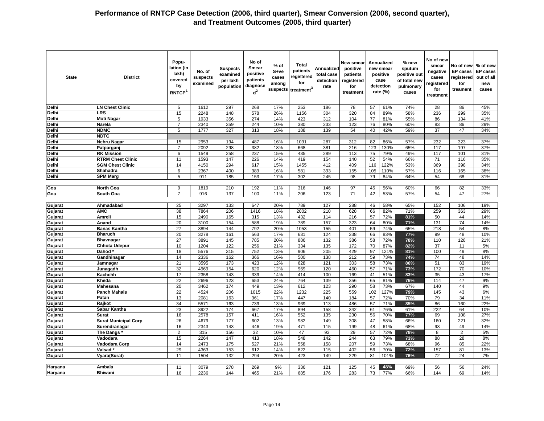| <b>State</b>       | <b>District</b>                      | Popu-<br>lation (in<br>lakh)<br>covered<br>by<br><b>RNTCP</b> | No. of<br>suspects<br>examined | <b>Suspects</b><br>examined<br>per lakh<br>population | No of<br><b>Smear</b><br>positive<br>patients<br>diagnose<br>$d^2$ | % of<br>S+ve<br>cases<br>among<br>suspects | <b>Total</b><br>patients<br>registered<br>for<br>treatment | Annualized<br>total case<br>detection<br>rate | <b>New smear</b><br>positive<br>patients<br>registered<br>for<br>treatment |          | <b>Annualized</b><br>new smear<br>positive<br>case<br>detection<br>rate $(\%)$ | % new<br>sputum<br>positive out<br>of total new<br>pulmonary<br>cases | No of new<br>smear<br>negative<br>cases<br>registered<br>for<br>treatment | No of new<br><b>EP</b> cases<br>registered<br>for<br>treament | % of new<br><b>EP cases</b><br>out of all<br>new<br>cases |
|--------------------|--------------------------------------|---------------------------------------------------------------|--------------------------------|-------------------------------------------------------|--------------------------------------------------------------------|--------------------------------------------|------------------------------------------------------------|-----------------------------------------------|----------------------------------------------------------------------------|----------|--------------------------------------------------------------------------------|-----------------------------------------------------------------------|---------------------------------------------------------------------------|---------------------------------------------------------------|-----------------------------------------------------------|
| <b>Delhi</b>       | <b>LN Chest Clinic</b>               | 5                                                             | 1612                           | 297                                                   | 268                                                                | 17%                                        | 253                                                        | 186                                           | 78                                                                         | 57       | 61%                                                                            | 74%                                                                   | 28                                                                        | 86                                                            | 45%                                                       |
| Delhi              | LRS                                  | 15                                                            | 2248                           | 148                                                   | 578                                                                | 26%                                        | 1156                                                       | 304                                           | 320                                                                        | 84       | 89%                                                                            | 58%                                                                   | 236                                                                       | 299                                                           | 35%                                                       |
| Delhi              | <b>Moti Nagar</b>                    | 5                                                             | 1933                           | 356                                                   | 274                                                                | 14%                                        | 423                                                        | 312                                           | 104                                                                        | 77       | 81%                                                                            | 55%                                                                   | 86                                                                        | 134                                                           | 41%                                                       |
| Delhi              | Narela                               | $\overline{7}$                                                | 2340                           | 359                                                   | 244                                                                | 10%                                        | 380                                                        | 233                                           | 123                                                                        | 76       | 80%                                                                            | 60%                                                                   | 83                                                                        | 86                                                            | 29%                                                       |
| <b>Delhi</b>       | <b>NDMC</b>                          | $\overline{5}$                                                | 1777                           | 327                                                   | 313                                                                | 18%                                        | 188                                                        | 139                                           | 54                                                                         | 40       | 42%                                                                            | 59%                                                                   | $\overline{37}$                                                           | 47                                                            | 34%                                                       |
| Delhi              | <b>NDTC</b>                          |                                                               |                                |                                                       |                                                                    |                                            |                                                            |                                               |                                                                            |          |                                                                                |                                                                       |                                                                           |                                                               |                                                           |
| Delhi              | Nehru Nagar                          | 15                                                            | 2953                           | 194                                                   | 487                                                                | 16%                                        | 1091                                                       | 287                                           | 312                                                                        | 82       | 86%                                                                            | 57%                                                                   | 232                                                                       | 323                                                           | 37%                                                       |
| <b>Delhi</b>       | Patparganj                           | $\overline{7}$                                                | 2092                           | 298                                                   | 382                                                                | 18%                                        | 668                                                        | 381                                           | 216                                                                        | 123      | 130%                                                                           | 65%                                                                   | 117                                                                       | 197                                                           | 37%                                                       |
| <b>Delhi</b>       | <b>RK Mission</b>                    | 6                                                             | 1549                           | 258                                                   | 237                                                                | 15%                                        | 435                                                        | 289                                           | 113                                                                        | 75       | 79%                                                                            | 49%                                                                   | 117                                                                       | 101                                                           | 31%                                                       |
| Delhi              | <b>RTRM Chest Clinic</b>             | 11                                                            | 1593                           | 147                                                   | 226                                                                | 14%                                        | 419                                                        | 154                                           | 140                                                                        | 52       | 54%                                                                            | 66%                                                                   | 71                                                                        | 116                                                           | 35%                                                       |
| Delhi              | <b>SGM Chest Clinic</b>              | 14                                                            | 4150                           | 294                                                   | 617                                                                | 15%                                        | 1455                                                       | 412                                           | 409                                                                        | 116      | 122%                                                                           | 53%                                                                   | 369                                                                       | 398                                                           | 34%                                                       |
| Delhi              | Shahadra                             | 6                                                             | 2367                           | 400                                                   | 389                                                                | 16%                                        | 581                                                        | 393                                           | 155                                                                        | 105      | 110%                                                                           | 57%                                                                   | 116                                                                       | 165                                                           | 38%                                                       |
| <b>Delhi</b>       | <b>SPM Marg</b>                      | 5                                                             | 911                            | 185                                                   | 153                                                                | 17%                                        | 302                                                        | 245                                           | 98                                                                         | 79       | 84%                                                                            | 64%                                                                   | 54                                                                        | 68                                                            | 31%                                                       |
|                    |                                      |                                                               |                                |                                                       |                                                                    |                                            |                                                            |                                               |                                                                            |          |                                                                                |                                                                       |                                                                           |                                                               |                                                           |
| Goa                | <b>North Goa</b>                     | 9                                                             | 1819                           | 210                                                   | 192                                                                | 11%                                        | 316                                                        | 146                                           | 97                                                                         | 45       | 56%                                                                            | 60%                                                                   | 66                                                                        | 82                                                            | 33%                                                       |
| Goa                | South Goa                            | $\overline{7}$                                                | 916                            | 137                                                   | 100                                                                | 11%                                        | 206                                                        | 123                                           | 71                                                                         | 42       | 53%                                                                            | 57%                                                                   | 54                                                                        | 47                                                            | 27%                                                       |
|                    |                                      |                                                               |                                |                                                       |                                                                    |                                            |                                                            |                                               |                                                                            |          |                                                                                |                                                                       |                                                                           |                                                               |                                                           |
| Gujarat            | Ahmadabad<br><b>AMC</b>              | 25<br>38                                                      | 3297<br>7864                   | 133<br>206                                            | 647<br>1416                                                        | 20%<br>18%                                 | 789<br>2002                                                | 127<br>210                                    | 288<br>628                                                                 | 46<br>66 | 58%<br>82%                                                                     | 65%<br>71%                                                            | 152<br>259                                                                | 106<br>363                                                    | 19%<br>29%                                                |
| Gujarat<br>Gujarat | Amreli                               | 15                                                            | 2490                           | 165                                                   | 315                                                                | 13%                                        | 432                                                        | 114                                           | 216                                                                        | 57       | 72%                                                                            | 81%                                                                   | 50                                                                        | 44                                                            | 14%                                                       |
| Gujarat            | Anand                                | 20                                                            | 3100                           | 154                                                   | 588                                                                | 19%                                        | 789                                                        | 157                                           | 323                                                                        | 64       | 80%                                                                            | 71%                                                                   | 131                                                                       | 74                                                            | 14%                                                       |
| Gujarat            | <b>Banas Kantha</b>                  | 27                                                            | 3894                           | 144                                                   | 792                                                                | 20%                                        | 1053                                                       | 155                                           | 401                                                                        | 59       | 74%                                                                            | 65%                                                                   | 218                                                                       | 54                                                            | 8%                                                        |
| Gujarat            | <b>Bharuch</b>                       | 20                                                            | 3278                           | 161                                                   | 563                                                                | 17%                                        | 631                                                        | 124                                           | 338                                                                        | 66       | 83%                                                                            | 77%                                                                   | 99                                                                        | 48                                                            | 10%                                                       |
| Gujarat            | <b>Bhavnagar</b>                     | 27                                                            | 3891                           | 145                                                   | 785                                                                | 20%                                        | 886                                                        | 132                                           | 386                                                                        | 58       | 72%                                                                            | 78%                                                                   | 110                                                                       | 128                                                           | 21%                                                       |
| Gujarat            | <b>Chhota Udepur</b>                 | 10                                                            | 1204                           | 122                                                   | 256                                                                | 21%                                        | 334                                                        | 135                                           | 172                                                                        | 70       | 87%                                                                            | 82%                                                                   | 37                                                                        | 11                                                            | 5%                                                        |
| Gujarat            | Dahod <sup>*</sup>                   | 18                                                            | 5576                           | 315                                                   | 752                                                                | 13%                                        | 906                                                        | 205                                           | 429                                                                        | 97       | 121%                                                                           | 81%                                                                   | 100                                                                       | 49                                                            | 8%                                                        |
| Gujarat            | Gandhinagar                          | 14                                                            | 2336                           | 162                                                   | 366                                                                | 16%                                        | 500                                                        | 138                                           | 212                                                                        | 59       | 73%                                                                            | 74%                                                                   | 74                                                                        | 48                                                            | 14%                                                       |
| Gujarat            | Jamnagar                             | 21                                                            | 3595                           | 173                                                   | 423                                                                | 12%                                        | 628                                                        | 121                                           | 303                                                                        | 58       | 73%                                                                            | 86%                                                                   | 51                                                                        | 83                                                            | 19%                                                       |
| Gujarat            | Junagadh                             | 32                                                            | 4969                           | 154                                                   | 620                                                                | 12%                                        | 969                                                        | 120                                           | 460                                                                        | 57       | 71%                                                                            | 73%                                                                   | 172                                                                       | 70                                                            | 10%                                                       |
| Gujarat            | Kachchh                              | 17                                                            | 2358                           | 143                                                   | 339                                                                | 14%                                        | 414                                                        | 100                                           | 169                                                                        | 41       | 51%                                                                            | 83%                                                                   | 35                                                                        | 43                                                            | 17%                                                       |
| Gujarat            | Kheda                                | $\overline{22}$                                               | 2696                           | 123                                                   | 653                                                                | 24%                                        | 764                                                        | 139                                           | 356                                                                        | 65       | 81%                                                                            | 76%                                                                   | 114                                                                       | 47                                                            | 9%                                                        |
| Gujarat            | Mahesana                             | 20                                                            | 3462                           | 174                                                   | 449                                                                | 13%                                        | 612                                                        | 123                                           | 290                                                                        | 58       | 73%                                                                            | 67%                                                                   | 140                                                                       | 44                                                            | 9%                                                        |
| Gujarat            | <b>Panch Mahals</b>                  | 22                                                            | 4524                           | 206                                                   | 1015                                                               | 22%                                        | 1232                                                       | 225                                           | 559                                                                        | 102      | 127%                                                                           | 79%                                                                   | 145                                                                       | 43                                                            | 6%                                                        |
| Gujarat            | Patan                                | 13                                                            | 2081                           | 163                                                   | 361                                                                | 17%                                        | 447                                                        | 140                                           | 184                                                                        | 57       | 72%                                                                            | 70%                                                                   | 79                                                                        | $\overline{34}$                                               | 11%                                                       |
| Gujarat            | Rajkot                               | 34                                                            | 5571                           | 163                                                   | 739                                                                | 13%                                        | 969                                                        | 113                                           | 486                                                                        | 57       | 71%                                                                            | 85%                                                                   | 86                                                                        | 160                                                           | 22%                                                       |
| Gujarat            | Sabar Kantha                         | 23                                                            | 3922                           | 174                                                   | 667                                                                | 17%                                        | 894                                                        | 158                                           | 342                                                                        | 61       | 76%                                                                            | 61%                                                                   | 222                                                                       | 64                                                            | 10%                                                       |
| Gujarat            | <b>Surat</b>                         | 16                                                            | 2578                           | 157                                                   | 411                                                                | 16%                                        | 552                                                        | 135                                           | 230                                                                        | 56       | 70%                                                                            | 77%                                                                   | 69                                                                        | 108                                                           | 27%                                                       |
| Gujarat            | <b>Surat Municipal Corp</b>          | 26                                                            | 4679                           | 177                                                   | 602                                                                | 13%                                        | 982                                                        | 149                                           | 308                                                                        | 47       | 58%                                                                            | 66%                                                                   | 160                                                                       | 221                                                           | 32%                                                       |
| Gujarat            | Surendranagar                        | 16                                                            | 2343                           | 143                                                   | 446                                                                | 19%                                        | 471                                                        | 115                                           | 199                                                                        | 48       | 61%                                                                            | 68%                                                                   | 93                                                                        | 49                                                            | 14%                                                       |
| Gujarat            | The Dangs<br>Vadodara                | $\overline{2}$<br>15                                          | 315<br>2264                    | 156<br>147                                            | 32<br>413                                                          | 10%<br>18%                                 | 47<br>548                                                  | 93<br>142                                     | 29<br>244                                                                  | 57<br>63 | 72%<br>79%                                                                     | 78%                                                                   | 8<br>88                                                                   | $\overline{2}$<br>28                                          | 5%<br>8%                                                  |
| Gujarat            |                                      | 14                                                            |                                | $\frac{1}{175}$                                       | 527                                                                | 21%                                        | 558                                                        | 158                                           | 207                                                                        | 59       | 73%                                                                            | 73%                                                                   | 96                                                                        | 85                                                            | 22%                                                       |
| Gujarat<br>Gujarat | Vadodara Corp<br>Valsad <sup>®</sup> | 29                                                            | 2473<br>4363                   | 153                                                   | 612                                                                | 14%                                        | 822                                                        | 115                                           | 402                                                                        | 56       | 70%                                                                            | 68%<br>72%                                                            | 157                                                                       | 81                                                            | 13%                                                       |
| Gujarat            | Vyara(Surat)                         | 11                                                            | 1504                           | 132                                                   | 294                                                                | 20%                                        | 423                                                        | 149                                           | 229                                                                        | 81       | 101%                                                                           | 76%                                                                   | 72                                                                        | 24                                                            | 7%                                                        |
|                    |                                      |                                                               |                                |                                                       |                                                                    |                                            |                                                            |                                               |                                                                            |          |                                                                                |                                                                       |                                                                           |                                                               |                                                           |
| Haryana            | Ambala                               | 11                                                            | 3079                           | 278                                                   | 269                                                                | 9%                                         | 336                                                        | 121                                           | 125                                                                        | 45       | 48%                                                                            | 69%                                                                   | 56                                                                        | 56                                                            | 24%                                                       |
| Haryana            | <b>Bhiwani</b>                       | 16                                                            | 2236                           | 144                                                   | 465                                                                | 21%                                        | 685                                                        | 176                                           | 283                                                                        | 73       | 77%                                                                            | 66%                                                                   | 144                                                                       | 69                                                            | 14%                                                       |
|                    |                                      |                                                               |                                |                                                       |                                                                    |                                            |                                                            |                                               |                                                                            |          |                                                                                |                                                                       |                                                                           |                                                               |                                                           |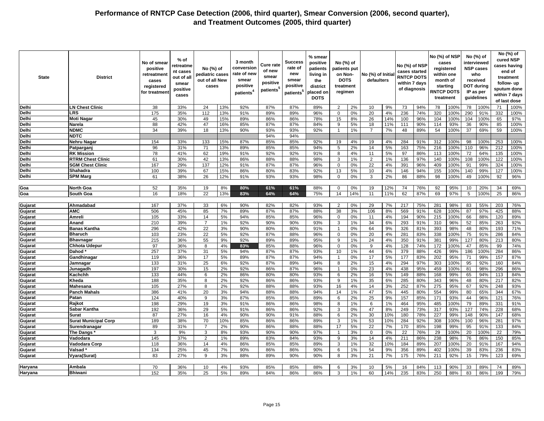| <b>State</b>       | <b>District</b>                   | No of smear<br>positive<br>retreatment<br>cases<br>registered<br>for treatmen | % of<br>retreatme<br>nt cases<br>out of all<br>smear<br>positive<br>cases | No (%) of<br>pediatric cases<br>out of all New<br>cases |          | 3 month<br>conversion<br>rate of new<br>smear<br>positive<br>patients <sup>4</sup> | <b>Cure rate</b><br>of new<br>smear<br>positive<br>patients <sup>5</sup> | Success<br>rate of<br>new<br>smear<br>positive<br>patients <sup>5</sup> | % smear<br>positive<br>patients<br>living in<br>the<br>district<br>placed on<br><b>DOTS</b> | No (%) of<br>patients put<br>on Non-<br><b>DOTS</b><br>treatment<br>regimen |          | No (%) of Initia<br>defaulters |           | No (%) of NSP<br>cases started<br><b>RNTCP DOTS</b><br>within 7 days<br>of diagnosis |            | No (%) of NSP | cases<br>registered<br>within one<br>month of<br>starting<br><b>INTCP DOTS</b><br>treatment |                 | No (%) of<br>interviewed<br><b>NSP cases</b><br>who<br>received<br><b>DOT during</b><br>IP as per<br>guidelines |            | No (%) of<br>cured NSP<br>cases having<br>end of<br>treatment<br>follow- up<br>sputum done<br>within 7 days<br>of last dose |
|--------------------|-----------------------------------|-------------------------------------------------------------------------------|---------------------------------------------------------------------------|---------------------------------------------------------|----------|------------------------------------------------------------------------------------|--------------------------------------------------------------------------|-------------------------------------------------------------------------|---------------------------------------------------------------------------------------------|-----------------------------------------------------------------------------|----------|--------------------------------|-----------|--------------------------------------------------------------------------------------|------------|---------------|---------------------------------------------------------------------------------------------|-----------------|-----------------------------------------------------------------------------------------------------------------|------------|-----------------------------------------------------------------------------------------------------------------------------|
| Delhi              | <b>LN Chest Clinic</b>            | 38                                                                            | 33%                                                                       | 24                                                      | 13%      | 92%                                                                                | 87%                                                                      | 87%                                                                     | 89%                                                                                         | $\overline{2}$                                                              | 2%       | 10                             | 9%        | 73                                                                                   | 94%        | 78            | 100%                                                                                        | 78              | 100%                                                                                                            | 71         | 100%                                                                                                                        |
| Delhi              | LRS                               | 175                                                                           | 35%                                                                       | 112                                                     | 13%      | 91%                                                                                | 89%                                                                      | 89%                                                                     | 96%                                                                                         | $\Omega$                                                                    | 0%       | 20                             | 4%        | 236                                                                                  | 74%        | 320           | 100%                                                                                        | 290             | 91%                                                                                                             | 332        | 100%                                                                                                                        |
| Delhi              | <b>Moti Nagar</b>                 | 45                                                                            | 30%                                                                       | 49                                                      | 15%      | 89%                                                                                | 86%                                                                      | 86%                                                                     | 78%                                                                                         | 15                                                                          | 8%       | 26                             | 14%       | 100                                                                                  | 96%        | 104           | 100%                                                                                        | 104             | 100%                                                                                                            | 65         | 97%                                                                                                                         |
| Delhi              | Narela                            | 88                                                                            | 42%                                                                       | 47                                                      | 16%      | 85%                                                                                | 87%                                                                      | 87%                                                                     | 84%                                                                                         | 9                                                                           | 5%       | 18                             | 11%       | 111                                                                                  | 90%        | 114           | 93%                                                                                         | 36              | 90%                                                                                                             | 85         | 100%                                                                                                                        |
| Delhi              | <b>NDMC</b>                       | 34                                                                            | 39%                                                                       | 18                                                      | 13%      | 90%                                                                                | 93%                                                                      | 93%                                                                     | 92%                                                                                         |                                                                             | 1%       | $\overline{7}$                 | 7%        | 48                                                                                   | 89%        | 54            | 100%                                                                                        | $\overline{37}$ | 69%                                                                                                             | 59         | 100%                                                                                                                        |
| Delhi              | <b>NDTC</b>                       |                                                                               |                                                                           |                                                         |          |                                                                                    | 94%                                                                      | 94%                                                                     |                                                                                             |                                                                             |          |                                |           |                                                                                      |            |               |                                                                                             |                 |                                                                                                                 |            |                                                                                                                             |
| Delhi              | <b>Nehru Nagar</b>                | 154                                                                           | 33%                                                                       | 133                                                     | 15%      | 87%                                                                                | 85%                                                                      | 85%                                                                     | 92%                                                                                         | 19                                                                          | 4%       | 19                             | 4%        | 284                                                                                  | 91%        | 312           | 100%                                                                                        | 98              | 100%                                                                                                            | 253        | 100%                                                                                                                        |
| Delhi              | Patpargan                         | 96                                                                            | 31%                                                                       | 71                                                      | 13%      | 89%                                                                                | 85%                                                                      | 85%                                                                     | 94%                                                                                         | 5                                                                           | 2%       | 14                             | 5%        | 163                                                                                  | 75%        | 216           | 100%                                                                                        | 110             | 96%                                                                                                             | 212        | 100%                                                                                                                        |
| Delhi              | <b>RK Mission</b>                 | 78                                                                            | 41%                                                                       | 62                                                      | 19%      | 91%                                                                                | 92%                                                                      | 92%                                                                     | 91%                                                                                         | 8                                                                           | 4%       | 11                             | 5%        | 97                                                                                   | 86%        | 113           | 100%                                                                                        | 72              | 64%                                                                                                             | 135        | 100%                                                                                                                        |
| Delhi              | <b>RTRM Chest Clinic</b>          | 61                                                                            | 30%                                                                       | 42                                                      | 13%      | 86%                                                                                | 88%                                                                      | 88%                                                                     | 98%                                                                                         | 3                                                                           | 1%       | 2                              | 1%        | 136                                                                                  | 97%        | 140           | 100%                                                                                        | 108             | 100%                                                                                                            | 122        | 100%                                                                                                                        |
| Delhi              | <b>SGM Chest Clinic</b>           | 167                                                                           | 29%                                                                       | 137                                                     | 12%      | 91%                                                                                | 87%                                                                      | 87%                                                                     | 96%                                                                                         | $\mathbf 0$                                                                 | 0%       | 22                             | 4%        | 391                                                                                  | 96%        | 409           | 100%                                                                                        | 91              | 99%                                                                                                             | 324        | 100%                                                                                                                        |
| Delhi              | Shahadra                          | 100                                                                           | 39%                                                                       | 67                                                      | 15%      | 86%                                                                                | 80%                                                                      | 83%                                                                     | 92%                                                                                         | 13                                                                          | 5%       | 10                             | 4%        | 146                                                                                  | 94%        | 155           | 100%                                                                                        | 140             | 99%                                                                                                             | 127        | 100%                                                                                                                        |
| Delhi              | <b>SPM Marg</b>                   | 61                                                                            | 38%                                                                       | 26                                                      | 12%      | 91%                                                                                | 93%                                                                      | 93%                                                                     | 98%                                                                                         | $\mathbf 0$                                                                 | 0%       | 3                              | 2%        | 86                                                                                   | 88%        | 98            | 100%                                                                                        | 49              | 100%                                                                                                            | 92         | 96%                                                                                                                         |
|                    |                                   |                                                                               |                                                                           |                                                         |          |                                                                                    |                                                                          |                                                                         |                                                                                             |                                                                             |          |                                |           |                                                                                      |            |               |                                                                                             |                 |                                                                                                                 |            |                                                                                                                             |
| Goa                | <b>North Goa</b>                  | 52                                                                            | 35%                                                                       | 19                                                      | 8%       | 80%                                                                                | 61%                                                                      | 61%                                                                     | 88%                                                                                         | $\mathbf 0$                                                                 | 0%       | 19                             | 12%       | 74                                                                                   | 76%        | 92            | 95%                                                                                         | 10              | 20%                                                                                                             | 34         | 69%                                                                                                                         |
| Goa                | South Goa                         | 16                                                                            | 18%                                                                       | 22                                                      | 13%      | 83%                                                                                | 64%                                                                      | 64%                                                                     | 75%                                                                                         | 14                                                                          | 14%      | 11                             | 11%       | 62                                                                                   | 87%        | 69            | 97%                                                                                         | 5               | 100%                                                                                                            | 25         | 86%                                                                                                                         |
|                    |                                   |                                                                               |                                                                           |                                                         |          |                                                                                    |                                                                          |                                                                         |                                                                                             |                                                                             |          |                                |           |                                                                                      |            |               |                                                                                             |                 |                                                                                                                 |            |                                                                                                                             |
| Gujarat            | Ahmadabad                         | 167                                                                           | 37%                                                                       | 33                                                      | 6%       | 90%                                                                                | 82%                                                                      | 82%                                                                     | 93%                                                                                         | 2                                                                           | 0%       | 29                             | 7%        | 217                                                                                  | 75%        | 281           | 98%                                                                                         | 83              | 55%                                                                                                             | 203        | 76%                                                                                                                         |
| Gujarat            | <b>AMC</b>                        | 506                                                                           | 45%                                                                       | 85                                                      | 7%       | 89%                                                                                | 87%                                                                      | 87%                                                                     | 88%                                                                                         | 38                                                                          | 3%       | 106                            | 8%        | 569                                                                                  | 91%        | 628           | 100%                                                                                        | 87              | 97%                                                                                                             | 425        | 88%                                                                                                                         |
| Gujarat            | Amreli                            | 105                                                                           | 33%                                                                       | 14                                                      | 5%       | 94%                                                                                | 85%                                                                      | 85%                                                                     | 96%                                                                                         | $\mathbf 0$                                                                 | 0%       | 11                             | 4%        | 194                                                                                  | 90%        | 215           | 100%                                                                                        | 66              | 88%                                                                                                             | 120        | 89%                                                                                                                         |
| Gujarat            | Anand                             | 210                                                                           | 39%                                                                       | $\overline{7}$                                          | 1%       | 92%                                                                                | 90%                                                                      | 90%                                                                     | 93%                                                                                         | 3                                                                           | 1%       | 34                             | 6%        | 293                                                                                  | 91%        | 310           | 96%                                                                                         | 52              | 85%                                                                                                             | 263        | 92%                                                                                                                         |
| Gujarat            | <b>Banas Kantha</b>               | 296                                                                           | 42%                                                                       | 22                                                      | 3%       | 90%                                                                                | 80%                                                                      | 80%                                                                     | 91%                                                                                         | $\mathbf{1}$                                                                | 0%       | 64                             | 9%        | 326                                                                                  | 81%        | 393           | 98%                                                                                         | 48              | 80%                                                                                                             | 193        | 71%                                                                                                                         |
| Gujarat            | <b>Bharuch</b>                    | 103                                                                           | 23%                                                                       | 22                                                      | 5%       | 92%                                                                                | 87%                                                                      | 88%                                                                     | 96%                                                                                         | $\mathbf 0$                                                                 | 0%       | 20                             | 4%        | 281                                                                                  | 83%        | 338           | 100%                                                                                        | 75              | 91%                                                                                                             | 286        | 84%                                                                                                                         |
| Gujarat            | <b>Bhavnagar</b>                  | 215                                                                           | 36%                                                                       | 55                                                      | 9%       | 92%                                                                                | 89%                                                                      | 89%                                                                     | 95%                                                                                         | 9                                                                           | 1%       | 24                             | 4%        | 350                                                                                  | 91%        | 381           | 99%                                                                                         | 127             | 80%                                                                                                             | 213        | 80%                                                                                                                         |
| Gujarat            | <b>Chhota Udepur</b>              | 97                                                                            | 36%                                                                       | 8                                                       | 4%       | 83%                                                                                | 85%                                                                      | 88%                                                                     | 96%                                                                                         | $\mathbf 0$                                                                 | 0%       | 9                              | 4%        | 128                                                                                  | 74%        | 172           | 100%                                                                                        | 47              | 85%                                                                                                             | 99         | 74%                                                                                                                         |
| Gujarat            | Dahod <sup>3</sup>                | 257                                                                           | 37%                                                                       | 31                                                      | 5%       | 94%                                                                                | 87%                                                                      | 87%                                                                     | 93%                                                                                         | 10                                                                          | 1%       | 44                             | 6%        | 379                                                                                  | 88%        | 426           | 99%                                                                                         | 186             | 100%                                                                                                            | 284        | 86%                                                                                                                         |
| Gujarat            | Gandhinagar                       | 119                                                                           | 36%                                                                       | 17                                                      | 5%       | 89%                                                                                | 87%                                                                      | 87%                                                                     | 94%                                                                                         | $\overline{1}$                                                              | 0%       | 17                             | 5%        | 177                                                                                  | 83%        | 202           | 95%                                                                                         | 71              | 99%                                                                                                             | 157        | 87%                                                                                                                         |
| Gujarat            | Jamnagar                          | 133                                                                           | 31%                                                                       | 25                                                      | 6%       | 92%                                                                                | 87%                                                                      | 89%                                                                     | 94%                                                                                         | 8                                                                           | 2%       | 15                             | 4%        | 294                                                                                  | 97%        | 303           | 100%                                                                                        | 95              | 92%                                                                                                             | 160        | 84%                                                                                                                         |
| Gujarat            | Junagadh                          | 197                                                                           | 30%                                                                       | 15                                                      | 2%       | 92%                                                                                | 86%                                                                      | 87%                                                                     | 96%                                                                                         | $\mathbf 1$                                                                 | 0%       | 23                             | 4%        | 438                                                                                  | 95%        | 459           | 100%                                                                                        | 81              | 98%                                                                                                             | 296        | 86%                                                                                                                         |
| Gujarat            | Kachchh                           | 133                                                                           | 44%                                                                       | 6                                                       | 2%       | 86%                                                                                | 80%                                                                      | 80%                                                                     | 93%                                                                                         | 6                                                                           | 2%       | 16                             | 5%        | 149                                                                                  | 88%        | 168           | 99%                                                                                         | 65              | 94%                                                                                                             | 113        | 84%                                                                                                                         |
| Gujarat            | Kheda                             | 188                                                                           | 35%                                                                       | 8                                                       | 2%       | 92%                                                                                | 86%                                                                      | 86%                                                                     | 93%                                                                                         | 9                                                                           | 1%       | 35                             | 6%        | 285                                                                                  | 80%        | 343           | 96%                                                                                         | 48              | 80%                                                                                                             | 217        | 82%                                                                                                                         |
| Gujarat            | <b>Mahesana</b>                   | 105                                                                           | 27%                                                                       | 8                                                       | 2%       | 92%                                                                                | 88%                                                                      | 88%                                                                     | 93%                                                                                         | 16                                                                          | 4%       | 14                             | 3%        | 252                                                                                  | 87%        | 275           | 95%                                                                                         | 67              | 92%                                                                                                             | 248        | 93%                                                                                                                         |
| Gujarat            | <b>Panch Mahals</b>               | 386                                                                           | 41%                                                                       | 20                                                      | 3%       | 94%                                                                                | 88%                                                                      | 88%                                                                     | 94%                                                                                         | 14                                                                          | 1%       | 47                             | 5%        | 445                                                                                  | 80%        | 554           | 99%                                                                                         | 80              | 65%                                                                                                             | 344        | 67%                                                                                                                         |
| Gujarat            | Patan                             | 124                                                                           | 40%                                                                       | 9                                                       | 3%       | 87%                                                                                | 85%                                                                      | 85%                                                                     | 89%                                                                                         | 6                                                                           | 2%       | 25                             | 9%        | 157                                                                                  | 85%        | 171           | 93%                                                                                         | 44              | 96%                                                                                                             | 121        | 76%                                                                                                                         |
| Gujarat            | Rajkot                            | 198<br>192                                                                    | 29%<br>36%                                                                | 19<br>29                                                | 3%       | 91%<br>91%                                                                         | 86%<br>86%                                                               | 86%                                                                     | 98%                                                                                         | 8                                                                           | 1%<br>0% | 6<br>47                        | 1%        | 464<br>249                                                                           | 95%<br>73% | 485           | 100%<br>93%                                                                                 | 79              | 89%<br>74%                                                                                                      | 331<br>228 | 91%<br>68%                                                                                                                  |
| Gujarat<br>Gujarat | Sabar Kantha<br><b>Surat</b>      | 87                                                                            | 27%                                                                       | 16                                                      | 5%<br>4% | 90%                                                                                | 90%                                                                      | 86%<br>91%                                                              | 92%<br>88%                                                                                  | 3<br>6                                                                      | 2%       | 30                             | 8%<br>10% | 180                                                                                  | 78%        | 317<br>227    | 99%                                                                                         | 127<br>148      | 90%                                                                                                             | 147        | 68%                                                                                                                         |
| Gujarat            | <b>Surat Municipal Corp</b>       | 189                                                                           | 38%                                                                       | 70                                                      | 10%      | 85%                                                                                | 86%                                                                      | 86%                                                                     | 89%                                                                                         | 3                                                                           | 1%       | 53                             | 10%       | 284                                                                                  | 92%        | 308           | 100%                                                                                        | 100             | 96%                                                                                                             | 281        | 97%                                                                                                                         |
|                    |                                   |                                                                               |                                                                           | $\overline{7}$                                          |          |                                                                                    |                                                                          |                                                                         |                                                                                             |                                                                             | 5%       |                                |           |                                                                                      |            |               |                                                                                             |                 |                                                                                                                 |            |                                                                                                                             |
| Gujarat<br>Gujarat | Surendranagar<br><b>The Dangs</b> | 89<br>3                                                                       | 31%<br>9%                                                                 | 3                                                       | 2%<br>8% | 90%<br>93%                                                                         | 86%<br>90%                                                               | 88%<br>90%                                                              | 88%<br>97%                                                                                  | 17                                                                          | 3%       | 22<br>$\mathbf 0$              | 7%<br>0%  | 170<br>$\overline{22}$                                                               | 85%<br>76% | 198<br>29     | 99%<br>100%                                                                                 | 95<br>20        | 91%<br>100%                                                                                                     | 133<br>22  | 84%<br>79%                                                                                                                  |
| Gujarat            | Vadodara                          | 145                                                                           | 37%                                                                       | $\overline{2}$                                          | 1%       | 89%                                                                                | 83%                                                                      | 84%                                                                     | 93%                                                                                         | 9                                                                           | 3%       | 14                             | 4%        | 211                                                                                  | 86%        | 238           | 98%                                                                                         | 76              | 86%                                                                                                             | 150        | 85%                                                                                                                         |
| Gujarat            | Vadodara Corp                     | 118                                                                           | 36%                                                                       | 14                                                      | 4%       | 86%                                                                                | 85%                                                                      | 85%                                                                     | 89%                                                                                         | 3                                                                           | 1%       | 32                             | 10%       | 184                                                                                  | 89%        | 207           | 100%                                                                                        | 20              | 91%                                                                                                             | 167        | 94%                                                                                                                         |
| Gujarat            | Valsad                            | 134                                                                           | 25%                                                                       | 45                                                      | 7%       | 90%                                                                                | 86%                                                                      | 86%                                                                     | 90%                                                                                         | 6                                                                           | 1%       | 54                             | 9%        | 356                                                                                  | 89%        | 402           | 100%                                                                                        | 39              | 83%                                                                                                             | 236        | 83%                                                                                                                         |
| Gujarat            | Vyara(Surat)                      | 83                                                                            | 27%                                                                       | 9                                                       | 3%       | 88%                                                                                | 89%                                                                      | 90%                                                                     | 90%                                                                                         | 8                                                                           | 3%       | 21                             | 7%        | 175                                                                                  | 76%        | 211           | 92%                                                                                         | 15              | 79%                                                                                                             | 123        | 69%                                                                                                                         |
|                    |                                   |                                                                               |                                                                           |                                                         |          |                                                                                    |                                                                          |                                                                         |                                                                                             |                                                                             |          |                                |           |                                                                                      |            |               |                                                                                             |                 |                                                                                                                 |            |                                                                                                                             |
| Haryana            | Ambala                            | 70                                                                            | 36%                                                                       | 10                                                      | 4%       | 93%                                                                                | 85%                                                                      | 85%                                                                     | 88%                                                                                         | 6                                                                           | 3%       | 10                             | 5%        | 16                                                                                   | 84%        | 113           | 90%                                                                                         | 33              | 89%                                                                                                             | 74         | 89%                                                                                                                         |
| Haryana            | <b>Bhiwani</b>                    | 152                                                                           | 35%                                                                       | 25                                                      | 5%       | 89%                                                                                | 84%                                                                      | 86%                                                                     | 86%                                                                                         | 3                                                                           | 1%       | 60                             | 14%       | 235                                                                                  | 83%        | 250           | 88%                                                                                         | 83              | 86%                                                                                                             | 199        | 79%                                                                                                                         |
|                    |                                   |                                                                               |                                                                           |                                                         |          |                                                                                    |                                                                          |                                                                         |                                                                                             |                                                                             |          |                                |           |                                                                                      |            |               |                                                                                             |                 |                                                                                                                 |            |                                                                                                                             |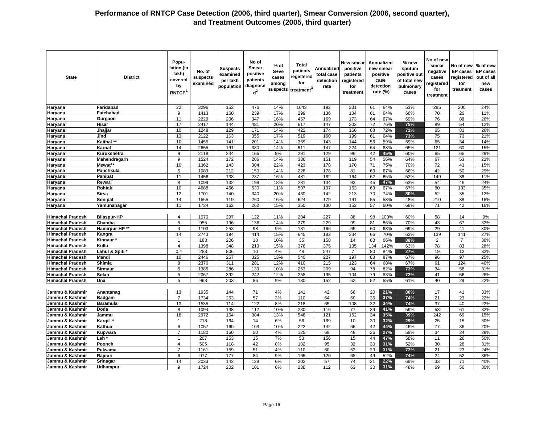| <b>State</b>            | <b>District</b>    | Popu-<br>lation (in<br>lakh)<br>covered<br>by<br>RNTCP <sup>1</sup> | No. of<br>suspects<br>examined | <b>Suspects</b><br>examined<br>per lakh<br>population | No of<br>Smear<br>positive<br>patients<br>diagnose<br>$d^2$ | $%$ of<br>S+ve<br>cases<br>among | <b>Total</b><br>patients<br>registered<br>for<br>suspects treatment <sup>3</sup> | Annualized<br>total case<br>detection<br>rate | New smear<br>positive<br>patients<br>registered<br>for<br>treatment |     | Annualized<br>new smear<br>positive<br>case<br>detection<br>rate (%) | % new<br>sputum<br>positive out<br>of total new<br>pulmonary<br>cases | No of new<br>smear<br>negative<br>cases<br>registered<br>for<br>treatment | No of new<br><b>EP</b> cases<br>egistered<br>for<br>treament | % of new<br><b>EP</b> cases<br>out of all<br>new<br>cases |
|-------------------------|--------------------|---------------------------------------------------------------------|--------------------------------|-------------------------------------------------------|-------------------------------------------------------------|----------------------------------|----------------------------------------------------------------------------------|-----------------------------------------------|---------------------------------------------------------------------|-----|----------------------------------------------------------------------|-----------------------------------------------------------------------|---------------------------------------------------------------------------|--------------------------------------------------------------|-----------------------------------------------------------|
| Haryana                 | Faridabad          | 22                                                                  | 3296                           | 152                                                   | 476                                                         | 14%                              | 1043                                                                             | 192                                           | 331                                                                 | 61  | 64%                                                                  | 53%                                                                   | 295                                                                       | 200                                                          | 24%                                                       |
| Haryana                 | Fatehabad          | 9                                                                   | 1413                           | 160                                                   | 239                                                         | 17%                              | 299                                                                              | 136                                           | 134                                                                 | 61  | 64%                                                                  | 66%                                                                   | 70                                                                        | 26                                                           | 11%                                                       |
| Haryana                 | Gurgaon            | 11                                                                  | 2229                           | 206                                                   | 347                                                         | 16%                              | 457                                                                              | 169                                           | 173                                                                 | 64  | 67%                                                                  | 69%                                                                   | 76                                                                        | 88                                                           | 26%                                                       |
| Haryana                 | Hisar              | 17                                                                  | 2417                           | 144                                                   | 481                                                         | 20%                              | 617                                                                              | $\frac{147}{2}$                               | 302                                                                 | 72  | 76%                                                                  | 75%                                                                   | 99                                                                        | 54                                                           | 12%                                                       |
| Haryana                 | Jhajjar            | 10                                                                  | 1248                           | 129                                                   | 171                                                         | 14%                              | 422                                                                              | 174                                           | 166                                                                 | 68  | 72%                                                                  | 72%                                                                   | 65                                                                        | 81                                                           | 26%                                                       |
| Haryana                 | Jind               | 13                                                                  | 2122                           | 163                                                   | 355                                                         | 17%                              | 519                                                                              | 160                                           | 199                                                                 | 61  | 64%                                                                  | 73%                                                                   | 75                                                                        | 73                                                           | 21%                                                       |
| Haryana                 | Kaithal **         | 10                                                                  | 1455                           | 141                                                   | 201                                                         | 14%                              | 369                                                                              | 143                                           | 144                                                                 | 56  | 59%                                                                  | 69%                                                                   | 65                                                                        | 34                                                           | 14%                                                       |
| Haryana                 | Karnal             | 14                                                                  | 2655                           | 191                                                   | 380                                                         | 14%                              | 511                                                                              | 147                                           | 224                                                                 | 64  | 68%                                                                  | 65%                                                                   | 121                                                                       | 60                                                           | 15%                                                       |
| Haryana                 | Kurukshetra        | $\overline{9}$                                                      | 2118                           | 234                                                   | 165                                                         | 8%                               | 291                                                                              | 129                                           | 96                                                                  | 42  | 45%                                                                  | 60%                                                                   | 65                                                                        | 65                                                           | 29%                                                       |
| Haryana                 | Mahendragarh       | 9                                                                   | 1524                           | 172                                                   | 206                                                         | 14%                              | 336                                                                              | 151                                           | 119                                                                 | 54  | 56%                                                                  | 64%                                                                   | 67                                                                        | 53                                                           | 22%                                                       |
| Haryana                 | Mewat**            | 10                                                                  | 1362                           | 143                                                   | 304                                                         | 22%                              | 423                                                                              | 178                                           | 170                                                                 | 71  | 75%                                                                  | 70%                                                                   | 72                                                                        | 43                                                           | 15%                                                       |
| Haryana                 | Panchkula          | 5                                                                   | 1089                           | 212                                                   | 150                                                         | 14%                              | 228                                                                              | 178                                           | 81                                                                  | 63  | 67%                                                                  | 66%                                                                   | 42                                                                        | 50                                                           | 29%                                                       |
| Haryana                 | Panipat            | 11                                                                  | 1456                           | 138                                                   | 237                                                         | 16%                              | 481                                                                              | 182                                           | 164                                                                 | 62  | 65%                                                                  | 52%                                                                   | 149                                                                       | 38                                                           | 11%                                                       |
| Haryana                 | Rewari             | 8                                                                   | 1099                           | 132                                                   | 199                                                         | 18%                              | 281                                                                              | 134                                           | 93                                                                  | 45  | 47%                                                                  | 63%                                                                   | 54                                                                        | 46                                                           | 24%                                                       |
| Haryana                 | Rohtak             | 10                                                                  | 4688                           | 456                                                   | 530                                                         | 11%                              | 507                                                                              | 197                                           | 163                                                                 | 63  | 67%                                                                  | 67%                                                                   | 80                                                                        | 133                                                          | 35%                                                       |
| Haryana                 | <b>Sirsa</b>       | 12                                                                  | 1701                           | 140                                                   | 340                                                         | 20%                              | 430                                                                              | 142                                           | 213                                                                 | 70  | 74%                                                                  | 80%                                                                   | 52                                                                        | 35                                                           | 12%                                                       |
| Haryana                 | Sonipat            | 14                                                                  | 1665                           | 119                                                   | 260                                                         | 16%                              | 624                                                                              | 179                                           | 191                                                                 | 55  | 58%                                                                  | 48%                                                                   | 210                                                                       | 88                                                           | 18%                                                       |
| Haryana                 | Yamunanagar        | 11                                                                  | 1734                           | 162                                                   | 262                                                         | 15%                              | 350                                                                              | 130                                           | 152                                                                 | 57  | 60%                                                                  | 68%                                                                   | 71                                                                        | 42                                                           | 16%                                                       |
|                         |                    |                                                                     |                                |                                                       |                                                             |                                  |                                                                                  |                                               |                                                                     |     |                                                                      |                                                                       |                                                                           |                                                              |                                                           |
| <b>Himachal Pradesh</b> | <b>Bilaspur-HP</b> | $\overline{4}$                                                      | 1070                           | 297                                                   | 122                                                         | 11%                              | 204                                                                              | 227                                           | 88                                                                  | 98  | 103%                                                                 | 60%                                                                   | 58                                                                        | 14                                                           | 9%                                                        |
| <b>Himachal Pradesh</b> | Chamba             | 5                                                                   | 955                            | 196                                                   | 136                                                         | 14%                              | 279                                                                              | 229                                           | 99                                                                  | 81  | 86%                                                                  | 70%                                                                   | 43                                                                        | 67                                                           | 32%                                                       |
| <b>Himachal Pradesh</b> | Hamirpur-HP**      | $\overline{4}$                                                      | 1103                           | 253                                                   | 98                                                          | 9%                               | 181                                                                              | 166                                           | 65                                                                  | 60  | 63%                                                                  | 69%                                                                   | 29                                                                        | 41                                                           | 30%                                                       |
| <b>Himachal Pradesh</b> | Kangra             | 14                                                                  | 2743                           | 194                                                   | 414                                                         | 15%                              | 645                                                                              | 182                                           | 234                                                                 | 66  | 70%                                                                  | 63%                                                                   | 139                                                                       | 141                                                          | 27%                                                       |
| <b>Himachal Pradesh</b> | Kinnaur*           | 1                                                                   | 183                            | 206                                                   | 18                                                          | 10%                              | 35                                                                               | 158                                           | 14                                                                  | 63  | 66%                                                                  | 88%                                                                   | $\overline{c}$                                                            | $\overline{7}$                                               | 30%                                                       |
| <b>Himachal Pradesh</b> | Kullu              | $\overline{4}$                                                      | 1398                           | 348                                                   | 213                                                         | 15%                              | 376                                                                              | 375                                           | 135                                                                 | 134 | 142%                                                                 | 63%                                                                   | 78                                                                        | 83                                                           | 28%                                                       |
| <b>Himachal Pradesh</b> | Lahul & Spiti*     | 0.4                                                                 | 283                            | 806                                                   | 10                                                          | 4%                               | 48                                                                               | 547                                           | $\overline{7}$                                                      | 80  | 84%                                                                  | 27%                                                                   | 19                                                                        | 12                                                           | 32%                                                       |
| <b>Himachal Pradesh</b> | Mandi              | 10                                                                  | 2446                           | 257                                                   | 325                                                         | 13%                              | 540                                                                              | 227                                           | 197                                                                 | 83  | 87%                                                                  | 67%                                                                   | 96                                                                        | 97                                                           | 25%                                                       |
| <b>Himachal Pradesh</b> | Shimla             | 8                                                                   | 2376                           | 311                                                   | 281                                                         | 12%                              | 410                                                                              | 215                                           | 123                                                                 | 64  | 68%                                                                  | 67%                                                                   | 61                                                                        | 124                                                          | 40%                                                       |
| <b>Himachal Pradesh</b> | <b>Sirmaur</b>     | 5                                                                   | 1385                           | 286                                                   | 133                                                         | 10%                              | 253                                                                              | 209                                           | 94                                                                  | 78  | 82%                                                                  | 73%                                                                   | 34                                                                        | 58                                                           | 31%                                                       |
| <b>Himachal Pradesh</b> | Solan              | $\overline{5}$                                                      | 2067                           | 392                                                   | 242                                                         | 12%                              | 258                                                                              | 195                                           | 104                                                                 | 79  | 83%                                                                  | 72%                                                                   | 41                                                                        | 56                                                           | 28%                                                       |
| <b>Himachal Pradesh</b> | Una                | 5                                                                   | 963                            | 203                                                   | 86                                                          | 9%                               | 180                                                                              | 152                                           | 62                                                                  | 52  | 55%                                                                  | 61%                                                                   | 40                                                                        | 29                                                           | 22%                                                       |
|                         |                    |                                                                     |                                |                                                       |                                                             |                                  |                                                                                  |                                               |                                                                     |     |                                                                      |                                                                       |                                                                           |                                                              |                                                           |
| Jammu & Kashmir         | Anantanag          | 13                                                                  | 1935                           | 144                                                   | 71                                                          | 4%                               | 141                                                                              | 42                                            | 66                                                                  | 20  | 21%                                                                  | 80%                                                                   | 17                                                                        | 41                                                           | 33%                                                       |
| Jammu & Kashmir         | Badgam             | $\overline{7}$                                                      | 1734                           | 253                                                   | 57                                                          | 3%                               | 110                                                                              | 64                                            | 60                                                                  | 35  | 37%                                                                  | 74%                                                                   | 21                                                                        | 23                                                           | 22%                                                       |
| Jammu & Kashmir         | <b>Baramula</b>    | 13                                                                  | 1535                           | 114                                                   | 122                                                         | 8%                               | 218                                                                              | 65                                            | 108                                                                 | 32  | 34%                                                                  | 74%                                                                   | 37                                                                        | 40                                                           | 22%                                                       |
| Jammu & Kashmir         | Doda               | 8                                                                   | 1094                           | 138                                                   | 112                                                         | 10%                              | 230                                                                              | 116                                           | 77                                                                  | 39  | 41%                                                                  | 59%                                                                   | 53                                                                        | 61                                                           | 32%                                                       |
| Jammu & Kashmir         | Jammu              | 18                                                                  | 2972                           | 164                                                   | 384                                                         | 13%                              | 548                                                                              | 121                                           | 152                                                                 | 34  | 35%                                                                  | 39%                                                                   | 242                                                                       | 69                                                           | 15%                                                       |
| Jammu & Kashmir         | <b>Kargil</b>      | $\mathbf{1}$                                                        | 218                            | 164                                                   | 14                                                          | 6%                               | 56                                                                               | 169                                           | 10                                                                  | 30  | 32%                                                                  | 29%                                                                   | 25                                                                        | 15                                                           | 30%                                                       |
| Jammu & Kashmir         | Kathua             | 6                                                                   | 1057                           | 169                                                   | 103                                                         | 10%                              | 222                                                                              | 142                                           | 66                                                                  | 42  | 44%                                                                  | 46%                                                                   | 77                                                                        | 36                                                           | 20%                                                       |
| Jammu & Kashmir         | Kupwara            | $\overline{7}$                                                      | 1180                           | 160                                                   | 50                                                          | 4%                               | 125                                                                              | 68                                            | 48                                                                  | 26  | 27%                                                                  | 59%                                                                   | 34                                                                        | 34                                                           | 29%                                                       |
| Jammu & Kashmir         | Leh *              | $\overline{1}$                                                      | 207                            | 153                                                   | 15                                                          | 7%                               | 53                                                                               | 156                                           | 15                                                                  | 44  | 47%                                                                  | 58%                                                                   | 11                                                                        | 26                                                           | 50%                                                       |
| Jammu & Kashmir         | Poonch             | $\overline{4}$                                                      | 505                            | 118                                                   | 42                                                          | 8%                               | 102                                                                              | 95                                            | 32                                                                  | 30  | 31%                                                                  | 52%                                                                   | 30                                                                        | 28                                                           | 31%                                                       |
| Jammu & Kashmir         | Pulwama            | 7                                                                   | 1161                           | 159                                                   | 51                                                          | 4%                               | 110                                                                              | 60                                            | 53                                                                  | 29  | 31%                                                                  | 72%                                                                   | 21                                                                        | 23                                                           | 24%                                                       |
| Jammu & Kashmir         | Rajouri            | 6                                                                   | 977                            | 177                                                   | 84                                                          | 9%                               | 165                                                                              | 120                                           | 68                                                                  | 49  | 52%                                                                  | 74%                                                                   | 24                                                                        | 52                                                           | 36%                                                       |
| Jammu & Kashmir         | Srinagar           | 14                                                                  | 2033                           | 142                                                   | 128                                                         | 6%                               | 202                                                                              | 57                                            | $\overline{74}$                                                     | 21  | 22%                                                                  | 69%                                                                   | 33                                                                        | 71                                                           | 40%                                                       |
| Jammu & Kashmir         | <b>Udhampur</b>    | 9                                                                   | 1724                           | 202                                                   | 101                                                         | 6%                               | 238                                                                              | 112                                           | 63                                                                  | 30  | 31%                                                                  | 48%                                                                   | 69                                                                        | 56                                                           | 30%                                                       |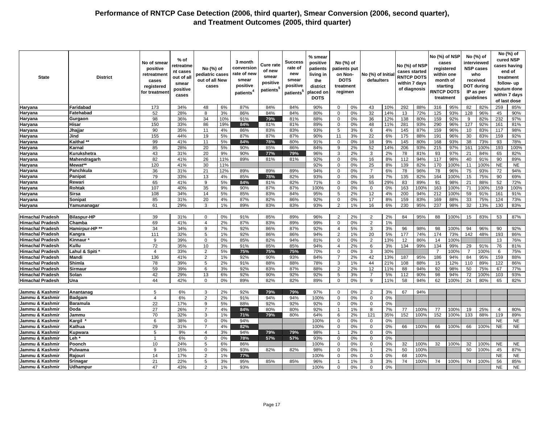| <b>State</b>            | <b>District</b>    | No of smear<br>positive<br>retreatment<br>cases<br>registered<br>for treatment | % of<br>retreatme<br>nt cases<br>out of all<br>smear<br>positive<br>cases | No (%) of<br>pediatric cases<br>out of all New<br>cases |     | 3 month<br>conversior<br>rate of new<br>smear<br>positive<br>patients <sup>4</sup> | Cure rate<br>of new<br>smear<br>positive<br>patients <sup>5</sup> | <b>Success</b><br>rate of<br>new<br>smear<br>positive<br>patients <sup>5</sup> | % smear<br>positive<br>patients<br>living in<br>the<br>district<br>placed on<br><b>DOTS</b> | No (%) of<br>patients put<br>on Non-<br><b>DOTS</b><br>treatment<br>regimen |    | No (%) of Initia<br>defaulters |     | No (%) of NSP<br>cases started<br><b>RNTCP DOTS</b><br>within 7 days<br>of diagnosis |      | No (%) of NSP<br>cases<br>registered<br>within one<br>month of<br>starting<br><b>RNTCP DOTS</b><br>treatment |      |                | No (%) of<br>interviewed<br><b>NSP cases</b><br>who<br>received<br><b>DOT during</b><br>IP as per<br>guidelines |                | No (%) of<br>cured NSP<br>cases having<br>end of<br>treatment<br>follow- up<br>sputum done<br>within 7 days<br>of last dose |
|-------------------------|--------------------|--------------------------------------------------------------------------------|---------------------------------------------------------------------------|---------------------------------------------------------|-----|------------------------------------------------------------------------------------|-------------------------------------------------------------------|--------------------------------------------------------------------------------|---------------------------------------------------------------------------------------------|-----------------------------------------------------------------------------|----|--------------------------------|-----|--------------------------------------------------------------------------------------|------|--------------------------------------------------------------------------------------------------------------|------|----------------|-----------------------------------------------------------------------------------------------------------------|----------------|-----------------------------------------------------------------------------------------------------------------------------|
| Haryana                 | Faridabad          | 173                                                                            | 34%                                                                       | 48                                                      | 6%  | 87%                                                                                | 84%                                                               | 84%                                                                            | 90%                                                                                         | $\mathbf 0$                                                                 | 0% | 43                             | 10% | 292                                                                                  | 88%  | 316                                                                                                          | 95%  | 82             | 82%                                                                                                             | 259            | 85%                                                                                                                         |
| Haryana                 | Fatehabad          | 52                                                                             | 28%                                                                       | 8                                                       | 3%  | 86%                                                                                | 84%                                                               | 84%                                                                            | 80%                                                                                         | $\mathbf 0$                                                                 | 0% | 32                             | 14% | 13                                                                                   | 72%  | 125                                                                                                          | 93%  | 128            | 96%                                                                                                             | 45             | 90%                                                                                                                         |
| Haryana                 | Gurgaon            | 98                                                                             | 36%                                                                       | 34                                                      | 10% | 91%                                                                                | 79%                                                               | 81%                                                                            | 88%                                                                                         | $\mathbf 0$                                                                 | 0% | 36                             | 12% | 138                                                                                  | 80%  | 159                                                                                                          | 92%  | 9              | 82%                                                                                                             | 232            | 97%                                                                                                                         |
| Haryana                 | Hisar              | 150                                                                            | 33%                                                                       | 86                                                      | 19% | 84%                                                                                | 81%                                                               | 81%                                                                            | 89%                                                                                         | $\mathbf 0$                                                                 | 0% | 48                             | 11% | 281                                                                                  | 93%  | 290                                                                                                          | 96%  | 127            | 92%                                                                                                             | 161            | 81%                                                                                                                         |
| Haryana                 | Jhajjar            | 90                                                                             | 35%                                                                       | 11                                                      | 4%  | 86%                                                                                | 83%                                                               | 83%                                                                            | 93%                                                                                         | 5                                                                           | 3% | 6                              | 4%  | 145                                                                                  | 87%  | 159                                                                                                          | 96%  | 10             | 83%                                                                                                             | 117            | 98%                                                                                                                         |
| Haryana                 | Jind               | 155                                                                            | 44%                                                                       | 19                                                      | 5%  | 87%                                                                                | 87%                                                               | 87%                                                                            | 90%                                                                                         | 11                                                                          | 3% | 22                             | 6%  | 175                                                                                  | 88%  | 191                                                                                                          | 96%  | 30             | 83%                                                                                                             | 159            | 92%                                                                                                                         |
| Haryana                 | Kaithal **         | 99                                                                             | 41%                                                                       | 11                                                      | 5%  | 84%                                                                                | 78%                                                               | 80%                                                                            | 91%                                                                                         | $\mathbf 0$                                                                 | 0% | 18                             | 9%  | 145                                                                                  | 80%  | 168                                                                                                          | 93%  | 38             | 73%                                                                                                             | 93             | 78%                                                                                                                         |
| Haryana                 | Karnal             | 85                                                                             | 28%                                                                       | 20                                                      | 5%  | 90%                                                                                | 85%                                                               | 86%                                                                            | 84%                                                                                         | 9                                                                           | 2% | 52                             | 14% | 206                                                                                  | 93%  | 215                                                                                                          | 97%  | 161            | 100%                                                                                                            | 193            | 100%                                                                                                                        |
| <b>Haryana</b>          | Kurukshetra        | 43                                                                             | 31%                                                                       | 20                                                      | 9%  | 90%                                                                                | 77%                                                               | 79%                                                                            | 96%                                                                                         | 3                                                                           | 2% | 3                              | 2%  | 78                                                                                   | 81%  | 93                                                                                                           | 97%  | 21             | 84%                                                                                                             | 65             | 82%                                                                                                                         |
| Haryana                 | Mahendragarh       | 82                                                                             | 41%                                                                       | 26                                                      | 11% | 89%                                                                                | 81%                                                               | 81%                                                                            | 92%                                                                                         | $\mathbf 0$                                                                 | 0% | 16                             | 8%  | 112                                                                                  | 94%  | 117                                                                                                          | 98%  | 40             | 91%                                                                                                             | 90             | 89%                                                                                                                         |
| Haryana                 | Mewat**            | 120                                                                            | 41%                                                                       | 30                                                      | 11% |                                                                                    |                                                                   |                                                                                | 92%                                                                                         | $\Omega$                                                                    | 0% | 25                             | 8%  | 139                                                                                  | 82%  | 170                                                                                                          | 100% | 11             | 100%                                                                                                            | <b>NE</b>      | <b>NE</b>                                                                                                                   |
| Haryana                 | Panchkula          | 36                                                                             | 31%                                                                       | 21                                                      | 12% | 89%                                                                                | 89%                                                               | 89%                                                                            | 94%                                                                                         | $\mathbf 0$                                                                 | 0% | $\overline{7}$                 | 6%  | 78                                                                                   | 96%  | 78                                                                                                           | 96%  | 75             | 93%                                                                                                             | 72             | 94%                                                                                                                         |
| Haryana                 | Panipat            | 79                                                                             | 33%                                                                       | 13                                                      | 4%  | 85%                                                                                | 78%                                                               | 82%                                                                            | 93%                                                                                         | $\mathbf 0$                                                                 | 0% | 16                             | 7%  | 135                                                                                  | 82%  | 164                                                                                                          | 100% | 15             | 75%                                                                                                             | 90             | 69%                                                                                                                         |
| Haryana                 | Rewari             | 65                                                                             | 41%                                                                       | 9                                                       | 5%  | 84%                                                                                | 81%                                                               | 82%                                                                            | 71%                                                                                         | $\mathbf 0$                                                                 | 0% | 55                             | 29% | 83                                                                                   | 89%  | 91                                                                                                           | 98%  | 21             | 88%                                                                                                             | 52             | 72%                                                                                                                         |
| Haryana                 | Rohtak             | 107                                                                            | 40%                                                                       | 35                                                      | 9%  | 90%                                                                                | 87%                                                               | 87%                                                                            | 100%                                                                                        | $\mathbf 0$                                                                 | 0% | $\mathsf 0$                    | 0%  | 163                                                                                  | 100% | 163                                                                                                          | 100% | 71             | 100%                                                                                                            | 159            | 100%                                                                                                                        |
| Haryana                 | Sirsa              | 108                                                                            | 34%                                                                       | 14                                                      | 5%  | 85%                                                                                | 83%                                                               | 84%                                                                            | 95%                                                                                         | 5                                                                           | 2% | 12                             | 4%  | 200                                                                                  | 94%  | 212                                                                                                          | 100% | 59             | 91%                                                                                                             | 161            | 91%                                                                                                                         |
| Haryana                 | Sonipat            | 85                                                                             | 31%                                                                       | 20                                                      | 4%  | 87%                                                                                | 82%                                                               | 86%                                                                            | 92%                                                                                         | $\mathbf 0$                                                                 | 0% | 17                             | 8%  | 159                                                                                  | 83%  | 169                                                                                                          | 88%  | 33             | 75%                                                                                                             | 124            | 73%                                                                                                                         |
| <b>Haryana</b>          | Yamunanagar        | 61                                                                             | 29%                                                                       | 3                                                       | 1%  | 89%                                                                                | 83%                                                               | 83%                                                                            | 93%                                                                                         | 2                                                                           | 1% | 16                             | 6%  | 230                                                                                  | 95%  | 237                                                                                                          | 98%  | 32             | 13%                                                                                                             | 130            | 83%                                                                                                                         |
|                         |                    |                                                                                |                                                                           |                                                         |     |                                                                                    |                                                                   |                                                                                |                                                                                             |                                                                             |    |                                |     |                                                                                      |      |                                                                                                              |      |                |                                                                                                                 |                |                                                                                                                             |
| <b>Himachal Pradesh</b> | <b>Bilaspur-HP</b> | 39                                                                             | 31%                                                                       | $\Omega$                                                | 0%  | 91%                                                                                | 85%                                                               | 89%                                                                            | 96%                                                                                         | $\overline{2}$                                                              | 2% | 2                              | 2%  | 84                                                                                   | 95%  | 88                                                                                                           | 100% | 15             | 83%                                                                                                             | 53             | 87%                                                                                                                         |
| <b>Himachal Pradesh</b> | Chamba             | 69                                                                             | 41%                                                                       | $\overline{A}$                                          | 2%  | 87%                                                                                | 83%                                                               | 89%                                                                            | 99%                                                                                         | $\mathbf 0$                                                                 | 0% | $\overline{2}$                 | 1%  |                                                                                      |      |                                                                                                              |      |                |                                                                                                                 |                |                                                                                                                             |
| <b>Himachal Pradesh</b> | Hamirpur-HP**      | 34                                                                             | 34%                                                                       | 9                                                       | 7%  | 92%                                                                                | 86%                                                               | 87%                                                                            | 92%                                                                                         | $\overline{4}$                                                              | 5% | 3                              | 3%  | 96                                                                                   | 98%  | 98                                                                                                           | 100% | 94             | 96%                                                                                                             | 90             | 92%                                                                                                                         |
| <b>Himachal Pradesh</b> | Kangra             | 111                                                                            | 32%                                                                       | 5                                                       | 1%  | 92%                                                                                | 86%                                                               | 86%                                                                            | 94%                                                                                         | $\overline{2}$                                                              | 1% | 20                             | 5%  | 177                                                                                  | 74%  | 174                                                                                                          | 73%  | 142            | 48%                                                                                                             | 193            | 86%                                                                                                                         |
| <b>Himachal Pradesh</b> | Kinnaur            | 9                                                                              | 39%                                                                       | $\Omega$                                                | 0%  | 85%                                                                                | 82%                                                               | 94%                                                                            | 81%                                                                                         | $\mathbf 0$                                                                 | 0% | 2                              | 13% | 12                                                                                   | 86%  | 14                                                                                                           | 100% |                |                                                                                                                 | 13             | 76%                                                                                                                         |
| <b>Himachal Pradesh</b> | Kullu              | $\overline{72}$                                                                | 35%                                                                       | 10                                                      | 3%  | 91%                                                                                | 85%                                                               | 85%                                                                            | 94%                                                                                         | $\overline{4}$                                                              | 2% | 6                              | 3%  | 134                                                                                  | 99%  | 134                                                                                                          | 99%  | 29             | 91%                                                                                                             | 76             | 81%                                                                                                                         |
| <b>Himachal Pradesh</b> | Lahul & Spiti '    | $\overline{4}$                                                                 | 33%                                                                       | $\overline{2}$                                          | 5%  | 75%                                                                                | 75%                                                               | 75%                                                                            | 70%                                                                                         | $\mathbf 0$                                                                 | 0% | 3                              | 30% |                                                                                      |      | $\overline{7}$                                                                                               | 100% | $\overline{7}$ | 100%                                                                                                            | 6              | 75%                                                                                                                         |
| <b>Himachal Pradesh</b> | Mandi              | 136                                                                            | 41%                                                                       | $\overline{2}$                                          | 1%  | 92%                                                                                | 90%                                                               | 93%                                                                            | 84%                                                                                         | $\overline{7}$                                                              | 2% | 42                             | 13% | 187                                                                                  | 95%  | 186                                                                                                          | 94%  | 84             | 95%                                                                                                             | 159            | 88%                                                                                                                         |
| <b>Himachal Pradesh</b> | Shimla             | 78                                                                             | 39%                                                                       | 5                                                       | 2%  | 91%                                                                                | 88%                                                               | 88%                                                                            | 78%                                                                                         | 3                                                                           | 1% | 44                             | 21% | 108                                                                                  | 88%  | 15                                                                                                           | 12%  | 110            | 89%                                                                                                             | 122            | 86%                                                                                                                         |
| <b>Himachal Pradesh</b> | <b>Sirmaur</b>     | 59                                                                             | 39%                                                                       | 6                                                       | 3%  | 92%                                                                                | 83%                                                               | 87%                                                                            | 88%                                                                                         | $\overline{2}$                                                              | 2% | 12                             | 11% | 88                                                                                   | 94%  | 92                                                                                                           | 98%  | 50             | 75%                                                                                                             | 67             | 77%                                                                                                                         |
| <b>Himachal Pradesh</b> | Solan              | 42                                                                             | 29%                                                                       | 13                                                      | 6%  | 92%                                                                                | 90%                                                               | 92%                                                                            | 92%                                                                                         | 5                                                                           | 3% | $\overline{7}$                 | 5%  | 112                                                                                  | 90%  | 98                                                                                                           | 94%  | 72             | 100%                                                                                                            | 103            | 93%                                                                                                                         |
| <b>Himachal Pradesh</b> | Una                | 44                                                                             | 42%                                                                       | $\Omega$                                                | 0%  | 89%                                                                                | 82%                                                               | 82%                                                                            | 89%                                                                                         | $\Omega$                                                                    | 0% | 9                              | 11% | 58                                                                                   | 94%  | 62                                                                                                           | 100% | 24             | 80%                                                                                                             | 65             | 82%                                                                                                                         |
|                         |                    |                                                                                |                                                                           |                                                         |     |                                                                                    |                                                                   |                                                                                |                                                                                             |                                                                             |    |                                |     |                                                                                      |      |                                                                                                              |      |                |                                                                                                                 |                |                                                                                                                             |
| Jammu & Kashmir         | Anantanag          | 5                                                                              | 6%                                                                        | 3                                                       | 2%  | 92%                                                                                | 79%                                                               | 79%                                                                            | 97%                                                                                         | $\Omega$                                                                    | 0% | 2                              | 3%  | 67                                                                                   | 94%  |                                                                                                              |      |                |                                                                                                                 |                |                                                                                                                             |
| Jammu & Kashmir         | <b>Badgam</b>      | $\overline{4}$                                                                 | 6%                                                                        | $\overline{2}$                                          | 2%  | 91%                                                                                | 94%                                                               | 94%                                                                            | 100%                                                                                        | $\mathbf 0$                                                                 | 0% | $\mathbf 0$                    | 0%  |                                                                                      |      |                                                                                                              |      |                |                                                                                                                 |                |                                                                                                                             |
| Jammu & Kashmir         | <b>Baramula</b>    | $\overline{22}$                                                                | 17%                                                                       | 9                                                       | 5%  | 88%                                                                                | 92%                                                               | 92%                                                                            | 92%                                                                                         | $\mathbf 0$                                                                 | 0% | $\mathbf 0$                    | 0%  |                                                                                      |      |                                                                                                              |      |                |                                                                                                                 |                |                                                                                                                             |
| Jammu & Kashmir         | <b>Doda</b>        | 27                                                                             | 26%                                                                       |                                                         | 4%  | 84%                                                                                | 80%                                                               | 80%                                                                            | 92%                                                                                         | $\overline{1}$                                                              | 1% | 8                              | 7%  | 77                                                                                   | 100% | 77                                                                                                           | 100% | 19             | 25%                                                                                                             | $\overline{4}$ | 80%                                                                                                                         |
| Jammu & Kashmir         | Jammu              | 70                                                                             | 32%                                                                       | 3                                                       | 1%  | 71%                                                                                | 79%                                                               | 80%                                                                            | 64%                                                                                         | 6                                                                           | 2% | 121                            | 35% | 152                                                                                  | 100% | 152                                                                                                          | 100% | 133            | 88%                                                                                                             | 119            | 89%                                                                                                                         |
| Jammu & Kashmir         | Kargil             | 6                                                                              | 38%                                                                       | $\mathbf 0$                                             | 0%  | 94%                                                                                |                                                                   |                                                                                | 100%                                                                                        | $\mathbf 0$                                                                 | 0% | $\mathbf 0$                    | 0%  |                                                                                      |      |                                                                                                              |      |                |                                                                                                                 | <b>NE</b>      | <b>NE</b>                                                                                                                   |
| Jammu & Kashmir         | Kathua             | 29                                                                             | 31%                                                                       | $\overline{7}$                                          | 4%  | 82%                                                                                |                                                                   |                                                                                | 100%                                                                                        | $\mathbf 0$                                                                 | 0% | $\mathbf 0$                    | 0%  | 66                                                                                   | 100% | 66                                                                                                           | 100% | 66             | 100%                                                                                                            | <b>NE</b>      | <b>NE</b>                                                                                                                   |
| Jammu & Kashmir         | Kupwara            | 5                                                                              | 9%                                                                        | $\overline{4}$                                          | 3%  | 94%                                                                                | 79%                                                               | 79%                                                                            | 98%                                                                                         | $\overline{1}$                                                              | 2% | $\mathsf 0$                    | 0%  |                                                                                      |      |                                                                                                              |      |                |                                                                                                                 |                |                                                                                                                             |
| Jammu & Kashmir         | Leh*               | $\overline{1}$                                                                 | 6%                                                                        | $\mathbf 0$                                             | 0%  | 78%                                                                                | 57%                                                               | 57%                                                                            | 93%                                                                                         | $\mathbf 0$                                                                 | 0% | $\mathsf 0$                    | 0%  |                                                                                      |      |                                                                                                              |      |                |                                                                                                                 |                |                                                                                                                             |
| Jammu & Kashmir         | Poonch             | 10                                                                             | 24%                                                                       | 5                                                       | 6%  | 86%                                                                                |                                                                   |                                                                                | 100%                                                                                        | $\mathbf 0$                                                                 | 0% | $\mathbf 0$                    | 0%  | 32                                                                                   | 100% | 32                                                                                                           | 100% | 32             | 100%                                                                                                            | <b>NE</b>      | <b>NE</b>                                                                                                                   |
| Jammu & Kashmir         | Pulwama            | 9                                                                              | 15%                                                                       | $\Omega$                                                | 0%  | 93%                                                                                | 82%                                                               | 82%                                                                            | 98%                                                                                         | $\Omega$                                                                    | 0% | $\overline{1}$                 | 2%  | 50                                                                                   | 100% |                                                                                                              |      | 50             | 100%                                                                                                            | 45             | 87%                                                                                                                         |
| Jammu & Kashmir         | Rajouri            | 14                                                                             | 17%                                                                       | $\overline{2}$                                          | 1%  | 77%                                                                                |                                                                   |                                                                                | 100%                                                                                        | $\mathbf 0$                                                                 | 0% | $\mathbf 0$                    | 0%  | 68                                                                                   | 100% |                                                                                                              |      |                |                                                                                                                 | <b>NE</b>      | <b>NE</b>                                                                                                                   |
| Jammu & Kashmir         | Srinagar           | 21                                                                             | 22%                                                                       | 5                                                       | 3%  | 95%                                                                                | 85%                                                               | 85%                                                                            | 96%                                                                                         |                                                                             | 1% | 3                              | 3%  | 74                                                                                   | 100% | 74                                                                                                           | 100% | 74             | 100%                                                                                                            | 56             | 85%                                                                                                                         |
| Jammu & Kashmir         | Udhampur           | 47                                                                             | 43%                                                                       | $\overline{2}$                                          | 1%  | 93%                                                                                |                                                                   |                                                                                | 100%                                                                                        | $\Omega$                                                                    | 0% | $\Omega$                       | 0%  |                                                                                      |      |                                                                                                              |      |                |                                                                                                                 | <b>NE</b>      | <b>NE</b>                                                                                                                   |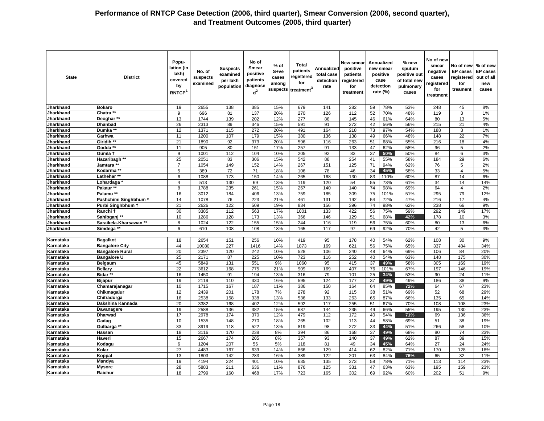| <b>State</b>           | <b>District</b>                                       | Popu-<br>lation (in<br>lakh)<br>covered<br>by<br>RNTCP | No. of<br>suspects<br>examined | <b>Suspects</b><br>examined<br>per lakh<br>population | No of<br><b>Smear</b><br>positive<br>patients<br>diagnose<br>$d^2$ | $%$ of<br>S+ve<br>cases<br>among<br>suspects | <b>Total</b><br>patients<br>registered<br>for<br>treatment <sup>3</sup> | Annualized<br>total case<br>detection<br>rate | New smear<br>positive<br>patients<br>registered<br>for<br>treatment |                 | Annualized<br>new smear<br>positive<br>case<br>detection<br>rate (%) | % new<br>sputum<br>positive out<br>of total new<br>pulmonary<br>cases | No of new<br>smear<br>negative<br>cases<br>registered<br>for<br>treatment | No of new<br><b>EP</b> cases<br>registered<br>for<br>treament | % of new<br><b>EP</b> cases<br>out of all<br>new<br>cases |
|------------------------|-------------------------------------------------------|--------------------------------------------------------|--------------------------------|-------------------------------------------------------|--------------------------------------------------------------------|----------------------------------------------|-------------------------------------------------------------------------|-----------------------------------------------|---------------------------------------------------------------------|-----------------|----------------------------------------------------------------------|-----------------------------------------------------------------------|---------------------------------------------------------------------------|---------------------------------------------------------------|-----------------------------------------------------------|
| Jharkhand              | <b>Bokaro</b>                                         | 19                                                     | 2655                           | 138                                                   | 385                                                                | 15%                                          | 679                                                                     | 141                                           | 282                                                                 | 59              | 78%                                                                  | 53%                                                                   | 248                                                                       | 45                                                            | 8%                                                        |
| Jharkhand              | Chatra **                                             | 9                                                      | 696                            | 81                                                    | 137                                                                | 20%                                          | 270                                                                     | 126                                           | 112                                                                 | 52              | 70%                                                                  | 48%                                                                   | 119                                                                       | 3                                                             | 1%                                                        |
| Jharkhand              | Deoghar**                                             | 13                                                     | 1744                           | 139                                                   | 202                                                                | 12%                                          | 277                                                                     | 88                                            | 145                                                                 | 46              | 61%                                                                  | 64%                                                                   | 80                                                                        | 13                                                            | 5%                                                        |
| Jharkhand              | <b>Dhanbad</b>                                        | 26                                                     | 2313                           | 89                                                    | 346                                                                | 15%                                          | 591                                                                     | 91                                            | 272                                                                 | 42              | 56%                                                                  | 56%                                                                   | 215                                                                       | 21                                                            | 4%                                                        |
| Jharkhand              | Dumka **                                              | $\overline{12}$                                        | 1371                           | 115                                                   | 272                                                                | 20%                                          | 491                                                                     | 164                                           | 218                                                                 | 73              | 97%                                                                  | 54%                                                                   | 188                                                                       | 3                                                             | 1%                                                        |
| Jharkhand              | Garhwa                                                | 11                                                     | 1200                           | 107                                                   | 179                                                                | 15%                                          | 380                                                                     | 136                                           | 138                                                                 | 49              | 66%                                                                  | 48%                                                                   | 148                                                                       | 22                                                            | 7%                                                        |
| Jharkhand              | Giridih **                                            | 21                                                     | 1890                           | 92                                                    | 373                                                                | 20%                                          | 596                                                                     | 116                                           | 263                                                                 | 51              | 68%                                                                  | 55%                                                                   | 216                                                                       | 18                                                            | 4%                                                        |
| Jharkhand              | Godda                                                 | 11                                                     | 905                            | 80                                                    | 151                                                                | 17%                                          | 257                                                                     | 91                                            | 133                                                                 | 47              | 62%                                                                  | 58%                                                                   | 96                                                                        | 5                                                             | 2%                                                        |
| Jharkhand              | Gumla t                                               | 9                                                      | 1001                           | 112                                                   | 104                                                                | 10%                                          | 205                                                                     | 92                                            | 83                                                                  | 37              | 50%                                                                  | 50%                                                                   | 84                                                                        | 6                                                             | 3%                                                        |
| Jharkhand              | Hazaribagh **                                         | 25                                                     | 2051                           | 83                                                    | 306                                                                | 15%                                          | 542                                                                     | 88                                            | 254                                                                 | 41              | 55%                                                                  | 58%                                                                   | 184                                                                       | 29                                                            | 6%                                                        |
| Jharkhand              | Jamtara **                                            | $\overline{7}$                                         | 1054                           | 149                                                   | 152                                                                | 14%                                          | 267                                                                     | 151                                           | 125                                                                 | 71              | 94%                                                                  | 62%                                                                   | 76                                                                        | 5                                                             | 2%                                                        |
| <b>Jharkhand</b>       | Kodarma **                                            | $\overline{5}$                                         | 389                            | 72                                                    | 71                                                                 | 18%                                          | 106                                                                     | 78                                            | 46                                                                  | 34              | 45%                                                                  | 58%                                                                   | 33                                                                        | $\overline{4}$                                                | 5%                                                        |
| Jharkhand              | Lathehar **                                           | 6                                                      | 1088                           | 173                                                   | 150                                                                | 14%                                          | 265                                                                     | 168                                           | 130                                                                 | 83              | 110%                                                                 | 60%                                                                   | 87                                                                        | 14                                                            | 6%                                                        |
| Jharkhand              | Lohardaga                                             | 4                                                      | 513                            | 130                                                   | 69                                                                 | 13%                                          | 119                                                                     | 120                                           | 54                                                                  | 55              | 73%                                                                  | 61%                                                                   | 34                                                                        | 14                                                            | 14%                                                       |
| Jharkhand<br>Jharkhand | Pakaur **<br>Palamu <sup>**</sup>                     | $\overline{8}$                                         | 1788                           | 235                                                   | 261                                                                | 15%                                          | 267                                                                     | 140                                           | 140                                                                 | 74              | 98%                                                                  | 69%                                                                   | 64                                                                        | $\overline{4}$                                                | 2%                                                        |
| <b>Jharkhand</b>       |                                                       | 16                                                     | 3012<br>1078                   | 184                                                   | 406                                                                | 13%                                          | 759                                                                     | 185                                           | 309                                                                 | 75              | 101%                                                                 | 51%                                                                   | 295<br>216                                                                | 79<br>17                                                      | 12%<br>4%                                                 |
| Jharkhand              | Pashchimi Singhbhum <sup>1</sup><br>Purbi Singhbhum + | 14<br>21                                               | 2626                           | 76<br>122                                             | 223<br>509                                                         | 21%<br>19%                                   | 461<br>834                                                              | 131<br>156                                    | 192<br>396                                                          | 54<br>74        | 72%<br>98%                                                           | 47%<br>62%                                                            | 238                                                                       | 66                                                            | 9%                                                        |
| Jharkhand              | Ranchi t                                              | 30                                                     | 3385                           | 112                                                   | 563                                                                | 17%                                          | 1001                                                                    | 133                                           | 422                                                                 | 56              | 75%                                                                  | 59%                                                                   | 292                                                                       | 149                                                           | 17%                                                       |
| Jharkhand              | Sahibgani **                                          | 10                                                     | 1286                           | 128                                                   | 173                                                                | 13%                                          | 366                                                                     | 146                                           | 129                                                                 | 51              | 68%                                                                  | 42%                                                                   | 178                                                                       | 10                                                            | 3%                                                        |
| Jharkhand              | Saraikela-Kharsawan **                                | 8                                                      | 1024                           | 122                                                   | 155                                                                | 15%                                          | 244                                                                     | 116                                           | 119                                                                 | 56              | 75%                                                                  | 60%                                                                   | 80                                                                        | 13                                                            | 6%                                                        |
| Jharkhand              | Simdega **                                            | 6                                                      | 610                            | 108                                                   | 108                                                                | 18%                                          | 165                                                                     | 117                                           | 97                                                                  | 69              | 92%                                                                  | 70%                                                                   | 42                                                                        | 5                                                             | 3%                                                        |
|                        |                                                       |                                                        |                                |                                                       |                                                                    |                                              |                                                                         |                                               |                                                                     |                 |                                                                      |                                                                       |                                                                           |                                                               |                                                           |
| Karnataka              | <b>Bagalkot</b>                                       | 18                                                     | 2654                           | 151                                                   | 256                                                                | 10%                                          | 419                                                                     | 95                                            | 178                                                                 | 40              | 54%                                                                  | 62%                                                                   | 108                                                                       | 30                                                            | 9%                                                        |
| Karnataka              | <b>Bangalore City</b>                                 | 44                                                     | 10080                          | 227                                                   | 1416                                                               | 14%                                          | 1873                                                                    | 169                                           | 621                                                                 | 56              | 75%                                                                  | 65%                                                                   | 337                                                                       | 484                                                           | 34%                                                       |
| Karnataka              | <b>Bangalore Rural</b>                                | $\overline{20}$                                        | 2397                           | 120                                                   | 242                                                                | 10%                                          | 528                                                                     | 106                                           | 240                                                                 | 48              | 64%                                                                  | 69%                                                                   | 106                                                                       | 84                                                            | 20%                                                       |
| Karnataka              | <b>Bangalore U</b>                                    | 25                                                     | 2171                           | 87                                                    | 225                                                                | 10%                                          | 723                                                                     | 116                                           | 252                                                                 | 40              | 54%                                                                  | 63%                                                                   | 148                                                                       | 175                                                           | 30%                                                       |
| Karnataka              | <b>Belgaum</b>                                        | 45                                                     | 5849                           | 131                                                   | 551                                                                | 9%                                           | 1060                                                                    | 95                                            | 415                                                                 | 37              | 49%                                                                  | 58%                                                                   | 305                                                                       | 169                                                           | 19%                                                       |
| Karnataka              | <b>Bellary</b>                                        | 22                                                     | 3612                           | 168                                                   | 775                                                                | 21%                                          | 909                                                                     | 169                                           | 407                                                                 | 76              | 101%                                                                 | 67%                                                                   | 197                                                                       | 146                                                           | 19%                                                       |
| Karnataka              | Bidar*                                                | 16                                                     | 1450                           | 91                                                    | 194                                                                | 13%                                          | 316                                                                     | 79                                            | 101                                                                 | 25              | 34%                                                                  | 53%                                                                   | 90                                                                        | 24                                                            | 11%                                                       |
| Karnataka              | <b>Bijapur</b>                                        | 19                                                     | 2119                           | 110                                                   | 330                                                                | 16%                                          | 595                                                                     | 124                                           | 177                                                                 | 37              | 49%                                                                  | 49%                                                                   | 186                                                                       | 38                                                            | 9%                                                        |
| Karnataka              | Chamarajanagar                                        | 10                                                     | 1715                           | 167                                                   | 187                                                                | 11%                                          | 386                                                                     | 150                                           | 164                                                                 | 64              | 85%                                                                  | 72%                                                                   | 64                                                                        | 67                                                            | 23%                                                       |
| Karnataka              | Chikmagalur                                           | 12                                                     | 2439                           | 201                                                   | 178                                                                | 7%                                           | 278                                                                     | 92                                            | 115                                                                 | 38              | 51%                                                                  | 69%                                                                   | 52                                                                        | 68                                                            | 29%                                                       |
| Karnataka              | Chitradurga                                           | 16                                                     | 2538                           | 158                                                   | 338                                                                | 13%                                          | 536                                                                     | 133                                           | 263                                                                 | 65              | 87%                                                                  | 66%                                                                   | 135                                                                       | 65                                                            | 14%                                                       |
| Karnataka              | Dakshina Kannada                                      | 20                                                     | 3382                           | 168                                                   | 402                                                                | 12%                                          | 592                                                                     | 117                                           | 255                                                                 | 51              | 67%                                                                  | 70%                                                                   | 108                                                                       | 108                                                           | 23%                                                       |
| Karnataka              | <b>Davanagere</b>                                     | 19                                                     | 2588                           | 136                                                   | 382                                                                | 15%                                          | 687                                                                     | 144                                           | 235                                                                 | 49              | 66%                                                                  | 55%                                                                   | 195                                                                       | 130                                                           | 23%                                                       |
| Karnataka              | <b>Dharwad</b>                                        | 17                                                     | 2978                           | 174                                                   | 370                                                                | 12%                                          | 479                                                                     | 112                                           | 172                                                                 | 40              | 54%                                                                  | 71%                                                                   | 69                                                                        | 136                                                           | 36%                                                       |
| Karnataka<br>Karnataka | Gadag<br>Gulbarga **                                  | 10<br>33                                               | 1535<br>3919                   | 148<br>118                                            | 270<br>522                                                         | 18%<br>13%                                   | 265<br>819                                                              | 102<br>98                                     | 113<br>272                                                          | 44<br>33        | 58%<br>44%                                                           | 69%<br>51%                                                            | 51<br>266                                                                 | 38<br>58                                                      | 19%<br>10%                                                |
| Karnataka              | <b>Hassan</b>                                         | 18                                                     | 3116                           | 170                                                   | 238                                                                | 8%                                           | 394                                                                     | 86                                            | 168                                                                 | $\overline{37}$ | 49%                                                                  | 68%                                                                   | 80                                                                        | 74                                                            | 23%                                                       |
| Karnataka              | Haveri                                                | 15                                                     | 2667                           | 174                                                   | 205                                                                | 8%                                           | 357                                                                     | 93                                            | 140                                                                 | 37              | 49%                                                                  | 62%                                                                   | 87                                                                        | 39                                                            | 15%                                                       |
| Karnataka              | Kodagu                                                | 6                                                      | 1204                           | 207                                                   | 56                                                                 | 5%                                           | 118                                                                     | 81                                            | 49                                                                  | 34              | 45%                                                                  | 64%                                                                   | 27                                                                        | 24                                                            | 24%                                                       |
| Karnataka              | Kolar                                                 | $\overline{27}$                                        | 4483                           | 167                                                   | 639                                                                | 14%                                          | 866                                                                     | 129                                           | 414                                                                 | 62              | 82%                                                                  | 71%                                                                   | 170                                                                       | 128                                                           | 18%                                                       |
| Karnataka              | Koppal                                                | 13                                                     | 1803                           | 142                                                   | 283                                                                | 16%                                          | 389                                                                     | 122                                           | 201                                                                 | 63              | 84%                                                                  | 76%                                                                   | 65                                                                        | 32                                                            | 11%                                                       |
| Karnataka              | <b>Mandya</b>                                         | 19                                                     | 4194                           | 224                                                   | 401                                                                | 10%                                          | 635                                                                     | 135                                           | 273                                                                 | 58              | 78%                                                                  | 71%                                                                   | 113                                                                       | 114                                                           | 23%                                                       |
| Karnataka              | <b>Mysore</b>                                         | 28                                                     | 5883                           | 211                                                   | 636                                                                | 11%                                          | 876                                                                     | 125                                           | 331                                                                 | 47              | 63%                                                                  | 63%                                                                   | 195                                                                       | 159                                                           | 23%                                                       |
| Karnataka              | Raichur                                               | 18                                                     | 2799                           | 160                                                   | 468                                                                | 17%                                          | 723                                                                     | 165                                           | 302                                                                 | 69              | 92%                                                                  | 60%                                                                   | 202                                                                       | 51                                                            | 9%                                                        |
|                        |                                                       |                                                        |                                |                                                       |                                                                    |                                              |                                                                         |                                               |                                                                     |                 |                                                                      |                                                                       |                                                                           |                                                               |                                                           |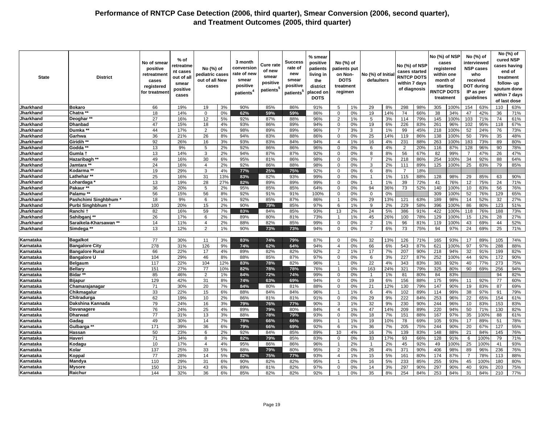| 63%<br>66<br>3%<br>90%<br>85%<br>86%<br>1%<br>29<br>8%<br>298<br>98%<br>100%<br>154<br>63%<br>110<br>Jharkhand<br><b>Bokaro</b><br>19%<br>19<br>91%<br>5<br>305<br>18<br>14%<br>59%<br>0%<br>19<br>14%<br>74<br>66%<br>34%<br>47<br>42%<br>36<br>71%<br>Jharkhand<br>Chatra **<br>$\Omega$<br>0%<br>62%<br>59%<br>86%<br>$\mathbf 0$<br>38<br>27<br>16%<br>12<br>5%<br>92%<br>87%<br>88%<br>2<br>1%<br>5<br>3%<br>79%<br>145<br>100%<br>103<br>71%<br>74<br>61%<br>Jharkhand<br>Deoghar **<br>96%<br>114<br>47<br>67%<br>15%<br>18<br>4%<br>93%<br>86%<br>89%<br>94%<br>0%<br>19<br>6%<br>226<br>83%<br>261<br>96%<br>95%<br>118<br>Jharkhand<br><b>Dhanbad</b><br>0<br>102<br>44<br>17%<br>98%<br>89%<br>96%<br>99<br>52<br>73%<br>Jharkhand<br>Dumka <sup>**</sup><br>$\overline{2}$<br>0%<br>89%<br>3%<br>3<br>1%<br>45%<br>218<br>100%<br>24%<br>76<br>7<br>36<br>25<br>14%<br>119<br>86%<br>35<br>48%<br>Jharkhand<br>Garhwa<br>21%<br>26<br>8%<br>94%<br>83%<br>88%<br>86%<br>$\mathbf 0$<br>0%<br>138<br>100%<br>50<br>79%<br>92<br>89<br>80%<br>Giridih *<br>26%<br>16<br>3%<br>93%<br>83%<br>84%<br>94%<br>1%<br>16<br>4%<br>231<br>88%<br>263<br>100%<br>183<br>73%<br>Jharkhand<br>$\overline{4}$<br>Jharkhand<br>Godda<br>13<br>9%<br>2%<br>92%<br>86%<br>86%<br>96%<br>20%<br>78%<br>5<br>0%<br>4%<br>$\overline{2}$<br>87%<br>128<br>96%<br>90<br>$\Omega$<br>6<br>116<br>13<br>14%<br>2%<br>94%<br>87%<br>92%<br>0%<br>8%<br>56<br>67%<br>82<br>99%<br>47%<br>26<br>47%<br>Jharkhand<br>Gumla 1<br>3<br>87%<br>$\mathbf 0$<br>8<br>$\overline{7}$<br>49<br>16%<br>30<br>6%<br>95%<br>81%<br>86%<br>98%<br>0%<br>$\overline{7}$<br>2%<br>218<br>86%<br>254<br>100%<br>34<br>92%<br>88<br>64%<br>Jharkhand<br>Hazaribagh **<br>0<br>24<br>2%<br>92%<br>79<br>Jharkhand<br>Jamtara <sup>3</sup><br>16%<br>86%<br>88%<br>98%<br>0%<br>3<br>2%<br>89%<br>125<br>100%<br>25<br>83%<br>85%<br>$\mathbf 0$<br>111<br>$\overline{4}$<br>19<br>$\overline{7}$<br>29%<br>3<br>4%<br>92%<br>0%<br>6<br>8%<br>18%<br>Jharkhand<br>Kodarma **<br>77%<br>25%<br>75%<br>$\mathbf 0$<br>25<br>83%<br>115<br>29<br>90%<br>Jharkhand<br>Lathehar ˈ<br>16%<br>31<br>13%<br>82%<br>93%<br>99%<br>$\mathbf 0$<br>0%<br>1%<br>88%<br>128<br>98%<br>85%<br>63<br>1<br>Jharkhand<br>13<br>19%<br>28<br>27%<br>82%<br>89%<br>89%<br>99%<br>$\mathbf 0$<br>0%<br>1%<br>39<br>72%<br>41<br>76%<br>12<br>75%<br>24<br>71%<br>Lohardaga<br>$\mathbf{1}$<br>36<br>94<br>$\overline{73}$<br>52%<br>140<br>76%<br>20%<br>5<br>2%<br>85%<br>85%<br>64%<br>0%<br>36%<br>100%<br>10<br>83%<br>56<br>Jharkhand<br>Pakaur **<br>95%<br>$\mathbf 0$<br>Palamu **<br>52<br>65%<br>Jharkhand<br>56<br>15%<br>56<br>8%<br>92%<br>91%<br>91%<br>100%<br>0%<br>309<br>100%<br>76%<br>129<br>0<br>0%<br>0<br>18<br>9%<br>1%<br>92%<br>85%<br>87%<br>86%<br>0%<br>29<br>13%<br>98%<br>14<br>52%<br>32<br>27%<br>Jharkhand<br>Pashchimi Singhbhum<br>6<br>$\overline{1}$<br>121<br>63%<br>189<br>Jharkhand<br>100<br>20%<br>15<br>2%<br>90%<br>85%<br>97%<br>9<br>2%<br>229<br>58%<br>396<br>100%<br>86<br>123<br>51%<br>Purbi Singhbhum 1<br>79%<br>6<br>1%<br>80%<br>82<br>2%<br>73%<br>16%<br>59<br>7%<br>83%<br>85%<br>93%<br>13<br>24<br>5%<br>386<br>91%<br>422<br>100%<br>76%<br>188<br>Jharkhand<br>Ranchi 1<br>84%<br>118<br>26<br>Sahibganj<br>17%<br>2%<br>89%<br>80%<br>81%<br>73%<br>1%<br>45<br>26%<br>100<br>78%<br>129<br>100%<br>15<br>12%<br>28<br>27%<br>Jharkhand<br>6<br>$\overline{1}$<br>14<br>11%<br>2%<br>88%<br>82%<br>85%<br>99%<br>0%<br>2<br>1%<br>96<br>81%<br>119<br>100%<br>43<br>69%<br>44<br>52%<br>Jharkhand<br>Saraikela-Kharsawan **<br>$\overline{4}$<br>$\mathbf 0$<br>73<br>75%<br>13<br>12%<br>$\overline{2}$<br>1%<br>90%<br>73%<br>73%<br>0%<br>$\overline{7}$<br>6%<br>94<br>97%<br>24<br>69%<br>25<br>71%<br>Jharkhand<br>Simdega <sup>**</sup><br>94%<br>$\mathbf 0$<br>77<br>3%<br>83%<br>74%<br>79%<br>32<br>13%<br>71%<br>93%<br>89%<br>74%<br>Karnataka<br>30%<br>11<br>87%<br>$\mathbf 0$<br>0%<br>126<br>165<br>17<br>105<br><b>Bagalkot</b><br>278<br>31%<br>126<br>9%<br>74%<br>62%<br>64%<br>94%<br>$\overline{4}$<br>0%<br>66<br>6%<br>543<br>87%<br>621<br>100%<br>97<br>97%<br>288<br>88%<br>Karnataka<br><b>Bangalore City</b><br>66<br>17<br>92%<br>17<br>7%<br>90%<br>32<br>82%<br><b>Bangalore Rural</b><br>22%<br>4%<br>89%<br>82%<br>82%<br>2<br>1%<br>207<br>218<br>94%<br>91%<br>199<br>Karnataka<br>104<br>46<br>8%<br>88%<br>85%<br>87%<br>97%<br>3%<br>87%<br>44<br>92%<br><b>Bangalore U</b><br>29%<br>$\Omega$<br>0%<br>6<br>227<br>252<br>100%<br>172<br>90%<br>Karnataka<br>22<br>83%<br>273<br>75%<br>Karnataka<br>Belgaum<br>117<br>22%<br>104<br>12%<br>83%<br>78%<br>82%<br>96%<br>$\overline{1}$<br>0%<br>4%<br>343<br>383<br>92%<br>40<br>77%<br>151<br>82%<br><b>Bellarv</b><br>27%<br>77<br>78%<br>78%<br>76%<br>0%<br>24%<br>321<br>79%<br>325<br>80%<br>90<br>69%<br>256<br>94%<br>10%<br>163<br>Karnataka<br>-1<br>85<br>46%<br>84%<br>74%<br>99%<br>83%<br>94<br>82%<br>Bidar**<br>$\overline{2}$<br>1%<br>72%<br>$\mathbf 0$<br>0%<br>1%<br>81<br>80%<br>84<br>Karnataka<br>$\mathbf{1}$<br>129<br>42%<br>31<br>8%<br>74%<br>0%<br>19<br>6%<br>156<br>88%<br>175<br>99%<br>77<br>60%<br>Karnataka<br><b>Bijapur</b><br>63%<br>69%<br>94%<br>$\mathbf 0$<br>11<br>92%<br>71<br>30%<br>20<br>7%<br>84%<br>80%<br>81%<br>88%<br>0%<br>21<br>12%<br>130<br>79%<br>147<br>90%<br>19<br>83%<br>87<br>69%<br>Karnataka<br>Chamarajanagar<br>$\mathbf 0$<br>33<br>79%<br>Karnataka<br>22%<br>15<br>88%<br>84%<br>84%<br>96%<br>6<br>4%<br>89%<br>99%<br>38<br>97%<br>91<br>Chikmagalur<br>6%<br>1%<br>102<br>114<br>62<br>29<br>9%<br>222<br>253<br>154<br>61%<br>Chitradurga<br>19%<br>10<br>2%<br>86%<br>81%<br>81%<br>91%<br>$\mathbf 0$<br>0%<br>84%<br>96%<br>22<br>65%<br>Karnataka<br>79<br>24%<br>32<br>9%<br>230<br>90%<br>244<br>96%<br>10<br>83%<br>Karnataka<br>Dakshina Kannada<br>16<br>3%<br>79%<br>76%<br>77%<br>90%<br>3<br>1%<br>83%<br>153<br>Karnataka<br>76<br>24%<br>25<br>4%<br>89%<br>80%<br>84%<br>1%<br>47<br>14%<br>209<br>89%<br>220<br>94%<br>50<br>71%<br>130<br>82%<br>Davanagere<br>79%<br>$\overline{4}$<br>77<br>3%<br>93%<br>18<br>7%<br>151<br>97%<br>88<br>61%<br>31%<br>13<br>88%<br>78%<br>79%<br>$\mathbf 0$<br>0%<br>88%<br>167<br>35<br>100%<br>Karnataka<br>Dharwad<br>Karnataka<br>Gadag<br>49<br>30%<br>14<br>78%<br>66%<br>1%<br>19<br>10%<br>78<br>69%<br>105<br>93%<br>17<br>89%<br>51<br>78%<br>7%<br>66%<br>89%<br>$\mathbf 1$<br>171<br>39%<br>36<br>92%<br>1%<br>36<br>7%<br>205<br>90%<br>20<br>127<br>55%<br>Karnataka<br>6%<br>79%<br>66%<br>69%<br>6<br>75%<br>244<br>67%<br>Gulbarga<br>50<br>92%<br>85%<br>7%<br>76%<br>23%<br>2%<br>84%<br>89%<br>10<br>4%<br>16<br>139<br>83%<br>148<br>88%<br>21<br>84%<br>145<br>6<br>Karnataka<br>Hassan<br>71<br>71%<br>Haveri<br>34%<br>3%<br>82%<br>85%<br>83%<br>0%<br>33<br>17%<br>93<br>66%<br>128<br>91%<br>79<br>Karnataka<br>8<br>79%<br>$\mathbf 0$<br>6<br>100%<br>10<br>17%<br>4%<br>95%<br>86%<br>86%<br>96%<br>2%<br>2%<br>45<br>92%<br>49<br>100%<br>25<br>100%<br>41<br>93%<br>Karnataka<br>Kodagı<br>$\overline{4}$<br>$\overline{1}$<br>$\mathbf{1}$<br>137<br>25%<br>33<br>80%<br>$\overline{2}$<br>26<br>371<br>236<br>76%<br>Karnataka<br>Kolar<br>5%<br>88%<br>79%<br>95%<br>0%<br>4%<br>90%<br>406<br>98%<br>89<br>96%<br>77<br>5%<br>78%<br>88%<br>28%<br>14<br>5%<br>82%<br>75%<br>77%<br>93%<br>15<br>161<br>80%<br>174<br>87%<br>113<br>Karnataka<br>Koppal<br>$\overline{4}$<br>1%<br>7<br>110<br>29%<br>31<br>82%<br>95%<br>5%<br>233<br>255<br>93%<br>80%<br>Mandya<br>6%<br>90%<br>82%<br>0%<br>16<br>85%<br>45<br>100%<br>180<br>Karnataka<br>$\overline{1}$<br>150<br>82%<br>97%<br>297<br>203<br>Karnataka<br><b>Mysore</b><br>31%<br>43<br>6%<br>89%<br>81%<br>$\Omega$<br>0%<br>14<br>3%<br>90%<br>297<br>90%<br>40<br>93%<br>75%<br>32%<br>36<br>6%<br>85%<br>82%<br>82%<br>92%<br>0%<br>35<br>8%<br>254<br>84%<br>253<br>84%<br>84%<br>210<br>77%<br>Karnataka<br>Raichur<br>144<br>31 | State | <b>District</b> | No of smear<br>positive<br>retreatmen<br>cases<br>registered<br>for treatmen | % of<br>retreatme<br>nt cases<br>out of all<br>smear<br>positive<br>cases | No (%) of<br>pediatric cases<br>out of all New<br>cases | 3 month<br>conversion<br>rate of new<br>smear<br>positive<br>patients <sup>4</sup> | Cure rate<br>of new<br>smear<br>positive<br>patients | Success<br>rate of<br>new<br>smear<br>positive<br>patients <sup>5</sup> | % smear<br>positive<br>patients<br>living in<br>the<br>district<br>placed on<br><b>DOTS</b> | No (%) of<br>patients put<br>on Non-<br><b>DOTS</b><br>treatment<br>regimen | No (%) of Initia<br>defaulters | No (%) of NSP<br>cases started<br><b>RNTCP DOTS</b><br>within 7 days<br>of diagnosis | No (%) of NSP | cases<br>registered<br>within one<br>month of<br>starting<br><b>INTCP DOTS</b><br>treatment | IP as per | No (%) of<br>interviewed<br><b>NSP cases</b><br>who<br>received<br><b>DOT during</b><br>guidelines | No (%) of<br>cured NSP<br>cases having<br>end of<br>treatment<br>follow- up<br>sputum done<br>within 7 days<br>of last dose |
|---------------------------------------------------------------------------------------------------------------------------------------------------------------------------------------------------------------------------------------------------------------------------------------------------------------------------------------------------------------------------------------------------------------------------------------------------------------------------------------------------------------------------------------------------------------------------------------------------------------------------------------------------------------------------------------------------------------------------------------------------------------------------------------------------------------------------------------------------------------------------------------------------------------------------------------------------------------------------------------------------------------------------------------------------------------------------------------------------------------------------------------------------------------------------------------------------------------------------------------------------------------------------------------------------------------------------------------------------------------------------------------------------------------------------------------------------------------------------------------------------------------------------------------------------------------------------------------------------------------------------------------------------------------------------------------------------------------------------------------------------------------------------------------------------------------------------------------------------------------------------------------------------------------------------------------------------------------------------------------------------------------------------------------------------------------------------------------------------------------------------------------------------------------------------------------------------------------------------------------------------------------------------------------------------------------------------------------------------------------------------------------------------------------------------------------------------------------------------------------------------------------------------------------------------------------------------------------------------------------------------------------------------------------------------------------------------------------------------------------------------------------------------------------------------------------------------------------------------------------------------------------------------------------------------------------------------------------------------------------------------------------------------------------------------------------------------------------------------------------------------------------------------------------------------------------------------------------------------------------------------------------------------------------------------------------------------------------------------------------------------------------------------------------------------------------------------------------------------------------------------------------------------------------------------------------------------------------------------------------------------------------------------------------------------------------------------------------------------------------------------------------------------------------------------------------------------------------------------------------------------------------------------------------------------------------------------------------------------------------------------------------------------------------------------------------------------------------------------------------------------------------------------------------------------------------------------------------------------------------------------------------------------------------------------------------------------------------------------------------------------------------------------------------------------------------------------------------------------------------------------------------------------------------------------------------------------------------------------------------------------------------------------------------------------------------------------------------------------------------------------------------------------------------------------------------------------------------------------------------------------------------------------------------------------------------------------------------------------------------------------------------------------------------------------------------------------------------------------------------------------------------------------------------------------------------------------------------------------------------------------------------------------------------------------------------------------------------------------------------------------------------------------------------------------------------------------------------------------------------------------------------------------------------------------------------------------------------------------------------------------------------------------------------------------------------------------------------------------------------------------------------------------------------------------------------------------------------------------------------------------------------------------------------------------------------------------------------------------------------------------------------------------------------------------------------------------------------------------------------------------------------------------------------------------------------------------------------------------------------------------------------------------------------------------------------------------------------------------------------------------------------------------------------------------------------------------------------------------------------------------------------------------------------------------------------------------------------------------------------------------------------------------------------------------------------------------------------------------------------------------------------------------------------------------------------------------------------------------------------------------------------------------------------------------------------------------------------------------------------------------------------------------------------------------------------------------------------------------------------------------------------------------------------------------------------------------------------------------------------------------------------------------------------------------------------------------------------------------------------------------------------------------------------------------------------------------------------------------------------------------------------------------------------------------------------------------------------------------------------------------------------------------------------------------------------------------------------------------------------------------------------------------------------------------------------------------------------------------------------------------------------------------------------------------------------------------------------------------------------------------------------------------------------------------------------------------|-------|-----------------|------------------------------------------------------------------------------|---------------------------------------------------------------------------|---------------------------------------------------------|------------------------------------------------------------------------------------|------------------------------------------------------|-------------------------------------------------------------------------|---------------------------------------------------------------------------------------------|-----------------------------------------------------------------------------|--------------------------------|--------------------------------------------------------------------------------------|---------------|---------------------------------------------------------------------------------------------|-----------|----------------------------------------------------------------------------------------------------|-----------------------------------------------------------------------------------------------------------------------------|
|                                                                                                                                                                                                                                                                                                                                                                                                                                                                                                                                                                                                                                                                                                                                                                                                                                                                                                                                                                                                                                                                                                                                                                                                                                                                                                                                                                                                                                                                                                                                                                                                                                                                                                                                                                                                                                                                                                                                                                                                                                                                                                                                                                                                                                                                                                                                                                                                                                                                                                                                                                                                                                                                                                                                                                                                                                                                                                                                                                                                                                                                                                                                                                                                                                                                                                                                                                                                                                                                                                                                                                                                                                                                                                                                                                                                                                                                                                                                                                                                                                                                                                                                                                                                                                                                                                                                                                                                                                                                                                                                                                                                                                                                                                                                                                                                                                                                                                                                                                                                                                                                                                                                                                                                                                                                                                                                                                                                                                                                                                                                                                                                                                                                                                                                                                                                                                                                                                                                                                                                                                                                                                                                                                                                                                                                                                                                                                                                                                                                                                                                                                                                                                                                                                                                                                                                                                                                                                                                                                                                                                                                                                                                                                                                                                                                                                                                                                                                                                                                                                                                                                                                                                                                                                                                                                                                                                                                                                                                                                                                                                                                           |       |                 |                                                                              |                                                                           |                                                         |                                                                                    |                                                      |                                                                         |                                                                                             |                                                                             |                                |                                                                                      |               |                                                                                             |           |                                                                                                    |                                                                                                                             |
|                                                                                                                                                                                                                                                                                                                                                                                                                                                                                                                                                                                                                                                                                                                                                                                                                                                                                                                                                                                                                                                                                                                                                                                                                                                                                                                                                                                                                                                                                                                                                                                                                                                                                                                                                                                                                                                                                                                                                                                                                                                                                                                                                                                                                                                                                                                                                                                                                                                                                                                                                                                                                                                                                                                                                                                                                                                                                                                                                                                                                                                                                                                                                                                                                                                                                                                                                                                                                                                                                                                                                                                                                                                                                                                                                                                                                                                                                                                                                                                                                                                                                                                                                                                                                                                                                                                                                                                                                                                                                                                                                                                                                                                                                                                                                                                                                                                                                                                                                                                                                                                                                                                                                                                                                                                                                                                                                                                                                                                                                                                                                                                                                                                                                                                                                                                                                                                                                                                                                                                                                                                                                                                                                                                                                                                                                                                                                                                                                                                                                                                                                                                                                                                                                                                                                                                                                                                                                                                                                                                                                                                                                                                                                                                                                                                                                                                                                                                                                                                                                                                                                                                                                                                                                                                                                                                                                                                                                                                                                                                                                                                                           |       |                 |                                                                              |                                                                           |                                                         |                                                                                    |                                                      |                                                                         |                                                                                             |                                                                             |                                |                                                                                      |               |                                                                                             |           |                                                                                                    |                                                                                                                             |
|                                                                                                                                                                                                                                                                                                                                                                                                                                                                                                                                                                                                                                                                                                                                                                                                                                                                                                                                                                                                                                                                                                                                                                                                                                                                                                                                                                                                                                                                                                                                                                                                                                                                                                                                                                                                                                                                                                                                                                                                                                                                                                                                                                                                                                                                                                                                                                                                                                                                                                                                                                                                                                                                                                                                                                                                                                                                                                                                                                                                                                                                                                                                                                                                                                                                                                                                                                                                                                                                                                                                                                                                                                                                                                                                                                                                                                                                                                                                                                                                                                                                                                                                                                                                                                                                                                                                                                                                                                                                                                                                                                                                                                                                                                                                                                                                                                                                                                                                                                                                                                                                                                                                                                                                                                                                                                                                                                                                                                                                                                                                                                                                                                                                                                                                                                                                                                                                                                                                                                                                                                                                                                                                                                                                                                                                                                                                                                                                                                                                                                                                                                                                                                                                                                                                                                                                                                                                                                                                                                                                                                                                                                                                                                                                                                                                                                                                                                                                                                                                                                                                                                                                                                                                                                                                                                                                                                                                                                                                                                                                                                                                           |       |                 |                                                                              |                                                                           |                                                         |                                                                                    |                                                      |                                                                         |                                                                                             |                                                                             |                                |                                                                                      |               |                                                                                             |           |                                                                                                    |                                                                                                                             |
|                                                                                                                                                                                                                                                                                                                                                                                                                                                                                                                                                                                                                                                                                                                                                                                                                                                                                                                                                                                                                                                                                                                                                                                                                                                                                                                                                                                                                                                                                                                                                                                                                                                                                                                                                                                                                                                                                                                                                                                                                                                                                                                                                                                                                                                                                                                                                                                                                                                                                                                                                                                                                                                                                                                                                                                                                                                                                                                                                                                                                                                                                                                                                                                                                                                                                                                                                                                                                                                                                                                                                                                                                                                                                                                                                                                                                                                                                                                                                                                                                                                                                                                                                                                                                                                                                                                                                                                                                                                                                                                                                                                                                                                                                                                                                                                                                                                                                                                                                                                                                                                                                                                                                                                                                                                                                                                                                                                                                                                                                                                                                                                                                                                                                                                                                                                                                                                                                                                                                                                                                                                                                                                                                                                                                                                                                                                                                                                                                                                                                                                                                                                                                                                                                                                                                                                                                                                                                                                                                                                                                                                                                                                                                                                                                                                                                                                                                                                                                                                                                                                                                                                                                                                                                                                                                                                                                                                                                                                                                                                                                                                                           |       |                 |                                                                              |                                                                           |                                                         |                                                                                    |                                                      |                                                                         |                                                                                             |                                                                             |                                |                                                                                      |               |                                                                                             |           |                                                                                                    |                                                                                                                             |
|                                                                                                                                                                                                                                                                                                                                                                                                                                                                                                                                                                                                                                                                                                                                                                                                                                                                                                                                                                                                                                                                                                                                                                                                                                                                                                                                                                                                                                                                                                                                                                                                                                                                                                                                                                                                                                                                                                                                                                                                                                                                                                                                                                                                                                                                                                                                                                                                                                                                                                                                                                                                                                                                                                                                                                                                                                                                                                                                                                                                                                                                                                                                                                                                                                                                                                                                                                                                                                                                                                                                                                                                                                                                                                                                                                                                                                                                                                                                                                                                                                                                                                                                                                                                                                                                                                                                                                                                                                                                                                                                                                                                                                                                                                                                                                                                                                                                                                                                                                                                                                                                                                                                                                                                                                                                                                                                                                                                                                                                                                                                                                                                                                                                                                                                                                                                                                                                                                                                                                                                                                                                                                                                                                                                                                                                                                                                                                                                                                                                                                                                                                                                                                                                                                                                                                                                                                                                                                                                                                                                                                                                                                                                                                                                                                                                                                                                                                                                                                                                                                                                                                                                                                                                                                                                                                                                                                                                                                                                                                                                                                                                           |       |                 |                                                                              |                                                                           |                                                         |                                                                                    |                                                      |                                                                         |                                                                                             |                                                                             |                                |                                                                                      |               |                                                                                             |           |                                                                                                    |                                                                                                                             |
|                                                                                                                                                                                                                                                                                                                                                                                                                                                                                                                                                                                                                                                                                                                                                                                                                                                                                                                                                                                                                                                                                                                                                                                                                                                                                                                                                                                                                                                                                                                                                                                                                                                                                                                                                                                                                                                                                                                                                                                                                                                                                                                                                                                                                                                                                                                                                                                                                                                                                                                                                                                                                                                                                                                                                                                                                                                                                                                                                                                                                                                                                                                                                                                                                                                                                                                                                                                                                                                                                                                                                                                                                                                                                                                                                                                                                                                                                                                                                                                                                                                                                                                                                                                                                                                                                                                                                                                                                                                                                                                                                                                                                                                                                                                                                                                                                                                                                                                                                                                                                                                                                                                                                                                                                                                                                                                                                                                                                                                                                                                                                                                                                                                                                                                                                                                                                                                                                                                                                                                                                                                                                                                                                                                                                                                                                                                                                                                                                                                                                                                                                                                                                                                                                                                                                                                                                                                                                                                                                                                                                                                                                                                                                                                                                                                                                                                                                                                                                                                                                                                                                                                                                                                                                                                                                                                                                                                                                                                                                                                                                                                                           |       |                 |                                                                              |                                                                           |                                                         |                                                                                    |                                                      |                                                                         |                                                                                             |                                                                             |                                |                                                                                      |               |                                                                                             |           |                                                                                                    |                                                                                                                             |
|                                                                                                                                                                                                                                                                                                                                                                                                                                                                                                                                                                                                                                                                                                                                                                                                                                                                                                                                                                                                                                                                                                                                                                                                                                                                                                                                                                                                                                                                                                                                                                                                                                                                                                                                                                                                                                                                                                                                                                                                                                                                                                                                                                                                                                                                                                                                                                                                                                                                                                                                                                                                                                                                                                                                                                                                                                                                                                                                                                                                                                                                                                                                                                                                                                                                                                                                                                                                                                                                                                                                                                                                                                                                                                                                                                                                                                                                                                                                                                                                                                                                                                                                                                                                                                                                                                                                                                                                                                                                                                                                                                                                                                                                                                                                                                                                                                                                                                                                                                                                                                                                                                                                                                                                                                                                                                                                                                                                                                                                                                                                                                                                                                                                                                                                                                                                                                                                                                                                                                                                                                                                                                                                                                                                                                                                                                                                                                                                                                                                                                                                                                                                                                                                                                                                                                                                                                                                                                                                                                                                                                                                                                                                                                                                                                                                                                                                                                                                                                                                                                                                                                                                                                                                                                                                                                                                                                                                                                                                                                                                                                                                           |       |                 |                                                                              |                                                                           |                                                         |                                                                                    |                                                      |                                                                         |                                                                                             |                                                                             |                                |                                                                                      |               |                                                                                             |           |                                                                                                    |                                                                                                                             |
|                                                                                                                                                                                                                                                                                                                                                                                                                                                                                                                                                                                                                                                                                                                                                                                                                                                                                                                                                                                                                                                                                                                                                                                                                                                                                                                                                                                                                                                                                                                                                                                                                                                                                                                                                                                                                                                                                                                                                                                                                                                                                                                                                                                                                                                                                                                                                                                                                                                                                                                                                                                                                                                                                                                                                                                                                                                                                                                                                                                                                                                                                                                                                                                                                                                                                                                                                                                                                                                                                                                                                                                                                                                                                                                                                                                                                                                                                                                                                                                                                                                                                                                                                                                                                                                                                                                                                                                                                                                                                                                                                                                                                                                                                                                                                                                                                                                                                                                                                                                                                                                                                                                                                                                                                                                                                                                                                                                                                                                                                                                                                                                                                                                                                                                                                                                                                                                                                                                                                                                                                                                                                                                                                                                                                                                                                                                                                                                                                                                                                                                                                                                                                                                                                                                                                                                                                                                                                                                                                                                                                                                                                                                                                                                                                                                                                                                                                                                                                                                                                                                                                                                                                                                                                                                                                                                                                                                                                                                                                                                                                                                                           |       |                 |                                                                              |                                                                           |                                                         |                                                                                    |                                                      |                                                                         |                                                                                             |                                                                             |                                |                                                                                      |               |                                                                                             |           |                                                                                                    |                                                                                                                             |
|                                                                                                                                                                                                                                                                                                                                                                                                                                                                                                                                                                                                                                                                                                                                                                                                                                                                                                                                                                                                                                                                                                                                                                                                                                                                                                                                                                                                                                                                                                                                                                                                                                                                                                                                                                                                                                                                                                                                                                                                                                                                                                                                                                                                                                                                                                                                                                                                                                                                                                                                                                                                                                                                                                                                                                                                                                                                                                                                                                                                                                                                                                                                                                                                                                                                                                                                                                                                                                                                                                                                                                                                                                                                                                                                                                                                                                                                                                                                                                                                                                                                                                                                                                                                                                                                                                                                                                                                                                                                                                                                                                                                                                                                                                                                                                                                                                                                                                                                                                                                                                                                                                                                                                                                                                                                                                                                                                                                                                                                                                                                                                                                                                                                                                                                                                                                                                                                                                                                                                                                                                                                                                                                                                                                                                                                                                                                                                                                                                                                                                                                                                                                                                                                                                                                                                                                                                                                                                                                                                                                                                                                                                                                                                                                                                                                                                                                                                                                                                                                                                                                                                                                                                                                                                                                                                                                                                                                                                                                                                                                                                                                           |       |                 |                                                                              |                                                                           |                                                         |                                                                                    |                                                      |                                                                         |                                                                                             |                                                                             |                                |                                                                                      |               |                                                                                             |           |                                                                                                    |                                                                                                                             |
|                                                                                                                                                                                                                                                                                                                                                                                                                                                                                                                                                                                                                                                                                                                                                                                                                                                                                                                                                                                                                                                                                                                                                                                                                                                                                                                                                                                                                                                                                                                                                                                                                                                                                                                                                                                                                                                                                                                                                                                                                                                                                                                                                                                                                                                                                                                                                                                                                                                                                                                                                                                                                                                                                                                                                                                                                                                                                                                                                                                                                                                                                                                                                                                                                                                                                                                                                                                                                                                                                                                                                                                                                                                                                                                                                                                                                                                                                                                                                                                                                                                                                                                                                                                                                                                                                                                                                                                                                                                                                                                                                                                                                                                                                                                                                                                                                                                                                                                                                                                                                                                                                                                                                                                                                                                                                                                                                                                                                                                                                                                                                                                                                                                                                                                                                                                                                                                                                                                                                                                                                                                                                                                                                                                                                                                                                                                                                                                                                                                                                                                                                                                                                                                                                                                                                                                                                                                                                                                                                                                                                                                                                                                                                                                                                                                                                                                                                                                                                                                                                                                                                                                                                                                                                                                                                                                                                                                                                                                                                                                                                                                                           |       |                 |                                                                              |                                                                           |                                                         |                                                                                    |                                                      |                                                                         |                                                                                             |                                                                             |                                |                                                                                      |               |                                                                                             |           |                                                                                                    |                                                                                                                             |
|                                                                                                                                                                                                                                                                                                                                                                                                                                                                                                                                                                                                                                                                                                                                                                                                                                                                                                                                                                                                                                                                                                                                                                                                                                                                                                                                                                                                                                                                                                                                                                                                                                                                                                                                                                                                                                                                                                                                                                                                                                                                                                                                                                                                                                                                                                                                                                                                                                                                                                                                                                                                                                                                                                                                                                                                                                                                                                                                                                                                                                                                                                                                                                                                                                                                                                                                                                                                                                                                                                                                                                                                                                                                                                                                                                                                                                                                                                                                                                                                                                                                                                                                                                                                                                                                                                                                                                                                                                                                                                                                                                                                                                                                                                                                                                                                                                                                                                                                                                                                                                                                                                                                                                                                                                                                                                                                                                                                                                                                                                                                                                                                                                                                                                                                                                                                                                                                                                                                                                                                                                                                                                                                                                                                                                                                                                                                                                                                                                                                                                                                                                                                                                                                                                                                                                                                                                                                                                                                                                                                                                                                                                                                                                                                                                                                                                                                                                                                                                                                                                                                                                                                                                                                                                                                                                                                                                                                                                                                                                                                                                                                           |       |                 |                                                                              |                                                                           |                                                         |                                                                                    |                                                      |                                                                         |                                                                                             |                                                                             |                                |                                                                                      |               |                                                                                             |           |                                                                                                    |                                                                                                                             |
|                                                                                                                                                                                                                                                                                                                                                                                                                                                                                                                                                                                                                                                                                                                                                                                                                                                                                                                                                                                                                                                                                                                                                                                                                                                                                                                                                                                                                                                                                                                                                                                                                                                                                                                                                                                                                                                                                                                                                                                                                                                                                                                                                                                                                                                                                                                                                                                                                                                                                                                                                                                                                                                                                                                                                                                                                                                                                                                                                                                                                                                                                                                                                                                                                                                                                                                                                                                                                                                                                                                                                                                                                                                                                                                                                                                                                                                                                                                                                                                                                                                                                                                                                                                                                                                                                                                                                                                                                                                                                                                                                                                                                                                                                                                                                                                                                                                                                                                                                                                                                                                                                                                                                                                                                                                                                                                                                                                                                                                                                                                                                                                                                                                                                                                                                                                                                                                                                                                                                                                                                                                                                                                                                                                                                                                                                                                                                                                                                                                                                                                                                                                                                                                                                                                                                                                                                                                                                                                                                                                                                                                                                                                                                                                                                                                                                                                                                                                                                                                                                                                                                                                                                                                                                                                                                                                                                                                                                                                                                                                                                                                                           |       |                 |                                                                              |                                                                           |                                                         |                                                                                    |                                                      |                                                                         |                                                                                             |                                                                             |                                |                                                                                      |               |                                                                                             |           |                                                                                                    |                                                                                                                             |
|                                                                                                                                                                                                                                                                                                                                                                                                                                                                                                                                                                                                                                                                                                                                                                                                                                                                                                                                                                                                                                                                                                                                                                                                                                                                                                                                                                                                                                                                                                                                                                                                                                                                                                                                                                                                                                                                                                                                                                                                                                                                                                                                                                                                                                                                                                                                                                                                                                                                                                                                                                                                                                                                                                                                                                                                                                                                                                                                                                                                                                                                                                                                                                                                                                                                                                                                                                                                                                                                                                                                                                                                                                                                                                                                                                                                                                                                                                                                                                                                                                                                                                                                                                                                                                                                                                                                                                                                                                                                                                                                                                                                                                                                                                                                                                                                                                                                                                                                                                                                                                                                                                                                                                                                                                                                                                                                                                                                                                                                                                                                                                                                                                                                                                                                                                                                                                                                                                                                                                                                                                                                                                                                                                                                                                                                                                                                                                                                                                                                                                                                                                                                                                                                                                                                                                                                                                                                                                                                                                                                                                                                                                                                                                                                                                                                                                                                                                                                                                                                                                                                                                                                                                                                                                                                                                                                                                                                                                                                                                                                                                                                           |       |                 |                                                                              |                                                                           |                                                         |                                                                                    |                                                      |                                                                         |                                                                                             |                                                                             |                                |                                                                                      |               |                                                                                             |           |                                                                                                    |                                                                                                                             |
|                                                                                                                                                                                                                                                                                                                                                                                                                                                                                                                                                                                                                                                                                                                                                                                                                                                                                                                                                                                                                                                                                                                                                                                                                                                                                                                                                                                                                                                                                                                                                                                                                                                                                                                                                                                                                                                                                                                                                                                                                                                                                                                                                                                                                                                                                                                                                                                                                                                                                                                                                                                                                                                                                                                                                                                                                                                                                                                                                                                                                                                                                                                                                                                                                                                                                                                                                                                                                                                                                                                                                                                                                                                                                                                                                                                                                                                                                                                                                                                                                                                                                                                                                                                                                                                                                                                                                                                                                                                                                                                                                                                                                                                                                                                                                                                                                                                                                                                                                                                                                                                                                                                                                                                                                                                                                                                                                                                                                                                                                                                                                                                                                                                                                                                                                                                                                                                                                                                                                                                                                                                                                                                                                                                                                                                                                                                                                                                                                                                                                                                                                                                                                                                                                                                                                                                                                                                                                                                                                                                                                                                                                                                                                                                                                                                                                                                                                                                                                                                                                                                                                                                                                                                                                                                                                                                                                                                                                                                                                                                                                                                                           |       |                 |                                                                              |                                                                           |                                                         |                                                                                    |                                                      |                                                                         |                                                                                             |                                                                             |                                |                                                                                      |               |                                                                                             |           |                                                                                                    |                                                                                                                             |
|                                                                                                                                                                                                                                                                                                                                                                                                                                                                                                                                                                                                                                                                                                                                                                                                                                                                                                                                                                                                                                                                                                                                                                                                                                                                                                                                                                                                                                                                                                                                                                                                                                                                                                                                                                                                                                                                                                                                                                                                                                                                                                                                                                                                                                                                                                                                                                                                                                                                                                                                                                                                                                                                                                                                                                                                                                                                                                                                                                                                                                                                                                                                                                                                                                                                                                                                                                                                                                                                                                                                                                                                                                                                                                                                                                                                                                                                                                                                                                                                                                                                                                                                                                                                                                                                                                                                                                                                                                                                                                                                                                                                                                                                                                                                                                                                                                                                                                                                                                                                                                                                                                                                                                                                                                                                                                                                                                                                                                                                                                                                                                                                                                                                                                                                                                                                                                                                                                                                                                                                                                                                                                                                                                                                                                                                                                                                                                                                                                                                                                                                                                                                                                                                                                                                                                                                                                                                                                                                                                                                                                                                                                                                                                                                                                                                                                                                                                                                                                                                                                                                                                                                                                                                                                                                                                                                                                                                                                                                                                                                                                                                           |       |                 |                                                                              |                                                                           |                                                         |                                                                                    |                                                      |                                                                         |                                                                                             |                                                                             |                                |                                                                                      |               |                                                                                             |           |                                                                                                    |                                                                                                                             |
|                                                                                                                                                                                                                                                                                                                                                                                                                                                                                                                                                                                                                                                                                                                                                                                                                                                                                                                                                                                                                                                                                                                                                                                                                                                                                                                                                                                                                                                                                                                                                                                                                                                                                                                                                                                                                                                                                                                                                                                                                                                                                                                                                                                                                                                                                                                                                                                                                                                                                                                                                                                                                                                                                                                                                                                                                                                                                                                                                                                                                                                                                                                                                                                                                                                                                                                                                                                                                                                                                                                                                                                                                                                                                                                                                                                                                                                                                                                                                                                                                                                                                                                                                                                                                                                                                                                                                                                                                                                                                                                                                                                                                                                                                                                                                                                                                                                                                                                                                                                                                                                                                                                                                                                                                                                                                                                                                                                                                                                                                                                                                                                                                                                                                                                                                                                                                                                                                                                                                                                                                                                                                                                                                                                                                                                                                                                                                                                                                                                                                                                                                                                                                                                                                                                                                                                                                                                                                                                                                                                                                                                                                                                                                                                                                                                                                                                                                                                                                                                                                                                                                                                                                                                                                                                                                                                                                                                                                                                                                                                                                                                                           |       |                 |                                                                              |                                                                           |                                                         |                                                                                    |                                                      |                                                                         |                                                                                             |                                                                             |                                |                                                                                      |               |                                                                                             |           |                                                                                                    |                                                                                                                             |
|                                                                                                                                                                                                                                                                                                                                                                                                                                                                                                                                                                                                                                                                                                                                                                                                                                                                                                                                                                                                                                                                                                                                                                                                                                                                                                                                                                                                                                                                                                                                                                                                                                                                                                                                                                                                                                                                                                                                                                                                                                                                                                                                                                                                                                                                                                                                                                                                                                                                                                                                                                                                                                                                                                                                                                                                                                                                                                                                                                                                                                                                                                                                                                                                                                                                                                                                                                                                                                                                                                                                                                                                                                                                                                                                                                                                                                                                                                                                                                                                                                                                                                                                                                                                                                                                                                                                                                                                                                                                                                                                                                                                                                                                                                                                                                                                                                                                                                                                                                                                                                                                                                                                                                                                                                                                                                                                                                                                                                                                                                                                                                                                                                                                                                                                                                                                                                                                                                                                                                                                                                                                                                                                                                                                                                                                                                                                                                                                                                                                                                                                                                                                                                                                                                                                                                                                                                                                                                                                                                                                                                                                                                                                                                                                                                                                                                                                                                                                                                                                                                                                                                                                                                                                                                                                                                                                                                                                                                                                                                                                                                                                           |       |                 |                                                                              |                                                                           |                                                         |                                                                                    |                                                      |                                                                         |                                                                                             |                                                                             |                                |                                                                                      |               |                                                                                             |           |                                                                                                    |                                                                                                                             |
|                                                                                                                                                                                                                                                                                                                                                                                                                                                                                                                                                                                                                                                                                                                                                                                                                                                                                                                                                                                                                                                                                                                                                                                                                                                                                                                                                                                                                                                                                                                                                                                                                                                                                                                                                                                                                                                                                                                                                                                                                                                                                                                                                                                                                                                                                                                                                                                                                                                                                                                                                                                                                                                                                                                                                                                                                                                                                                                                                                                                                                                                                                                                                                                                                                                                                                                                                                                                                                                                                                                                                                                                                                                                                                                                                                                                                                                                                                                                                                                                                                                                                                                                                                                                                                                                                                                                                                                                                                                                                                                                                                                                                                                                                                                                                                                                                                                                                                                                                                                                                                                                                                                                                                                                                                                                                                                                                                                                                                                                                                                                                                                                                                                                                                                                                                                                                                                                                                                                                                                                                                                                                                                                                                                                                                                                                                                                                                                                                                                                                                                                                                                                                                                                                                                                                                                                                                                                                                                                                                                                                                                                                                                                                                                                                                                                                                                                                                                                                                                                                                                                                                                                                                                                                                                                                                                                                                                                                                                                                                                                                                                                           |       |                 |                                                                              |                                                                           |                                                         |                                                                                    |                                                      |                                                                         |                                                                                             |                                                                             |                                |                                                                                      |               |                                                                                             |           |                                                                                                    |                                                                                                                             |
|                                                                                                                                                                                                                                                                                                                                                                                                                                                                                                                                                                                                                                                                                                                                                                                                                                                                                                                                                                                                                                                                                                                                                                                                                                                                                                                                                                                                                                                                                                                                                                                                                                                                                                                                                                                                                                                                                                                                                                                                                                                                                                                                                                                                                                                                                                                                                                                                                                                                                                                                                                                                                                                                                                                                                                                                                                                                                                                                                                                                                                                                                                                                                                                                                                                                                                                                                                                                                                                                                                                                                                                                                                                                                                                                                                                                                                                                                                                                                                                                                                                                                                                                                                                                                                                                                                                                                                                                                                                                                                                                                                                                                                                                                                                                                                                                                                                                                                                                                                                                                                                                                                                                                                                                                                                                                                                                                                                                                                                                                                                                                                                                                                                                                                                                                                                                                                                                                                                                                                                                                                                                                                                                                                                                                                                                                                                                                                                                                                                                                                                                                                                                                                                                                                                                                                                                                                                                                                                                                                                                                                                                                                                                                                                                                                                                                                                                                                                                                                                                                                                                                                                                                                                                                                                                                                                                                                                                                                                                                                                                                                                                           |       |                 |                                                                              |                                                                           |                                                         |                                                                                    |                                                      |                                                                         |                                                                                             |                                                                             |                                |                                                                                      |               |                                                                                             |           |                                                                                                    |                                                                                                                             |
|                                                                                                                                                                                                                                                                                                                                                                                                                                                                                                                                                                                                                                                                                                                                                                                                                                                                                                                                                                                                                                                                                                                                                                                                                                                                                                                                                                                                                                                                                                                                                                                                                                                                                                                                                                                                                                                                                                                                                                                                                                                                                                                                                                                                                                                                                                                                                                                                                                                                                                                                                                                                                                                                                                                                                                                                                                                                                                                                                                                                                                                                                                                                                                                                                                                                                                                                                                                                                                                                                                                                                                                                                                                                                                                                                                                                                                                                                                                                                                                                                                                                                                                                                                                                                                                                                                                                                                                                                                                                                                                                                                                                                                                                                                                                                                                                                                                                                                                                                                                                                                                                                                                                                                                                                                                                                                                                                                                                                                                                                                                                                                                                                                                                                                                                                                                                                                                                                                                                                                                                                                                                                                                                                                                                                                                                                                                                                                                                                                                                                                                                                                                                                                                                                                                                                                                                                                                                                                                                                                                                                                                                                                                                                                                                                                                                                                                                                                                                                                                                                                                                                                                                                                                                                                                                                                                                                                                                                                                                                                                                                                                                           |       |                 |                                                                              |                                                                           |                                                         |                                                                                    |                                                      |                                                                         |                                                                                             |                                                                             |                                |                                                                                      |               |                                                                                             |           |                                                                                                    |                                                                                                                             |
|                                                                                                                                                                                                                                                                                                                                                                                                                                                                                                                                                                                                                                                                                                                                                                                                                                                                                                                                                                                                                                                                                                                                                                                                                                                                                                                                                                                                                                                                                                                                                                                                                                                                                                                                                                                                                                                                                                                                                                                                                                                                                                                                                                                                                                                                                                                                                                                                                                                                                                                                                                                                                                                                                                                                                                                                                                                                                                                                                                                                                                                                                                                                                                                                                                                                                                                                                                                                                                                                                                                                                                                                                                                                                                                                                                                                                                                                                                                                                                                                                                                                                                                                                                                                                                                                                                                                                                                                                                                                                                                                                                                                                                                                                                                                                                                                                                                                                                                                                                                                                                                                                                                                                                                                                                                                                                                                                                                                                                                                                                                                                                                                                                                                                                                                                                                                                                                                                                                                                                                                                                                                                                                                                                                                                                                                                                                                                                                                                                                                                                                                                                                                                                                                                                                                                                                                                                                                                                                                                                                                                                                                                                                                                                                                                                                                                                                                                                                                                                                                                                                                                                                                                                                                                                                                                                                                                                                                                                                                                                                                                                                                           |       |                 |                                                                              |                                                                           |                                                         |                                                                                    |                                                      |                                                                         |                                                                                             |                                                                             |                                |                                                                                      |               |                                                                                             |           |                                                                                                    |                                                                                                                             |
|                                                                                                                                                                                                                                                                                                                                                                                                                                                                                                                                                                                                                                                                                                                                                                                                                                                                                                                                                                                                                                                                                                                                                                                                                                                                                                                                                                                                                                                                                                                                                                                                                                                                                                                                                                                                                                                                                                                                                                                                                                                                                                                                                                                                                                                                                                                                                                                                                                                                                                                                                                                                                                                                                                                                                                                                                                                                                                                                                                                                                                                                                                                                                                                                                                                                                                                                                                                                                                                                                                                                                                                                                                                                                                                                                                                                                                                                                                                                                                                                                                                                                                                                                                                                                                                                                                                                                                                                                                                                                                                                                                                                                                                                                                                                                                                                                                                                                                                                                                                                                                                                                                                                                                                                                                                                                                                                                                                                                                                                                                                                                                                                                                                                                                                                                                                                                                                                                                                                                                                                                                                                                                                                                                                                                                                                                                                                                                                                                                                                                                                                                                                                                                                                                                                                                                                                                                                                                                                                                                                                                                                                                                                                                                                                                                                                                                                                                                                                                                                                                                                                                                                                                                                                                                                                                                                                                                                                                                                                                                                                                                                                           |       |                 |                                                                              |                                                                           |                                                         |                                                                                    |                                                      |                                                                         |                                                                                             |                                                                             |                                |                                                                                      |               |                                                                                             |           |                                                                                                    |                                                                                                                             |
|                                                                                                                                                                                                                                                                                                                                                                                                                                                                                                                                                                                                                                                                                                                                                                                                                                                                                                                                                                                                                                                                                                                                                                                                                                                                                                                                                                                                                                                                                                                                                                                                                                                                                                                                                                                                                                                                                                                                                                                                                                                                                                                                                                                                                                                                                                                                                                                                                                                                                                                                                                                                                                                                                                                                                                                                                                                                                                                                                                                                                                                                                                                                                                                                                                                                                                                                                                                                                                                                                                                                                                                                                                                                                                                                                                                                                                                                                                                                                                                                                                                                                                                                                                                                                                                                                                                                                                                                                                                                                                                                                                                                                                                                                                                                                                                                                                                                                                                                                                                                                                                                                                                                                                                                                                                                                                                                                                                                                                                                                                                                                                                                                                                                                                                                                                                                                                                                                                                                                                                                                                                                                                                                                                                                                                                                                                                                                                                                                                                                                                                                                                                                                                                                                                                                                                                                                                                                                                                                                                                                                                                                                                                                                                                                                                                                                                                                                                                                                                                                                                                                                                                                                                                                                                                                                                                                                                                                                                                                                                                                                                                                           |       |                 |                                                                              |                                                                           |                                                         |                                                                                    |                                                      |                                                                         |                                                                                             |                                                                             |                                |                                                                                      |               |                                                                                             |           |                                                                                                    |                                                                                                                             |
|                                                                                                                                                                                                                                                                                                                                                                                                                                                                                                                                                                                                                                                                                                                                                                                                                                                                                                                                                                                                                                                                                                                                                                                                                                                                                                                                                                                                                                                                                                                                                                                                                                                                                                                                                                                                                                                                                                                                                                                                                                                                                                                                                                                                                                                                                                                                                                                                                                                                                                                                                                                                                                                                                                                                                                                                                                                                                                                                                                                                                                                                                                                                                                                                                                                                                                                                                                                                                                                                                                                                                                                                                                                                                                                                                                                                                                                                                                                                                                                                                                                                                                                                                                                                                                                                                                                                                                                                                                                                                                                                                                                                                                                                                                                                                                                                                                                                                                                                                                                                                                                                                                                                                                                                                                                                                                                                                                                                                                                                                                                                                                                                                                                                                                                                                                                                                                                                                                                                                                                                                                                                                                                                                                                                                                                                                                                                                                                                                                                                                                                                                                                                                                                                                                                                                                                                                                                                                                                                                                                                                                                                                                                                                                                                                                                                                                                                                                                                                                                                                                                                                                                                                                                                                                                                                                                                                                                                                                                                                                                                                                                                           |       |                 |                                                                              |                                                                           |                                                         |                                                                                    |                                                      |                                                                         |                                                                                             |                                                                             |                                |                                                                                      |               |                                                                                             |           |                                                                                                    |                                                                                                                             |
|                                                                                                                                                                                                                                                                                                                                                                                                                                                                                                                                                                                                                                                                                                                                                                                                                                                                                                                                                                                                                                                                                                                                                                                                                                                                                                                                                                                                                                                                                                                                                                                                                                                                                                                                                                                                                                                                                                                                                                                                                                                                                                                                                                                                                                                                                                                                                                                                                                                                                                                                                                                                                                                                                                                                                                                                                                                                                                                                                                                                                                                                                                                                                                                                                                                                                                                                                                                                                                                                                                                                                                                                                                                                                                                                                                                                                                                                                                                                                                                                                                                                                                                                                                                                                                                                                                                                                                                                                                                                                                                                                                                                                                                                                                                                                                                                                                                                                                                                                                                                                                                                                                                                                                                                                                                                                                                                                                                                                                                                                                                                                                                                                                                                                                                                                                                                                                                                                                                                                                                                                                                                                                                                                                                                                                                                                                                                                                                                                                                                                                                                                                                                                                                                                                                                                                                                                                                                                                                                                                                                                                                                                                                                                                                                                                                                                                                                                                                                                                                                                                                                                                                                                                                                                                                                                                                                                                                                                                                                                                                                                                                                           |       |                 |                                                                              |                                                                           |                                                         |                                                                                    |                                                      |                                                                         |                                                                                             |                                                                             |                                |                                                                                      |               |                                                                                             |           |                                                                                                    |                                                                                                                             |
|                                                                                                                                                                                                                                                                                                                                                                                                                                                                                                                                                                                                                                                                                                                                                                                                                                                                                                                                                                                                                                                                                                                                                                                                                                                                                                                                                                                                                                                                                                                                                                                                                                                                                                                                                                                                                                                                                                                                                                                                                                                                                                                                                                                                                                                                                                                                                                                                                                                                                                                                                                                                                                                                                                                                                                                                                                                                                                                                                                                                                                                                                                                                                                                                                                                                                                                                                                                                                                                                                                                                                                                                                                                                                                                                                                                                                                                                                                                                                                                                                                                                                                                                                                                                                                                                                                                                                                                                                                                                                                                                                                                                                                                                                                                                                                                                                                                                                                                                                                                                                                                                                                                                                                                                                                                                                                                                                                                                                                                                                                                                                                                                                                                                                                                                                                                                                                                                                                                                                                                                                                                                                                                                                                                                                                                                                                                                                                                                                                                                                                                                                                                                                                                                                                                                                                                                                                                                                                                                                                                                                                                                                                                                                                                                                                                                                                                                                                                                                                                                                                                                                                                                                                                                                                                                                                                                                                                                                                                                                                                                                                                                           |       |                 |                                                                              |                                                                           |                                                         |                                                                                    |                                                      |                                                                         |                                                                                             |                                                                             |                                |                                                                                      |               |                                                                                             |           |                                                                                                    |                                                                                                                             |
|                                                                                                                                                                                                                                                                                                                                                                                                                                                                                                                                                                                                                                                                                                                                                                                                                                                                                                                                                                                                                                                                                                                                                                                                                                                                                                                                                                                                                                                                                                                                                                                                                                                                                                                                                                                                                                                                                                                                                                                                                                                                                                                                                                                                                                                                                                                                                                                                                                                                                                                                                                                                                                                                                                                                                                                                                                                                                                                                                                                                                                                                                                                                                                                                                                                                                                                                                                                                                                                                                                                                                                                                                                                                                                                                                                                                                                                                                                                                                                                                                                                                                                                                                                                                                                                                                                                                                                                                                                                                                                                                                                                                                                                                                                                                                                                                                                                                                                                                                                                                                                                                                                                                                                                                                                                                                                                                                                                                                                                                                                                                                                                                                                                                                                                                                                                                                                                                                                                                                                                                                                                                                                                                                                                                                                                                                                                                                                                                                                                                                                                                                                                                                                                                                                                                                                                                                                                                                                                                                                                                                                                                                                                                                                                                                                                                                                                                                                                                                                                                                                                                                                                                                                                                                                                                                                                                                                                                                                                                                                                                                                                                           |       |                 |                                                                              |                                                                           |                                                         |                                                                                    |                                                      |                                                                         |                                                                                             |                                                                             |                                |                                                                                      |               |                                                                                             |           |                                                                                                    |                                                                                                                             |
|                                                                                                                                                                                                                                                                                                                                                                                                                                                                                                                                                                                                                                                                                                                                                                                                                                                                                                                                                                                                                                                                                                                                                                                                                                                                                                                                                                                                                                                                                                                                                                                                                                                                                                                                                                                                                                                                                                                                                                                                                                                                                                                                                                                                                                                                                                                                                                                                                                                                                                                                                                                                                                                                                                                                                                                                                                                                                                                                                                                                                                                                                                                                                                                                                                                                                                                                                                                                                                                                                                                                                                                                                                                                                                                                                                                                                                                                                                                                                                                                                                                                                                                                                                                                                                                                                                                                                                                                                                                                                                                                                                                                                                                                                                                                                                                                                                                                                                                                                                                                                                                                                                                                                                                                                                                                                                                                                                                                                                                                                                                                                                                                                                                                                                                                                                                                                                                                                                                                                                                                                                                                                                                                                                                                                                                                                                                                                                                                                                                                                                                                                                                                                                                                                                                                                                                                                                                                                                                                                                                                                                                                                                                                                                                                                                                                                                                                                                                                                                                                                                                                                                                                                                                                                                                                                                                                                                                                                                                                                                                                                                                                           |       |                 |                                                                              |                                                                           |                                                         |                                                                                    |                                                      |                                                                         |                                                                                             |                                                                             |                                |                                                                                      |               |                                                                                             |           |                                                                                                    |                                                                                                                             |
|                                                                                                                                                                                                                                                                                                                                                                                                                                                                                                                                                                                                                                                                                                                                                                                                                                                                                                                                                                                                                                                                                                                                                                                                                                                                                                                                                                                                                                                                                                                                                                                                                                                                                                                                                                                                                                                                                                                                                                                                                                                                                                                                                                                                                                                                                                                                                                                                                                                                                                                                                                                                                                                                                                                                                                                                                                                                                                                                                                                                                                                                                                                                                                                                                                                                                                                                                                                                                                                                                                                                                                                                                                                                                                                                                                                                                                                                                                                                                                                                                                                                                                                                                                                                                                                                                                                                                                                                                                                                                                                                                                                                                                                                                                                                                                                                                                                                                                                                                                                                                                                                                                                                                                                                                                                                                                                                                                                                                                                                                                                                                                                                                                                                                                                                                                                                                                                                                                                                                                                                                                                                                                                                                                                                                                                                                                                                                                                                                                                                                                                                                                                                                                                                                                                                                                                                                                                                                                                                                                                                                                                                                                                                                                                                                                                                                                                                                                                                                                                                                                                                                                                                                                                                                                                                                                                                                                                                                                                                                                                                                                                                           |       |                 |                                                                              |                                                                           |                                                         |                                                                                    |                                                      |                                                                         |                                                                                             |                                                                             |                                |                                                                                      |               |                                                                                             |           |                                                                                                    |                                                                                                                             |
|                                                                                                                                                                                                                                                                                                                                                                                                                                                                                                                                                                                                                                                                                                                                                                                                                                                                                                                                                                                                                                                                                                                                                                                                                                                                                                                                                                                                                                                                                                                                                                                                                                                                                                                                                                                                                                                                                                                                                                                                                                                                                                                                                                                                                                                                                                                                                                                                                                                                                                                                                                                                                                                                                                                                                                                                                                                                                                                                                                                                                                                                                                                                                                                                                                                                                                                                                                                                                                                                                                                                                                                                                                                                                                                                                                                                                                                                                                                                                                                                                                                                                                                                                                                                                                                                                                                                                                                                                                                                                                                                                                                                                                                                                                                                                                                                                                                                                                                                                                                                                                                                                                                                                                                                                                                                                                                                                                                                                                                                                                                                                                                                                                                                                                                                                                                                                                                                                                                                                                                                                                                                                                                                                                                                                                                                                                                                                                                                                                                                                                                                                                                                                                                                                                                                                                                                                                                                                                                                                                                                                                                                                                                                                                                                                                                                                                                                                                                                                                                                                                                                                                                                                                                                                                                                                                                                                                                                                                                                                                                                                                                                           |       |                 |                                                                              |                                                                           |                                                         |                                                                                    |                                                      |                                                                         |                                                                                             |                                                                             |                                |                                                                                      |               |                                                                                             |           |                                                                                                    |                                                                                                                             |
|                                                                                                                                                                                                                                                                                                                                                                                                                                                                                                                                                                                                                                                                                                                                                                                                                                                                                                                                                                                                                                                                                                                                                                                                                                                                                                                                                                                                                                                                                                                                                                                                                                                                                                                                                                                                                                                                                                                                                                                                                                                                                                                                                                                                                                                                                                                                                                                                                                                                                                                                                                                                                                                                                                                                                                                                                                                                                                                                                                                                                                                                                                                                                                                                                                                                                                                                                                                                                                                                                                                                                                                                                                                                                                                                                                                                                                                                                                                                                                                                                                                                                                                                                                                                                                                                                                                                                                                                                                                                                                                                                                                                                                                                                                                                                                                                                                                                                                                                                                                                                                                                                                                                                                                                                                                                                                                                                                                                                                                                                                                                                                                                                                                                                                                                                                                                                                                                                                                                                                                                                                                                                                                                                                                                                                                                                                                                                                                                                                                                                                                                                                                                                                                                                                                                                                                                                                                                                                                                                                                                                                                                                                                                                                                                                                                                                                                                                                                                                                                                                                                                                                                                                                                                                                                                                                                                                                                                                                                                                                                                                                                                           |       |                 |                                                                              |                                                                           |                                                         |                                                                                    |                                                      |                                                                         |                                                                                             |                                                                             |                                |                                                                                      |               |                                                                                             |           |                                                                                                    |                                                                                                                             |
|                                                                                                                                                                                                                                                                                                                                                                                                                                                                                                                                                                                                                                                                                                                                                                                                                                                                                                                                                                                                                                                                                                                                                                                                                                                                                                                                                                                                                                                                                                                                                                                                                                                                                                                                                                                                                                                                                                                                                                                                                                                                                                                                                                                                                                                                                                                                                                                                                                                                                                                                                                                                                                                                                                                                                                                                                                                                                                                                                                                                                                                                                                                                                                                                                                                                                                                                                                                                                                                                                                                                                                                                                                                                                                                                                                                                                                                                                                                                                                                                                                                                                                                                                                                                                                                                                                                                                                                                                                                                                                                                                                                                                                                                                                                                                                                                                                                                                                                                                                                                                                                                                                                                                                                                                                                                                                                                                                                                                                                                                                                                                                                                                                                                                                                                                                                                                                                                                                                                                                                                                                                                                                                                                                                                                                                                                                                                                                                                                                                                                                                                                                                                                                                                                                                                                                                                                                                                                                                                                                                                                                                                                                                                                                                                                                                                                                                                                                                                                                                                                                                                                                                                                                                                                                                                                                                                                                                                                                                                                                                                                                                                           |       |                 |                                                                              |                                                                           |                                                         |                                                                                    |                                                      |                                                                         |                                                                                             |                                                                             |                                |                                                                                      |               |                                                                                             |           |                                                                                                    |                                                                                                                             |
|                                                                                                                                                                                                                                                                                                                                                                                                                                                                                                                                                                                                                                                                                                                                                                                                                                                                                                                                                                                                                                                                                                                                                                                                                                                                                                                                                                                                                                                                                                                                                                                                                                                                                                                                                                                                                                                                                                                                                                                                                                                                                                                                                                                                                                                                                                                                                                                                                                                                                                                                                                                                                                                                                                                                                                                                                                                                                                                                                                                                                                                                                                                                                                                                                                                                                                                                                                                                                                                                                                                                                                                                                                                                                                                                                                                                                                                                                                                                                                                                                                                                                                                                                                                                                                                                                                                                                                                                                                                                                                                                                                                                                                                                                                                                                                                                                                                                                                                                                                                                                                                                                                                                                                                                                                                                                                                                                                                                                                                                                                                                                                                                                                                                                                                                                                                                                                                                                                                                                                                                                                                                                                                                                                                                                                                                                                                                                                                                                                                                                                                                                                                                                                                                                                                                                                                                                                                                                                                                                                                                                                                                                                                                                                                                                                                                                                                                                                                                                                                                                                                                                                                                                                                                                                                                                                                                                                                                                                                                                                                                                                                                           |       |                 |                                                                              |                                                                           |                                                         |                                                                                    |                                                      |                                                                         |                                                                                             |                                                                             |                                |                                                                                      |               |                                                                                             |           |                                                                                                    |                                                                                                                             |
|                                                                                                                                                                                                                                                                                                                                                                                                                                                                                                                                                                                                                                                                                                                                                                                                                                                                                                                                                                                                                                                                                                                                                                                                                                                                                                                                                                                                                                                                                                                                                                                                                                                                                                                                                                                                                                                                                                                                                                                                                                                                                                                                                                                                                                                                                                                                                                                                                                                                                                                                                                                                                                                                                                                                                                                                                                                                                                                                                                                                                                                                                                                                                                                                                                                                                                                                                                                                                                                                                                                                                                                                                                                                                                                                                                                                                                                                                                                                                                                                                                                                                                                                                                                                                                                                                                                                                                                                                                                                                                                                                                                                                                                                                                                                                                                                                                                                                                                                                                                                                                                                                                                                                                                                                                                                                                                                                                                                                                                                                                                                                                                                                                                                                                                                                                                                                                                                                                                                                                                                                                                                                                                                                                                                                                                                                                                                                                                                                                                                                                                                                                                                                                                                                                                                                                                                                                                                                                                                                                                                                                                                                                                                                                                                                                                                                                                                                                                                                                                                                                                                                                                                                                                                                                                                                                                                                                                                                                                                                                                                                                                                           |       |                 |                                                                              |                                                                           |                                                         |                                                                                    |                                                      |                                                                         |                                                                                             |                                                                             |                                |                                                                                      |               |                                                                                             |           |                                                                                                    |                                                                                                                             |
|                                                                                                                                                                                                                                                                                                                                                                                                                                                                                                                                                                                                                                                                                                                                                                                                                                                                                                                                                                                                                                                                                                                                                                                                                                                                                                                                                                                                                                                                                                                                                                                                                                                                                                                                                                                                                                                                                                                                                                                                                                                                                                                                                                                                                                                                                                                                                                                                                                                                                                                                                                                                                                                                                                                                                                                                                                                                                                                                                                                                                                                                                                                                                                                                                                                                                                                                                                                                                                                                                                                                                                                                                                                                                                                                                                                                                                                                                                                                                                                                                                                                                                                                                                                                                                                                                                                                                                                                                                                                                                                                                                                                                                                                                                                                                                                                                                                                                                                                                                                                                                                                                                                                                                                                                                                                                                                                                                                                                                                                                                                                                                                                                                                                                                                                                                                                                                                                                                                                                                                                                                                                                                                                                                                                                                                                                                                                                                                                                                                                                                                                                                                                                                                                                                                                                                                                                                                                                                                                                                                                                                                                                                                                                                                                                                                                                                                                                                                                                                                                                                                                                                                                                                                                                                                                                                                                                                                                                                                                                                                                                                                                           |       |                 |                                                                              |                                                                           |                                                         |                                                                                    |                                                      |                                                                         |                                                                                             |                                                                             |                                |                                                                                      |               |                                                                                             |           |                                                                                                    |                                                                                                                             |
|                                                                                                                                                                                                                                                                                                                                                                                                                                                                                                                                                                                                                                                                                                                                                                                                                                                                                                                                                                                                                                                                                                                                                                                                                                                                                                                                                                                                                                                                                                                                                                                                                                                                                                                                                                                                                                                                                                                                                                                                                                                                                                                                                                                                                                                                                                                                                                                                                                                                                                                                                                                                                                                                                                                                                                                                                                                                                                                                                                                                                                                                                                                                                                                                                                                                                                                                                                                                                                                                                                                                                                                                                                                                                                                                                                                                                                                                                                                                                                                                                                                                                                                                                                                                                                                                                                                                                                                                                                                                                                                                                                                                                                                                                                                                                                                                                                                                                                                                                                                                                                                                                                                                                                                                                                                                                                                                                                                                                                                                                                                                                                                                                                                                                                                                                                                                                                                                                                                                                                                                                                                                                                                                                                                                                                                                                                                                                                                                                                                                                                                                                                                                                                                                                                                                                                                                                                                                                                                                                                                                                                                                                                                                                                                                                                                                                                                                                                                                                                                                                                                                                                                                                                                                                                                                                                                                                                                                                                                                                                                                                                                                           |       |                 |                                                                              |                                                                           |                                                         |                                                                                    |                                                      |                                                                         |                                                                                             |                                                                             |                                |                                                                                      |               |                                                                                             |           |                                                                                                    |                                                                                                                             |
|                                                                                                                                                                                                                                                                                                                                                                                                                                                                                                                                                                                                                                                                                                                                                                                                                                                                                                                                                                                                                                                                                                                                                                                                                                                                                                                                                                                                                                                                                                                                                                                                                                                                                                                                                                                                                                                                                                                                                                                                                                                                                                                                                                                                                                                                                                                                                                                                                                                                                                                                                                                                                                                                                                                                                                                                                                                                                                                                                                                                                                                                                                                                                                                                                                                                                                                                                                                                                                                                                                                                                                                                                                                                                                                                                                                                                                                                                                                                                                                                                                                                                                                                                                                                                                                                                                                                                                                                                                                                                                                                                                                                                                                                                                                                                                                                                                                                                                                                                                                                                                                                                                                                                                                                                                                                                                                                                                                                                                                                                                                                                                                                                                                                                                                                                                                                                                                                                                                                                                                                                                                                                                                                                                                                                                                                                                                                                                                                                                                                                                                                                                                                                                                                                                                                                                                                                                                                                                                                                                                                                                                                                                                                                                                                                                                                                                                                                                                                                                                                                                                                                                                                                                                                                                                                                                                                                                                                                                                                                                                                                                                                           |       |                 |                                                                              |                                                                           |                                                         |                                                                                    |                                                      |                                                                         |                                                                                             |                                                                             |                                |                                                                                      |               |                                                                                             |           |                                                                                                    |                                                                                                                             |
|                                                                                                                                                                                                                                                                                                                                                                                                                                                                                                                                                                                                                                                                                                                                                                                                                                                                                                                                                                                                                                                                                                                                                                                                                                                                                                                                                                                                                                                                                                                                                                                                                                                                                                                                                                                                                                                                                                                                                                                                                                                                                                                                                                                                                                                                                                                                                                                                                                                                                                                                                                                                                                                                                                                                                                                                                                                                                                                                                                                                                                                                                                                                                                                                                                                                                                                                                                                                                                                                                                                                                                                                                                                                                                                                                                                                                                                                                                                                                                                                                                                                                                                                                                                                                                                                                                                                                                                                                                                                                                                                                                                                                                                                                                                                                                                                                                                                                                                                                                                                                                                                                                                                                                                                                                                                                                                                                                                                                                                                                                                                                                                                                                                                                                                                                                                                                                                                                                                                                                                                                                                                                                                                                                                                                                                                                                                                                                                                                                                                                                                                                                                                                                                                                                                                                                                                                                                                                                                                                                                                                                                                                                                                                                                                                                                                                                                                                                                                                                                                                                                                                                                                                                                                                                                                                                                                                                                                                                                                                                                                                                                                           |       |                 |                                                                              |                                                                           |                                                         |                                                                                    |                                                      |                                                                         |                                                                                             |                                                                             |                                |                                                                                      |               |                                                                                             |           |                                                                                                    |                                                                                                                             |
|                                                                                                                                                                                                                                                                                                                                                                                                                                                                                                                                                                                                                                                                                                                                                                                                                                                                                                                                                                                                                                                                                                                                                                                                                                                                                                                                                                                                                                                                                                                                                                                                                                                                                                                                                                                                                                                                                                                                                                                                                                                                                                                                                                                                                                                                                                                                                                                                                                                                                                                                                                                                                                                                                                                                                                                                                                                                                                                                                                                                                                                                                                                                                                                                                                                                                                                                                                                                                                                                                                                                                                                                                                                                                                                                                                                                                                                                                                                                                                                                                                                                                                                                                                                                                                                                                                                                                                                                                                                                                                                                                                                                                                                                                                                                                                                                                                                                                                                                                                                                                                                                                                                                                                                                                                                                                                                                                                                                                                                                                                                                                                                                                                                                                                                                                                                                                                                                                                                                                                                                                                                                                                                                                                                                                                                                                                                                                                                                                                                                                                                                                                                                                                                                                                                                                                                                                                                                                                                                                                                                                                                                                                                                                                                                                                                                                                                                                                                                                                                                                                                                                                                                                                                                                                                                                                                                                                                                                                                                                                                                                                                                           |       |                 |                                                                              |                                                                           |                                                         |                                                                                    |                                                      |                                                                         |                                                                                             |                                                                             |                                |                                                                                      |               |                                                                                             |           |                                                                                                    |                                                                                                                             |
|                                                                                                                                                                                                                                                                                                                                                                                                                                                                                                                                                                                                                                                                                                                                                                                                                                                                                                                                                                                                                                                                                                                                                                                                                                                                                                                                                                                                                                                                                                                                                                                                                                                                                                                                                                                                                                                                                                                                                                                                                                                                                                                                                                                                                                                                                                                                                                                                                                                                                                                                                                                                                                                                                                                                                                                                                                                                                                                                                                                                                                                                                                                                                                                                                                                                                                                                                                                                                                                                                                                                                                                                                                                                                                                                                                                                                                                                                                                                                                                                                                                                                                                                                                                                                                                                                                                                                                                                                                                                                                                                                                                                                                                                                                                                                                                                                                                                                                                                                                                                                                                                                                                                                                                                                                                                                                                                                                                                                                                                                                                                                                                                                                                                                                                                                                                                                                                                                                                                                                                                                                                                                                                                                                                                                                                                                                                                                                                                                                                                                                                                                                                                                                                                                                                                                                                                                                                                                                                                                                                                                                                                                                                                                                                                                                                                                                                                                                                                                                                                                                                                                                                                                                                                                                                                                                                                                                                                                                                                                                                                                                                                           |       |                 |                                                                              |                                                                           |                                                         |                                                                                    |                                                      |                                                                         |                                                                                             |                                                                             |                                |                                                                                      |               |                                                                                             |           |                                                                                                    |                                                                                                                             |
|                                                                                                                                                                                                                                                                                                                                                                                                                                                                                                                                                                                                                                                                                                                                                                                                                                                                                                                                                                                                                                                                                                                                                                                                                                                                                                                                                                                                                                                                                                                                                                                                                                                                                                                                                                                                                                                                                                                                                                                                                                                                                                                                                                                                                                                                                                                                                                                                                                                                                                                                                                                                                                                                                                                                                                                                                                                                                                                                                                                                                                                                                                                                                                                                                                                                                                                                                                                                                                                                                                                                                                                                                                                                                                                                                                                                                                                                                                                                                                                                                                                                                                                                                                                                                                                                                                                                                                                                                                                                                                                                                                                                                                                                                                                                                                                                                                                                                                                                                                                                                                                                                                                                                                                                                                                                                                                                                                                                                                                                                                                                                                                                                                                                                                                                                                                                                                                                                                                                                                                                                                                                                                                                                                                                                                                                                                                                                                                                                                                                                                                                                                                                                                                                                                                                                                                                                                                                                                                                                                                                                                                                                                                                                                                                                                                                                                                                                                                                                                                                                                                                                                                                                                                                                                                                                                                                                                                                                                                                                                                                                                                                           |       |                 |                                                                              |                                                                           |                                                         |                                                                                    |                                                      |                                                                         |                                                                                             |                                                                             |                                |                                                                                      |               |                                                                                             |           |                                                                                                    |                                                                                                                             |
|                                                                                                                                                                                                                                                                                                                                                                                                                                                                                                                                                                                                                                                                                                                                                                                                                                                                                                                                                                                                                                                                                                                                                                                                                                                                                                                                                                                                                                                                                                                                                                                                                                                                                                                                                                                                                                                                                                                                                                                                                                                                                                                                                                                                                                                                                                                                                                                                                                                                                                                                                                                                                                                                                                                                                                                                                                                                                                                                                                                                                                                                                                                                                                                                                                                                                                                                                                                                                                                                                                                                                                                                                                                                                                                                                                                                                                                                                                                                                                                                                                                                                                                                                                                                                                                                                                                                                                                                                                                                                                                                                                                                                                                                                                                                                                                                                                                                                                                                                                                                                                                                                                                                                                                                                                                                                                                                                                                                                                                                                                                                                                                                                                                                                                                                                                                                                                                                                                                                                                                                                                                                                                                                                                                                                                                                                                                                                                                                                                                                                                                                                                                                                                                                                                                                                                                                                                                                                                                                                                                                                                                                                                                                                                                                                                                                                                                                                                                                                                                                                                                                                                                                                                                                                                                                                                                                                                                                                                                                                                                                                                                                           |       |                 |                                                                              |                                                                           |                                                         |                                                                                    |                                                      |                                                                         |                                                                                             |                                                                             |                                |                                                                                      |               |                                                                                             |           |                                                                                                    |                                                                                                                             |
|                                                                                                                                                                                                                                                                                                                                                                                                                                                                                                                                                                                                                                                                                                                                                                                                                                                                                                                                                                                                                                                                                                                                                                                                                                                                                                                                                                                                                                                                                                                                                                                                                                                                                                                                                                                                                                                                                                                                                                                                                                                                                                                                                                                                                                                                                                                                                                                                                                                                                                                                                                                                                                                                                                                                                                                                                                                                                                                                                                                                                                                                                                                                                                                                                                                                                                                                                                                                                                                                                                                                                                                                                                                                                                                                                                                                                                                                                                                                                                                                                                                                                                                                                                                                                                                                                                                                                                                                                                                                                                                                                                                                                                                                                                                                                                                                                                                                                                                                                                                                                                                                                                                                                                                                                                                                                                                                                                                                                                                                                                                                                                                                                                                                                                                                                                                                                                                                                                                                                                                                                                                                                                                                                                                                                                                                                                                                                                                                                                                                                                                                                                                                                                                                                                                                                                                                                                                                                                                                                                                                                                                                                                                                                                                                                                                                                                                                                                                                                                                                                                                                                                                                                                                                                                                                                                                                                                                                                                                                                                                                                                                                           |       |                 |                                                                              |                                                                           |                                                         |                                                                                    |                                                      |                                                                         |                                                                                             |                                                                             |                                |                                                                                      |               |                                                                                             |           |                                                                                                    |                                                                                                                             |
|                                                                                                                                                                                                                                                                                                                                                                                                                                                                                                                                                                                                                                                                                                                                                                                                                                                                                                                                                                                                                                                                                                                                                                                                                                                                                                                                                                                                                                                                                                                                                                                                                                                                                                                                                                                                                                                                                                                                                                                                                                                                                                                                                                                                                                                                                                                                                                                                                                                                                                                                                                                                                                                                                                                                                                                                                                                                                                                                                                                                                                                                                                                                                                                                                                                                                                                                                                                                                                                                                                                                                                                                                                                                                                                                                                                                                                                                                                                                                                                                                                                                                                                                                                                                                                                                                                                                                                                                                                                                                                                                                                                                                                                                                                                                                                                                                                                                                                                                                                                                                                                                                                                                                                                                                                                                                                                                                                                                                                                                                                                                                                                                                                                                                                                                                                                                                                                                                                                                                                                                                                                                                                                                                                                                                                                                                                                                                                                                                                                                                                                                                                                                                                                                                                                                                                                                                                                                                                                                                                                                                                                                                                                                                                                                                                                                                                                                                                                                                                                                                                                                                                                                                                                                                                                                                                                                                                                                                                                                                                                                                                                                           |       |                 |                                                                              |                                                                           |                                                         |                                                                                    |                                                      |                                                                         |                                                                                             |                                                                             |                                |                                                                                      |               |                                                                                             |           |                                                                                                    |                                                                                                                             |
|                                                                                                                                                                                                                                                                                                                                                                                                                                                                                                                                                                                                                                                                                                                                                                                                                                                                                                                                                                                                                                                                                                                                                                                                                                                                                                                                                                                                                                                                                                                                                                                                                                                                                                                                                                                                                                                                                                                                                                                                                                                                                                                                                                                                                                                                                                                                                                                                                                                                                                                                                                                                                                                                                                                                                                                                                                                                                                                                                                                                                                                                                                                                                                                                                                                                                                                                                                                                                                                                                                                                                                                                                                                                                                                                                                                                                                                                                                                                                                                                                                                                                                                                                                                                                                                                                                                                                                                                                                                                                                                                                                                                                                                                                                                                                                                                                                                                                                                                                                                                                                                                                                                                                                                                                                                                                                                                                                                                                                                                                                                                                                                                                                                                                                                                                                                                                                                                                                                                                                                                                                                                                                                                                                                                                                                                                                                                                                                                                                                                                                                                                                                                                                                                                                                                                                                                                                                                                                                                                                                                                                                                                                                                                                                                                                                                                                                                                                                                                                                                                                                                                                                                                                                                                                                                                                                                                                                                                                                                                                                                                                                                           |       |                 |                                                                              |                                                                           |                                                         |                                                                                    |                                                      |                                                                         |                                                                                             |                                                                             |                                |                                                                                      |               |                                                                                             |           |                                                                                                    |                                                                                                                             |
|                                                                                                                                                                                                                                                                                                                                                                                                                                                                                                                                                                                                                                                                                                                                                                                                                                                                                                                                                                                                                                                                                                                                                                                                                                                                                                                                                                                                                                                                                                                                                                                                                                                                                                                                                                                                                                                                                                                                                                                                                                                                                                                                                                                                                                                                                                                                                                                                                                                                                                                                                                                                                                                                                                                                                                                                                                                                                                                                                                                                                                                                                                                                                                                                                                                                                                                                                                                                                                                                                                                                                                                                                                                                                                                                                                                                                                                                                                                                                                                                                                                                                                                                                                                                                                                                                                                                                                                                                                                                                                                                                                                                                                                                                                                                                                                                                                                                                                                                                                                                                                                                                                                                                                                                                                                                                                                                                                                                                                                                                                                                                                                                                                                                                                                                                                                                                                                                                                                                                                                                                                                                                                                                                                                                                                                                                                                                                                                                                                                                                                                                                                                                                                                                                                                                                                                                                                                                                                                                                                                                                                                                                                                                                                                                                                                                                                                                                                                                                                                                                                                                                                                                                                                                                                                                                                                                                                                                                                                                                                                                                                                                           |       |                 |                                                                              |                                                                           |                                                         |                                                                                    |                                                      |                                                                         |                                                                                             |                                                                             |                                |                                                                                      |               |                                                                                             |           |                                                                                                    |                                                                                                                             |
|                                                                                                                                                                                                                                                                                                                                                                                                                                                                                                                                                                                                                                                                                                                                                                                                                                                                                                                                                                                                                                                                                                                                                                                                                                                                                                                                                                                                                                                                                                                                                                                                                                                                                                                                                                                                                                                                                                                                                                                                                                                                                                                                                                                                                                                                                                                                                                                                                                                                                                                                                                                                                                                                                                                                                                                                                                                                                                                                                                                                                                                                                                                                                                                                                                                                                                                                                                                                                                                                                                                                                                                                                                                                                                                                                                                                                                                                                                                                                                                                                                                                                                                                                                                                                                                                                                                                                                                                                                                                                                                                                                                                                                                                                                                                                                                                                                                                                                                                                                                                                                                                                                                                                                                                                                                                                                                                                                                                                                                                                                                                                                                                                                                                                                                                                                                                                                                                                                                                                                                                                                                                                                                                                                                                                                                                                                                                                                                                                                                                                                                                                                                                                                                                                                                                                                                                                                                                                                                                                                                                                                                                                                                                                                                                                                                                                                                                                                                                                                                                                                                                                                                                                                                                                                                                                                                                                                                                                                                                                                                                                                                                           |       |                 |                                                                              |                                                                           |                                                         |                                                                                    |                                                      |                                                                         |                                                                                             |                                                                             |                                |                                                                                      |               |                                                                                             |           |                                                                                                    |                                                                                                                             |
|                                                                                                                                                                                                                                                                                                                                                                                                                                                                                                                                                                                                                                                                                                                                                                                                                                                                                                                                                                                                                                                                                                                                                                                                                                                                                                                                                                                                                                                                                                                                                                                                                                                                                                                                                                                                                                                                                                                                                                                                                                                                                                                                                                                                                                                                                                                                                                                                                                                                                                                                                                                                                                                                                                                                                                                                                                                                                                                                                                                                                                                                                                                                                                                                                                                                                                                                                                                                                                                                                                                                                                                                                                                                                                                                                                                                                                                                                                                                                                                                                                                                                                                                                                                                                                                                                                                                                                                                                                                                                                                                                                                                                                                                                                                                                                                                                                                                                                                                                                                                                                                                                                                                                                                                                                                                                                                                                                                                                                                                                                                                                                                                                                                                                                                                                                                                                                                                                                                                                                                                                                                                                                                                                                                                                                                                                                                                                                                                                                                                                                                                                                                                                                                                                                                                                                                                                                                                                                                                                                                                                                                                                                                                                                                                                                                                                                                                                                                                                                                                                                                                                                                                                                                                                                                                                                                                                                                                                                                                                                                                                                                                           |       |                 |                                                                              |                                                                           |                                                         |                                                                                    |                                                      |                                                                         |                                                                                             |                                                                             |                                |                                                                                      |               |                                                                                             |           |                                                                                                    |                                                                                                                             |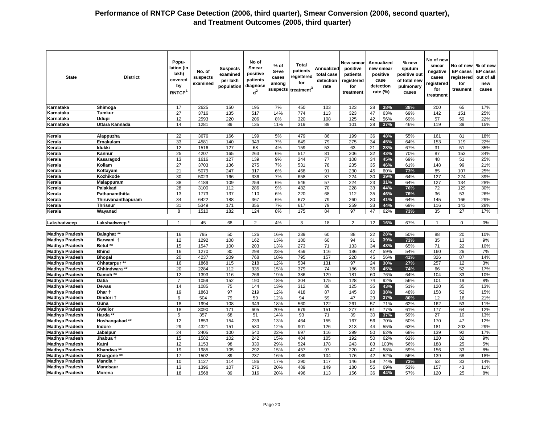| <b>State</b>          | <b>District</b>        | Popu-<br>lation (in<br>lakh)<br>covered<br>by<br>RNTCP <sup>1</sup> | No. of<br>suspects<br>examined | <b>Suspects</b><br>examined<br>per lakh<br>population | No of<br>Smear<br>positive<br>patients<br>diagnose<br>$d^2$ | % of<br>S+ve<br>cases<br>among<br>suspects | Total<br>patients<br>registered<br>for<br>treatment <sup>®</sup> | Annualized<br>total case<br>detection<br>rate | New smear<br>positive<br>patients<br>registered<br>for<br>treatment |    | Annualized<br>new smear<br>positive<br>case<br>detection<br>rate $(\%)$ | % new<br>sputum<br>positive out<br>of total new<br>pulmonary<br>cases | No of new<br>smear<br>negative<br>cases<br>registered<br>for<br>treatment | No of new<br><b>EP cases</b><br>registered<br>for<br>treament | % of new<br><b>EP</b> cases<br>out of all<br>new<br>cases |
|-----------------------|------------------------|---------------------------------------------------------------------|--------------------------------|-------------------------------------------------------|-------------------------------------------------------------|--------------------------------------------|------------------------------------------------------------------|-----------------------------------------------|---------------------------------------------------------------------|----|-------------------------------------------------------------------------|-----------------------------------------------------------------------|---------------------------------------------------------------------------|---------------------------------------------------------------|-----------------------------------------------------------|
| Karnataka             | Shimoga                | 17                                                                  | 2625                           | 150                                                   | 195                                                         | 7%                                         | 450                                                              | 103                                           | 123                                                                 | 28 | 38%                                                                     | 38%                                                                   | 200                                                                       | 65                                                            | 17%                                                       |
| Karnataka             | Tumkur                 | 27                                                                  | 3716                           | 135                                                   | 517                                                         | 14%                                        | 774                                                              | 113                                           | 323                                                                 | 47 | 63%                                                                     | 69%                                                                   | 142                                                                       | 151                                                           | 25%                                                       |
| Karnataka             | <b>Udupi</b>           | 12                                                                  | 2593                           | 220                                                   | 206                                                         | 8%                                         | 320                                                              | 108                                           | 125                                                                 | 42 | 56%                                                                     | 69%                                                                   | 57                                                                        | 50                                                            | 22%                                                       |
| Karnataka             | Uttara Kannada         | 14                                                                  | 1281                           | 89                                                    | 135                                                         | 11%                                        | 319                                                              | 89                                            | 101                                                                 | 28 | 37%                                                                     | 46%                                                                   | 119                                                                       | 39                                                            | 15%                                                       |
|                       |                        |                                                                     |                                |                                                       |                                                             |                                            |                                                                  |                                               |                                                                     |    |                                                                         |                                                                       |                                                                           |                                                               |                                                           |
| Kerala                | Alappuzha              | 22                                                                  | 3676                           | 166                                                   | 199                                                         | 5%                                         | 479                                                              | 86                                            | 199                                                                 | 36 | 48%                                                                     | 55%                                                                   | 161                                                                       | 81                                                            | 18%                                                       |
| Kerala                | Ernakulam              | 33                                                                  | 4581                           | 140                                                   | 343                                                         | 7%                                         | 649                                                              | 79                                            | 275                                                                 | 34 | 45%                                                                     | 64%                                                                   | 153                                                                       | 119                                                           | 22%                                                       |
| Kerala                | ldukki                 | 12                                                                  | 1516                           | 127                                                   | 68                                                          | 4%                                         | 159                                                              | 53                                            | 63                                                                  | 21 | 28%                                                                     | 67%                                                                   | 31                                                                        | 51                                                            | 35%                                                       |
| Kerala                | Kannur                 | 25                                                                  | 4207                           | 165                                                   | 263                                                         | 6%                                         | 517                                                              | 81                                            | 206                                                                 | 32 | 43%                                                                     | 70%                                                                   | 87                                                                        | 153                                                           | 34%                                                       |
| Kerala                | Kasaragod              | 13                                                                  | 1616                           | 127                                                   | 139                                                         | 9%                                         | 244                                                              | 77                                            | 108                                                                 | 34 | 45%                                                                     | 69%                                                                   | 48                                                                        | 51                                                            | 25%                                                       |
| Kerala                | Kollam                 | $\overline{27}$                                                     | 3703                           | 136                                                   | 275                                                         | 7%                                         | 531                                                              | 78                                            | 235                                                                 | 35 | 46%                                                                     | 61%                                                                   | 148                                                                       | 99                                                            | 21%                                                       |
| Kerala                | Kottayam               | 21                                                                  | 5079                           | 247                                                   | 317                                                         | 6%                                         | 468                                                              | 91                                            | 230                                                                 | 45 | 60%                                                                     | 73%                                                                   | 85                                                                        | 107                                                           | 25%                                                       |
| Kerala                | Kozhikode              | 30                                                                  | 5023                           | 166                                                   | 336                                                         | 7%                                         | 658                                                              | 87                                            | 224                                                                 | 30 | 39%                                                                     | 64%                                                                   | 127                                                                       | 224                                                           | 39%                                                       |
| Kerala                | Malappuram             | 38                                                                  | 4189                           | 109                                                   | 259                                                         | 6%                                         | 546                                                              | 57                                            | 224                                                                 | 23 | 31%                                                                     | 64%                                                                   | 127                                                                       | 134                                                           | 28%                                                       |
| Kerala                | Palakkad               | 28                                                                  | 3100                           | 112                                                   | 286                                                         | 9%                                         | 482                                                              | 70                                            | 228                                                                 | 33 | 44%                                                                     | 76%                                                                   | 72                                                                        | 129                                                           | 30%                                                       |
| Kerala                | Pathanamthitta         | 13                                                                  | 1773                           | 137                                                   | 110                                                         | 6%                                         | 220                                                              | 68                                            | 112                                                                 | 35 | 46%                                                                     | 76%                                                                   | 36                                                                        | 53                                                            | 26%                                                       |
| Kerala                | Thiruvananthapuram     | 34                                                                  | 6422                           | 188                                                   | 367                                                         | 6%                                         | 672                                                              | 79                                            | 260                                                                 | 30 | 41%                                                                     | 64%                                                                   | 145                                                                       | 166                                                           | 29%                                                       |
| Kerala                | <b>Thrissur</b>        | 31                                                                  | 5349                           | 171                                                   | 356                                                         | 7%                                         | 617                                                              | 79                                            | 259                                                                 | 33 | 44%                                                                     | 69%                                                                   | 116                                                                       | 143                                                           | 28%                                                       |
| Kerala                | Wayanad                | 8                                                                   | 1510                           | 182                                                   | 124                                                         | 8%                                         | 175                                                              | 84                                            | 97                                                                  | 47 | 62%                                                                     | 73%                                                                   | 35                                                                        | 27                                                            | 17%                                                       |
| Lakshadweep           | Lakshadweep*           | $\mathbf{1}$                                                        | 45                             | 68                                                    | $\overline{2}$                                              | 4%                                         | 3                                                                | 18                                            | 2                                                                   | 12 | 16%                                                                     | 67%                                                                   | $\mathbf{1}$                                                              | $\mathbf 0$                                                   | 0%                                                        |
| <b>Madhya Pradesh</b> | <b>Balaghat **</b>     | 16                                                                  | 795                            | 50                                                    | 126                                                         | 16%                                        | 239                                                              | 60                                            | 88                                                                  | 22 | 28%                                                                     | 50%                                                                   | 88                                                                        | 20                                                            | 10%                                                       |
| <b>Madhya Pradesh</b> | Barwani t              | 12                                                                  | 1292                           | 108                                                   | 162                                                         | 13%                                        | 180                                                              | 60                                            | 94                                                                  | 31 | 39%                                                                     | 73%                                                                   | 35                                                                        | 13                                                            | 9%                                                        |
| <b>Madhya Pradesh</b> | Betul **               | 15                                                                  | 1547                           | 100                                                   | 203                                                         | 13%                                        | 273                                                              | 71                                            | 133                                                                 | 34 | 43%                                                                     | 65%                                                                   | $\overline{71}$                                                           | $\overline{22}$                                               | 10%                                                       |
| <b>Madhya Pradesh</b> | Bhind                  | 16                                                                  | 1270                           | 80                                                    | 298                                                         | 23%                                        | 459                                                              | 116                                           | 186                                                                 | 47 | 59%                                                                     | 54%                                                                   | 160                                                                       | 26                                                            | 7%                                                        |
| <b>Madhya Pradesh</b> | <b>Bhopal</b>          | 20                                                                  | 4237                           | 209                                                   | 768                                                         | 18%                                        | 795                                                              | 157                                           | 228                                                                 | 45 | 56%                                                                     | 41%                                                                   | 326                                                                       | 87                                                            | 14%                                                       |
| <b>Madhya Pradesh</b> | Chhatarpur **          | 16                                                                  | 1868                           | 115                                                   | 218                                                         | 12%                                        | 534                                                              | 131                                           | 97                                                                  | 24 | 30%                                                                     | 27%                                                                   | 257                                                                       | 12                                                            | 3%                                                        |
| <b>Madhya Pradesh</b> | Chhindwara **          | 20                                                                  | 2284                           | 112                                                   | 335                                                         | 15%                                        | 379                                                              | 74                                            | 186                                                                 | 36 | 45%                                                                     | 74%                                                                   | 66                                                                        | 52                                                            | 17%                                                       |
| <b>Madhya Pradesh</b> | Damoh **               | 12                                                                  | 1393                           | 116                                                   | 266                                                         | 19%                                        | 386                                                              | 129                                           | 181                                                                 | 60 | 76%                                                                     | 64%                                                                   | 104                                                                       | 33                                                            | 10%                                                       |
| <b>Madhya Pradesh</b> | <b>Datia</b>           | $\overline{7}$                                                      | 1059                           | 152                                                   | 190                                                         | 18%                                        | 304                                                              | 175                                           | 128                                                                 | 74 | 92%                                                                     | 56%                                                                   | 101                                                                       | 19                                                            | 8%                                                        |
| <b>Madhya Pradesh</b> | <b>Dewas</b>           | 14                                                                  | 1085                           | 75                                                    | 144                                                         | 13%                                        | 312                                                              | 86                                            | 125                                                                 | 35 | 43%                                                                     | 51%                                                                   | 120                                                                       | 35                                                            | 13%                                                       |
| <b>Madhya Pradesh</b> | Dhar 1                 | 19                                                                  | 1863                           | 97                                                    | 219                                                         | 12%                                        | 418                                                              | 87                                            | 145                                                                 | 30 | 38%                                                                     | 48%                                                                   | 158                                                                       | 52                                                            | 15%                                                       |
| <b>Madhya Pradesh</b> | Dindori t              | 6                                                                   | 504                            | 79                                                    | 59                                                          | 12%                                        | 94                                                               | 59                                            | 47                                                                  | 29 | 37%                                                                     | 80%                                                                   | 12                                                                        | 16                                                            | 21%                                                       |
| <b>Madhya Pradesh</b> | Guna                   | 18                                                                  | 1994                           | 108                                                   | 349                                                         | 18%                                        | 560                                                              | 122                                           | 261                                                                 | 57 | 71%                                                                     | 62%                                                                   | 162                                                                       | 53                                                            | 11%                                                       |
| <b>Madhya Pradesh</b> | <b>Gwalior</b>         | 18                                                                  | 3090                           | 171                                                   | 605                                                         | 20%                                        | 679                                                              | 151                                           | 277                                                                 | 61 | 77%                                                                     | 61%                                                                   | 177                                                                       | 64                                                            | 12%                                                       |
| <b>Madhya Pradesh</b> | Harda **               | 5                                                                   | 357                            | 68                                                    | 51                                                          | 14%                                        | 93                                                               | 71                                            | 39                                                                  | 30 | 37%                                                                     | 59%                                                                   | 27                                                                        | 10                                                            | 13%                                                       |
| Madhya Pradesh        | Hoshangabad **         | 12                                                                  | 1853                           | 154                                                   | 239                                                         | 13%                                        | 464                                                              | 155                                           | 167                                                                 | 56 | 70%                                                                     | 50%                                                                   | 170                                                                       | 47                                                            | 12%                                                       |
| <b>Madhya Pradesh</b> | Indore                 | 29                                                                  | 4321                           | 151                                                   | 530                                                         | 12%                                        | 901                                                              | 126                                           | 313                                                                 | 44 | 55%                                                                     | 63%                                                                   | 181                                                                       | 203                                                           | 29%                                                       |
| <b>Madhya Pradesh</b> | Jabalpur               | $\overline{24}$                                                     | 2405                           | 100                                                   | 540                                                         | 22%                                        | 697                                                              | 116                                           | 299                                                                 | 50 | 62%                                                                     | 68%                                                                   | 139                                                                       | 92                                                            | 17%                                                       |
| <b>Madhya Pradesh</b> | Jhabua †               | 15                                                                  | 1582                           | 102                                                   | 242                                                         | 15%                                        | 404                                                              | 105                                           | 192                                                                 | 50 | 62%                                                                     | 62%                                                                   | 120                                                                       | 32                                                            | 9%                                                        |
| <b>Madhya Pradesh</b> | Katni                  | 12                                                                  | 1153                           | 98                                                    | 330                                                         | 29%                                        | 524                                                              | 178                                           | 243                                                                 | 83 | 103%                                                                    | 56%                                                                   | 188                                                                       | 25                                                            | 5%                                                        |
| <b>Madhya Pradesh</b> | Khandwa <sup>**</sup>  | 19                                                                  | 1985                           | 105                                                   | 292                                                         | 15%                                        | 457                                                              | 97                                            | 220                                                                 | 47 | 58%                                                                     | 59%                                                                   | 156                                                                       | 33                                                            | 8%                                                        |
| <b>Madhya Pradesh</b> | Khargone <sup>**</sup> | 17                                                                  | 1502                           | 89                                                    | 237                                                         | 16%                                        | 439                                                              | 104                                           | 176                                                                 | 42 | 52%                                                                     | 56%                                                                   | 139                                                                       | 68                                                            | 18%                                                       |
| <b>Madhya Pradesh</b> | Mandla +               | 10                                                                  | 1127                           | 114                                                   | 186                                                         | 17%                                        | 290                                                              | 117                                           | 146                                                                 | 59 | 74%                                                                     | 73%                                                                   | 53                                                                        | 33                                                            | 14%                                                       |
| <b>Madhya Pradesh</b> | <b>Mandsaur</b>        | 13                                                                  | 1396                           | 107                                                   | 276                                                         | 20%                                        | 489                                                              | 149                                           | 180                                                                 | 55 | 69%                                                                     | 53%                                                                   | 157                                                                       | 43                                                            | 11%                                                       |
| <b>Madhya Pradesh</b> | <b>Morena</b>          | 18                                                                  | 1568                           | 89                                                    | 316                                                         | 20%                                        | 496                                                              | 113                                           | 156                                                                 | 36 | 44%                                                                     | 57%                                                                   | 120                                                                       | 25                                                            | 8%                                                        |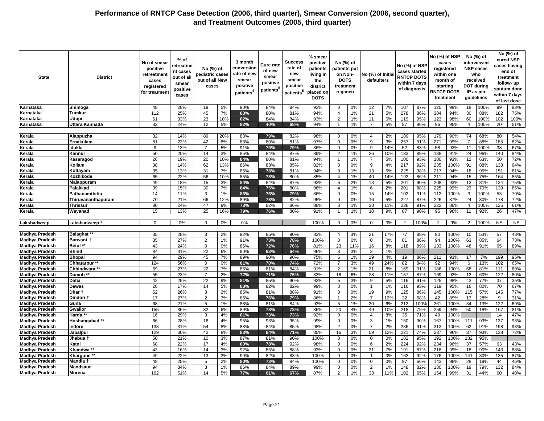| <b>State</b>          | <b>District</b>     | No of smear<br>positive<br>retreatment<br>cases<br>registered<br>for treatmen | % of<br>retreatme<br>nt cases<br>out of all<br>smear<br>positive<br>cases | No (%) of<br>pediatric cases<br>out of all New<br>cases |     | 3 month<br>conversior<br>rate of new<br>smear<br>positive<br>patients <sup>4</sup> | <b>Cure rate</b><br>of new<br>smear<br>positive<br>patients <sup>t</sup> | Success<br>rate of<br>new<br>smear<br>positive<br>patients <sup>5</sup> | % smear<br>positive<br>patients<br>living in<br>the<br>district<br>placed on<br><b>DOTS</b> | No (%) of<br>patients put<br>on Non-<br><b>DOTS</b><br>treatment<br>regimen |     | No (%) of Initia<br>defaulters |          | No (%) of NSP<br>cases started<br><b>RNTCP DOTS</b><br>within 7 days<br>of diagnosis |            | No (%) of NSP<br>cases<br>registered<br>month of<br>starting<br><b>RNTCP DOTS</b><br>treatment | within one  |                | No (%) of<br>interviewed<br><b>NSP cases</b><br>who<br>received<br><b>DOT during</b><br>IP as per<br>guidelines |            | No (%) of<br>cured NSP<br>cases having<br>end of<br>treatment<br>follow-up<br>sputum done<br>within 7 days<br>of last dose |
|-----------------------|---------------------|-------------------------------------------------------------------------------|---------------------------------------------------------------------------|---------------------------------------------------------|-----|------------------------------------------------------------------------------------|--------------------------------------------------------------------------|-------------------------------------------------------------------------|---------------------------------------------------------------------------------------------|-----------------------------------------------------------------------------|-----|--------------------------------|----------|--------------------------------------------------------------------------------------|------------|------------------------------------------------------------------------------------------------|-------------|----------------|-----------------------------------------------------------------------------------------------------------------|------------|----------------------------------------------------------------------------------------------------------------------------|
| Karnataka             | Shimoga             | 48                                                                            | 28%                                                                       | 19                                                      | 5%  | 90%                                                                                | 84%                                                                      | 84%                                                                     | 93%                                                                                         | $\Omega$                                                                    | 0%  | 12                             | 7%       | 107                                                                                  | 87%        | 120                                                                                            | 98%         | 18             | 100%                                                                                                            | 99         | 88%                                                                                                                        |
| Karnataka             | Tumkur              | 112                                                                           | 25%                                                                       | 45                                                      | 7%  | 83%                                                                                | 80%                                                                      | 81%                                                                     | 94%                                                                                         | $\overline{4}$                                                              | 1%  | 21                             | 5%       | 278                                                                                  | 86%        | 304                                                                                            | 94%         | 30             | 88%                                                                                                             | 182        | 75%                                                                                                                        |
| Karnataka             | Udupi               | 61                                                                            | 33%                                                                       | 23                                                      | 10% | 82%                                                                                | 84%                                                                      | 84%                                                                     | 93%                                                                                         | $\overline{2}$                                                              | 1%  | 11                             | 6%       | 119                                                                                  | 95%        | 123                                                                                            | 98%         | 60             | 100%                                                                                                            | 102        | 100%                                                                                                                       |
| Karnataka             | Uttara Kannada      | 32                                                                            | 24%                                                                       | 12                                                      | 5%  | 82%                                                                                | 40%                                                                      | 68%                                                                     | 94%                                                                                         | $\overline{1}$                                                              | 1%  | $\overline{7}$                 | 5%       | 87                                                                                   | 86%        | 96                                                                                             | 95%         | $\overline{4}$ | 100%                                                                                                            | 20         | 51%                                                                                                                        |
|                       |                     |                                                                               |                                                                           |                                                         |     |                                                                                    |                                                                          |                                                                         |                                                                                             |                                                                             |     |                                |          |                                                                                      |            |                                                                                                |             |                |                                                                                                                 |            |                                                                                                                            |
| Kerala                | Alappuzha           | 32                                                                            | 14%                                                                       | 89                                                      | 20% | 88%                                                                                | 79%                                                                      | 82%                                                                     | 98%                                                                                         | $\Omega$                                                                    | 0%  | $\overline{4}$                 | 2%       | 189                                                                                  | 95%        | 179                                                                                            | 90%         | 74             | 68%                                                                                                             | 80         | 54%                                                                                                                        |
| Kerala                | Ernakulam           | 81                                                                            | 23%                                                                       | 42                                                      | 8%  | 88%                                                                                | 80%                                                                      | 81%                                                                     | 97%                                                                                         | $\mathbf 0$                                                                 | 0%  | 9                              | 3%       | 257                                                                                  | 91%        | 271                                                                                            | 99%         | $\overline{7}$ | 88%                                                                                                             | 185        | 82%                                                                                                                        |
| Kerala                | ldukki              | 9                                                                             | 13%                                                                       | $\overline{7}$                                          | 5%  | 91%                                                                                | 79%                                                                      | 79%                                                                     | 86%                                                                                         | $\mathbf 0$                                                                 | 0%  | 9                              | 14%      | 52                                                                                   | 83%        | 58                                                                                             | 92%         | 11             | 100%                                                                                                            | 38         | 67%                                                                                                                        |
| Kerala                | Kannur              | 50                                                                            | 20%                                                                       | 14                                                      | 3%  | 85%                                                                                | 84%                                                                      | 87%                                                                     | 89%                                                                                         | 2                                                                           | 1%  | 26                             | 10%      | 183                                                                                  | 89%        | 188                                                                                            | 91%         | 24             | 96%                                                                                                             | 140        | 84%                                                                                                                        |
|                       |                     | 26                                                                            | 19%                                                                       |                                                         |     | 84%                                                                                |                                                                          | 81%                                                                     | 94%                                                                                         |                                                                             |     |                                |          |                                                                                      |            |                                                                                                |             |                |                                                                                                                 | 50         |                                                                                                                            |
| Kerala                | Kasaragod           |                                                                               |                                                                           | 20                                                      | 10% |                                                                                    | 80%<br>83%                                                               |                                                                         |                                                                                             | $\mathbf{1}$                                                                | 1%  | 7                              | 5%       | 100<br>217                                                                           | 93%        | 100                                                                                            | 93%         | 12             | 63%                                                                                                             |            | 72%                                                                                                                        |
| Kerala                | Kollam              | 38<br>35                                                                      | 14%<br>13%                                                                | 62                                                      | 13% | 86%                                                                                |                                                                          | 85%                                                                     | 82%                                                                                         | $\mathbf 0$                                                                 | 0%  | 9<br>13                        | 4%<br>5% | 225                                                                                  | 92%<br>98% | 235                                                                                            | 100%<br>94% | 91             | 88%<br>95%                                                                                                      | 138<br>151 | 64%                                                                                                                        |
| Kerala                | Kottayam            |                                                                               |                                                                           | 31                                                      | 7%  | 85%                                                                                | 78%                                                                      | 81%                                                                     | 94%                                                                                         | 3                                                                           | 1%  |                                |          |                                                                                      |            | 217                                                                                            |             | 18             |                                                                                                                 |            | 81%                                                                                                                        |
| Kerala                | Kozhikode           | 65                                                                            | 22%                                                                       | 56                                                      | 10% | 85%                                                                                | 78%                                                                      | 80%                                                                     | 85%                                                                                         | $\overline{4}$                                                              | 1%  | 40                             | 14%      | 192                                                                                  | 86%        | 211                                                                                            | 94%         | 15             | 75%                                                                                                             | 164        | 85%                                                                                                                        |
| Kerala                | Malappuram          | 49                                                                            | 18%                                                                       | 15                                                      | 3%  | 84%                                                                                | 84%                                                                      | 87%                                                                     | 93%                                                                                         | 6                                                                           | 2%  | 13                             | 5%       | 201                                                                                  | 90%        | 208                                                                                            | 93%         | 13             | 81%                                                                                                             | 134        | 75%                                                                                                                        |
| Kerala                | Palakkad            | 39                                                                            | 15%                                                                       | 30                                                      | 7%  | 84%                                                                                | 75%                                                                      | 80%                                                                     | 96%                                                                                         | $\overline{4}$                                                              | 1%  | 6                              | 2%       | 201                                                                                  | 88%        | 225                                                                                            | 99%         | 23             | 70%                                                                                                             | 139        | 86%                                                                                                                        |
| Kerala                | Pathanamthitta      | 14                                                                            | 11%                                                                       | 3                                                       | 1%  | 83%                                                                                | 76%                                                                      | 79%                                                                     | 86%                                                                                         | $\mathbf 0$                                                                 | 0%  | 15                             | 14%      | 102                                                                                  | 91%        | 112                                                                                            | 100%        | 3              | 100%                                                                                                            | 53         | 70%                                                                                                                        |
| Kerala                | Thiruvananthapuram  | 70                                                                            | 21%                                                                       | 66                                                      | 12% | 89%                                                                                | 78%                                                                      | 82%                                                                     | 95%                                                                                         | $\mathbf 0$                                                                 | 0%  | 16                             | 5%       | 227                                                                                  | 87%        | 226                                                                                            | 87%         | 24             | 80%                                                                                                             | 178        | 72%                                                                                                                        |
| Kerala                | <b>Thrissur</b>     | 80                                                                            | 24%                                                                       | 47                                                      | 9%  | 73%                                                                                | 82%                                                                      | 86%                                                                     | 88%                                                                                         | 3                                                                           | 1%  | 38                             | 11%      | 236                                                                                  | 91%        | 222                                                                                            | 86%         | $\overline{4}$ | 100%                                                                                                            | 125        | 61%                                                                                                                        |
| Kerala                | Wayanad             | 15                                                                            | 13%                                                                       | 25                                                      | 16% | 79%                                                                                | 76%                                                                      | 80%                                                                     | 91%                                                                                         | -1                                                                          | 1%  | 10                             | 9%       | 87                                                                                   | 90%        | 95                                                                                             | 98%         | 11             | 92%                                                                                                             | 26         | 47%                                                                                                                        |
|                       |                     |                                                                               |                                                                           |                                                         |     |                                                                                    |                                                                          |                                                                         |                                                                                             |                                                                             |     |                                |          |                                                                                      |            |                                                                                                |             |                |                                                                                                                 |            |                                                                                                                            |
| Lakshadweep           | Lakshadweep         | $\mathbf 0$                                                                   | 0%                                                                        | $\mathbf 0$                                             | 0%  | 0%                                                                                 |                                                                          |                                                                         | 100%                                                                                        | $\mathbf{0}$                                                                | 0%  | $\mathbf 0$                    | 0%       | 2                                                                                    | 100%       | $\overline{2}$                                                                                 | 9%          | 2              | 100%                                                                                                            | <b>NE</b>  | <b>NE</b>                                                                                                                  |
|                       |                     |                                                                               |                                                                           |                                                         |     |                                                                                    |                                                                          |                                                                         |                                                                                             |                                                                             |     |                                |          |                                                                                      |            |                                                                                                |             |                |                                                                                                                 |            |                                                                                                                            |
| <b>Madhya Pradesh</b> | <b>Balaghat</b>     | 35                                                                            | 28%                                                                       | 3                                                       | 2%  | 92%                                                                                | 85%                                                                      | 90%                                                                     | 83%                                                                                         | $\overline{4}$                                                              | 3%  | 21                             | 17%      | 77                                                                                   | 88%        | 90                                                                                             | 100%        | 10             | 53%                                                                                                             | 57         | 48%                                                                                                                        |
| <b>Madhya Pradesh</b> | Barwani 1           | 35                                                                            | 27%                                                                       | 2                                                       | 1%  | 91%                                                                                | 73%                                                                      | 78%                                                                     | 100%                                                                                        | $\mathbf 0$                                                                 | 0%  | $\mathbf 0$                    | 0%       | 81                                                                                   | 86%        | 94                                                                                             | 100%        | 63             | 85%                                                                                                             | 64         | 73%                                                                                                                        |
| Madhva Pradesh        | <b>Betul</b>        | 43                                                                            | 24%                                                                       | $\mathbf 0$                                             | 0%  | 86%                                                                                | 72%                                                                      | 76%                                                                     | 81%                                                                                         | 23                                                                          | 11% | 16                             | 8%       | 118                                                                                  | 89%        | 133                                                                                            | 100%        | 48             | 91%                                                                                                             | 65         | 89%                                                                                                                        |
| <b>Madhya Pradesh</b> | <b>Bhind</b>        | 84                                                                            | 31%                                                                       | 22                                                      | 6%  | 90%                                                                                | 63%                                                                      | 64%                                                                     | 96%                                                                                         | 8                                                                           | 3%  | 3                              | 1%       |                                                                                      |            |                                                                                                |             |                |                                                                                                                 |            |                                                                                                                            |
| Madhya Pradesh        | <b>Bhopal</b>       | 94                                                                            | 29%                                                                       | 45                                                      | 7%  | 89%                                                                                | 90%                                                                      | 90%                                                                     | 75%                                                                                         | 6                                                                           | 1%  | 19                             | 4%       | 19                                                                                   | 86%        | 211                                                                                            | 93%         | 17             | 7%                                                                                                              | 199        | 95%                                                                                                                        |
| <b>Madhya Pradesh</b> | Chhatarpur **       | 124                                                                           | 56%                                                                       | $\Omega$                                                | 0%  | 81%                                                                                | 70%                                                                      | 74%                                                                     | 72%                                                                                         | $\overline{7}$                                                              | 3%  | 49                             | 24%      | 82                                                                                   | 84%        | 92                                                                                             | 94%         | 6              | 13%                                                                                                             | 102        | 65%                                                                                                                        |
| Madhya Pradesh        | Chhindwara **       | 69                                                                            | 27%                                                                       | 22                                                      | 7%  | 85%                                                                                | 81%                                                                      | 84%                                                                     | 91%                                                                                         | 2                                                                           | 1%  | 21                             | 8%       | 169                                                                                  | 91%        | 186                                                                                            | 100%        | 68             | 81%                                                                                                             | 111        | 69%                                                                                                                        |
| <b>Madhya Pradesh</b> | Damoh **            | 55                                                                            | 23%                                                                       | $\overline{7}$                                          | 2%  | 72%                                                                                | 71%                                                                      | 75%                                                                     | 83%                                                                                         | 16                                                                          | 6%  | 28                             | 11%      | 157                                                                                  | 87%        | 169                                                                                            | 93%         | 12             | 60%                                                                                                             | 122        | 80%                                                                                                                        |
| <b>Madhya Pradesh</b> | Datia               | 42                                                                            | 25%                                                                       | 22                                                      | 9%  | 81%                                                                                | 85%                                                                      | 90%                                                                     | 92%                                                                                         | 5                                                                           | 3%  | 9                              | 5%       | 116                                                                                  | 91%        | 125                                                                                            | 98%         | 43             | 77%                                                                                                             | 37         | 35%                                                                                                                        |
| Madhya Pradesh        | Dewas               | 26                                                                            | 17%                                                                       | 14                                                      | 5%  | 83%                                                                                | 82%                                                                      | 82%                                                                     | 99%                                                                                         | $\mathbf 0$                                                                 | 0%  | $\overline{1}$                 | 1%       | 116                                                                                  | 93%        | 119                                                                                            | 95%         | 16             | 80%                                                                                                             | 70         | 67%                                                                                                                        |
| <b>Madhya Pradesh</b> | Dhar 1              | 52                                                                            | 26%                                                                       | 8                                                       | 2%  | 85%                                                                                | 81%                                                                      | 88%                                                                     | 91%                                                                                         | $\Omega$                                                                    | 0%  | 19                             | 9%       | 125                                                                                  | 86%        | 145                                                                                            | 100%        | 115            | 57%                                                                                                             | 145        | 77%                                                                                                                        |
| <b>Madhya Pradesh</b> | <b>Dindori</b>      | 17                                                                            | 27%                                                                       | 2                                                       | 3%  | 86%                                                                                | 76%                                                                      | 79%                                                                     | 86%                                                                                         | $\overline{1}$                                                              | 2%  | $\overline{7}$                 | 12%      | 32                                                                                   | 68%        | 42                                                                                             | 89%         | 13             | 28%                                                                                                             | 9          | 31%                                                                                                                        |
| Madhya Pradesh        | Guna                | 68                                                                            | 21%                                                                       | 5                                                       | 1%  | 88%                                                                                | 81%                                                                      | 84%                                                                     | 93%                                                                                         | 5                                                                           | 1%  | 20                             | 6%       | 212                                                                                  | 100%       | 261                                                                                            | 100%        | 34             | 13%                                                                                                             | 122        | 69%                                                                                                                        |
| <b>Madhya Pradesh</b> | Gwalior             | 155                                                                           | 36%                                                                       | 32                                                      | 6%  | 89%                                                                                | 78%                                                                      | 78%                                                                     | 86%                                                                                         | 20                                                                          | 4%  | 49                             | 10%      | 218                                                                                  | 79%        | 259                                                                                            | 94%         | 50             | 18%                                                                                                             | 167        | 81%                                                                                                                        |
| Madhya Pradesh        | Harda **            | 16                                                                            | 29%                                                                       | 3                                                       | 4%  | 81%                                                                                | 73%                                                                      | 73%                                                                     | 92%                                                                                         | 0                                                                           | 0%  | $\overline{4}$                 | 8%       | 35                                                                                   | 71%        | 49                                                                                             | 100%        |                |                                                                                                                 | 14         | 47%                                                                                                                        |
| <b>Madhya Pradesh</b> | Hoshangabad**       | 66                                                                            | 28%                                                                       | 16                                                      | 4%  | 95%                                                                                | 93%                                                                      | 95%                                                                     | 99%                                                                                         | $\mathbf 0$                                                                 | 0%  | 3                              | 1%       | 150                                                                                  | 90%        | 167                                                                                            | 100%        | 111            | 93%                                                                                                             | 137        | 93%                                                                                                                        |
| <b>Madhya Pradesh</b> | Indore              | 138                                                                           | 31%                                                                       | 54                                                      | 8%  | 88%                                                                                | 84%                                                                      | 85%                                                                     | 98%                                                                                         | 2                                                                           | 0%  | $\overline{7}$                 | 2%       | 286                                                                                  | 91%        | 313                                                                                            | 100%        | 62             | 91%                                                                                                             | 198        | 93%                                                                                                                        |
| <b>Madhya Pradesh</b> | Jabalpur            | 129                                                                           | 30%                                                                       | 42                                                      | 8%  | 83%                                                                                | 64%                                                                      | 71%                                                                     | 85%                                                                                         | 16                                                                          | 3%  | 59                             | 12%      | 221                                                                                  | 74%        | 287                                                                                            | 96%         | 37             | 93%                                                                                                             | 138        | 72%                                                                                                                        |
| Madhya Pradesh        | Jhabua <sup>.</sup> | 50                                                                            | 21%                                                                       | 10                                                      | 3%  | 87%                                                                                | 81%                                                                      | 90%                                                                     | 100%                                                                                        | $\mathbf 0$                                                                 | 0%  | $\mathbf 0$                    | 0%       | 182                                                                                  | 95%        | 192                                                                                            | 100%        | 182            | 95%                                                                                                             |            |                                                                                                                            |
| <b>Madhya Pradesh</b> | Katni               | 68                                                                            | 22%                                                                       | 17                                                      | 4%  | 80%                                                                                | 78%                                                                      | 92%                                                                     | 98%                                                                                         | $\mathbf 0$                                                                 | 0%  | 6                              | 2%       | 224                                                                                  | 92%        | 234                                                                                            | 96%         | 37             | 57%                                                                                                             | 63         | 43%                                                                                                                        |
| <b>Madhya Pradesh</b> | Khandwa *           | 43                                                                            | 16%                                                                       | 14                                                      | 3%  | 92%                                                                                | 85%                                                                      | 88%                                                                     | 93%                                                                                         | $\Omega$                                                                    | 0%  | 21                             | 7%       | 191                                                                                  | 87%        | 218                                                                                            | 99%         | 18             | 90%                                                                                                             | 143        | 88%                                                                                                                        |
| Madhya Pradesh        | Khargone **         | 49                                                                            | 22%                                                                       | 13                                                      | 3%  | 90%                                                                                | 82%                                                                      | 83%                                                                     | 100%                                                                                        | $\mathbf 0$                                                                 | 0%  | $\mathbf{1}$                   | 0%       | 162                                                                                  | 92%        | 176                                                                                            | 100%        | 141            | 80%                                                                                                             | 135        | 87%                                                                                                                        |
| <b>Madhya Pradesh</b> | Mandla              | 48                                                                            | 25%                                                                       | 5                                                       | 2%  | 80%                                                                                | 73%                                                                      | 84%                                                                     | 100%                                                                                        | $\mathbf 0$                                                                 | 0%  | $\mathbf 0$                    | 0%       | 97                                                                                   | 66%        | 143                                                                                            | 98%         | 28             | 19%                                                                                                             | 44         | 46%                                                                                                                        |
| <b>Madhya Pradesh</b> | Mandsaur            | 94                                                                            | 34%                                                                       | 3                                                       | 1%  | 86%                                                                                | 84%                                                                      | 89%                                                                     | 99%                                                                                         | $\Omega$                                                                    | 0%  | $\overline{2}$                 | 1%       | 148                                                                                  | 82%        | 180                                                                                            | 100%        | 19             | 79%                                                                                                             | 132        | 84%                                                                                                                        |
| <b>Madhya Pradesh</b> | Morena              | 162                                                                           | 51%                                                                       | 14                                                      | 5%  | 77%                                                                                | 61%                                                                      | 67%                                                                     | 87%                                                                                         | $\overline{2}$                                                              | 1%  | 33                             | 11%      | 102                                                                                  | 65%        | 154                                                                                            | 99%         | 31             | 44%                                                                                                             | 60         | 40%                                                                                                                        |
|                       |                     |                                                                               |                                                                           |                                                         |     |                                                                                    |                                                                          |                                                                         |                                                                                             |                                                                             |     |                                |          |                                                                                      |            |                                                                                                |             |                |                                                                                                                 |            |                                                                                                                            |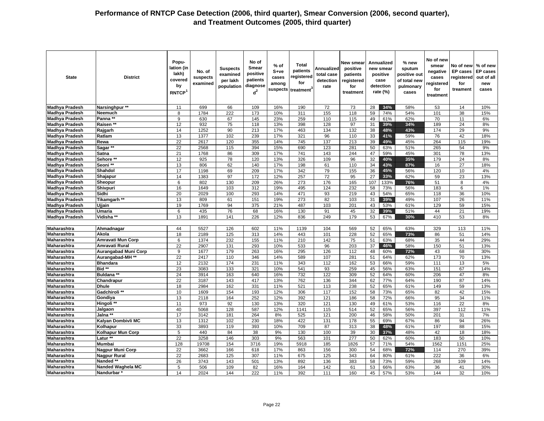| <b>State</b>          | <b>District</b>             | Popu-<br>lation (in<br>lakh)<br>covered<br>by<br>RNTCP <sup>1</sup> | No. of<br>suspects<br>examined | <b>Suspects</b><br>examined<br>per lakh<br>population | No of<br>Smear<br>positive<br>patients<br>diagnose<br>$d^2$ | $%$ of<br>S+ve<br>cases<br>among<br>suspects | Total<br>patients<br>registered<br>for<br>treatment <sup>3</sup> | Annualized<br>total case<br>detection<br>rate | New smear<br>positive<br>patients<br>registered<br>for<br>treatment |     | Annualized<br>new smear<br>positive<br>case<br>detection<br>rate (%) | $%$ new<br>sputum<br>positive out<br>of total new<br>pulmonary<br>cases | No of new<br>smear<br>negative<br>cases<br>registered<br>for<br>treatment | No of new<br><b>EP</b> cases<br>registered<br>for<br>treament | % of new<br><b>EP cases</b><br>out of all<br>new<br>cases |
|-----------------------|-----------------------------|---------------------------------------------------------------------|--------------------------------|-------------------------------------------------------|-------------------------------------------------------------|----------------------------------------------|------------------------------------------------------------------|-----------------------------------------------|---------------------------------------------------------------------|-----|----------------------------------------------------------------------|-------------------------------------------------------------------------|---------------------------------------------------------------------------|---------------------------------------------------------------|-----------------------------------------------------------|
| <b>Madhya Pradesh</b> | Narsinghpur **              | 11                                                                  | 699                            | 66                                                    | 109                                                         | 16%                                          | 190                                                              | 72                                            | 73                                                                  | 28  | 34%                                                                  | 58%                                                                     | 53                                                                        | 14                                                            | 10%                                                       |
| <b>Madhya Pradesh</b> | Neemuch                     | 8                                                                   | 1784                           | 222                                                   | 173                                                         | 10%                                          | 311                                                              | 155                                           | 118                                                                 | 59  | 74%                                                                  | 54%                                                                     | 101                                                                       | 38                                                            | 15%                                                       |
| <b>Madhya Pradesh</b> | Panna**                     | 9                                                                   | 630                            | 67                                                    | 145                                                         | 23%                                          | 259                                                              | 110                                           | 115                                                                 | 49  | 61%                                                                  | 62%                                                                     | 70                                                                        | 11                                                            | 6%                                                        |
| <b>Madhya Pradesh</b> | Raisen **                   | 12                                                                  | 932                            | 75                                                    | 118                                                         | 13%                                          | 398                                                              | 128                                           | 97                                                                  | 31  | 39%                                                                  | 34%                                                                     | 189                                                                       | 24                                                            | 8%                                                        |
| <b>Madhya Pradesh</b> | Rajgarh                     | 14                                                                  | 1252                           | 90                                                    | 213                                                         | 17%                                          | 463                                                              | 134                                           | 132                                                                 | 38  | 48%                                                                  | 43%                                                                     | 174                                                                       | 29                                                            | 9%                                                        |
| <b>Madhya Pradesh</b> | Ratlam                      | 13                                                                  | 1377                           | 102                                                   | 239                                                         | 17%                                          | 321                                                              | 96                                            | 110                                                                 | 33  | 41%                                                                  | 59%                                                                     | 76                                                                        | 42                                                            | 18%                                                       |
| <b>Madhya Pradesh</b> | Rewa                        | 22                                                                  | 2617                           | 120                                                   | 355                                                         | 14%                                          | 745                                                              | 137                                           | 213                                                                 | 39  | 49%                                                                  | 45%                                                                     | 264                                                                       | 115                                                           | 19%                                                       |
| <b>Madhya Pradesh</b> | Sagar **                    | 22                                                                  | 2568                           | 115                                                   | 394                                                         | 15%                                          | 690                                                              | 123                                           | 281                                                                 | 50  | 63%                                                                  | 51%                                                                     | 265                                                                       | 54                                                            | 9%                                                        |
| <b>Madhya Pradesh</b> | Satna                       | 21                                                                  | 1768                           | 86                                                    | 309                                                         | 17%                                          | 741                                                              | 143                                           | 244                                                                 | 47  | 59%                                                                  | 45%                                                                     | 301                                                                       | 78                                                            | 13%                                                       |
| <b>Madhya Pradesh</b> | Sehore **                   | 12                                                                  | 925                            | 78                                                    | 120                                                         | 13%                                          | 326                                                              | 109                                           | 96                                                                  | 32  | 40%                                                                  | 35%                                                                     | 179                                                                       | 24                                                            | 8%                                                        |
| <b>Madhya Pradesh</b> | Seoni **                    | 13                                                                  | 806                            | 62                                                    | 140                                                         | 17%                                          | 198                                                              | 61                                            | 110                                                                 | 34  | 43%                                                                  | 87%                                                                     | 16                                                                        | 27                                                            | 18%                                                       |
| <b>Madhya Pradesh</b> | Shahdol                     | 17                                                                  | 1198                           | 69                                                    | 209                                                         | 17%                                          | 342                                                              | 79                                            | 155                                                                 | 36  | 45%                                                                  | 56%                                                                     | 120                                                                       | 10                                                            | 4%                                                        |
| <b>Madhya Pradesh</b> | Shajapur                    | 14                                                                  | 1383                           | 97                                                    | 172                                                         | 12%                                          | 257                                                              | $\overline{72}$                               | 95                                                                  | 27  | 33%                                                                  | 62%                                                                     | 59                                                                        | 23                                                            | 13%                                                       |
| <b>Madhya Pradesh</b> | Sheopur                     | 6                                                                   | 802                            | 130                                                   | 209                                                         | 26%                                          | 273                                                              | 176                                           | 165                                                                 | 107 | 133%                                                                 | 76%                                                                     | 51                                                                        | 8                                                             | 4%                                                        |
| <b>Madhya Pradesh</b> | Shivpuri                    | 16                                                                  | 1649                           | 103                                                   | 312                                                         | 19%                                          | 495                                                              | 124                                           | 232                                                                 | 58  | 73%                                                                  | 56%                                                                     | 183                                                                       | 6                                                             | 1%                                                        |
| <b>Madhya Pradesh</b> | Sidhi                       | 20                                                                  | 2029                           | 100                                                   | 293                                                         | 14%                                          | 471                                                              | 93                                            | 219                                                                 | 43  | 54%                                                                  | 65%                                                                     | 118                                                                       | 36                                                            | 10%                                                       |
| <b>Madhya Pradesh</b> | Tikamgarh **                | 13                                                                  | 809                            | 61                                                    | 151                                                         | 19%                                          | 273                                                              | 82                                            | 103                                                                 | 31  | 39%                                                                  | 49%                                                                     | 107                                                                       | 26                                                            | 11%                                                       |
| <b>Madhya Pradesh</b> | Ujjain                      | 19                                                                  | 1769                           | 94                                                    | 375                                                         | 21%                                          | 487                                                              | 103                                           | 201                                                                 | 43  | 53%                                                                  | 61%                                                                     | 129                                                                       | 59                                                            | 15%                                                       |
| <b>Madhva Pradesh</b> | Umaria                      | 6                                                                   | 435                            | 76                                                    | 68                                                          | 16%                                          | 130                                                              | 91                                            | 45                                                                  | 32  | 39%                                                                  | 51%                                                                     | 44                                                                        | 21                                                            | 19%                                                       |
| <b>Madhya Pradesh</b> | Vidisha <sup>**</sup>       | 13                                                                  | 1891                           | 141                                                   | 226                                                         | 12%                                          | 836                                                              | 249                                           | 179                                                                 | 53  | 67%                                                                  | 30%                                                                     | 410                                                                       | 53                                                            | 8%                                                        |
|                       |                             |                                                                     |                                |                                                       |                                                             |                                              |                                                                  |                                               |                                                                     |     |                                                                      |                                                                         |                                                                           |                                                               |                                                           |
| Maharashtra           | Ahmadnagar                  | 44                                                                  | 5527                           | 126                                                   | 602                                                         | 11%                                          | 1139                                                             | 104                                           | 569                                                                 | 52  | 65%                                                                  | 63%                                                                     | 329                                                                       | 113                                                           | 11%                                                       |
| Maharashtra           | Akola                       | 18                                                                  | 2189                           | 125                                                   | 313                                                         | 14%                                          | 443                                                              | 101                                           | 228                                                                 | 52  | 65%                                                                  | 73%                                                                     | 86                                                                        | 51                                                            | 14%                                                       |
| Maharashtra           | <b>Amravati Mun Corp</b>    | 6                                                                   | 1374                           | 232                                                   | 155                                                         | 11%                                          | 210                                                              | 142                                           | 75                                                                  | 51  | 63%                                                                  | 68%                                                                     | 35                                                                        | 44                                                            | 29%                                                       |
| Maharashtra           | Amravati Rural              | 22                                                                  | 2907                           | 131                                                   | 293                                                         | 10%                                          | 533                                                              | 96                                            | 203                                                                 | 37  | 46%                                                                  | 58%                                                                     | 150                                                                       | 51                                                            | 13%                                                       |
| Maharashtra           | <b>Aurangabad Muni Corp</b> | 9                                                                   | 1677                           | 179                                                   | 263                                                         | 16%                                          | 295                                                              | 126                                           | 112                                                                 | 48  | 60%                                                                  | 72%                                                                     | 43                                                                        | 68                                                            | 30%                                                       |
| Maharashtra           | Aurangabad-MH **            | 22                                                                  | 2417                           | 110                                                   | 346                                                         | 14%                                          | 589                                                              | 107                                           | 281                                                                 | 51  | 64%                                                                  | 62%                                                                     | 173                                                                       | 70                                                            | 13%                                                       |
| Maharashtra           | <b>Bhandara</b>             | 12                                                                  | 2132                           | 174                                                   | 231                                                         | 11%                                          | 343                                                              | 112                                           | 162                                                                 | 53  | 66%                                                                  | 59%                                                                     | 111                                                                       | 13                                                            | 5%                                                        |
| Maharashtra           | Bid **                      | 23                                                                  | 3083                           | 133                                                   | 321                                                         | 10%                                          | 541                                                              | 93                                            | 259                                                                 | 45  | 56%                                                                  | 63%                                                                     | 151                                                                       | 67                                                            | 14%                                                       |
| <b>Maharashtra</b>    | <b>Buldana **</b>           | $\overline{24}$                                                     | 3914                           | 163                                                   | 640                                                         | 16%                                          | 732                                                              | 122                                           | 309                                                                 | 52  | 64%                                                                  | 60%                                                                     | 206                                                                       | 47                                                            | 8%                                                        |
| Maharashtra           | Chandrapur                  | 22                                                                  | 3187                           | 143                                                   | 417                                                         | 13%                                          | 762                                                              | 136                                           | 344                                                                 | 62  | 77%                                                                  | 64%                                                                     | 190                                                                       | 87                                                            | 14%                                                       |
| Maharashtra           | <b>Dhule</b>                | 18                                                                  | 2984                           | 162                                                   | 331                                                         | 11%                                          | 521                                                              | 113                                           | 238                                                                 | 52  | 65%                                                                  | 61%                                                                     | 149                                                                       | 59                                                            | 13%                                                       |
| Maharashtra           | Gadchiroli **               | 10                                                                  | 1609                           | 154                                                   | 193                                                         | 12%                                          | 306                                                              | 117                                           | 152                                                                 | 58  | 73%                                                                  | 65%                                                                     | 82                                                                        | 42                                                            | 15%                                                       |
| Maharashtra           | Gondiya                     | 13                                                                  | 2118                           | 164                                                   | 252                                                         | 12%                                          | 392                                                              | 121                                           | 186                                                                 | 58  | 72%                                                                  | 66%                                                                     | 95                                                                        | $\overline{34}$                                               | 11%                                                       |
| <b>Maharashtra</b>    | Hingoli **                  | 11                                                                  | 973                            | 92                                                    | 130                                                         | 13%                                          | 320                                                              | 121                                           | 130                                                                 | 49  | 61%                                                                  | 53%                                                                     | 116                                                                       | 22                                                            | 8%                                                        |
| Maharashtra           | Jalgaon                     | 40                                                                  | 5068                           | 128                                                   | 587                                                         | 12%                                          | 1141                                                             | 115                                           | 514                                                                 | 52  | 65%                                                                  | 56%                                                                     | 397                                                                       | 112                                                           | 11%                                                       |
| Maharashtra           | Jalna **                    | 17                                                                  | 3142                           | 181                                                   | 264                                                         | 8%                                           | 525                                                              | 121                                           | 200                                                                 | 46  | 58%                                                                  | 50%                                                                     | 201                                                                       | 31                                                            | 7%                                                        |
| Maharashtra           | Kalyan Dombivli MC          | 13                                                                  | 1312                           | 102                                                   | 230                                                         | 18%                                          | 422                                                              | 131                                           | 178                                                                 | 55  | 69%                                                                  | 67%                                                                     | 86                                                                        | 94                                                            | 26%                                                       |
| Maharashtra           | Kolhapur                    | 33                                                                  | 3893                           | 119                                                   | 393                                                         | 10%                                          | 709                                                              | 87                                            | 313                                                                 | 38  | 48%                                                                  | 61%                                                                     | 197                                                                       | 88                                                            | 15%                                                       |
| Maharashtra           | Kolhapur Mun Corp           | 5                                                                   | 440                            | 84                                                    | 38                                                          | 9%                                           | 130                                                              | 100                                           | 39                                                                  | 30  | 37%                                                                  | 48%                                                                     | 42                                                                        | 18                                                            | 18%                                                       |
| <b>Maharashtra</b>    | Latur *                     | $\overline{22}$                                                     | 3258                           | 146                                                   | 303                                                         | 9%                                           | 563                                                              | 101                                           | $\overline{277}$                                                    | 50  | 62%                                                                  | 60%                                                                     | 183                                                                       | 50                                                            | 10%                                                       |
| Maharashtra           | Mumbai                      | 128                                                                 | 19708                          | 154                                                   | 3716                                                        | 19%                                          | 5918                                                             | 185                                           | 1826                                                                | 57  | 71%                                                                  | 54%                                                                     | 1562                                                                      | 1151                                                          | 25%                                                       |
| Maharashtra           | Nagpur Muni Corp            | 22                                                                  | 3662                           | 166                                                   | 618                                                         | 17%                                          | 863                                                              | 156                                           | 300                                                                 | 54  | 68%                                                                  | 72%                                                                     | 114                                                                       | 270                                                           | 39%                                                       |
| <b>Maharashtra</b>    | Nagpur Rural                | 22                                                                  | 2683                           | 125                                                   | 307                                                         | 11%                                          | 675                                                              | 125                                           | 343                                                                 | 64  | 80%                                                                  | 61%                                                                     | 222                                                                       | 36                                                            | 6%                                                        |
| <b>Maharashtra</b>    | Nanded **                   | 26                                                                  | 3743                           | 143                                                   | 501                                                         | 13%                                          | 892                                                              | 136                                           | 383                                                                 | 58  | 73%                                                                  | 59%                                                                     | 268                                                                       | 109                                                           | 14%                                                       |
| Maharashtra           | Nanded Waghela MC           | 5                                                                   | 506                            | 109                                                   | 82                                                          | 16%                                          | 164                                                              | 142                                           | 61                                                                  | 53  | 66%                                                                  | 63%                                                                     | 36                                                                        | 41                                                            | 30%                                                       |
| Maharashtra           | Nandurbar                   | 14                                                                  | 2024                           | 144                                                   | 222                                                         | 11%                                          | 392                                                              | 111                                           | 160                                                                 | 45  | 57%                                                                  | 53%                                                                     | 144                                                                       | 32                                                            | 10%                                                       |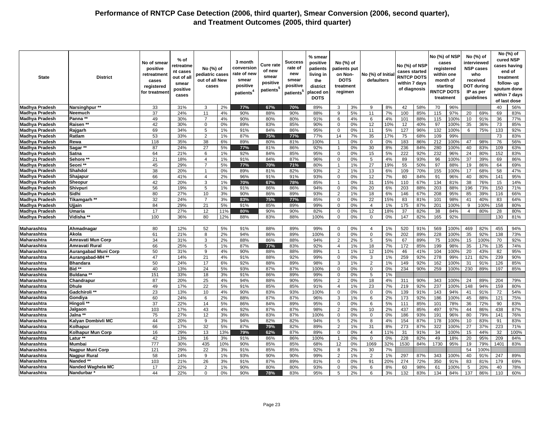| State                                          | <b>District</b>         | No of smear<br>positive<br>retreatment<br>cases<br>registered<br>for treatment | % of<br>retreatme<br>nt cases<br>out of all<br>smear<br>positive<br>cases | No (%) of<br>pediatric cases<br>out of all New<br>cases |          | 3 month<br>conversion<br>rate of new<br>smear<br>positive<br>patients <sup>4</sup> | Cure rate<br>of new<br>smear<br>positive<br>patients <sup>®</sup> | Success<br>rate of<br>new<br>smear<br>positive<br>patients <sup>5</sup> | % smear<br>positive<br>patients<br>living in<br>the<br>district<br>placed on<br><b>DOTS</b> | No (%) of<br>patients put<br>on Non-<br><b>DOTS</b><br>treatment<br>regimen |          | No (%) of Initia<br>defaulters |           | No (%) of NSP<br>cases started<br><b>RNTCP DOTS</b><br>within 7 days<br>of diagnosis |     | No (%) of NSP<br>cases<br>registered<br>within one<br>month of<br>starting<br><b>RNTCP DOTS</b><br>treatment |            |          | No (%) of<br>interviewed<br><b>NSP cases</b><br>who<br>received<br><b>DOT during</b><br>IP as per<br>guidelines |           | No (%) of<br>cured NSP<br>cases having<br>end of<br>treatment<br>follow-up<br>sputum done<br>within 7 days<br>of last dose |
|------------------------------------------------|-------------------------|--------------------------------------------------------------------------------|---------------------------------------------------------------------------|---------------------------------------------------------|----------|------------------------------------------------------------------------------------|-------------------------------------------------------------------|-------------------------------------------------------------------------|---------------------------------------------------------------------------------------------|-----------------------------------------------------------------------------|----------|--------------------------------|-----------|--------------------------------------------------------------------------------------|-----|--------------------------------------------------------------------------------------------------------------|------------|----------|-----------------------------------------------------------------------------------------------------------------|-----------|----------------------------------------------------------------------------------------------------------------------------|
| <b>Madhya Pradesh</b>                          | Narsinghpur **          | 33                                                                             | 31%                                                                       | 3                                                       | 2%       | 77%                                                                                | 67%                                                               | 70%                                                                     | 89%                                                                                         | 3                                                                           | 3%       | 9                              | 8%        | 42                                                                                   | 58% | 70                                                                                                           | 96%        |          |                                                                                                                 | 40        | 56%                                                                                                                        |
| Madhya Pradesh                                 | Neemuch                 | 37                                                                             | 24%                                                                       | 11                                                      | 4%       | 90%                                                                                | 88%                                                               | 90%                                                                     | 88%                                                                                         | 9                                                                           | 5%       | 11                             | 7%        | 100                                                                                  | 85% | 115                                                                                                          | 97%        | 20       | 69%                                                                                                             | 69        | 83%                                                                                                                        |
| <b>Madhya Pradesh</b>                          | Panna **                | 49                                                                             | 30%                                                                       | $\overline{7}$                                          | 4%       | 90%                                                                                | 80%                                                               | 80%                                                                     | 91%                                                                                         | 6                                                                           | 4%       | 6                              | 4%        | 101                                                                                  | 88% | 115                                                                                                          | 100%       | 10       | 91%                                                                                                             | 36        | 77%                                                                                                                        |
| <b>Madhya Pradesh</b>                          | Raisen **               | 42                                                                             | 30%                                                                       | $\mathbf 0$                                             | 0%       | 89%                                                                                | 83%                                                               | 85%                                                                     | 90%                                                                                         | $\mathbf 0$                                                                 | 0%       | 12                             | 10%       | 12                                                                                   | 40% | 97                                                                                                           | 100%       | 35       | 36%                                                                                                             | 73        | 85%                                                                                                                        |
| <b>Madhya Pradesh</b>                          | Rajgarh                 | 69                                                                             | 34%                                                                       | 5                                                       | 1%       | 91%                                                                                | 84%                                                               | 86%                                                                     | 95%                                                                                         | $\Omega$                                                                    | 0%       | 11                             | 5%        | 127                                                                                  | 96% | 132                                                                                                          | 100%       | 6        | 75%                                                                                                             | 133       | 92%                                                                                                                        |
| Madhya Pradesh                                 | Ratlam                  | 53                                                                             | 33%                                                                       | 2                                                       | 1%       | 87%                                                                                | 75%                                                               | 77%                                                                     | 77%                                                                                         | 14                                                                          | 7%       | 35                             | 17%       | 75                                                                                   | 68% | 109                                                                                                          | 99%        |          |                                                                                                                 | 73        | 83%                                                                                                                        |
| <b>Madhya Pradesh</b>                          | Rewa                    | 118                                                                            | 35%                                                                       | 38                                                      | 6%       | 89%                                                                                | 80%                                                               | 81%                                                                     | 100%                                                                                        | $\mathbf{1}$                                                                | 0%       | $\mathbf 0$                    | 0%        | 183                                                                                  | 86% | 212                                                                                                          | 100%       | 47       | 98%                                                                                                             | 76        | 56%                                                                                                                        |
| <b>Madhya Pradesh</b>                          | Sagar <sup>*</sup>      | 87                                                                             | 24%                                                                       | 27                                                      | 5%       | 77%                                                                                | 81%                                                               | 86%                                                                     | 92%                                                                                         | $\mathbf{1}$                                                                | 0%       | 30                             | 8%        | 236                                                                                  | 84% | 280                                                                                                          | 100%       | 40       | 83%                                                                                                             | 109       | 63%                                                                                                                        |
| <b>Madhya Pradesh</b>                          | Satna                   | 64                                                                             | 21%                                                                       | 6                                                       | 1%       | 92%                                                                                | 84%                                                               | 85%                                                                     | 95%                                                                                         | $\Omega$                                                                    | 0%       | 15                             | 5%        | 222                                                                                  | 92% | 232                                                                                                          | 96%        | 24       | 80%                                                                                                             | 152       | 83%                                                                                                                        |
| Madhya Pradesh                                 | Sehore <sup>®</sup>     | 21                                                                             | 18%                                                                       | $\overline{4}$                                          | 1%       | 91%                                                                                | 84%                                                               | 87%                                                                     | 96%                                                                                         | 0                                                                           | 0%       | 5                              | 4%        | 89                                                                                   | 93% | 96                                                                                                           | 100%       | 37       | 39%                                                                                                             | 69        | 86%                                                                                                                        |
| <b>Madhya Pradesh</b>                          | Seoni **                | 45                                                                             | 29%                                                                       | $\overline{7}$                                          | 5%       | 77%                                                                                | 70%                                                               | 71%                                                                     | 80%                                                                                         | $\overline{1}$                                                              | 1%       | 27                             | 19%       | 55                                                                                   | 50% | 97                                                                                                           | 88%        | 19       | 86%                                                                                                             | 64        | 69%                                                                                                                        |
| <b>Madhya Pradesh</b>                          | Shahdol                 | 38                                                                             | 20%                                                                       | $\overline{1}$                                          | 0%       | 89%                                                                                | 81%                                                               | 82%                                                                     | 93%                                                                                         | 2                                                                           | 1%       | 13                             | 6%        | 109                                                                                  | 70% | 155                                                                                                          | 100%       | 17       | 68%                                                                                                             | 58        | 47%                                                                                                                        |
| Madhya Pradesh                                 |                         | 66                                                                             | 41%                                                                       | $\overline{4}$                                          | 2%       | 96%                                                                                | 91%                                                               | 91%                                                                     | 93%                                                                                         | $\mathbf 0$                                                                 | 0%       | 12                             | 7%        | 80                                                                                   | 84% | 91                                                                                                           | 96%        | 40       | 80%                                                                                                             | 141       | 95%                                                                                                                        |
|                                                | Shajapur<br>Sheopur     | 42                                                                             | 20%                                                                       | 3                                                       | 1%       | 70%                                                                                | 67%                                                               | 78%                                                                     | 85%                                                                                         | $\overline{1}$                                                              | 0%       | 31                             | 15%       | 110                                                                                  | 67% | 134                                                                                                          | 81%        | 38       | 76%                                                                                                             | 15        | 14%                                                                                                                        |
| <b>Madhya Pradesh</b><br><b>Madhya Pradesh</b> | Shivpuri                | 56                                                                             | 19%                                                                       | 5                                                       | 1%       | 91%                                                                                | 86%                                                               | 86%                                                                     | 94%                                                                                         | $\mathbf 0$                                                                 | 0%       | 20                             | 6%        | 203                                                                                  | 88% | 203                                                                                                          | 88%        | 196      | 73%                                                                                                             | 150       | 71%                                                                                                                        |
| <b>Madhya Pradesh</b>                          | Sidhi                   | 80                                                                             | 27%                                                                       | 10                                                      |          | 90%                                                                                |                                                                   |                                                                         |                                                                                             | $\mathcal{P}$                                                               | 1%       | 18                             |           | 146                                                                                  | 67% |                                                                                                              |            |          |                                                                                                                 | 116       |                                                                                                                            |
| <b>Madhya Pradesh</b>                          | Tikamgarh **            | 32                                                                             | 24%                                                                       | $\overline{7}$                                          | 3%<br>3% | 83%                                                                                | 86%<br>75%                                                        | 89%<br>77%                                                              | 93%<br>85%                                                                                  | $\mathbf 0$                                                                 | 0%       | 22                             | 6%<br>15% | 83                                                                                   | 81% | 208<br>101                                                                                                   | 95%<br>98% | 85<br>41 | 39%<br>40%                                                                                                      | 83        | 66%<br>64%                                                                                                                 |
| <b>Madhya Pradesh</b>                          | Ujjain                  | 84                                                                             | 29%                                                                       | 21                                                      | 5%       | 91%                                                                                | 85%                                                               | 89%                                                                     | 99%                                                                                         |                                                                             | 0%       |                                | 1%        | 175                                                                                  | 87% | 201                                                                                                          | 100%       | 9        | 100%                                                                                                            | 158       | 80%                                                                                                                        |
|                                                |                         | 17                                                                             | 27%                                                                       | 12                                                      | 11%      | 80%                                                                                | 90%                                                               | 90%                                                                     | 82%                                                                                         | $\mathbf 0$<br>$\Omega$                                                     |          | $\overline{4}$<br>12           |           | 37                                                                                   |     |                                                                                                              | 84%        |          |                                                                                                                 |           | 80%                                                                                                                        |
| <b>Madhya Pradesh</b>                          | <b>Umaria</b>           | 100                                                                            |                                                                           | 80                                                      |          |                                                                                    |                                                                   |                                                                         |                                                                                             |                                                                             | 0%       | $\mathsf 0$                    | 18%       | 147                                                                                  | 82% | 38                                                                                                           |            | 4        | 80%                                                                                                             | 28<br>130 |                                                                                                                            |
| <b>Madhya Pradesh</b>                          | Vidisha                 |                                                                                | 36%                                                                       |                                                         | 12%      | 88%                                                                                | 83%                                                               | 88%                                                                     | 100%                                                                                        | $\mathbf 0$                                                                 | 0%       |                                | 0%        |                                                                                      | 82% | 165                                                                                                          | 92%        |          |                                                                                                                 |           | 81%                                                                                                                        |
| <b>Maharashtra</b>                             | Ahmadnagar              | 80                                                                             | 12%                                                                       | 52                                                      | 5%       | 91%                                                                                | 88%                                                               | 89%                                                                     | 99%                                                                                         | $\Omega$                                                                    | 0%       | $\overline{4}$                 | 1%        | 520                                                                                  | 91% | 569                                                                                                          | 100%       | 469      | 82%                                                                                                             | 455       | 94%                                                                                                                        |
| Maharashtra                                    | Akola                   | 61                                                                             | 21%                                                                       | 8                                                       |          | 94%                                                                                |                                                                   |                                                                         |                                                                                             | $\mathbf 0$                                                                 | 0%       | $\mathbf 0$                    | 0%        | 202                                                                                  | 89% | 228                                                                                                          | 100%       | 35       | 92%                                                                                                             | 138       |                                                                                                                            |
| Maharashtra                                    | Amravati Mun Corp       | 34                                                                             | 31%                                                                       | 3                                                       | 2%<br>2% | 88%                                                                                | 86%<br>86%                                                        | 89%<br>88%                                                              | 100%<br>94%                                                                                 | 2                                                                           | 2%       | 5                              | 5%        | 67                                                                                   | 89% | 75                                                                                                           | 100%       | 15       | 100%                                                                                                            | 70        | 73%<br>92%                                                                                                                 |
| Maharashtra                                    | Amravati Rural          | 66                                                                             | 25%                                                                       | 5                                                       | 1%       | 87%                                                                                | 77%                                                               | 83%                                                                     | 92%                                                                                         | $\overline{4}$                                                              | 1%       | 18                             | 7%        | 172                                                                                  | 85% | 199                                                                                                          | 98%        | 35       | 17%                                                                                                             | 135       | 74%                                                                                                                        |
| Maharashtra                                    | Aurangabad Muni Corp    | 50                                                                             | 31%                                                                       | 9                                                       | 4%       | 90%                                                                                |                                                                   |                                                                         |                                                                                             |                                                                             |          |                                |           | 46                                                                                   | 41% | 104                                                                                                          | 100%       | 20       | 43%                                                                                                             |           | 95%                                                                                                                        |
| Maharashtra                                    | Aurangabad-MH **        | 47                                                                             | 14%                                                                       | 21                                                      | 4%       | 91%                                                                                | 88%<br>88%                                                        | 88%<br>92%                                                              | 89%<br>99%                                                                                  | $\mathbf{1}$<br>$\mathbf 0$                                                 | 1%<br>0% | 12<br>3                        | 10%<br>1% | 259                                                                                  | 92% | 278                                                                                                          | 99%        | 121      | 82%                                                                                                             | 82<br>239 | 90%                                                                                                                        |
| Maharashtra                                    | <b>Bhandara</b>         | 50                                                                             | 24%                                                                       | 17                                                      | 6%       | 92%                                                                                | 88%                                                               | 89%                                                                     | 98%                                                                                         | 3                                                                           | 1%       | 2                              | 1%        | 149                                                                                  | 92% | 162                                                                                                          | 100%       | 31       | 91%                                                                                                             | 126       | 85%                                                                                                                        |
| Maharashtra                                    | Bid **                  | 40                                                                             | 13%                                                                       | 24                                                      | 5%       | 93%                                                                                | 87%                                                               | 87%                                                                     | 100%                                                                                        | $\mathbf 0$                                                                 | 0%       | $\mathbf 0$                    | 0%        | 234                                                                                  | 90% | 259                                                                                                          | 100%       | 230      | 89%                                                                                                             | 197       | 85%                                                                                                                        |
| Maharashtra                                    | Buldana **              | 151                                                                            | 33%                                                                       | 18                                                      | 3%       | 91%                                                                                | 86%                                                               | 89%                                                                     | 99%                                                                                         | $\mathbf 0$                                                                 | 0%       | 5                              | 1%        |                                                                                      |     |                                                                                                              |            |          |                                                                                                                 |           |                                                                                                                            |
| Maharashtra                                    | Chandrapur              | 87                                                                             | 20%                                                                       | 25                                                      | 4%       | 94%                                                                                | 88%                                                               | 90%                                                                     | 95%                                                                                         | 2                                                                           | 0%       | 18                             | 4%        | 311                                                                                  | 90% | 343                                                                                                          | 100%       | 24       | 89%                                                                                                             | 204       | 79%                                                                                                                        |
| Maharashtra                                    | <b>Dhule</b>            | 49                                                                             | 17%                                                                       | 22                                                      | 5%       | 91%                                                                                | 85%                                                               | 85%                                                                     | 91%                                                                                         | $\overline{4}$                                                              | 1%       | 23                             | 7%        | 219                                                                                  | 92% | 237                                                                                                          | 100%       | 148      | 94%                                                                                                             | 159       | 80%                                                                                                                        |
| Maharashtra                                    | Gadchiroli **           | 23                                                                             | 13%                                                                       | 10                                                      | 4%       | 90%                                                                                | 83%                                                               | 93%                                                                     | 100%                                                                                        | $\mathbf 0$                                                                 | 0%       | $\mathbf 0$                    | 0%        | 139                                                                                  | 91% | 143                                                                                                          | 94%        | 41       | 91%                                                                                                             | 72        | 54%                                                                                                                        |
| Maharashtra                                    | Gondiya                 | 60                                                                             | 24%                                                                       | 6                                                       | 2%       | 88%                                                                                | 87%                                                               | 87%                                                                     | 96%                                                                                         | 3                                                                           | 1%       | 6                              | 2%        | 173                                                                                  | 92% | 186                                                                                                          | 100%       | 45       | 88%                                                                                                             | 121       | 75%                                                                                                                        |
| Maharashtra                                    | Hingoli *               | 37                                                                             | 22%                                                                       | 14                                                      | 5%       | 86%                                                                                | 84%                                                               | 89%                                                                     | 95%                                                                                         | $\mathbf 0$                                                                 | 0%       | 6                              | 5%        | 111                                                                                  | 85% | 101                                                                                                          | 78%        | 36       | 72%                                                                                                             | 90        | 83%                                                                                                                        |
| Maharashtra                                    | Jalgaon                 | 103                                                                            | 17%                                                                       | 43                                                      | 4%       | 92%                                                                                | 87%                                                               | 87%                                                                     | 98%                                                                                         | $\overline{2}$                                                              | 0%       | 10                             | 2%        | 437                                                                                  | 85% | 497                                                                                                          | 97%        | 44       | 86%                                                                                                             | 438       | 87%                                                                                                                        |
| Maharashtra                                    | Jalna **                | 75                                                                             | 27%                                                                       | 12                                                      | 3%       | 86%                                                                                | 83%                                                               | 87%                                                                     | 100%                                                                                        | $\mathbf 0$                                                                 | 0%       | $\mathbf 0$                    | 0%        | 186                                                                                  | 93% | 191                                                                                                          | 96%        | 80       | 79%                                                                                                             | 141       | 76%                                                                                                                        |
| Maharashtra                                    | Kalyan Dombivli MC      | 44                                                                             | 20%                                                                       | 9                                                       | 3%       | 94%                                                                                | 82%                                                               | 82%                                                                     | 94%                                                                                         | 5                                                                           | 2%       | 8                              | 4%        | 154                                                                                  | 87% | 178                                                                                                          | 100%       | 10       | 83%                                                                                                             | 91        | 83%                                                                                                                        |
| Maharashtra                                    | Kolhapur                | 66                                                                             | 17%                                                                       | 32                                                      | 5%       | 87%                                                                                | 79%                                                               | 82%                                                                     | 89%                                                                                         | 2                                                                           | 1%       | 31                             | 8%        | 273                                                                                  | 87% | 322                                                                                                          | 100%       | 27       | 37%                                                                                                             | 223       | 71%                                                                                                                        |
| Maharashtra                                    | Kolhapur Mun Corp       | 16                                                                             | 29%                                                                       | 13                                                      | 13%      | 79%                                                                                | 62%                                                               | 87%                                                                     | 89%                                                                                         | 0                                                                           | 0%       | $\overline{4}$                 | 11%       | 31                                                                                   | 91% | 34                                                                                                           | 100%       | 15       | 44%                                                                                                             | 32        | 100%                                                                                                                       |
| Maharashtra                                    | Latur **                | 42                                                                             | 13%                                                                       | 16                                                      | 3%       | 91%                                                                                | 86%                                                               | 86%                                                                     | 100%                                                                                        | $\overline{1}$                                                              | 0%       | $\mathbf 0$                    | 0%        | 228                                                                                  | 82% | 49                                                                                                           | 18%        | 20       | 95%                                                                                                             | 209       | 84%                                                                                                                        |
| Maharashtra                                    | Mumbai                  | 777                                                                            | 30%                                                                       | 435                                                     | 10%      | 90%                                                                                | 85%                                                               | 85%                                                                     | 68%                                                                                         | 12                                                                          | 0%       | 1069                           | 32%       | 1530                                                                                 | 84% | 1730                                                                                                         | 95%        | 19       | 79%                                                                                                             | 1401      | 83%                                                                                                                        |
| Maharashtra                                    | <b>Nagpur Muni Corp</b> | 121                                                                            | 29%                                                                       | 22                                                      | 3%       | 91%                                                                                | 85%                                                               | 85%                                                                     | 92%                                                                                         | 8                                                                           | 2%       | 30                             | 7%        |                                                                                      |     |                                                                                                              |            | 54       | 100%                                                                                                            |           |                                                                                                                            |
| <b>Maharashtra</b>                             | <b>Nagpur Rural</b>     | 58                                                                             | 14%                                                                       | 9                                                       | 1%       | 93%                                                                                | 90%                                                               | 90%                                                                     | 99%                                                                                         | $\overline{2}$                                                              | 1%       | 2                              | 1%        | 297                                                                                  | 87% | 343                                                                                                          | 100%       | 40       | 91%                                                                                                             | 247       | 89%                                                                                                                        |
| Maharashtra                                    | Nanded **               | 103                                                                            | 21%                                                                       | 26                                                      | 3%       | 91%                                                                                | 87%                                                               | 89%                                                                     | 81%                                                                                         | $\Omega$                                                                    | 0%       | 91                             | 20%       | 274                                                                                  | 72% | 350                                                                                                          | 91%        | 83       | 81%                                                                                                             | 179       | 69%                                                                                                                        |
| Maharashtra                                    | Nanded Waghela MC       | 17                                                                             | 22%                                                                       | $\mathfrak{p}$                                          | 1%       | 90%                                                                                | 80%                                                               | 80%                                                                     | 93%                                                                                         | $\mathbf 0$                                                                 | 0%       | 6                              | 8%        | 60                                                                                   | 98% | 61                                                                                                           | 100%       | 5        | 20%                                                                                                             | 40        | 78%                                                                                                                        |
| Maharashtra                                    | Nandurbar               | 44                                                                             | 22%                                                                       | $\Omega$                                                | 0%       | 90%                                                                                | 78%                                                               | 83%                                                                     | 95%                                                                                         | 5                                                                           | 2%       | 6                              | 3%        | 132                                                                                  | 83% | 134                                                                                                          | 84%        | 137      | 86%                                                                                                             | 110       | 60%                                                                                                                        |
|                                                |                         |                                                                                |                                                                           |                                                         |          |                                                                                    |                                                                   |                                                                         |                                                                                             |                                                                             |          |                                |           |                                                                                      |     |                                                                                                              |            |          |                                                                                                                 |           |                                                                                                                            |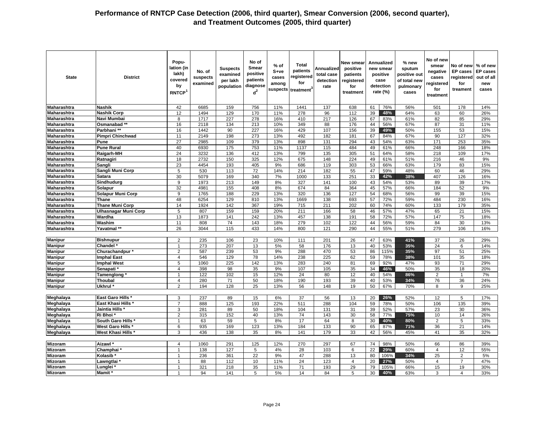| <b>State</b>                             | <b>District</b>                        | Popu-<br>lation (in<br>lakh)<br>covered<br>by<br>RNTCP <sup>1</sup> | No. of<br>suspects<br>examined | <b>Suspects</b><br>examined<br>per lakh<br>population | No of<br><b>Smear</b><br>positive<br>patients<br>diagnose<br>$d^2$ | $%$ of<br>S+ve<br>cases<br>among | <b>Total</b><br>patients<br>registered<br>for<br>suspects treatment <sup>3</sup> | Annualized<br>total case<br>detection<br>rate | New smear<br>positive<br>patients<br>registered<br>for<br>treatment |          | Annualized<br>new smear<br>positive<br>case<br>detection<br>rate $(\%)$ | % new<br>sputum<br>positive out<br>of total new<br>pulmonary<br>cases | No of new<br>smear<br>negative<br>cases<br>registered<br>for<br>treatment | No of new % of new<br>EP cases<br>egistered<br>for<br>treament | <b>EP</b> cases<br>out of all<br>new<br>cases |
|------------------------------------------|----------------------------------------|---------------------------------------------------------------------|--------------------------------|-------------------------------------------------------|--------------------------------------------------------------------|----------------------------------|----------------------------------------------------------------------------------|-----------------------------------------------|---------------------------------------------------------------------|----------|-------------------------------------------------------------------------|-----------------------------------------------------------------------|---------------------------------------------------------------------------|----------------------------------------------------------------|-----------------------------------------------|
| Maharashtra                              | <b>Nashik</b>                          | 42                                                                  | 6685                           | 159                                                   | 756                                                                | 11%                              | 1441                                                                             | 137                                           | 638                                                                 | 61       | 76%                                                                     | 56%                                                                   | 501                                                                       | 178                                                            | 14%                                           |
| Maharashtra                              | <b>Nashik Corp</b>                     | 12                                                                  | 1494                           | 129                                                   | 170                                                                | 11%                              | 278                                                                              | 96                                            | 112                                                                 | 39       | 48%                                                                     | 64%                                                                   | 63                                                                        | 60                                                             | 26%                                           |
| Maharashtra                              | Navi Mumbai                            | 8                                                                   | 1717                           | 227                                                   | 278                                                                | 16%                              | 410                                                                              | 217                                           | 126                                                                 | 67       | 83%                                                                     | 61%                                                                   | 82                                                                        | 85                                                             | 29%                                           |
| Maharashtra                              | Osmanabad **                           | 16                                                                  | 2118                           | 134                                                   | 213                                                                | 10%                              | 349                                                                              | 88                                            | 176                                                                 | 44       | 56%                                                                     | 67%                                                                   | 87                                                                        | 31                                                             | 11%                                           |
| <b>Maharashtra</b>                       | Parbhani**                             | 16                                                                  | 1442                           | 90                                                    | 227                                                                | 16%                              | 429                                                                              | 107                                           | 156                                                                 | 39       | 49%                                                                     | 50%                                                                   | 155                                                                       | 53                                                             | 15%                                           |
| Maharashtra                              | <b>Pimpri Chinchwad</b>                | 11                                                                  | 2149                           | 198                                                   | 273                                                                | 13%                              | 492                                                                              | 182                                           | 181                                                                 | 67       | 84%                                                                     | 67%                                                                   | 90                                                                        | 127                                                            | 32%                                           |
| Maharashtra                              | Pune                                   | 27                                                                  | 2985                           | 109                                                   | 379                                                                | 13%                              | 898                                                                              | 131                                           | 294                                                                 | 43       | 54%                                                                     | 63%                                                                   | 171                                                                       | 253                                                            | 35%                                           |
| <b>Maharashtra</b>                       | <b>Pune Rural</b>                      | 40                                                                  | 6930                           | 175                                                   | 753                                                                | 11%                              | 1137                                                                             | 115                                           | 484                                                                 | 49       | 61%                                                                     | 66%                                                                   | 248                                                                       | 166                                                            | 18%                                           |
| Maharashtra                              | Raigarh-MH                             | 24                                                                  | 3232                           | 136                                                   | 412                                                                | 13%                              | 799                                                                              | 135                                           | 305                                                                 | 51       | 64%                                                                     | 58%                                                                   | 218                                                                       | 109                                                            | 17%                                           |
| Maharashtra                              | Ratnagiri                              | 18                                                                  | 2732                           | 150                                                   | 325                                                                | 12%                              | 675                                                                              | 148                                           | 224                                                                 | 49       | 61%                                                                     | 51%                                                                   | 216                                                                       | 46                                                             | 9%                                            |
| <b>Maharashtra</b>                       | Sangli                                 | 23                                                                  | 4454                           | 193                                                   | 405                                                                | 9%                               | 686                                                                              | 119                                           | 303                                                                 | 53       | 66%                                                                     | 63%                                                                   | 179                                                                       | 83                                                             | 15%                                           |
| <b>Maharashtra</b>                       | Sangli Muni Corp                       | 5                                                                   | 530                            | 113                                                   | 72                                                                 | 14%                              | 214                                                                              | 182                                           | 55                                                                  | 47       | 59%                                                                     | 48%                                                                   | 60                                                                        | 46                                                             | 29%                                           |
| Maharashtra                              | Satara                                 | 30                                                                  | 5079                           | 169                                                   | 340                                                                | 7%                               | 1000                                                                             | 133                                           | 251                                                                 | 33       | 42%                                                                     | 38%                                                                   | 407                                                                       | 126                                                            | 16%                                           |
| Maharashtra                              | Sindhudurg                             | 9                                                                   | 1973                           | 213                                                   | 149                                                                | 8%                               | 327                                                                              | 141                                           | 100                                                                 | 43       | 54%                                                                     | 53%                                                                   | 89                                                                        | 39                                                             | 17%                                           |
| <b>Maharashtra</b><br><b>Maharashtra</b> | Solapur                                | 32                                                                  | 4981                           | 155                                                   | 408                                                                | 8%                               | 674                                                                              | 84                                            | 364                                                                 | 45       | 57%                                                                     | 66%                                                                   | 184                                                                       | 52                                                             | 9%                                            |
| Maharashtra                              | Solapur Muni Corp                      | 9<br>48                                                             | 1765<br>6254                   | 188<br>129                                            | 229<br>810                                                         | 13%<br>13%                       | 320                                                                              | 136<br>138                                    | 127<br>693                                                          | 54<br>57 | 68%<br>72%                                                              | 56%<br>59%                                                            | 99<br>484                                                                 | 39<br>230                                                      | 15%<br>16%                                    |
| <b>Maharashtra</b>                       | <b>Thane</b><br><b>Thane Muni Corp</b> | 14                                                                  | 1924                           | 142                                                   | 367                                                                | 19%                              | 1669<br>715                                                                      | 211                                           | 202                                                                 | 60       | 74%                                                                     | 60%                                                                   | 133                                                                       | 179                                                            | 35%                                           |
| <b>Maharashtra</b>                       | Ulhasnagar Muni Corp                   | $\overline{5}$                                                      | 807                            | 159                                                   | 159                                                                | 20%                              | 211                                                                              | 166                                           | 58                                                                  | 46       | 57%                                                                     | 47%                                                                   | 65                                                                        | 21                                                             | 15%                                           |
| Maharashtra                              | Wardha                                 | 13                                                                  | 1873                           | 141                                                   | 242                                                                | 13%                              | 457                                                                              | 138                                           | 191                                                                 | 58       | 72%                                                                     | 57%                                                                   | 147                                                                       | 75                                                             | 18%                                           |
| Maharashtra                              | Washim                                 | 11                                                                  | 808                            | 74                                                    | 143                                                                | 18%                              | 279                                                                              | 102                                           | 122                                                                 | 44       | 56%                                                                     | 59%                                                                   | 84                                                                        | 30                                                             | 13%                                           |
| <b>Maharashtra</b>                       | Yavatmal **                            | 26                                                                  | 3044                           | 115                                                   | 433                                                                | 14%                              | 800                                                                              | 121                                           | 290                                                                 | 44       | 55%                                                                     | 51%                                                                   | 279                                                                       | 106                                                            | 16%                                           |
|                                          |                                        |                                                                     |                                |                                                       |                                                                    |                                  |                                                                                  |                                               |                                                                     |          |                                                                         |                                                                       |                                                                           |                                                                |                                               |
| <b>Manipur</b>                           | <b>Bishnupur</b>                       | 2                                                                   | 235                            | 106                                                   | 23                                                                 | 10%                              | 111                                                                              | 201                                           | 26                                                                  | 47       | 63%                                                                     | 41%                                                                   | 37                                                                        | 26                                                             | 29%                                           |
| <b>Manipur</b>                           | Chandel*                               | $\overline{1}$                                                      | 273                            | 207                                                   | 13                                                                 | 5%                               | 58                                                                               | 176                                           | 13                                                                  | 40       | 53%                                                                     | 35%                                                                   | 24                                                                        | 6                                                              | 14%                                           |
| <b>Manipur</b>                           | Churachandpur*                         | $\overline{2}$                                                      | 587                            | 239                                                   | 53                                                                 | 9%                               | 288                                                                              | 470                                           | 53                                                                  | 86       | 115%                                                                    | 35%                                                                   | 97                                                                        | 51                                                             | 25%                                           |
| <b>Manipur</b>                           | <b>Imphal East</b>                     | $\overline{4}$                                                      | 546                            | 129                                                   | 78                                                                 | 14%                              | 238                                                                              | 225                                           | 62                                                                  | 59       | 78%                                                                     | 38%                                                                   | 101                                                                       | 35                                                             | 18%                                           |
| <b>Manipur</b>                           | <b>Imphal West</b>                     | 5                                                                   | 1060                           | 225                                                   | 142                                                                | 13%                              | 283                                                                              | 240                                           | 81                                                                  | 69       | 92%                                                                     | 47%                                                                   | 93                                                                        | 71                                                             | 29%                                           |
| Manipur                                  | Senapati <sup>*</sup>                  | $\overline{4}$                                                      | 398                            | 98                                                    | 35                                                                 | 9%                               | 107                                                                              | 105                                           | 35                                                                  | 34       | 46%                                                                     | 50%                                                                   | 35                                                                        | 18                                                             | 20%                                           |
| <b>Manipur</b>                           | Tamenglong                             | 1                                                                   | 122                            | 102                                                   | 15                                                                 | 12%                              | 24                                                                               | 80                                            | 12                                                                  | 40       | 54%                                                                     | 86%                                                                   | $\overline{2}$                                                            |                                                                | 7%                                            |
| <b>Manipur</b>                           | Thoubal                                | $\overline{4}$                                                      | 280                            | 71                                                    | 50                                                                 | 18%                              | 190                                                                              | 193                                           | 39                                                                  | 40       | 53%                                                                     | 34%                                                                   | 76                                                                        | 36                                                             | 24%                                           |
| <b>Manipur</b>                           | Ukhrul <sup>*</sup>                    | 2                                                                   | 194                            | 128                                                   | 25                                                                 | 13%                              | 56                                                                               | 148                                           | 19                                                                  | 50       | 67%                                                                     | 70%                                                                   | 8                                                                         | 9                                                              | 25%                                           |
|                                          |                                        |                                                                     |                                |                                                       |                                                                    |                                  |                                                                                  |                                               |                                                                     |          |                                                                         |                                                                       |                                                                           |                                                                |                                               |
| Meghalaya                                | <b>East Garo Hills '</b>               | 3                                                                   | 237                            | 89                                                    | 15                                                                 | 6%                               | 37                                                                               | 56                                            | 13                                                                  | 20       | 26%                                                                     | 52%                                                                   | 12                                                                        | 5                                                              | 17%                                           |
| <b>Meghalaya</b>                         | East Khasi Hills *                     | 7                                                                   | 888                            | 125                                                   | 193                                                                | 22%                              | 511                                                                              | 288                                           | 104                                                                 | 59       | 78%                                                                     | 50%                                                                   | 106                                                                       | 135                                                            | 39%                                           |
| Meghalaya                                | Jaintia Hills *                        | 3                                                                   | 281                            | 89                                                    | 50                                                                 | 18%                              | 104                                                                              | 131                                           | 31                                                                  | 39       | 52%                                                                     | 57%                                                                   | 23                                                                        | 30                                                             | 36%                                           |
| Meghalaya                                | Ri Bhoi                                | 2                                                                   | 315                            | 152                                                   | 40                                                                 | 13%                              | 74                                                                               | 143                                           | 30                                                                  | 58       | 77%                                                                     | 75%                                                                   | 10                                                                        | 14                                                             | 26%                                           |
| Meghalaya                                | South Garo Hills                       | $\overline{1}$                                                      | 63                             | 59                                                    | 5                                                                  | 8%                               | 17                                                                               | 64                                            | 8                                                                   | 30       | 40%                                                                     | 80%                                                                   | $\overline{2}$                                                            | 5                                                              | 33%                                           |
| Meghalaya                                | <b>West Garo Hills</b>                 | 6                                                                   | 935                            | 169                                                   | 123                                                                | 13%                              | 184                                                                              | 133                                           | 90                                                                  | 65       | 87%                                                                     | 71%                                                                   | 36                                                                        | 21                                                             | 14%                                           |
| Meghalaya                                | West Khasi Hills                       | 3                                                                   | 436                            | 138                                                   | 35                                                                 | 8%                               | 141                                                                              | 179                                           | 33                                                                  | 42       | 56%                                                                     | 45%                                                                   | 41                                                                        | 35                                                             | 32%                                           |
| <b>Mizoram</b>                           |                                        |                                                                     |                                |                                                       |                                                                    |                                  |                                                                                  |                                               |                                                                     |          |                                                                         |                                                                       |                                                                           |                                                                |                                               |
| <b>Mizoram</b>                           | Aizawl <sup>*</sup>                    | $\overline{4}$<br>$\overline{1}$                                    | 1060                           | 291                                                   | 125                                                                | 12%                              | 270                                                                              | 297                                           | 67<br>6                                                             | 74<br>22 | 98%<br>29%                                                              | 50%                                                                   | 66                                                                        | 86                                                             | 39%                                           |
| <b>Mizoram</b>                           | Champhai*<br>Kolasib                   | $\mathbf{1}$                                                        | 138<br>236                     | 127<br>361                                            | 5<br>22                                                            | 4%<br>9%                         | 28<br>47                                                                         | 103<br>288                                    | 13                                                                  | 80       | 106%                                                                    | 60%<br>34%                                                            | $\overline{4}$<br>25                                                      | 12<br>$\overline{2}$                                           | 55%<br>5%                                     |
| <b>Mizoram</b>                           | Lawngtlai                              | $\overline{1}$                                                      | 88                             | 112                                                   | 10                                                                 | 11%                              | 24                                                                               | 123                                           | $\overline{4}$                                                      | 20       | 27%                                                                     | 50%                                                                   | $\overline{4}$                                                            | $\overline{7}$                                                 | 47%                                           |
| <b>Mizoram</b>                           | ∟unglei '                              | $\overline{1}$                                                      | 321                            | 218                                                   | 35                                                                 | 11%                              | 71                                                                               | 193                                           | 29                                                                  | 79       | 105%                                                                    | 66%                                                                   | 15                                                                        | 19                                                             | 30%                                           |
| <b>Mizoram</b>                           | Mamit <sup>*</sup>                     | $\overline{1}$                                                      | 94                             | 141                                                   | 5                                                                  | 5%                               | 14                                                                               | 84                                            | 5                                                                   | 30       | 40%                                                                     | 63%                                                                   | 3                                                                         | $\overline{4}$                                                 | 33%                                           |
|                                          |                                        |                                                                     |                                |                                                       |                                                                    |                                  |                                                                                  |                                               |                                                                     |          |                                                                         |                                                                       |                                                                           |                                                                |                                               |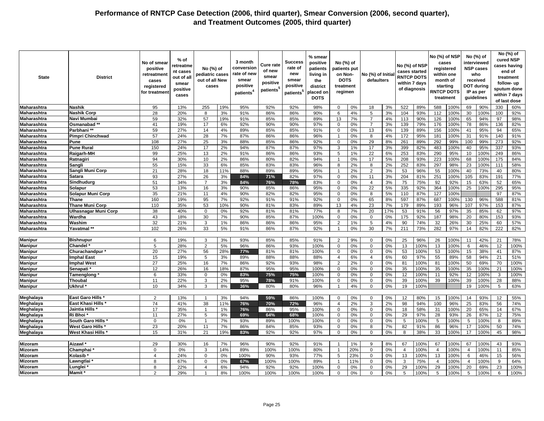| <b>State</b>       | <b>District</b>             | No of smear<br>positive<br>retreatment<br>cases<br>registered<br>for treatmen | % of<br>retreatme<br>nt cases<br>out of all<br>smear<br>positive<br>cases | No (%) of<br>pediatric cases<br>out of all New<br>cases |     | 3 month<br>conversion<br>rate of new<br>smear<br>positive<br>patients <sup>4</sup> | <b>Cure rate</b><br>of new<br>smear<br>positive<br>patients <sup>t</sup> | Success<br>rate of<br>new<br>smear<br>positive<br>patients <sup>5</sup> | % smear<br>positive<br>patients<br>living in<br>the<br>district<br>placed on<br><b>DOTS</b> | No (%) of<br>patients put<br>on Non-<br><b>DOTS</b><br>treatment<br>regimen |     | No (%) of Initia<br>defaulters |     | No (%) of NSP<br>cases started<br><b>RNTCP DOTS</b><br>within 7 days<br>of diagnosis |      | No (%) of NSP  | cases<br>registered<br>within one<br>month of<br>starting<br><b>RNTCP DOTS</b><br>treatment |                 | No (%) of<br>interviewed<br><b>NSP cases</b><br>who<br>received<br><b>DOT during</b><br>IP as per<br>guidelines |     | No (%) of<br>cured NSP<br>cases having<br>end of<br>treatment<br>follow- up<br>sputum done<br>within 7 days<br>of last dose |
|--------------------|-----------------------------|-------------------------------------------------------------------------------|---------------------------------------------------------------------------|---------------------------------------------------------|-----|------------------------------------------------------------------------------------|--------------------------------------------------------------------------|-------------------------------------------------------------------------|---------------------------------------------------------------------------------------------|-----------------------------------------------------------------------------|-----|--------------------------------|-----|--------------------------------------------------------------------------------------|------|----------------|---------------------------------------------------------------------------------------------|-----------------|-----------------------------------------------------------------------------------------------------------------|-----|-----------------------------------------------------------------------------------------------------------------------------|
| <b>Maharashtra</b> | <b>Nashik</b>               | 95                                                                            | 13%                                                                       | 255                                                     | 19% | 95%                                                                                | 92%                                                                      | 92%                                                                     | 98%                                                                                         | $\mathbf 0$                                                                 | 0%  | 18                             | 3%  | 522                                                                                  | 89%  | 588            | 100%                                                                                        | 69              | 90%                                                                                                             | 330 | 60%                                                                                                                         |
| Maharashtra        | <b>Nashik Corp</b>          | 28                                                                            | 20%                                                                       | 8                                                       | 3%  | 91%                                                                                | 86%                                                                      | 86%                                                                     | 90%                                                                                         | 6                                                                           | 4%  | $5\phantom{.0}$                | 3%  | 104                                                                                  | 93%  | 112            | 100%                                                                                        | 30              | 100%                                                                                                            | 100 | 92%                                                                                                                         |
| Maharashtra        | Navi Mumbai                 | 59                                                                            | 32%                                                                       | 57                                                      | 19% | 91%                                                                                | 85%                                                                      | 85%                                                                     | 89%                                                                                         | 13                                                                          | 7%  | $\overline{7}$                 | 4%  | 113                                                                                  | 90%  | 126            | 100%                                                                                        | 65              | 94%                                                                                                             | 97  | 98%                                                                                                                         |
| Maharashtra        | Osmanabad <sup>*</sup>      | 41                                                                            | 19%                                                                       | 17                                                      | 6%  | 92%                                                                                | 90%                                                                      | 90%                                                                     | 97%                                                                                         | $\mathbf 0$                                                                 | 0%  | $\overline{7}$                 | 3%  | 139                                                                                  | 79%  | 176            | 100%                                                                                        | 78              | 86%                                                                                                             | 136 | 82%                                                                                                                         |
| Maharashtra        | Parbhani**                  | 59                                                                            | 27%                                                                       | 14                                                      | 4%  | 89%                                                                                | 85%                                                                      | 85%                                                                     | 91%                                                                                         | $\mathbf 0$                                                                 | 0%  | 13                             | 6%  | 139                                                                                  | 89%  | 156            | 100%                                                                                        | 41              | 95%                                                                                                             | 94  | 65%                                                                                                                         |
| Maharashtra        | <b>Pimpri Chinchwad</b>     | 57                                                                            | 24%                                                                       | 28                                                      | 7%  | 87%                                                                                | 86%                                                                      | 86%                                                                     | 96%                                                                                         | $\overline{1}$                                                              | 0%  | 8                              | 4%  | 172                                                                                  | 95%  | 181            | 100%                                                                                        | 31              | 91%                                                                                                             | 140 | 91%                                                                                                                         |
| Maharashtra        | Pune                        | 108                                                                           | 27%                                                                       | 25                                                      | 3%  | 88%                                                                                | 85%                                                                      | 86%                                                                     | 92%                                                                                         | $\mathbf 0$                                                                 | 0%  | 29                             | 8%  | 261                                                                                  | 89%  | 292            | 99%                                                                                         | 100             | 99%                                                                                                             | 273 | 92%                                                                                                                         |
| Maharashtra        | <b>Pune Rural</b>           | 150                                                                           | 24%                                                                       | 17                                                      | 2%  | 94%                                                                                | 87%                                                                      | 87%                                                                     | 97%                                                                                         | 3                                                                           | 1%  | 17                             | 3%  | 399                                                                                  | 82%  | 483            | 100%                                                                                        | 40              | 95%                                                                                                             | 337 | 93%                                                                                                                         |
| Maharashtra        | Raigarh-MH                  | 99                                                                            | 25%                                                                       | 13                                                      | 2%  | 91%                                                                                | 86%                                                                      | 86%                                                                     | 93%                                                                                         | 5                                                                           | 1%  | 22                             | 6%  | 253                                                                                  | 83%  | 290            | 95%                                                                                         | 10              | 100%                                                                                                            | 249 | 86%                                                                                                                         |
| Maharashtra        | Ratnagiri                   | 94                                                                            | 30%                                                                       | 10                                                      | 2%  | 86%                                                                                | 80%                                                                      | 82%                                                                     | 94%                                                                                         | -1                                                                          | 0%  | 17                             | 5%  | 208                                                                                  | 93%  | 223            | 100%                                                                                        | 68              | 100%                                                                                                            | 175 | 84%                                                                                                                         |
| Maharashtra        | Sangli                      | 55                                                                            | 15%                                                                       | 33                                                      | 6%  | 85%                                                                                | 83%                                                                      | 83%                                                                     | 96%                                                                                         | 8                                                                           | 2%  | 8                              | 2%  | 252                                                                                  | 83%  | 297            | 98%                                                                                         | $\overline{23}$ | 100%                                                                                                            | 111 | 58%                                                                                                                         |
| Maharashtra        | Sangli Muni Corp            | 21                                                                            | 28%                                                                       | 18                                                      | 11% | 88%                                                                                | 89%                                                                      | 89%                                                                     | 95%                                                                                         | $\overline{1}$                                                              | 2%  | 2                              | 3%  | 53                                                                                   | 96%  | 55             | 100%                                                                                        | 40              | 73%                                                                                                             | 40  | 80%                                                                                                                         |
| Maharashtra        | Satara                      | 93                                                                            | 27%                                                                       | 26                                                      | 3%  | 84%                                                                                | 71%                                                                      | 82%                                                                     | 97%                                                                                         | $\mathbf 0$                                                                 | 0%  | 11                             | 3%  | 204                                                                                  | 81%  | 251            | 100%                                                                                        | 105             | 83%                                                                                                             | 191 | 77%                                                                                                                         |
| <b>Maharashtra</b> | Sindhudura                  | 51                                                                            | 34%                                                                       | $\overline{7}$                                          | 3%  | 84%                                                                                | 76%                                                                      | 78%                                                                     | 83%                                                                                         | $\mathbf 0$                                                                 | 0%  | $\overline{4}$                 | 3%  | 75                                                                                   | 75%  | 92             | 92%                                                                                         | 15              | 63%                                                                                                             | 52  | 65%                                                                                                                         |
| <b>Maharashtra</b> | Solapur                     | 53                                                                            | 13%                                                                       | 16                                                      | 3%  | 90%                                                                                | 85%                                                                      | 86%                                                                     | 95%                                                                                         | 0                                                                           | 0%  | 22                             | 5%  | 335                                                                                  | 92%  | 364            | 100%                                                                                        | 25              | 100%                                                                                                            | 295 | 95%                                                                                                                         |
| Maharashtra        | <b>Solapur Muni Corp</b>    | 35                                                                            | 21%                                                                       | 11                                                      | 4%  | 90%                                                                                | 82%                                                                      | 82%                                                                     | 95%                                                                                         | $\mathbf 0$                                                                 | 0%  | 8                              | 5%  | 110                                                                                  | 87%  | 127            | 100%                                                                                        |                 |                                                                                                                 | 97  | 87%                                                                                                                         |
| Maharashtra        | <b>Thane</b>                | 160                                                                           | 19%                                                                       | 95                                                      | 7%  | 92%                                                                                | 91%                                                                      | 91%                                                                     | 92%                                                                                         | $\mathbf 0$                                                                 | 0%  | 65                             | 8%  | 597                                                                                  | 87%  | 687            | 100%                                                                                        | 130             | 96%                                                                                                             | 588 | 81%                                                                                                                         |
| Maharashtra        | <b>Thane Muni Corp</b>      | 110                                                                           | 35%                                                                       | 53                                                      | 10% | 90%                                                                                | 81%                                                                      | 83%                                                                     | 89%                                                                                         | 13                                                                          | 4%  | 23                             | 7%  | 179                                                                                  | 89%  | 193            | 96%                                                                                         | 107             | 97%                                                                                                             | 153 | 87%                                                                                                                         |
| Maharashtra        | <b>Ulhasnagar Muni Corp</b> | 38                                                                            | 40%                                                                       | $\mathbf 0$                                             | 0%  | 92%                                                                                | 81%                                                                      | 81%                                                                     | 77%                                                                                         | 8                                                                           | 7%  | 20                             | 17% | 53                                                                                   | 91%  | 56             | 97%                                                                                         | 35              | 85%                                                                                                             | 62  | 97%                                                                                                                         |
| Maharashtra        | Wardha                      | 43                                                                            | 18%                                                                       | 30                                                      | 7%  | 90%                                                                                | 85%                                                                      | 87%                                                                     | 100%                                                                                        | $\mathbf 0$                                                                 | 0%  | $\mathbf 0$                    | 0%  | 175                                                                                  | 92%  | 187            | 98%                                                                                         | 20              | 80%                                                                                                             | 153 | 93%                                                                                                                         |
| Maharashtra        | Washim                      | 32                                                                            | 21%                                                                       | 3                                                       | 1%  | 86%                                                                                | 86%                                                                      | 86%                                                                     | 95%                                                                                         | $\overline{2}$                                                              | 1%  | 5                              | 4%  | 90                                                                                   | 74%  | 32             | 26%                                                                                         | 30              | 25%                                                                                                             | 60  | 57%                                                                                                                         |
| Maharashtra        | Yavatmal **                 | 102                                                                           | 26%                                                                       | 33                                                      | 5%  | 91%                                                                                | 86%                                                                      | 87%                                                                     | 92%                                                                                         | -1                                                                          | 0%  | 30                             | 7%  | 211                                                                                  | 73%  | 282            | 97%                                                                                         | 14              | 82%                                                                                                             | 222 | 82%                                                                                                                         |
|                    |                             |                                                                               |                                                                           |                                                         |     |                                                                                    |                                                                          |                                                                         |                                                                                             |                                                                             |     |                                |     |                                                                                      |      |                |                                                                                             |                 |                                                                                                                 |     |                                                                                                                             |
| <b>Manipur</b>     | <b>Bishnupur</b>            | 6                                                                             | 19%                                                                       | 3                                                       | 3%  | 93%                                                                                | 85%                                                                      | 85%                                                                     | 91%                                                                                         | 2                                                                           | 9%  | $\mathbf 0$                    | 0%  | 25                                                                                   | 96%  | 26             | 100%                                                                                        | 11              | 42%                                                                                                             | 21  | 78%                                                                                                                         |
| <b>Manipur</b>     | Chandel                     | 5                                                                             | 28%                                                                       | $\overline{2}$                                          | 5%  | 96%                                                                                | 86%                                                                      | 93%                                                                     | 100%                                                                                        | $\mathbf 0$                                                                 | 0%  | $\mathbf 0$                    | 0%  | 13                                                                                   | 100% | 13             | 100%                                                                                        | 6               | 46%                                                                                                             | 12  | 100%                                                                                                                        |
| <b>Manipur</b>     | Churachandpur               | 20                                                                            | 27%                                                                       | 56                                                      | 28% | 77%                                                                                | 81%                                                                      | 81%                                                                     | 100%                                                                                        | $\mathbf 0$                                                                 | 0%  | $\mathbf 0$                    | 0%  | 53                                                                                   | 100% | 53             | 100%                                                                                        | 15              | 38%                                                                                                             | 41  | 87%                                                                                                                         |
| <b>Manipur</b>     | <b>Imphal East</b>          | 15                                                                            | 19%                                                                       | 5                                                       | 3%  | 89%                                                                                | 88%                                                                      | 88%                                                                     | 88%                                                                                         | $\overline{4}$                                                              | 6%  | $\overline{4}$                 | 6%  | 60                                                                                   | 97%  | 55             | 89%                                                                                         | 58              | 94%                                                                                                             | 21  | 51%                                                                                                                         |
| <b>Manipur</b>     | <b>Imphal West</b>          | 27                                                                            | 25%                                                                       | 16                                                      | 7%  | 86%                                                                                | 92%                                                                      | 93%                                                                     | 98%                                                                                         | 2                                                                           | 2%  | $\mathbf 0$                    | 0%  | 81                                                                                   | 100% | 81             | 100%                                                                                        | 50              | 69%                                                                                                             | 70  | 100%                                                                                                                        |
| <b>Manipur</b>     | <b>Senapati</b>             | 12                                                                            | 26%                                                                       | 16                                                      | 18% | 87%                                                                                | 95%                                                                      | 95%                                                                     | 100%                                                                                        | 0                                                                           | 0%  | $\mathbf 0$                    | 0%  | 35                                                                                   | 100% | 35             | 100%                                                                                        | 35              | 100%                                                                                                            | 21  | 100%                                                                                                                        |
| <b>Manipur</b>     | Tamenglong                  | 6                                                                             | 33%                                                                       | $\Omega$                                                | 0%  | 83%                                                                                | 75%                                                                      | 75%                                                                     | 100%                                                                                        | $\Omega$                                                                    | 0%  | $\mathbf 0$                    | 0%  | 12                                                                                   | 100% | 11             | 92%                                                                                         | 12              | 100%                                                                                                            | 3   | 100%                                                                                                                        |
| <b>Manipur</b>     | Thoubal                     | 11                                                                            | 22%                                                                       | 3                                                       | 2%  | 95%                                                                                | 78%                                                                      | 91%                                                                     | 100%                                                                                        | $\mathbf 0$                                                                 | 0%  | $\mathbf 0$                    | 0%  | 39                                                                                   | 100% | 39             | 100%                                                                                        | 39              | 100%                                                                                                            | 28  | 88%                                                                                                                         |
| <b>Manipur</b>     | Ukhrul <sup>*</sup>         | 10                                                                            | 34%                                                                       | 3                                                       | 8%  | 36%                                                                                | 80%                                                                      | 80%                                                                     | 96%                                                                                         |                                                                             | 4%  | $\mathbf 0$                    | 0%  | 19                                                                                   | 100% |                |                                                                                             | 19              | 100%                                                                                                            | 5   | 63%                                                                                                                         |
|                    |                             |                                                                               |                                                                           |                                                         |     |                                                                                    |                                                                          |                                                                         |                                                                                             |                                                                             |     |                                |     |                                                                                      |      |                |                                                                                             |                 |                                                                                                                 |     |                                                                                                                             |
| Meghalaya          | <b>East Garo Hills *</b>    | $\overline{2}$                                                                | 13%                                                                       | $\overline{\mathbf{1}}$                                 | 3%  | 94%                                                                                | 59%                                                                      | 86%                                                                     | 100%                                                                                        | $\mathbf 0$                                                                 | 0%  | $\mathbf 0$                    | 0%  | 12                                                                                   | 80%  | 15             | 100%                                                                                        | 14              | 93%                                                                                                             | 12  | 55%                                                                                                                         |
| Meghalaya          | <b>East Khasi Hills</b>     | 74                                                                            | 41%                                                                       | 38                                                      | 11% | 76%                                                                                | 70%                                                                      | 72%                                                                     | 96%                                                                                         | $\overline{4}$                                                              | 2%  | 3                              | 2%  | 98                                                                                   | 94%  | 100            | 96%                                                                                         | 25              | 83%                                                                                                             | 56  | 74%                                                                                                                         |
| Meghalaya          | Jaintia Hills               | 17                                                                            | 35%                                                                       | $\overline{1}$                                          | 1%  | 76%                                                                                | 86%                                                                      | 95%                                                                     | 100%                                                                                        | $\mathbf 0$                                                                 | 0%  | $\mathbf 0$                    | 0%  | 18                                                                                   | 58%  | 31             | 100%                                                                                        | 20              | 65%                                                                                                             | 14  | 67%                                                                                                                         |
| Meghalaya          | Ri Bhoi                     | 11                                                                            | 27%                                                                       | 5                                                       | 9%  | 69%                                                                                | 64%                                                                      | 68%                                                                     | 100%                                                                                        | 0                                                                           | 0%  | $\mathbf 0$                    | 0%  | 29                                                                                   | 97%  | 28             | 93%                                                                                         | 26              | 87%                                                                                                             | 12  | 75%                                                                                                                         |
| Meghalaya          | South Garo Hills '          | $\mathbf 0$                                                                   | 0%                                                                        | $\overline{1}$                                          | 7%  | 93%                                                                                | 89%                                                                      | 100%                                                                    | 100%                                                                                        | $\mathbf 0$                                                                 | 0%  | $\mathbf 0$                    | 0%  | 5                                                                                    | 100% | 5              | 100%                                                                                        | 5               | 100%                                                                                                            | 8   | 89%                                                                                                                         |
| Meghalaya          | <b>West Garo Hills</b>      | 23                                                                            | 20%                                                                       | 11                                                      | 7%  | 86%                                                                                | 84%                                                                      | 85%                                                                     | 93%                                                                                         | $\mathbf 0$                                                                 | 0%  | 8                              | 7%  | 82                                                                                   | 91%  | 86             | 96%                                                                                         | 17              | 100%                                                                                                            | 50  | 74%                                                                                                                         |
| Meghalaya          | <b>West Khasi Hills</b>     | 15                                                                            | 31%                                                                       | 21                                                      | 19% | 83%                                                                                | 92%                                                                      | 92%                                                                     | 97%                                                                                         | $\mathbf 0$                                                                 | 0%  | $\mathbf 0$                    | 0%  | 8                                                                                    | 38%  | 33             | 100%                                                                                        | 17              | 100%                                                                                                            | 45  | 98%                                                                                                                         |
|                    |                             |                                                                               |                                                                           |                                                         |     |                                                                                    |                                                                          |                                                                         |                                                                                             |                                                                             |     |                                |     |                                                                                      |      |                |                                                                                             |                 |                                                                                                                 |     |                                                                                                                             |
| <b>Mizoram</b>     | Aizawl                      | 29                                                                            | 30%                                                                       | 16                                                      | 7%  | 96%                                                                                | 90%                                                                      | 92%                                                                     | 91%                                                                                         | $\overline{1}$                                                              | 1%  | 9                              | 8%  | 67                                                                                   | 100% | 67             | 100%                                                                                        | 67              | 100%                                                                                                            | 43  | 93%                                                                                                                         |
| Mizoram            | Champhai                    | 0                                                                             | 0%                                                                        | 3                                                       | 14% | 89%                                                                                | 100%                                                                     | 100%                                                                    | 80%                                                                                         | $\mathbf{1}$                                                                | 20% | $\mathbf 0$                    | 0%  | $\overline{4}$                                                                       | 100% | $\overline{4}$ | 100%                                                                                        | $\overline{4}$  | 100%                                                                                                            | 11  | 85%                                                                                                                         |
| Mizoram            | Kolasib                     | $\overline{4}$                                                                | 24%                                                                       | $\Omega$                                                | 0%  | 100%                                                                               | 90%                                                                      | 93%                                                                     | 77%                                                                                         | 5                                                                           | 23% | $\mathbf{0}$                   | 0%  | 13                                                                                   | 100% | 13             | 100%                                                                                        | 6               | 46%                                                                                                             | 15  | 56%                                                                                                                         |
| <b>Mizoram</b>     | Lawngtlai                   | 8                                                                             | 67%                                                                       | $\Omega$                                                | 0%  | 67%                                                                                | 100%                                                                     | 100%                                                                    | 89%                                                                                         | $\overline{1}$                                                              | 11% | $\mathbf 0$                    | 0%  | 3                                                                                    | 75%  | $\overline{4}$ | 100%                                                                                        | $\overline{4}$  | 100%                                                                                                            | 9   | 64%                                                                                                                         |
| Mizoram            | Lunglei                     | 8                                                                             | 22%                                                                       | $\overline{4}$                                          | 6%  | 94%                                                                                | 92%                                                                      | 92%                                                                     | 100%                                                                                        | $\Omega$                                                                    | 0%  | $\mathbf 0$                    | 0%  | 29                                                                                   | 100% | 29             | 100%                                                                                        | 20              | 69%                                                                                                             | 23  | 100%                                                                                                                        |
| <b>Mizoram</b>     | <b>Mamit</b>                | $\overline{2}$                                                                | 29%                                                                       | $\overline{1}$                                          | 8%  | 100%                                                                               | 100%                                                                     | 100%                                                                    | 100%                                                                                        | $\mathbf 0$                                                                 | 0%  | $\mathbf 0$                    | 0%  | 5                                                                                    | 100% | 5              | 100%                                                                                        | 5               | 100%                                                                                                            | 6   | 100%                                                                                                                        |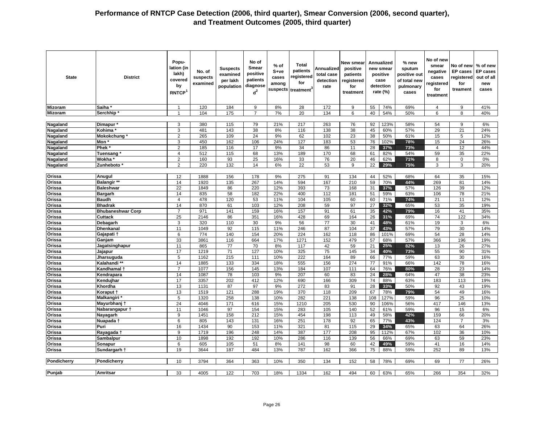| <b>State</b>     | <b>District</b>          | Popu-<br>lation (in<br>lakh)<br>covered<br>by<br><b>RNTCP</b> | No. of<br>suspects<br>examined | <b>Suspects</b><br>examined<br>per lakh<br>population | No of<br>Smear<br>positive<br>patients<br>diagnose<br>$d^2$ | % of<br>S+ve<br>cases<br>among<br>suspects | Total<br>patients<br>registered<br>for<br>treatment <sup>®</sup> | Annualized<br>total case<br>detection<br>rate | <b>New smear</b><br>positive<br>patients<br>registered<br>for<br>treatment |                 | Annualized<br>new smear<br>positive<br>case<br>detection<br>rate $(\%)$ | % new<br>sputum<br>positive out<br>of total new<br>pulmonary<br>cases | No of new<br>smear<br>negative<br>cases<br>registered<br>for<br>treatment | No of new<br><b>EP</b> cases<br>registered<br>for<br>treament | % of new<br><b>EP cases</b><br>out of all<br>new<br>cases |
|------------------|--------------------------|---------------------------------------------------------------|--------------------------------|-------------------------------------------------------|-------------------------------------------------------------|--------------------------------------------|------------------------------------------------------------------|-----------------------------------------------|----------------------------------------------------------------------------|-----------------|-------------------------------------------------------------------------|-----------------------------------------------------------------------|---------------------------------------------------------------------------|---------------------------------------------------------------|-----------------------------------------------------------|
| <b>Mizoram</b>   | Saiha                    | $\mathbf{1}$                                                  | 120                            | 184                                                   | 9                                                           | 8%                                         | 28                                                               | 172                                           | 9                                                                          | 55              | 74%                                                                     | 69%                                                                   | $\overline{4}$                                                            | 9                                                             | 41%                                                       |
| <b>Mizoram</b>   | Serchhip*                | $\overline{1}$                                                | 104                            | 175                                                   | $\overline{7}$                                              | 7%                                         | 20                                                               | 134                                           | 6                                                                          | 40              | 54%                                                                     | 50%                                                                   | 6                                                                         | 8                                                             | 40%                                                       |
|                  |                          |                                                               |                                |                                                       |                                                             |                                            |                                                                  |                                               |                                                                            |                 |                                                                         |                                                                       |                                                                           |                                                               |                                                           |
| Nagaland         | Dimapur <sup>*</sup>     | 3                                                             | 380                            | 115                                                   | 79                                                          | 21%                                        | 217                                                              | 263                                           | 76                                                                         | 92              | 123%                                                                    | 58%                                                                   | 54                                                                        | 9                                                             | 6%                                                        |
| Nagaland         | Kohima                   | 3                                                             | 481                            | 143                                                   | 38                                                          | 8%                                         | 116                                                              | 138                                           | 38                                                                         | 45              | 60%                                                                     | 57%                                                                   | 29                                                                        | 21                                                            | 24%                                                       |
| <b>Nagaland</b>  | Mokokchung               | 2                                                             | 265                            | 109                                                   | 24                                                          | 9%                                         | 62                                                               | 102                                           | 23                                                                         | 38              | 50%                                                                     | 61%                                                                   | 15                                                                        | 5                                                             | 12%                                                       |
| Nagaland         | Mon'                     | 3                                                             | 450                            | 162                                                   | 106                                                         | 24%                                        | 127                                                              | 183                                           | 53                                                                         | 76              | 102%                                                                    | 78%                                                                   | 15                                                                        | 24                                                            | 26%                                                       |
| <b>Nagaland</b>  | Phek <sup>3</sup>        | $\overline{\mathbf{c}}$                                       | 185                            | 116                                                   | 17                                                          | 9%                                         | 34                                                               | 86                                            | 11                                                                         | 28              | 37%                                                                     | 73%                                                                   | $\overline{4}$                                                            | 12                                                            | 44%                                                       |
| Nagaland         | Tuensang <sup>®</sup>    | $\overline{4}$                                                | 512                            | 115                                                   | 68                                                          | 13%                                        | 189                                                              | 170                                           | 68                                                                         | 61              | 82%                                                                     | 54%                                                                   | 59                                                                        | 35                                                            | 22%                                                       |
| Nagaland         | Wokha                    | $\overline{2}$                                                | 160                            | 93                                                    | 25                                                          | 16%                                        | 33                                                               | 76                                            | 20                                                                         | 46              | 62%                                                                     | 71%                                                                   | 8                                                                         | 0                                                             | 0%                                                        |
| Nagaland         | Zunheboto                | $\overline{2}$                                                | 220                            | 132                                                   | 14                                                          | 6%                                         | $\overline{22}$                                                  | 53                                            | 9                                                                          | $\overline{22}$ | 29%                                                                     | 75%                                                                   | 3                                                                         | 3                                                             | 20%                                                       |
|                  |                          |                                                               |                                |                                                       |                                                             |                                            |                                                                  |                                               |                                                                            |                 |                                                                         |                                                                       |                                                                           |                                                               |                                                           |
| Orissa           | Anugul                   | 12                                                            | 1888                           | 156                                                   | 178                                                         | 9%                                         | 275                                                              | 91                                            | 134                                                                        | 44              | 52%                                                                     | 68%                                                                   | 64                                                                        | 35                                                            | 15%                                                       |
| Orissa           | Balangir **              | 14                                                            | 1920                           | 135                                                   | 267                                                         | 14%                                        | 594                                                              | 167                                           | 210                                                                        | 59              | 70%                                                                     | 44%                                                                   | 269                                                                       | 81                                                            | 14%                                                       |
| Orissa           | <b>Baleshwar</b>         | 22                                                            | 1849                           | 86                                                    | 220                                                         | 12%                                        | 393                                                              | 73                                            | 168                                                                        | 31              | 37%                                                                     | 57%                                                                   | 126                                                                       | 39                                                            | 12%                                                       |
| Orissa           | <b>Bargarh</b>           | 14                                                            | 835                            | 58                                                    | 182                                                         | 22%                                        | 400                                                              | 112                                           | 181                                                                        | 51              | 59%                                                                     | 63%                                                                   | 106                                                                       | 78                                                            | 21%                                                       |
| Orissa           | <b>Baudh</b>             | $\overline{4}$                                                | 478                            | 120                                                   | 53                                                          | 11%                                        | 104                                                              | 105                                           | 60                                                                         | 60              | 71%                                                                     | 74%                                                                   | 21                                                                        | 11                                                            | 12%                                                       |
| Orissa           | <b>Bhadrak</b>           | 14                                                            | 870                            | 61                                                    | 103                                                         | 12%                                        | 208                                                              | 59                                            | 97                                                                         | 27              | 32%                                                                     | 65%                                                                   | 53                                                                        | 35                                                            | 19%                                                       |
| Orissa           | <b>Bhubaneshwar Corp</b> | $\overline{7}$                                                | 971                            | 141                                                   | 159                                                         | 16%                                        | 157                                                              | 91                                            | 61                                                                         | 35              | 42%                                                                     | 79%                                                                   | 16                                                                        | 41                                                            | 35%                                                       |
| Orissa           | <b>Cuttack</b>           | 25                                                            | 2146                           | 86                                                    | 351                                                         | 16%                                        | 428                                                              | 69                                            | 164                                                                        | 26              | 31%                                                                     | 69%                                                                   | 74                                                                        | 122                                                           | 34%                                                       |
| Orissa           | Debagarh                 | 3                                                             | 320                            | 110                                                   | 30                                                          | 9%                                         | 56                                                               | 77                                            | 30                                                                         | 41              | 48%                                                                     | 61%                                                                   | 19                                                                        | 3                                                             | 6%                                                        |
| Orissa           | <b>Dhenkanal</b>         | 11                                                            | 1049                           | 92                                                    | 115                                                         | 11%                                        | 246                                                              | 87                                            | 104                                                                        | 37              | 43%                                                                     | 57%                                                                   | 79                                                                        | 30                                                            | 14%                                                       |
| Orissa           | Gajapati 1               | 6                                                             | 774                            | 140                                                   | 154                                                         | 20%                                        | 224                                                              | 162                                           | 118                                                                        | 86              | 101%                                                                    | 69%                                                                   | 54                                                                        | 28                                                            | 14%                                                       |
| Orissa           | Ganjam                   | 33                                                            | 3861                           | 116                                                   | 664                                                         | 17%                                        | 1271                                                             | 152                                           | 479                                                                        | 57              | 68%                                                                     | 57%                                                                   | 366                                                                       | 196                                                           | 19%                                                       |
| Orissa           | Jagatsinghapur           | 11                                                            | 865                            | $\overline{77}$                                       | 70                                                          | 8%                                         | 117                                                              | 42                                            | 59                                                                         | 21              | 25%                                                                     | 82%                                                                   | 13                                                                        | 26                                                            | 27%                                                       |
| Orissa           | Jajapur                  | 17                                                            | 1219                           | 71                                                    | 127                                                         | 10%                                        | 325                                                              | 75                                            | 145                                                                        | 34              | 40%                                                                     | 73%                                                                   | 55                                                                        | 90                                                            | 31%                                                       |
| Orissa           | Jharsuguda               | 5                                                             | 1162                           | 215                                                   | 111                                                         | 10%                                        | 222                                                              | 164                                           | 89                                                                         | 66              | 77%                                                                     | 59%                                                                   | 63                                                                        | 30                                                            | 16%                                                       |
| Orissa           | Kalahandi**              | 14                                                            | 1885                           | 133                                                   | 334                                                         | 18%                                        | 555                                                              | 156                                           | 274                                                                        | 77              | 91%                                                                     | 66%                                                                   | 142                                                                       | 78                                                            | 16%                                                       |
| Orissa           | Kandhamal 1              | $\overline{7}$                                                | 1077                           | 156                                                   | 145                                                         | 13%                                        | 184                                                              | 107                                           | 111                                                                        | 64              | 76%                                                                     | 80%                                                                   | 28                                                                        | 23                                                            | 14%                                                       |
| Orissa           | Kendrapara               | 14                                                            | 1087                           | 78                                                    | 103                                                         | 9%                                         | 207                                                              | 60                                            | 83                                                                         | 24              | 28%                                                                     | 64%                                                                   | 47                                                                        | 38                                                            | 23%                                                       |
| Orissa           | Kendujhar                | 17                                                            | 3357                           | 202                                                   | 412                                                         | 12%                                        | 690                                                              | 166                                           | 309                                                                        | 74              | 88%                                                                     | 63%                                                                   | 183                                                                       | 113                                                           | 19%                                                       |
| Orissa           | Khordha                  | 13                                                            | 1131                           | 87                                                    | 97                                                          | 9%                                         | 272                                                              | 83                                            | 91                                                                         | 28              | 33%                                                                     | 50%                                                                   | 92                                                                        | 43                                                            | 19%                                                       |
| Orissa           | Koraput †                | 13                                                            | 1519                           | 121                                                   | 288                                                         | 19%                                        | 370                                                              | 118                                           | 209                                                                        | 67              | 78%                                                                     | 79%                                                                   | 54                                                                        | 49                                                            | 16%                                                       |
| Orissa           | Malkangiri *             | 5                                                             | 1320                           | 258                                                   | 138                                                         | 10%                                        | 282                                                              | 221                                           | 138                                                                        | 108             | 127%                                                                    | 59%                                                                   | 96                                                                        | 25                                                            | 10%                                                       |
| Orissa           | Mayurbhanj t             | 24                                                            | 4046                           | 171                                                   | 616                                                         | 15%                                        | 1210                                                             | 205                                           | 530                                                                        | 90              | 106%                                                                    | 56%                                                                   | 417                                                                       | 146                                                           | 13%                                                       |
| Orissa           | Nabarangapur †           | 11                                                            | 1046                           | 97                                                    | 154                                                         | 15%                                        | 283                                                              | 105                                           | 140                                                                        | 52              | 61%                                                                     | 59%                                                                   | 96                                                                        | 15                                                            | 6%                                                        |
| Orissa           | Nayagarh                 | 9                                                             | 1451                           | 158                                                   | 212                                                         | 15%                                        | 454                                                              | 198                                           | 113                                                                        | 49              | 58%                                                                     | 42%                                                                   | 159                                                                       | 66                                                            | 20%                                                       |
|                  |                          | 6                                                             |                                |                                                       |                                                             | 16%                                        | 251                                                              | 178                                           | 92                                                                         | 65              |                                                                         | 43%                                                                   | 124                                                                       | 7                                                             | 3%                                                        |
| Orissa<br>Orissa | Nuapada †<br>Puri        | 16                                                            | 805<br>1434                    | 143<br>90                                             | 131<br>153                                                  | 11%                                        | 321                                                              | 81                                            | 115                                                                        | 29              | 77%<br>34%                                                              | 65%                                                                   | 63                                                                        | 64                                                            | 26%                                                       |
| Orissa           | Rayagada †               | 9                                                             | 1719                           | 196                                                   | 248                                                         | 14%                                        | 387                                                              | 177                                           | 208                                                                        | 95              | 112%                                                                    | 67%                                                                   | 102                                                                       | 36                                                            | 10%                                                       |
| Orissa           | Sambalpur                | 10                                                            | 1898                           | 192                                                   | 192                                                         | 10%                                        | 286                                                              | 116                                           | 139                                                                        | 56              | 66%                                                                     | 69%                                                                   | 63                                                                        | 59                                                            | 23%                                                       |
| Orissa           | Sonapur                  | 6                                                             | 605                            | 105                                                   | 51                                                          | 8%                                         | 141                                                              | 98                                            | 60                                                                         | 42              | 49%                                                                     | 59%                                                                   | 41                                                                        | 16                                                            | 14%                                                       |
| Orissa           | Sundargarh †             | 19                                                            | 3644                           | 187                                                   | 484                                                         | 13%                                        | 787                                                              | 162                                           | 366                                                                        | 75              | 88%                                                                     | 59%                                                                   | 252                                                                       | 89                                                            | 13%                                                       |
|                  |                          |                                                               |                                |                                                       |                                                             |                                            |                                                                  |                                               |                                                                            |                 |                                                                         |                                                                       |                                                                           |                                                               |                                                           |
| Pondicherry      | Pondicherry              | 10                                                            | 3794                           | 364                                                   | 363                                                         | 10%                                        | 350                                                              | 134                                           | 152                                                                        | 58              | 78%                                                                     | 69%                                                                   | 69                                                                        | 77                                                            | 26%                                                       |
|                  |                          |                                                               |                                |                                                       |                                                             |                                            |                                                                  |                                               |                                                                            |                 |                                                                         |                                                                       |                                                                           |                                                               |                                                           |
| Punjab           | Amritsar                 | 33                                                            | 4005                           | 122                                                   | 703                                                         | 18%                                        | 1334                                                             | 162                                           | 494                                                                        | 60              | 63%                                                                     | 65%                                                                   | 266                                                                       | 354                                                           | 32%                                                       |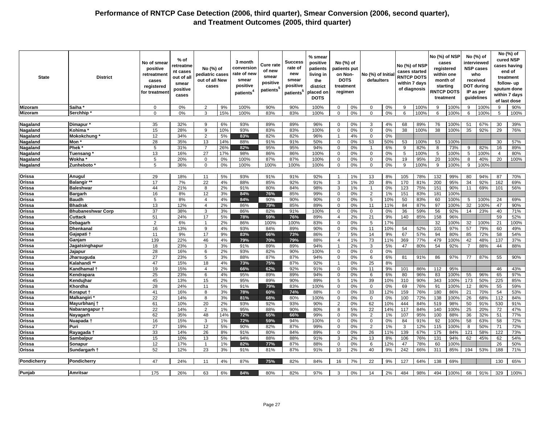| <b>State</b>    | <b>District</b>          | No of smear<br>positive<br>retreatment<br>cases<br>registered<br>for treatmen | % of<br>retreatme<br>nt cases<br>out of all<br>smear<br>positive<br>cases | No (%) of<br>pediatric cases<br>out of all New<br>cases |     | 3 month<br>conversion<br>rate of new<br>smear<br>positive<br>patients <sup>4</sup> | <b>Cure rate</b><br>of new<br>smear<br>positive<br>patients <sup>5</sup> | Success<br>rate of<br>new<br>smear<br>positive<br>patients <sup>5</sup> | % smear<br>positive<br>patients<br>living in<br>the<br>district<br>placed on<br><b>DOTS</b> | No (%) of<br>patients put<br>on Non-<br><b>DOTS</b><br>treatment<br>regimen |    | No (%) of Initia<br>defaulters |     | No (%) of NSP<br>cases started<br><b>RNTCP DOTS</b><br>within 7 days<br>of diagnosis |      | No (%) of NSP<br>cases<br>registered<br><b>RNTCP DOTS</b><br>treatment | within one<br>month of<br>starting | guidelines     | No (%) of<br>interviewed<br><b>NSP cases</b><br>who<br>received<br>DOT during<br>IP as per |                | No (%) of<br>cured NSP<br>cases having<br>end of<br>treatment<br>follow-up<br>sputum done<br>within 7 days<br>of last dose |
|-----------------|--------------------------|-------------------------------------------------------------------------------|---------------------------------------------------------------------------|---------------------------------------------------------|-----|------------------------------------------------------------------------------------|--------------------------------------------------------------------------|-------------------------------------------------------------------------|---------------------------------------------------------------------------------------------|-----------------------------------------------------------------------------|----|--------------------------------|-----|--------------------------------------------------------------------------------------|------|------------------------------------------------------------------------|------------------------------------|----------------|--------------------------------------------------------------------------------------------|----------------|----------------------------------------------------------------------------------------------------------------------------|
| Mizoram         | Saiha                    | $\Omega$                                                                      | 0%                                                                        | 2                                                       | 9%  | 100%                                                                               | 90%                                                                      | 90%                                                                     | 100%                                                                                        | $\mathbf 0$                                                                 | 0% | $\mathbf 0$                    | 0%  | <sub>9</sub>                                                                         | 100% | 9                                                                      | 100%                               | $\mathbf{Q}$   | 100%                                                                                       | 9              | 90%                                                                                                                        |
| <b>Mizoram</b>  | Serchhip                 | $\Omega$                                                                      | 0%                                                                        | 3                                                       | 15% | 100%                                                                               | 83%                                                                      | 83%                                                                     | 100%                                                                                        | $\mathbf 0$                                                                 | 0% | $\mathbf{0}$                   | 0%  | 6                                                                                    | 100% | 6                                                                      | 100%                               | 6              | 100%                                                                                       | 5              | 100%                                                                                                                       |
|                 |                          |                                                                               |                                                                           |                                                         |     |                                                                                    |                                                                          |                                                                         |                                                                                             |                                                                             |    |                                |     |                                                                                      |      |                                                                        |                                    |                |                                                                                            |                |                                                                                                                            |
|                 |                          | 35                                                                            | 32%                                                                       | 9                                                       | 6%  | 93%                                                                                | 89%                                                                      | 89%                                                                     | 96%                                                                                         | $\mathbf 0$                                                                 | 0% | $\mathbf{3}$                   | 4%  |                                                                                      | 89%  |                                                                        | 100%                               | 51             | 67%                                                                                        | 30             | 39%                                                                                                                        |
| Nagaland        | Dimapur *                |                                                                               |                                                                           |                                                         |     |                                                                                    |                                                                          |                                                                         |                                                                                             |                                                                             |    |                                |     | 68                                                                                   |      | 76                                                                     |                                    |                |                                                                                            |                |                                                                                                                            |
| Nagaland        | Kohima                   | 15                                                                            | 28%                                                                       | 9                                                       | 10% | 93%                                                                                | 83%                                                                      | 83%                                                                     | 100%                                                                                        | $\mathbf 0$                                                                 | 0% | $\mathbf 0$                    | 0%  | 38                                                                                   | 100% | 38                                                                     | 100%                               | 35             | 92%                                                                                        | 29             | 76%                                                                                                                        |
| Nagaland        | Mokokchung               | 12                                                                            | 34%                                                                       | 2                                                       | 5%  | 83%                                                                                | 82%                                                                      | 82%                                                                     | 96%                                                                                         | $\overline{1}$                                                              | 4% | $\mathbf 0$                    | 0%  |                                                                                      |      |                                                                        |                                    |                |                                                                                            |                |                                                                                                                            |
| <b>Nagaland</b> | Mon '                    | 28                                                                            | 35%                                                                       | 13                                                      | 14% | 88%                                                                                | 91%                                                                      | 91%                                                                     | 50%                                                                                         | $\mathbf 0$                                                                 | 0% | 53                             | 50% | 53                                                                                   | 100% | 53                                                                     | 100%                               |                |                                                                                            | 30             | 57%                                                                                                                        |
| Nagaland        | <b>Phek</b>              | 5                                                                             | 31%                                                                       | 7                                                       | 26% | 82%                                                                                | 95%                                                                      | 95%                                                                     | 94%                                                                                         | $\Omega$                                                                    | 0% | $\mathbf{1}$                   | 6%  | 9                                                                                    | 82%  | 8                                                                      | 73%                                | 9              | 82%                                                                                        | 16             | 89%                                                                                                                        |
| Nagaland        | Tuensang                 | 13                                                                            | 16%                                                                       | 27                                                      | 17% | 98%                                                                                | 86%                                                                      | 86%                                                                     | 100%                                                                                        | $\mathbf 0$                                                                 | 0% | $\mathsf 0$                    | 0%  | 5                                                                                    | 100% | 5                                                                      | 100%                               | 5              | 100%                                                                                       | $\overline{4}$ | 80%                                                                                                                        |
| Nagaland        | Wokha                    | 5                                                                             | 20%                                                                       | $\mathbf 0$                                             | 0%  | 100%                                                                               | 87%                                                                      | 87%                                                                     | 100%                                                                                        | $\mathbf 0$                                                                 | 0% | $\mathbf{0}$                   | 0%  | 19                                                                                   | 95%  | 20                                                                     | 100%                               | 8              | 40%                                                                                        | 20             | 100%                                                                                                                       |
| <b>Nagaland</b> | Zunheboto                | 5                                                                             | 36%                                                                       | $\mathbf 0$                                             | 0%  | 100%                                                                               | 100%                                                                     | 100%                                                                    | 100%                                                                                        | $\mathbf 0$                                                                 | 0% | $\mathbf 0$                    | 0%  | 9                                                                                    | 100% | 9                                                                      | 100%                               | 9              | 100%                                                                                       |                |                                                                                                                            |
|                 |                          |                                                                               |                                                                           |                                                         |     |                                                                                    |                                                                          |                                                                         |                                                                                             |                                                                             |    |                                |     |                                                                                      |      |                                                                        |                                    |                |                                                                                            |                |                                                                                                                            |
| Orissa          | Anugul                   | 29                                                                            | 18%                                                                       | 11                                                      | 5%  | 93%                                                                                | 91%                                                                      | 91%                                                                     | 92%                                                                                         | $\overline{1}$                                                              | 1% | 13                             | 8%  | 105                                                                                  | 78%  | 132                                                                    | 99%                                | 80             | 94%                                                                                        | 87             | 70%                                                                                                                        |
| Orissa          | <b>Balangir **</b>       | 17                                                                            | 7%                                                                        | 22                                                      | 4%  | 88%                                                                                | 85%                                                                      | 92%                                                                     | 91%                                                                                         | 3                                                                           | 1% | 20                             | 8%  | 170                                                                                  | 81%  | 200                                                                    | 95%                                | 34             | 92%                                                                                        | 162            | 69%                                                                                                                        |
| <b>Orissa</b>   | <b>Baleshwar</b>         | 44                                                                            | 21%                                                                       | 8                                                       | 2%  | 91%                                                                                | 80%                                                                      | 84%                                                                     | 98%                                                                                         | 3                                                                           | 1% | $\mathbf{1}$                   | 0%  | 123                                                                                  | 75%  | 151                                                                    | 90%                                | 11             | 69%                                                                                        | 101            | 56%                                                                                                                        |
| Orissa          | Bargarh                  | 16                                                                            | 8%                                                                        | 12                                                      | 3%  | 84%                                                                                | 76%                                                                      | 85%                                                                     | 99%                                                                                         | $\Omega$                                                                    | 0% | 2                              | 1%  | 151                                                                                  | 83%  | 181                                                                    | 100%                               |                |                                                                                            |                |                                                                                                                            |
| Orissa          | <b>Baudh</b>             | 5                                                                             | 8%                                                                        | $\overline{4}$                                          | 4%  | 84%                                                                                | 90%                                                                      | 90%                                                                     | 90%                                                                                         | $\mathbf 0$                                                                 | 0% | 5                              | 10% | 50                                                                                   | 83%  | 60                                                                     | 100%                               | 5              | 100%                                                                                       | 24             | 69%                                                                                                                        |
| Orissa          | <b>Bhadrak</b>           | 13                                                                            | 12%                                                                       | $\overline{4}$                                          | 2%  | 86%                                                                                | 79%                                                                      | 85%                                                                     | 89%                                                                                         | $\mathbf 0$                                                                 | 0% | 11                             | 11% | 84                                                                                   | 87%  | 97                                                                     | 100%                               | 32             | 100%                                                                                       | 47             | 90%                                                                                                                        |
| Orissa          | <b>Bhubaneshwar Corp</b> | 37                                                                            | 38%                                                                       | 3                                                       | 3%  | 86%                                                                                | 82%                                                                      | 91%                                                                     | 100%                                                                                        | $\Omega$                                                                    | 0% | $\mathbf 0$                    | 0%  | 36                                                                                   | 59%  | 56                                                                     | 92%                                | 14             | 23%                                                                                        | 40             | 71%                                                                                                                        |
| Orissa          |                          | 51                                                                            | 24%                                                                       | 17                                                      | 5%  | 78%                                                                                | 59%                                                                      | 76%                                                                     | 89%                                                                                         | $\overline{4}$                                                              | 2% | 21                             | 9%  | 140                                                                                  | 85%  | 158                                                                    | 96%                                |                |                                                                                            | 59             | 52%                                                                                                                        |
| Orissa          | Cuttack                  | 2                                                                             | 6%                                                                        | $\overline{\phantom{a}}$                                | 2%  | 86%                                                                                | 100%                                                                     | 100%                                                                    | 83%                                                                                         | $\mathbf 0$                                                                 | 0% | 5                              | 17% |                                                                                      |      | 32                                                                     |                                    |                | 100%                                                                                       | 21             |                                                                                                                            |
|                 | Debagarh                 | 16                                                                            |                                                                           | 9                                                       |     | 93%                                                                                |                                                                          |                                                                         |                                                                                             | $\Omega$                                                                    |    |                                | 10% |                                                                                      | 52%  |                                                                        | 100%<br>97%                        | 32<br>57       | 79%                                                                                        | 60             | 100%<br>49%                                                                                                                |
| Orissa          | <b>Dhenkana</b>          |                                                                               | 13%                                                                       |                                                         | 4%  |                                                                                    | 84%                                                                      | 89%                                                                     | 90%                                                                                         |                                                                             | 0% | 11                             |     | 54                                                                                   |      | 101                                                                    |                                    |                |                                                                                            |                |                                                                                                                            |
| Orissa          | Gajapati                 | 11                                                                            | 9%                                                                        | 17                                                      | 9%  | 83%                                                                                | 66%                                                                      | 73%                                                                     | 86%                                                                                         | $\overline{7}$                                                              | 5% | 14                             | 9%  | 67                                                                                   | 57%  | 94                                                                     | 80%                                | 85             | 72%                                                                                        | 58             | 54%                                                                                                                        |
| Orissa          | Ganjam                   | 139                                                                           | 22%                                                                       | 46                                                      | 4%  | 79%                                                                                | 70%                                                                      | 79%                                                                     | 88%                                                                                         | $\overline{4}$                                                              | 1% | 73                             | 11% | 369                                                                                  | 77%  | 479                                                                    | 100%                               | 42             | 48%                                                                                        | 137            | 37%                                                                                                                        |
| Orissa          | Jagatsinghapur           | 18                                                                            | 23%                                                                       | 3                                                       | 3%  | 91%                                                                                | 89%                                                                      | 89%                                                                     | 94%                                                                                         | $\overline{\mathbf{1}}$                                                     | 2% | 3                              | 5%  | 47                                                                                   | 80%  | 54                                                                     | 92%                                | $\overline{7}$ | 88%                                                                                        | 44             | 88%                                                                                                                        |
| Orissa          | Jajapur                  | 28                                                                            | 16%                                                                       | 6                                                       | 2%  | 93%                                                                                | 82%                                                                      | 90%                                                                     | 100%                                                                                        | $\mathbf 0$                                                                 | 0% | $\mathbf 0$                    | 0%  |                                                                                      |      |                                                                        |                                    |                |                                                                                            |                |                                                                                                                            |
| Orissa          | Jharsuguda               | 27                                                                            | 23%                                                                       | 5                                                       | 3%  | 88%                                                                                | 87%                                                                      | 87%                                                                     | 94%                                                                                         | $\mathbf 0$                                                                 | 0% | 6                              | 6%  | 81                                                                                   | 91%  | 86                                                                     | 97%                                | 77             | 87%                                                                                        | 55             | 90%                                                                                                                        |
| Orissa          | Kalahandi **             | 47                                                                            | 15%                                                                       | 18                                                      | 4%  | 73%                                                                                | 75%                                                                      | 87%                                                                     | 92%                                                                                         | $\overline{1}$                                                              | 0% | 25                             | 8%  |                                                                                      |      |                                                                        |                                    |                |                                                                                            |                |                                                                                                                            |
| Orissa          | Kandhamal <del>1</del>   | 19                                                                            | 15%                                                                       | $\overline{4}$                                          | 2%  | 66%                                                                                | 62%                                                                      | 92%                                                                     | 91%                                                                                         | $\mathbf 0$                                                                 | 0% | 11                             | 9%  | 101                                                                                  | 86%  | 112                                                                    | 95%                                |                |                                                                                            | 46             | 43%                                                                                                                        |
| Orissa          | Kendrapara               | 25                                                                            | 23%                                                                       | 6                                                       | 4%  | 95%                                                                                | 89%                                                                      | 89%                                                                     | 94%                                                                                         | $\mathbf 0$                                                                 | 0% | 6                              | 6%  | 80                                                                                   | 96%  | 83                                                                     | 100%                               | 55             | 96%                                                                                        | 65             | 97%                                                                                                                        |
| Orissa          | Kendujhar                | 45                                                                            | 13%                                                                       | 15                                                      | 2%  | 95%                                                                                | 89%                                                                      | 90%                                                                     | 89%                                                                                         | 5                                                                           | 1% | 39                             | 10% | 310                                                                                  | 90%  | 343                                                                    | 100%                               | 173            | 50%                                                                                        | 225            | 85%                                                                                                                        |
| Orissa          | Khordha                  | 28                                                                            | 24%                                                                       | 11                                                      | 5%  | 91%                                                                                | 79%                                                                      | 83%                                                                     | 100%                                                                                        | $\mathbf 0$                                                                 | 0% | $\mathbf 0$                    | 0%  | 69                                                                                   | 76%  | 91                                                                     | 100%                               | 12             | 80%                                                                                        | 55             | 59%                                                                                                                        |
| Orissa          | Koraput †                | 41                                                                            | 16%                                                                       | 8                                                       | 3%  | 78%                                                                                | 60%                                                                      | 74%                                                                     | 88%                                                                                         | $\mathbf 0$                                                                 | 0% | 33                             | 12% | 159                                                                                  | 76%  | 180                                                                    | 86%                                | 21             | 70%                                                                                        | 54             | 53%                                                                                                                        |
| Orissa          | <b>Malkangiri</b>        | $\overline{22}$                                                               | 14%                                                                       | 8                                                       | 3%  | 81%                                                                                | 68%                                                                      | 80%                                                                     | 100%                                                                                        | $\mathbf 0$                                                                 | 0% | $\mathbf 0$                    | 0%  | 100                                                                                  | 72%  | 138                                                                    | 100%                               | 26             | 68%                                                                                        | 112            | 84%                                                                                                                        |
| Orissa          | Mayurbhanj 1             | 61                                                                            | 10%                                                                       | 20                                                      | 2%  | 93%                                                                                | 92%                                                                      | 93%                                                                     | 90%                                                                                         | $\overline{2}$                                                              | 0% | 62                             | 10% | 444                                                                                  | 84%  | 519                                                                    | 98%                                | 50             | 91%                                                                                        | 530            | 91%                                                                                                                        |
| <b>Orissa</b>   | Nabarangapur 1           | 22                                                                            | 14%                                                                       | $\overline{2}$                                          | 1%  | 95%                                                                                | 88%                                                                      | 90%                                                                     | 80%                                                                                         | 8                                                                           | 5% | 22                             | 14% | 117                                                                                  | 84%  | 140                                                                    | 100%                               | 25             | 20%                                                                                        | 72             | 47%                                                                                                                        |
| Orissa          | Nayagarh                 | 62                                                                            | 35%                                                                       | 48                                                      | 14% | 72%                                                                                | 65%                                                                      | 66%                                                                     | 99%                                                                                         | $\mathbf 0$                                                                 | 0% | 2                              | 1%  | 107                                                                                  | 95%  | 100                                                                    | 88%                                | 36             | 32%                                                                                        | 51             | 77%                                                                                                                        |
| Orissa          | Nuapada 1                | 16                                                                            | 15%                                                                       | 3                                                       | 1%  | 72%                                                                                | 59%                                                                      | 94%                                                                     | 100%                                                                                        | $\mathbf 0$                                                                 | 0% | $\mathbf 0$                    | 0%  | 84                                                                                   | 91%  | 92                                                                     | 100%                               | 58             | 63%                                                                                        | 58             | 72%                                                                                                                        |
| Orissa          | Puri                     | 27                                                                            | 19%                                                                       | 12                                                      | 5%  | 90%                                                                                | 82%                                                                      | 87%                                                                     | 99%                                                                                         | $\mathbf 0$                                                                 | 0% | 2                              | 1%  | 3                                                                                    | 12%  | 115                                                                    | 100%                               | 8              | 50%                                                                                        | 71             | 72%                                                                                                                        |
| Orissa          | Rayagada †               | 33                                                                            | 14%                                                                       | 26                                                      | 8%  | 91%                                                                                | 80%                                                                      | 84%                                                                     | 89%                                                                                         | $\Omega$                                                                    | 0% | $\overline{26}$                | 11% | 139                                                                                  | 67%  | 175                                                                    | 84%                                | 121            | 58%                                                                                        | 122            | 73%                                                                                                                        |
| Orissa          | Sambalpur                | 15                                                                            | 10%                                                                       | 13                                                      | 5%  | 94%                                                                                | 88%                                                                      | 88%                                                                     | 91%                                                                                         | 3                                                                           | 2% | 13                             | 8%  | 106                                                                                  | 76%  | 131                                                                    | 94%                                | 62             | 45%                                                                                        | 62             | 54%                                                                                                                        |
| Orissa          | Sonapur                  | 12                                                                            | 17%                                                                       | $\overline{1}$                                          | 1%  | 82%                                                                                | 77%                                                                      | 87%                                                                     | 88%                                                                                         | $\mathsf 0$                                                                 | 0% | 6                              | 12% | 47                                                                                   | 78%  | 60                                                                     | 100%                               |                |                                                                                            | 26             | 50%                                                                                                                        |
| Orissa          | Sundargarh t             | 52                                                                            | 12%                                                                       | 23                                                      | 3%  | 91%                                                                                | 81%                                                                      | 87%                                                                     | 91%                                                                                         | 10                                                                          | 2% | 40                             | 9%  | 242                                                                                  | 66%  | 311                                                                    | 85%                                | 194            | 53%                                                                                        | 188            | 71%                                                                                                                        |
|                 |                          |                                                                               |                                                                           |                                                         |     |                                                                                    |                                                                          |                                                                         |                                                                                             |                                                                             |    |                                |     |                                                                                      |      |                                                                        |                                    |                |                                                                                            |                |                                                                                                                            |
| Pondicherry     | Pondicherry              | 47                                                                            | 24%                                                                       | 11                                                      | 4%  | 87%                                                                                | 75%                                                                      | 82%                                                                     | 84%                                                                                         | 16                                                                          | 7% | 22                             | 9%  | 127                                                                                  | 64%  | 138                                                                    | 69%                                |                |                                                                                            | 130            | 65%                                                                                                                        |
|                 |                          |                                                                               |                                                                           |                                                         |     |                                                                                    |                                                                          |                                                                         |                                                                                             |                                                                             |    |                                |     |                                                                                      |      |                                                                        |                                    |                |                                                                                            |                |                                                                                                                            |
| Punjab          | Amritsar                 | 175                                                                           | 26%                                                                       | 63                                                      | 6%  | 84%                                                                                | 80%                                                                      | 82%                                                                     | 97%                                                                                         | 3                                                                           | 0% | 14                             | 2%  | 484                                                                                  | 98%  | 494                                                                    | 100%                               | 68             | 91%                                                                                        | 329            | 100%                                                                                                                       |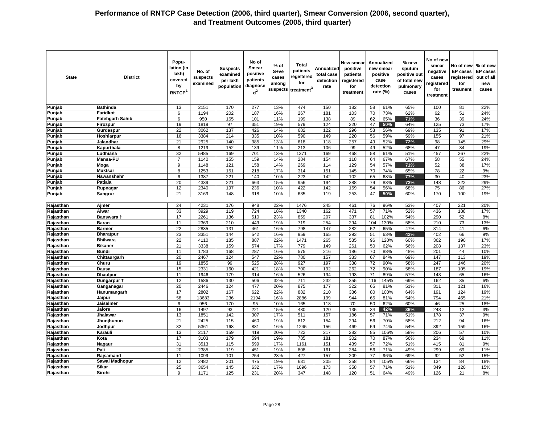| <b>State</b>           | <b>District</b>                   | Popu-<br>lation (in<br>lakh)<br>covered<br>by<br>RNTCP <sup>1</sup> | No. of<br>suspects<br>examined | <b>Suspects</b><br>examined<br>per lakh<br>population | No of<br>Smear<br>positive<br>patients<br>diagnose<br>$d^2$ | $%$ of<br>S+ve<br>cases<br>among<br>suspects | Total<br>patients<br>registered<br>for<br>treatment | Annualized<br>total case<br>detection<br>rate | <b>New smear</b><br>positive<br>patients<br>registered<br>for<br>treatment |          | <b>Annualized</b><br>new smear<br>positive<br>case<br>detection<br>rate (%) | % new<br>sputum<br>positive out<br>of total new<br>pulmonary<br>cases | No of new<br>smear<br>negative<br>cases<br>registered<br>for<br>treatment | No of new<br><b>EP</b> cases<br>registered<br>for<br>treament | % of new<br><b>EP cases</b><br>out of all<br>new<br>cases |
|------------------------|-----------------------------------|---------------------------------------------------------------------|--------------------------------|-------------------------------------------------------|-------------------------------------------------------------|----------------------------------------------|-----------------------------------------------------|-----------------------------------------------|----------------------------------------------------------------------------|----------|-----------------------------------------------------------------------------|-----------------------------------------------------------------------|---------------------------------------------------------------------------|---------------------------------------------------------------|-----------------------------------------------------------|
| Punjab                 | <b>Bathinda</b>                   | 13                                                                  | 2151                           | 170                                                   | 277                                                         | 13%                                          | 474                                                 | 150                                           | 182                                                                        | 58       | 61%                                                                         | 65%                                                                   | 100                                                                       | 81                                                            | 22%                                                       |
| Punjab                 | Faridkot                          | 6                                                                   | 1194                           | 202                                                   | 187                                                         | 16%                                          | 267                                                 | 181                                           | 103                                                                        | 70       | 73%                                                                         | 62%                                                                   | 62                                                                        | 51                                                            | 24%                                                       |
| Punjab                 | <b>Fatehgarh Sahib</b>            | 6                                                                   | 950                            | 165                                                   | 101                                                         | 11%                                          | 199                                                 | 138                                           | 89                                                                         | 62       | 65%                                                                         | 71%                                                                   | 36                                                                        | 39                                                            | 24%                                                       |
| Punjab                 | Firozpur                          | 19                                                                  | 1819                           | 97                                                    | 351                                                         | 19%                                          | 579                                                 | 124                                           | 220                                                                        | 47       | 50%                                                                         | 64%                                                                   | 125                                                                       | 73                                                            | 17%                                                       |
| Punjab                 | Gurdaspur                         | $\overline{22}$                                                     | 3062                           | 137                                                   | 426                                                         | 14%                                          | 682                                                 | 122                                           | 296                                                                        | 53       | 56%                                                                         | 69%                                                                   | 135                                                                       | 91                                                            | 17%                                                       |
| Punjab                 | Hoshiarpur                        | 16                                                                  | 3384                           | 214                                                   | 335                                                         | 10%                                          | 590                                                 | 149                                           | 220                                                                        | 56       | 59%                                                                         | 59%                                                                   | 155                                                                       | 97                                                            | 21%                                                       |
| Punjab                 | Jalandhar                         | 21                                                                  | 2925                           | 140                                                   | 385                                                         | 13%                                          | 618                                                 | 118                                           | 257                                                                        | 49       | 52%                                                                         | 72%                                                                   | 98                                                                        | 145                                                           | 29%                                                       |
| Punjab                 | Kapurthala                        | 8                                                                   | 1219                           | 152                                                   | 139                                                         | 11%                                          | 213                                                 | 106                                           | 99                                                                         | 49       | 52%                                                                         | 68%                                                                   | 47                                                                        | 34                                                            | 19%                                                       |
| Punjab                 | Ludhiana                          | 32                                                                  | 5485                           | 169                                                   | 701                                                         | 13%                                          | 1371                                                | 169                                           | 468                                                                        | 58       | 61%                                                                         | 51%                                                                   | 457                                                                       | 267                                                           | 22%                                                       |
| Punjab                 | Mansa-PU                          |                                                                     | 1140                           | 155                                                   | 159                                                         | 14%                                          | 284                                                 | 154                                           | 118                                                                        | 64       | 67%                                                                         | 67%                                                                   | 58                                                                        | 55                                                            | 24%                                                       |
| Punjab                 | Moga                              | 9                                                                   | 1148                           | 121                                                   | 158                                                         | 14%                                          | 269                                                 | 114                                           | 129                                                                        | 54       | 57%                                                                         | 71%                                                                   | 52                                                                        | 38                                                            | 17%                                                       |
| Punjab                 | <b>Muktsar</b>                    | 8                                                                   | 1253                           | 151                                                   | 218                                                         | 17%                                          | 314                                                 | 151                                           | 145                                                                        | 70       | 74%                                                                         | 65%                                                                   | 78                                                                        | 22                                                            | 9%                                                        |
| Punjab                 | Nawanshahr                        | 6                                                                   | 1387                           | 221                                                   | 140                                                         | 10%                                          | 223                                                 | 142                                           | 102                                                                        | 65       | 68%                                                                         | 77%                                                                   | 30                                                                        | 40                                                            | 23%                                                       |
| Punjab                 | Patiala                           | 20                                                                  | 4339                           | 221                                                   | 663                                                         | 15%                                          | 956                                                 | 194                                           | 388                                                                        | 79       | 83%                                                                         | 72%                                                                   | 148                                                                       | 222                                                           | 29%                                                       |
| Punjab                 | Rupnagar                          | 12                                                                  | 2340                           | 197                                                   | 236                                                         | 10%                                          | 422                                                 | 142                                           | 159                                                                        | 54       | 56%                                                                         | 68%                                                                   | 75                                                                        | 86                                                            | 27%                                                       |
| Punjab                 | Sangrur                           | 21                                                                  | 3169                           | 148                                                   | 318                                                         | 10%                                          | 635                                                 | 119                                           | 253                                                                        | 47       | 50%                                                                         | 60%                                                                   | 170                                                                       | 100                                                           | 19%                                                       |
|                        |                                   |                                                                     |                                |                                                       |                                                             |                                              |                                                     |                                               |                                                                            |          |                                                                             |                                                                       |                                                                           |                                                               |                                                           |
| Rajasthan              | Ajmer                             | 24                                                                  | 4231                           | 176                                                   | 948                                                         | 22%                                          | 1476                                                | 245                                           | 461                                                                        | 76       | 96%                                                                         | 53%                                                                   | 407                                                                       | 221                                                           | 20%                                                       |
| Rajasthan              | Alwar                             | 33                                                                  | 3929                           | 119                                                   | 724                                                         | 18%                                          | 1340                                                | 162                                           | 471                                                                        | 57       | 71%                                                                         | 52%                                                                   | 436                                                                       | 188                                                           | 17%                                                       |
| Rajasthan              | Banswara t                        | 17                                                                  | 2261                           | 136                                                   | 510                                                         | 23%                                          | 859                                                 | 207                                           | 337                                                                        | 81       | 102%                                                                        | 54%                                                                   | 290                                                                       | 52                                                            | 8%                                                        |
| Rajasthan              | <b>Baran</b>                      | 11                                                                  | 2369                           | 210                                                   | 449                                                         | 19%                                          | 719                                                 | 254                                           | 294                                                                        | 104      | 130%                                                                        | 58%                                                                   | 210                                                                       | 73                                                            | 13%                                                       |
| Rajasthan              | <b>Barmer</b>                     | 22                                                                  | 2835                           | 131                                                   | 461                                                         | 16%                                          | 798                                                 | 147                                           | 282                                                                        | 52       | 65%                                                                         | 47%                                                                   | 314                                                                       | 41                                                            | 6%                                                        |
| Rajasthan              | <b>Bharatpur</b>                  | 23<br>22                                                            | 3351                           | 144                                                   | 542                                                         | 16%                                          | 959                                                 | 165                                           | 293                                                                        | 51       | 63%                                                                         | 42%                                                                   | 402                                                                       | 66                                                            | 9%                                                        |
| Rajasthan<br>Rajasthan | <b>Bhilwara</b><br><b>Bikaner</b> | 21                                                                  | 4110                           | 185                                                   | 887<br>574                                                  | 22%<br>17%                                   | 1471<br>779                                         | 265                                           | 535                                                                        | 96       | 120%                                                                        | 60%                                                                   | 362                                                                       | 190                                                           | 17%                                                       |
| Rajasthan              |                                   |                                                                     | 3338                           | 159                                                   |                                                             |                                              |                                                     | 149                                           | 261                                                                        | 50       | 62%                                                                         | 56%                                                                   | 208                                                                       | 137                                                           | 23%                                                       |
| Rajasthan              | <b>Bundi</b>                      | 11<br>20                                                            | 1783<br>2467                   | 168<br>124                                            | 287<br>547                                                  | 16%<br>22%                                   | 575<br>780                                          | 216<br>157                                    | 186<br>333                                                                 | 70<br>67 | 88%<br>84%                                                                  | 48%<br>69%                                                            | 201<br>147                                                                | 44<br>113                                                     | 10%<br>19%                                                |
| Rajasthan              | Chittaurgarh<br>Churu             | 19                                                                  | 1855                           | 99                                                    | 525                                                         | 28%                                          | 927                                                 | 197                                           | 338                                                                        | 72       | 90%                                                                         | 58%                                                                   | 247                                                                       | 146                                                           | 20%                                                       |
| Rajasthan              | <b>Dausa</b>                      | 15                                                                  | 2331                           | 160                                                   | 421                                                         | 18%                                          | 700                                                 | 192                                           | 262                                                                        | 72       | 90%                                                                         | 58%                                                                   | 187                                                                       | 105                                                           | 19%                                                       |
| Rajasthan              | <b>Dhaulpur</b>                   | 11                                                                  | 1946                           | 179                                                   | 314                                                         | 16%                                          | 526                                                 | 194                                           | 193                                                                        | 71       | 89%                                                                         | 57%                                                                   | 143                                                                       | 65                                                            | 16%                                                       |
| Rajasthan              | Dungarpur †                       | 12                                                                  | 1586                           | 130                                                   | 506                                                         | 32%                                          | 711                                                 | 232                                           | 355                                                                        | 116      | 145%                                                                        | 69%                                                                   | 162                                                                       | 35                                                            | 6%                                                        |
| Rajasthan              | Ganganagar                        | 20                                                                  | 2446                           | 124                                                   | 477                                                         | 20%                                          | 875                                                 | 177                                           | 322                                                                        | 65       | 81%                                                                         | 51%                                                                   | 311                                                                       | 121                                                           | 16%                                                       |
| Rajasthan              | Hanumangarh                       | 17                                                                  | 2802                           | 167                                                   | 622                                                         | 22%                                          | 882                                                 | 210                                           | 336                                                                        | 80       | 100%                                                                        | 64%                                                                   | 191                                                                       | 124                                                           | 19%                                                       |
| Rajasthan              | Jaipur                            | 58                                                                  | 13683                          | 236                                                   | 2194                                                        | 16%                                          | 2886                                                | 199                                           | 944                                                                        | 65       | 81%                                                                         | 54%                                                                   | 794                                                                       | 465                                                           | 21%                                                       |
| Rajasthan              | Jaisalmer                         | 6                                                                   | 956                            | 170                                                   | 95                                                          | 10%                                          | 165                                                 | 118                                           | 70                                                                         | 50       | 62%                                                                         | 60%                                                                   | 46                                                                        | 25                                                            | 18%                                                       |
| Rajasthan              | Jalore                            | 16                                                                  | 1497                           | 93                                                    | 221                                                         | 15%                                          | 480                                                 | 120                                           | 135                                                                        | 34       | 42%                                                                         | 36%                                                                   | 243                                                                       | 12                                                            | 3%                                                        |
| Rajasthan              | Jhalawar                          | 13                                                                  | 1851                           | 142                                                   | 307                                                         | 17%                                          | 511                                                 | 157                                           | 186                                                                        | 57       | 71%                                                                         | 51%                                                                   | 178                                                                       | 37                                                            | 9%                                                        |
| Rajasthan              | Jhunjhunun                        | 21                                                                  | 2425                           | 115                                                   | 460                                                         | 19%                                          | 812                                                 | 154                                           | 294                                                                        | 56       | 70%                                                                         | 58%                                                                   | 212                                                                       | 94                                                            | 16%                                                       |
| Rajasthan              | Jodhpur                           | 32                                                                  | 5361                           | 168                                                   | 881                                                         | 16%                                          | 1245                                                | 156                                           | 469                                                                        | 59       | 74%                                                                         | 54%                                                                   | 392                                                                       | 159                                                           | 16%                                                       |
| Rajasthan              | Karauli                           | 13                                                                  | 2117                           | 159                                                   | 419                                                         | 20%                                          | 722                                                 | 217                                           | 282                                                                        | 85       | 106%                                                                        | 58%                                                                   | 206                                                                       | 57                                                            | 10%                                                       |
| Rajasthan              | Kota                              | 17                                                                  | 3103                           | 179                                                   | 594                                                         | 19%                                          | 785                                                 | 181                                           | 302                                                                        | 70       | 87%                                                                         | 56%                                                                   | 234                                                                       | 68                                                            | 11%                                                       |
| Rajasthan              | Nagaur                            | 31                                                                  | 3513                           | 115                                                   | 599                                                         | 17%                                          | 1161                                                | 151                                           | 439                                                                        | 57       | 72%                                                                         | 51%                                                                   | 415                                                                       | 81                                                            | 9%                                                        |
| Rajasthan              | Pali                              | 20                                                                  | 2385                           | 119                                                   | 451                                                         | 19%                                          | 808                                                 | 161                                           | 284                                                                        | 56       | 71%                                                                         | 49%                                                                   | 299                                                                       | 69                                                            | 11%                                                       |
| Rajasthan              | Rajsamand                         | 11                                                                  | 1099                           | 101                                                   | 254                                                         | 23%                                          | 427                                                 | 157                                           | 209                                                                        | 77       | 96%                                                                         | 69%                                                                   | 92                                                                        | 52                                                            | 15%                                                       |
| Rajasthan              | Sawai Madhopur                    | 12                                                                  | 2482                           | 201                                                   | 475                                                         | 19%                                          | 631                                                 | 205                                           | 258                                                                        | 84       | 105%                                                                        | 66%                                                                   | 134                                                                       | 84                                                            | 18%                                                       |
| Rajasthan              | Sikar                             | 25                                                                  | 3654                           | 145                                                   | 632                                                         | 17%                                          | 1096                                                | 173                                           | 358                                                                        | 57       | 71%                                                                         | 51%                                                                   | 349                                                                       | 120                                                           | 15%                                                       |
| Rajasthan              | Sirohi                            | 9                                                                   | 1171                           | 125                                                   | 231                                                         | 20%                                          | 347                                                 | 148                                           | 120                                                                        | 51       | 64%                                                                         | 49%                                                                   | 126                                                                       | 21                                                            | 8%                                                        |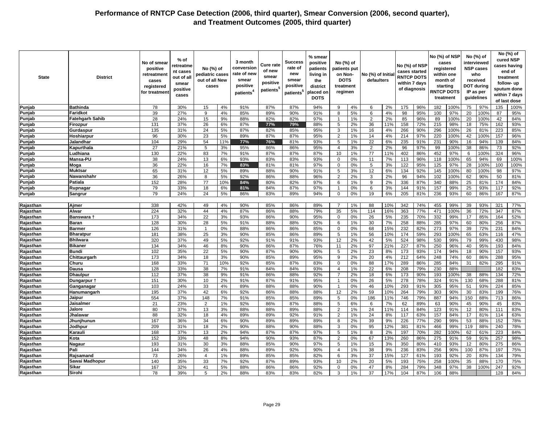| <b>State</b>           | <b>District</b>        | No of smear<br>positive<br>retreatmen<br>cases<br>registered<br>for treatmen | % of<br>retreatme<br>nt cases<br>out of all<br>smear<br>positive<br>cases | No (%) of<br>pediatric cases<br>out of all New<br>cases |           | 3 month<br>conversion<br>rate of new<br>smear<br>positive<br>patients <sup>4</sup> | Cure rate<br>of new<br>smear<br>positive<br>patients <sup>t</sup> | Success<br>rate of<br>new<br>smear<br>positive<br>patients <sup>5</sup> | % smear<br>positive<br>patients<br>living in<br>the<br>district<br>placed on<br><b>DOTS</b> | No (%) of<br>patients put<br>on Non-<br><b>DOTS</b><br>treatment<br>regimen |          | No (%) of Initia<br>defaulters |           | No (%) of NSP<br>cases started<br><b>RNTCP DOTS</b><br>within 7 days<br>of diagnosis |            | No (%) of NSP<br>cases<br>registered<br>month of<br>starting<br><b>RNTCP DOTS</b><br>treatment | within one  |          | No (%) of<br>interviewed<br><b>NSP cases</b><br>who<br>received<br><b>DOT during</b><br>IP as per<br>guidelines |            | No (%) of<br>cured NSP<br>cases having<br>end of<br>treatment<br>follow-up<br>sputum done<br>within 7 days<br>of last dose |
|------------------------|------------------------|------------------------------------------------------------------------------|---------------------------------------------------------------------------|---------------------------------------------------------|-----------|------------------------------------------------------------------------------------|-------------------------------------------------------------------|-------------------------------------------------------------------------|---------------------------------------------------------------------------------------------|-----------------------------------------------------------------------------|----------|--------------------------------|-----------|--------------------------------------------------------------------------------------|------------|------------------------------------------------------------------------------------------------|-------------|----------|-----------------------------------------------------------------------------------------------------------------|------------|----------------------------------------------------------------------------------------------------------------------------|
| Punjab                 | <b>Bathinda</b>        | 78                                                                           | 30%                                                                       | 15                                                      | 4%        | 91%                                                                                | 87%                                                               | 87%                                                                     | 94%                                                                                         | 9                                                                           | 4%       | 6                              | 2%        | 175                                                                                  | 96%        | 182                                                                                            | 100%        | 75       | 97%                                                                                                             | 135        | 100%                                                                                                                       |
| Punjab                 | Faridkot               | 39                                                                           | 27%                                                                       | 9                                                       | 4%        | 85%                                                                                | 89%                                                               | 90%                                                                     | 91%                                                                                         | 8                                                                           | 5%       | 6                              | 4%        | 98                                                                                   | 95%        | 100                                                                                            | 97%         | 20       | 100%                                                                                                            | 87         | 95%                                                                                                                        |
| Punjab                 | <b>Fatehgarh Sahib</b> | 28                                                                           | 24%                                                                       | 15                                                      | 9%        | 88%                                                                                | 82%                                                               | 82%                                                                     | 97%                                                                                         | $\overline{1}$                                                              | 1%       | $\overline{2}$                 | 2%        | 85                                                                                   | 96%        | 89                                                                                             | 100%        | 20       | 100%                                                                                                            | 42         | 84%                                                                                                                        |
| Punjab                 | Firozpur               | 131                                                                          | 37%                                                                       | 26                                                      | 6%        | 87%                                                                                | 77%                                                               | 79%                                                                     | 88%                                                                                         | 5                                                                           | 2%       | 36                             | 11%       | 158                                                                                  | 72%        | 215                                                                                            | 98%         | 18       | 75%                                                                                                             | 162        | 93%                                                                                                                        |
| Punjab                 | Gurdaspur              | 135                                                                          | 31%                                                                       | 24                                                      | 5%        | 87%                                                                                | 82%                                                               | 85%                                                                     | 95%                                                                                         | 3                                                                           | 1%       | 16                             | 4%        | 266                                                                                  | 90%        | 296                                                                                            | 100%        | 26       | 81%                                                                                                             | 223        | 85%                                                                                                                        |
| Punjab                 | Hoshiarpur             | 96                                                                           | 30%                                                                       | 23                                                      | 5%        | 89%                                                                                | 87%                                                               | 87%                                                                     | 95%                                                                                         | 2                                                                           | 1%       | 14                             | 4%        | 214                                                                                  | 97%        | 220                                                                                            | 100%        | 42       | 100%                                                                                                            | 157        | 96%                                                                                                                        |
| Punjab                 | Jalandhar              | 104                                                                          | 29%                                                                       | 54                                                      | 11%       | 77%                                                                                | 76%                                                               | 81%                                                                     | 93%                                                                                         | 5                                                                           | 1%       | 22                             | 6%        | 235                                                                                  | 91%        | 231                                                                                            | 90%         | 16       | 94%                                                                                                             | 139        | 84%                                                                                                                        |
| Punjab                 | Kapurthala             | $\overline{27}$                                                              | 21%                                                                       | 5                                                       | 3%        | 95%                                                                                | 86%                                                               | 86%                                                                     | 95%                                                                                         | $\overline{4}$                                                              | 3%       | 2                              | 2%        | 96                                                                                   | 97%        | 99                                                                                             | 100%        | 38       | 86%                                                                                                             | 73         | 92%                                                                                                                        |
| Punjab                 | Ludhiana               | 130                                                                          | 22%                                                                       | 83                                                      | 7%        | 91%                                                                                | 87%                                                               | 87%                                                                     | 87%                                                                                         | 10                                                                          | 1%       | 77                             | 11%       | 402                                                                                  | 86%        | 452                                                                                            | 97%         | 6        | 100%                                                                                                            | 324        | 96%                                                                                                                        |
| Punjab                 | Mansa-PU               | 38                                                                           | 24%                                                                       | 13                                                      | 6%        | 93%                                                                                | 83%                                                               | 83%                                                                     | 93%                                                                                         | 0                                                                           | 0%       | 11                             | 7%        | 113                                                                                  | 96%        | 118                                                                                            | 100%        | 65       | 94%                                                                                                             | 69         | 100%                                                                                                                       |
| Punjab                 | Moga                   | 36                                                                           | 22%                                                                       | 16                                                      | 7%        | 83%                                                                                | 81%                                                               | 81%                                                                     | 97%                                                                                         | $\mathbf 0$                                                                 | 0%       | 5                              | 3%        | 122                                                                                  | 95%        | 125                                                                                            | 97%         | 28       | 100%                                                                                                            | 100        | 100%                                                                                                                       |
| Punjab                 | <b>Muktsar</b>         | 65                                                                           | 31%                                                                       | 12                                                      | 5%        | 89%                                                                                | 88%                                                               | 90%                                                                     | 91%                                                                                         | 5                                                                           | 3%       | 12                             | 6%        | 134                                                                                  | 92%        | 145                                                                                            | 100%        | 80       | 100%                                                                                                            | 98         | 97%                                                                                                                        |
| Punjab                 | Nawanshahr             | 36                                                                           | 26%                                                                       | 8                                                       | 5%        | 92%                                                                                | 86%                                                               | 88%                                                                     | 96%                                                                                         | 2                                                                           | 2%       | 3                              | 2%        | 96                                                                                   | 94%        | 102                                                                                            | 100%        | 62       | 90%                                                                                                             | 50         | 81%                                                                                                                        |
| Punjab                 | Patiala                | 152                                                                          | 28%                                                                       | 77                                                      | 10%       | 84%                                                                                | 80%                                                               | 82%                                                                     | 97%                                                                                         | 6                                                                           | 1%       | 9                              | 2%        | 336                                                                                  | 87%        | 340                                                                                            | 88%         | 25       | 81%                                                                                                             | 174        | 84%                                                                                                                        |
| Punjab                 | Rupnagar               | 79                                                                           | 33%                                                                       | 18                                                      | 6%        | 81%                                                                                | 84%                                                               | 87%                                                                     | 97%                                                                                         | $\mathbf{1}$                                                                | 0%       | 6                              | 3%        | 144                                                                                  | 91%        | 157                                                                                            | 99%         | 25       | 93%                                                                                                             | 117        | 92%                                                                                                                        |
| Punjab                 | <b>Sangrur</b>         | 79                                                                           | 24%                                                                       | 24                                                      | 5%        | 86%                                                                                | 83%                                                               | 89%                                                                     | 94%                                                                                         | $\Omega$                                                                    | 0%       | 19                             | 6%        | 205                                                                                  | 81%        | 236                                                                                            | 93%         | 60       | 86%                                                                                                             | 167        | 87%                                                                                                                        |
|                        |                        |                                                                              |                                                                           |                                                         |           |                                                                                    |                                                                   |                                                                         |                                                                                             |                                                                             |          |                                |           |                                                                                      |            |                                                                                                |             |          |                                                                                                                 |            |                                                                                                                            |
| Rajasthan              | Ajmer                  | 338                                                                          | 42%                                                                       | 49                                                      | 4%        | 90%                                                                                | 85%                                                               | 86%                                                                     | 89%                                                                                         | $\overline{7}$                                                              | 1%       | 88                             | 10%       | 342                                                                                  | 74%        | 455                                                                                            | 99%         | 39       | 93%                                                                                                             | 321        | 77%                                                                                                                        |
| Rajasthan              | Alwar                  | 224                                                                          | 32%                                                                       | 44                                                      | 4%        | 87%                                                                                | 86%                                                               | 88%                                                                     | 79%                                                                                         | 35                                                                          | 5%       | 114                            | 16%       | 363                                                                                  | 77%        | 471                                                                                            | 100%        | 36       | 72%                                                                                                             | 347        | 87%                                                                                                                        |
| Rajasthan              | Banswara †             | 173                                                                          | 34%                                                                       | 22                                                      | 3%        | 93%                                                                                | 86%                                                               | 90%                                                                     | 95%                                                                                         | 0                                                                           | 0%       | 26                             | 5%        | 235                                                                                  | 70%        | 332                                                                                            | 99%         | 17       | 85%                                                                                                             | 164        | 52%                                                                                                                        |
| Rajasthan              | <b>Baran</b>           | 128                                                                          | 30%                                                                       | 28                                                      | 5%        | 91%                                                                                | 88%                                                               | 88%                                                                     | 92%                                                                                         | 6                                                                           | 1%       | 30                             | 7%        | 258                                                                                  | 88%        | 285                                                                                            | 97%         | 60       | 80%                                                                                                             | 256        | 87%                                                                                                                        |
| Rajasthan              | <b>Barmer</b>          | 126                                                                          | 31%                                                                       |                                                         | 0%        | 88%                                                                                | 86%                                                               | 86%                                                                     | 85%                                                                                         | $\Omega$                                                                    | 0%       | 68                             | 15%       | 232                                                                                  | 82%        | 273                                                                                            | 97%         | 39       | 72%                                                                                                             | 231        | 84%                                                                                                                        |
| Rajasthan              | <b>Bharatpur</b>       | 181                                                                          | 38%                                                                       | 25                                                      | 3%        | 90%                                                                                | 85%                                                               | 86%                                                                     | 89%                                                                                         | 5                                                                           | 1%       | 56                             | 10%       | 174                                                                                  | 59%        | 293                                                                                            | 100%        | 65       | 63%                                                                                                             | 116        | 47%                                                                                                                        |
|                        | <b>Bhilwara</b>        | 320                                                                          | 37%                                                                       | 49                                                      | 5%        | 92%                                                                                | 91%                                                               | 91%                                                                     | 93%                                                                                         | 12                                                                          | 2%       | 42                             | 5%        | 524                                                                                  | 98%        | 530                                                                                            | 99%         | 79       | 99%                                                                                                             | 430        | 98%                                                                                                                        |
| Rajasthan<br>Rajasthan | <b>Bikaner</b>         | 134                                                                          | 34%                                                                       | 46                                                      | 8%        | 90%                                                                                | 86%                                                               | 87%                                                                     | 76%                                                                                         | 11                                                                          | 2%       | 97                             | 21%       | 227                                                                                  | 87%        | 250                                                                                            | 96%         | 40       | 95%                                                                                                             | 193        | 84%                                                                                                                        |
|                        | <b>Bundi</b>           | 102                                                                          | 35%                                                                       | 22                                                      |           | 90%                                                                                |                                                                   | 90%                                                                     | 90%                                                                                         |                                                                             |          |                                |           | 173                                                                                  | 93%        |                                                                                                | 94%         |          |                                                                                                                 | 157        |                                                                                                                            |
| Rajasthan              |                        | 173                                                                          | 34%                                                                       |                                                         | 5%        |                                                                                    | 87%                                                               |                                                                         |                                                                                             | 5<br>9                                                                      | 2%       | 23                             | 8%        | 212                                                                                  |            | 174<br>248                                                                                     | 74%         | 18<br>60 | 90%                                                                                                             | 288        | 93%                                                                                                                        |
| Rajasthan              | Chittaurgarh<br>Churu  |                                                                              | 33%                                                                       | 18<br>71                                                | 3%<br>10% | 90%<br>92%                                                                         | 85%<br>85%                                                        | 89%<br>87%                                                              | 95%<br>83%                                                                                  | $\Omega$                                                                    | 2%<br>0% | 20<br>88                       | 4%<br>17% | 289                                                                                  | 64%<br>86% | 285                                                                                            | 84%         | 31       | 86%<br>82%                                                                                                      | 295        | 95%<br>91%                                                                                                                 |
| Rajasthan              |                        | 168                                                                          |                                                                           | 38                                                      |           |                                                                                    |                                                                   |                                                                         |                                                                                             |                                                                             |          |                                |           |                                                                                      |            |                                                                                                | 88%         |          |                                                                                                                 |            | 83%                                                                                                                        |
| Rajasthan              | Dausa                  | 128                                                                          | 33%                                                                       |                                                         | 7%        | 91%                                                                                | 84%                                                               | 84%                                                                     | 93%                                                                                         | $\overline{4}$<br>$\overline{7}$                                            | 1%       | 22                             | 6%        | 208                                                                                  | 79%        | 230                                                                                            |             |          |                                                                                                                 | 182        |                                                                                                                            |
| Rajasthan              | <b>Dhaulpur</b>        | 112                                                                          | 37%                                                                       | 38<br>10                                                | 9%<br>2%  | 91%<br>91%                                                                         | 86%                                                               | 88%<br>91%                                                              | 92%<br>95%                                                                                  | $\overline{1}$                                                              | 2%       | 18                             | 6%        | 173<br>278                                                                           | 90%<br>78% | 193                                                                                            | 100%<br>91% | 38       | 88%                                                                                                             | 134<br>288 | 72%                                                                                                                        |
| Rajasthan              | Dungarpur 1            | 151<br>103                                                                   | 30%<br>24%                                                                | 33                                                      | 4%        | 89%                                                                                | 87%                                                               | 88%                                                                     | 90%                                                                                         |                                                                             | 0%<br>0% | 26                             | 5%<br>10% | 293                                                                                  | 91%        | 324                                                                                            |             | 130      | 68%                                                                                                             | 224        | 81%                                                                                                                        |
| Rajasthan              | Ganganagar             |                                                                              |                                                                           |                                                         |           |                                                                                    | 88%                                                               |                                                                         |                                                                                             | -1<br>12                                                                    |          | 46                             |           |                                                                                      |            | 305                                                                                            | 95%         | 51       | 93%                                                                                                             |            | 85%                                                                                                                        |
| Rajasthan              | Hanumangarh            | 195                                                                          | 37%                                                                       | 42                                                      | 6%        | 92%                                                                                | 86%                                                               | 88%                                                                     | 88%                                                                                         |                                                                             | 2%       | 59                             | 10%       | 264                                                                                  | 79%        | 303                                                                                            | 90%         | 30       | 83%                                                                                                             | 199        | 76%                                                                                                                        |
| Rajasthan              | Jaipur                 | 554                                                                          | 37%                                                                       | 148                                                     | 7%        | 91%                                                                                | 85%                                                               | 85%                                                                     | 89%                                                                                         | 5                                                                           | 0%       | 186                            | 11%       | 746                                                                                  | 79%        | 887                                                                                            | 94%         | 150      | 88%                                                                                                             | 713        | 86%                                                                                                                        |
| Rajasthan              | <b>Jaisalmer</b>       | 21                                                                           | 23%                                                                       | $\overline{2}$                                          | 1%        | 92%                                                                                | 86%                                                               | 87%                                                                     | 88%                                                                                         | 5<br>$\mathcal{P}$                                                          | 6%       | 6                              | 7%        | 62                                                                                   | 89%        | 63                                                                                             | 90%         | 45       | 90%                                                                                                             | 45         | 83%                                                                                                                        |
| Rajasthan              | Jalore                 | 80                                                                           | 37%                                                                       | 13                                                      | 3%        | 88%                                                                                | 88%                                                               | 89%                                                                     | 88%                                                                                         |                                                                             | 1%       | 24                             | 11%       | 114                                                                                  | 84%        | 123                                                                                            | 91%         | 12       | 80%                                                                                                             | 111        | 83%                                                                                                                        |
| Rajasthan              | Jhalawar               | 88                                                                           | 32%                                                                       | 18                                                      | 4%        | 89%                                                                                | 89%                                                               | 92%                                                                     | 91%                                                                                         | 2                                                                           | 1%       | 24                             | 8%        | 117                                                                                  | 63%        | 157                                                                                            | 84%         | 17       | 81%                                                                                                             | 114        | 63%                                                                                                                        |
| Rajasthan              | Jhunjhunun             | 167                                                                          | 36%                                                                       | 34                                                      | 6%        | 90%                                                                                | 89%                                                               | 89%                                                                     | 89%                                                                                         | 8                                                                           | 2%       | 39                             | 9%        | 226                                                                                  | 77%        | 290                                                                                            | 99%         | 53       | 88%                                                                                                             | 152        | 78%                                                                                                                        |
| Rajasthan              | Jodhpur                | 209                                                                          | 31%                                                                       | 18                                                      | 2%        | 90%                                                                                | 88%                                                               | 90%                                                                     | 88%                                                                                         | 3                                                                           | 0%       | 95                             | 12%       | 381                                                                                  | 81%        | 466                                                                                            | 99%         | 119      | 88%                                                                                                             | 240        | 78%                                                                                                                        |
| Rajasthan              | Karauli                | 168                                                                          | 37%                                                                       | 13                                                      | 2%        | 94%                                                                                | 87%                                                               | 87%                                                                     | 97%                                                                                         | 5                                                                           | 1%       | 8                              | 2%        | 197                                                                                  | 70%        | 282                                                                                            | 100%        | 62       | 61%                                                                                                             | 223        | 84%                                                                                                                        |
| Rajasthan              | Kota                   | 152                                                                          | 33%                                                                       | 48                                                      | 8%        | 94%                                                                                | 90%                                                               | 93%                                                                     | 87%                                                                                         | 2                                                                           | 0%       | 67                             | 13%       | 260                                                                                  | 86%        | 275                                                                                            | 91%         | 59       | 91%                                                                                                             | 257        | 98%                                                                                                                        |
| Rajasthan              | Nagaur                 | 193                                                                          | 31%                                                                       | 30                                                      | 3%        | 88%                                                                                | 85%                                                               | 90%                                                                     | 97%                                                                                         | 5                                                                           | 1%       | 15                             | 3%        | 350                                                                                  | 80%        | 410                                                                                            | 93%         | 12       | 80%                                                                                                             | 275        | 86%                                                                                                                        |
| Rajasthan              | Pali                   | 144                                                                          | 34%                                                                       | 26                                                      | 4%        | 88%                                                                                | 89%                                                               | 92%                                                                     | 90%                                                                                         | $\overline{4}$                                                              | 1%       | 38                             | 9%        | 236                                                                                  | 83%        | 256                                                                                            | 90%         | 100      | 87%                                                                                                             | 197        | 75%                                                                                                                        |
| Rajasthan              | Rajsamand              | 73                                                                           | 26%                                                                       | $\overline{4}$                                          | 1%        | 89%                                                                                | 85%                                                               | 85%                                                                     | 82%                                                                                         | 6                                                                           | 3%       | 37                             | 15%       | 127                                                                                  | 61%        | 193                                                                                            | 92%         | 20       | 83%                                                                                                             | 134        | 79%                                                                                                                        |
| Rajasthan              | Sawai Madhopur         | 140                                                                          | 35%                                                                       | 33                                                      | 7%        | 92%                                                                                | 87%                                                               | 89%                                                                     | 93%                                                                                         | 10                                                                          | 2%       | 20                             | 5%        | 193                                                                                  | 75%        | 258                                                                                            | 100%        | 35       | 88%                                                                                                             | 170        | 75%                                                                                                                        |
| Rajasthan              | Sikar                  | 167                                                                          | 32%                                                                       | 41                                                      | 5%        | 88%                                                                                | 86%                                                               | 86%                                                                     | 92%                                                                                         | $\mathbf 0$                                                                 | 0%       | 47                             | 8%        | 284                                                                                  | 79%        | 348                                                                                            | 97%         | 38       | 100%                                                                                                            | 247        | 92%                                                                                                                        |
| Rajasthan              | Sirohi                 | 78                                                                           | 39%                                                                       | 5                                                       | 2%        | 88%                                                                                | 83%                                                               | 83%                                                                     | 82%                                                                                         | 3                                                                           | 1%       | 37                             | 17%       | 104                                                                                  | 87%        | 106                                                                                            | 88%         |          |                                                                                                                 | 128        | 84%                                                                                                                        |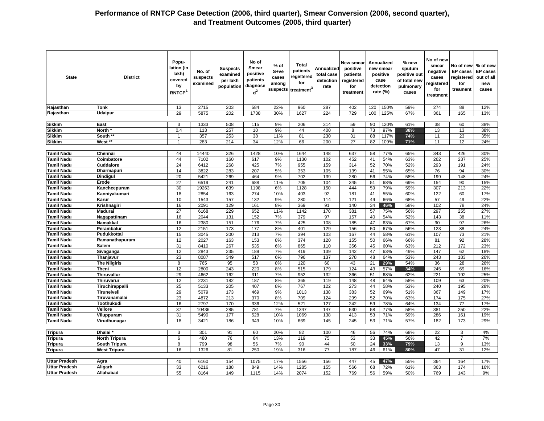| <b>State</b>                     | <b>District</b>                       | Popu-<br>lation (in<br>lakh)<br>covered<br>by<br>RNTCP <sup>1</sup> | No. of<br>suspects<br>examined | <b>Suspects</b><br>examined<br>per lakh<br>population | No of<br>Smear<br>positive<br>patients<br>diagnose<br>$d^2$ | % of<br>S+ve<br>cases<br>among | Total<br>patients<br>registered<br>for<br>suspects treatment <sup>3</sup> | Annualized<br>total case<br>detection<br>rate | New smear<br>positive<br>patients<br>registered<br>for<br>treatment |          | Annualized<br>new smear<br>positive<br>case<br>detection<br>rate (%) | % new<br>sputum<br>positive out<br>of total new<br>pulmonary<br>cases | No of new<br>smear<br>negative<br>cases<br>registered<br>for<br>treatment | No of new<br>EP cases<br>egistered<br>for<br>treament | % of new<br><b>EP cases</b><br>out of all<br>new<br>cases |
|----------------------------------|---------------------------------------|---------------------------------------------------------------------|--------------------------------|-------------------------------------------------------|-------------------------------------------------------------|--------------------------------|---------------------------------------------------------------------------|-----------------------------------------------|---------------------------------------------------------------------|----------|----------------------------------------------------------------------|-----------------------------------------------------------------------|---------------------------------------------------------------------------|-------------------------------------------------------|-----------------------------------------------------------|
| Rajasthan                        | <b>Tonk</b>                           | 13                                                                  | 2715                           | 203                                                   | 584                                                         | 22%                            | 960                                                                       | 287                                           | 402                                                                 | 120      | 150%                                                                 | 59%                                                                   | 274                                                                       | 88                                                    | 12%                                                       |
| Rajasthan                        | <b>Udaipur</b>                        | 29                                                                  | 5875                           | 202                                                   | 1738                                                        | 30%                            | 1627                                                                      | 224                                           | 729                                                                 | 100      | 125%                                                                 | 67%                                                                   | 361                                                                       | 165                                                   | 13%                                                       |
|                                  |                                       |                                                                     |                                |                                                       |                                                             |                                |                                                                           |                                               |                                                                     |          |                                                                      |                                                                       |                                                                           |                                                       |                                                           |
| <b>Sikkim</b>                    | East                                  | 3                                                                   | 1333                           | 508                                                   | 115                                                         | 9%                             | 206                                                                       | 314                                           | 59                                                                  | 90       | 120%                                                                 | 61%                                                                   | 38                                                                        | 60                                                    | 38%                                                       |
| <b>Sikkim</b>                    | North <sup>3</sup>                    | 0.4                                                                 | 113                            | 257                                                   | 10                                                          | 9%                             | 44                                                                        | 400                                           | 8                                                                   | 73       | 97%                                                                  | 38%                                                                   | 13                                                                        | 13                                                    | 38%                                                       |
| <b>Sikkim</b>                    | South **                              | $\overline{1}$                                                      | 357                            | 253                                                   | 38                                                          | 11%                            | 81                                                                        | 230                                           | 31                                                                  | 88       | 117%                                                                 | 74%                                                                   | 11                                                                        | 23                                                    | 35%                                                       |
| <b>Sikkim</b>                    | West **                               | $\mathbf{1}$                                                        | 283                            | 214                                                   | 34                                                          | 12%                            | 66                                                                        | 200                                           | 27                                                                  | 82       | 109%                                                                 | 71%                                                                   | 11                                                                        | 12                                                    | 24%                                                       |
|                                  |                                       |                                                                     |                                |                                                       |                                                             |                                |                                                                           |                                               |                                                                     |          |                                                                      |                                                                       |                                                                           |                                                       |                                                           |
| Tamil Nadu                       | Chennai                               | 44                                                                  | 14440                          | 326                                                   | 1428                                                        | 10%                            | 1644                                                                      | 148                                           | 637                                                                 | 58       | 77%                                                                  | 65%                                                                   | 343                                                                       | 426                                                   | 30%                                                       |
| Tamil Nadu                       | Coimbatore                            | 44                                                                  | 7102                           | 160                                                   | 617                                                         | 9%                             | 1130                                                                      | 102                                           | 452                                                                 | 41       | 54%                                                                  | 63%                                                                   | 262                                                                       | 237                                                   | 25%                                                       |
| <b>Tamil Nadu</b>                | Cuddalore                             | $\overline{24}$                                                     | 6412                           | 268                                                   | 425                                                         | 7%                             | 955                                                                       | 159                                           | 314                                                                 | 52       | 70%                                                                  | 52%                                                                   | 293                                                                       | 191                                                   | 24%                                                       |
| Tamil Nadu                       | Dharmapuri                            | 14                                                                  | 3822                           | 283                                                   | 207                                                         | 5%                             | 353                                                                       | 105                                           | 139                                                                 | 41       | 55%                                                                  | 65%                                                                   | 76                                                                        | 94                                                    | 30%                                                       |
| Tamil Nadu                       | <b>Dindigul</b>                       | 20                                                                  | 5421                           | 269                                                   | 464                                                         | 9%                             | 702                                                                       | 139                                           | 280                                                                 | 56       | 74%                                                                  | 58%                                                                   | 199                                                                       | 148                                                   | 24%                                                       |
| <b>Tamil Nadu</b>                | Erode                                 | 27                                                                  | 6519                           | 241                                                   | 688                                                         | 11%                            | 705                                                                       | 104                                           | 345                                                                 | 51       | 68%                                                                  | 69%                                                                   | 154                                                                       | 90                                                    | 15%                                                       |
| <b>Tamil Nadu</b>                | Kancheepuram                          | 30                                                                  | 19263                          | 639                                                   | 1198                                                        | 6%                             | 1128                                                                      | 150                                           | 444                                                                 | 59       | 79%                                                                  | 59%                                                                   | 307                                                                       | 213                                                   | 22%                                                       |
| Tamil Nadu                       | Kanniyakumari                         | 18                                                                  | 2854                           | 163                                                   | 274                                                         | 10%                            | 403                                                                       | 92                                            | 181                                                                 | 41       | 55%                                                                  | 60%                                                                   | 122                                                                       | 60                                                    | 17%                                                       |
| <b>Tamil Nadu</b>                | Karur                                 | 10                                                                  | 1543                           | 157                                                   | 132                                                         | 9%                             | 280                                                                       | 114                                           | 121                                                                 | 49       | 66%                                                                  | 68%                                                                   | 57                                                                        | 49                                                    | 22%                                                       |
| Tamil Nadu                       | Krishnagiri                           | 16                                                                  | 2091                           | 129                                                   | 161                                                         | 8%                             | 369                                                                       | 91                                            | 140                                                                 | 34       | 46%                                                                  | 58%                                                                   | 102                                                                       | 78                                                    | 24%                                                       |
| Tamil Nadu                       | <b>Madurai</b>                        | 27                                                                  | 6168                           | 229                                                   | 652                                                         | 11%                            | 1142                                                                      | 170                                           | 381                                                                 | 57       | 75%                                                                  | 56%                                                                   | 297                                                                       | 255                                                   | 27%                                                       |
| <b>Tamil Nadu</b>                | Nagapattinam                          | 16                                                                  | 2044                           | 131                                                   | 152                                                         | 7%                             | 379                                                                       | 97                                            | 157                                                                 | 40       | 54%                                                                  | 52%                                                                   | 143                                                                       | 38                                                    | 11%                                                       |
| Tamil Nadu                       | Namakkal                              | 16                                                                  | 2380                           | 151                                                   | 176                                                         | 7%                             | 425                                                                       | 108                                           | 185                                                                 | 47       | 63%                                                                  | 67%                                                                   | 90                                                                        | 97                                                    | 26%                                                       |
| <b>Tamil Nadu</b>                | Perambalur                            | 12                                                                  | 2151                           | 173                                                   | 177                                                         | 8%                             | 401                                                                       | 129                                           | 156                                                                 | 50       | 67%                                                                  | 56%                                                                   | 123                                                                       | 88                                                    | 24%                                                       |
| Tamil Nadu                       | Pudukkottai                           | 15                                                                  | 3045                           | 200                                                   | 213                                                         | 7%                             | 394                                                                       | 103                                           | 167                                                                 | 44       | 58%                                                                  | 61%                                                                   | 107                                                                       | 73                                                    | 21%                                                       |
| Tamil Nadu                       | Ramanathapuram                        | 12                                                                  | 2027                           | 163                                                   | 153                                                         | 8%                             | 374                                                                       | 120                                           | 155                                                                 | 50       | 66%                                                                  | 66%                                                                   | 81                                                                        | 92                                                    | 28%                                                       |
| <b>Famil Nadu</b>                | Salem                                 | 31                                                                  | 8410                           | 267                                                   | 535                                                         | 6%                             | 865                                                                       | 110                                           | 356                                                                 | 45       | 60%                                                                  | 63%                                                                   | 212                                                                       | 172                                                   | 23%                                                       |
| <b>Tamil Nadu</b>                | Sivaganga                             | 12                                                                  | 2843                           | 235                                                   | 189                                                         | 7%                             | 419                                                                       | 139                                           | 142                                                                 | 47       | 63%                                                                  | 49%                                                                   | 147                                                                       | 62                                                    | 18%                                                       |
| <b>Tamil Nadu</b>                | Thanjavur                             | 23                                                                  | 8087                           | 349                                                   | 517                                                         | 6%                             | 796                                                                       | 137                                           | 278                                                                 | 48       | 64%                                                                  | 53%                                                                   | 243                                                                       | 183                                                   | 26%                                                       |
| <b>Tamil Nadu</b>                | <b>The Nilgiris</b>                   | 8                                                                   | 765                            | 95                                                    | 58                                                          | 8%                             | 120                                                                       | 60                                            | 43                                                                  | 21       | 29%                                                                  | 54%                                                                   | 36                                                                        | 28                                                    | 26%                                                       |
| Tamil Nadu                       | Theni                                 | 12                                                                  | 2800                           | 243                                                   | 220                                                         | 8%                             | 515                                                                       | 179                                           | 124                                                                 | 43       | 57%                                                                  | 34%                                                                   | 245                                                                       | 69                                                    | 16%                                                       |
| Tamil Nadu                       | Thiruvallur                           | 29                                                                  | 4662                           | 162                                                   | 311                                                         | 7%                             | 952                                                                       | 132                                           | 366                                                                 | 51       | 68%                                                                  | 62%                                                                   | 221                                                                       | 192                                                   | 25%                                                       |
| <b>Tamil Nadu</b>                | Thiruvarur                            | 12                                                                  | 2231                           | 182                                                   | 187                                                         | 8%                             | 365                                                                       | 119                                           | 148                                                                 | 48       | 64%                                                                  | 58%                                                                   | 109                                                                       | 63                                                    | 20%                                                       |
| Tamil Nadu                       | Tiruchirappalli                       | 25                                                                  | 5133                           | 205                                                   | 407                                                         | 8%                             | 767                                                                       | 122                                           | 273                                                                 | 44       | 58%                                                                  | 53%                                                                   | 240                                                                       | 195                                                   | 28%                                                       |
| Tamil Nadu                       | Tirunelveli                           | 29                                                                  | 5079                           | 173                                                   | 469                                                         | 9%                             | 1013                                                                      | 138                                           | 383                                                                 | 52       | 69%                                                                  | 51%                                                                   | 367                                                                       | 149                                                   | 17%                                                       |
| <b>Tamil Nadu</b>                | Tiruvanamalai                         | 23                                                                  | 4872                           | 213                                                   | 370                                                         | 8%                             | 709                                                                       | 124                                           | 299                                                                 | 52       | 70%                                                                  | 63%                                                                   | 174                                                                       | 175                                                   | 27%                                                       |
| <b>Tamil Nadu</b>                | Toothukudi                            | 16                                                                  | 2797                           | 170                                                   | 336                                                         | 12%                            | 521                                                                       | 127                                           | 242                                                                 | 59       | 78%                                                                  | 64%                                                                   | 134                                                                       | 77                                                    | 17%                                                       |
| <b>Tamil Nadu</b>                | <b>Vellore</b>                        | $\overline{37}$                                                     | 10436                          | 285                                                   | 781                                                         | 7%                             | 1347                                                                      | 147                                           | 530                                                                 | 58       | 77%                                                                  | 58%                                                                   | 381                                                                       | 250                                                   | 22%                                                       |
| Tamil Nadu                       | Viluppuram                            | 31                                                                  | 5490                           | 177                                                   | 528                                                         | 10%                            | 1069                                                                      | 138                                           | 413                                                                 | 53       | 71%                                                                  | 59%                                                                   | 286                                                                       | 161                                                   | 19%                                                       |
| <b>Tamil Nadu</b>                | Virudhunagar                          | 18                                                                  | 3421                           | 186                                                   | 349                                                         | 10%                            | 669                                                                       | 145                                           | 245                                                                 | 53       | 71%                                                                  | 57%                                                                   | 182                                                                       | 173                                                   | 29%                                                       |
|                                  | Dhalai <sup>®</sup>                   | $\overline{3}$                                                      | 301                            | 91                                                    | 60                                                          | 20%                            | 82                                                                        | 100                                           |                                                                     | 56       | 74%                                                                  | 68%                                                                   | 22                                                                        | 3                                                     | 4%                                                        |
| <b>Tripura</b>                   |                                       |                                                                     |                                |                                                       | 64                                                          |                                |                                                                           |                                               | 46                                                                  |          | 45%                                                                  |                                                                       |                                                                           |                                                       | 7%                                                        |
| Tripura                          | North Tripura<br><b>South Tripura</b> | 6<br>8                                                              | 480<br>799                     | 76<br>98                                              | 56                                                          | 13%<br>7%                      | 119<br>90                                                                 | 75<br>44                                      | 53<br>50                                                            | 33<br>24 | 33%                                                                  | 56%<br>79%                                                            | 42<br>13                                                                  | $\overline{7}$<br>9                                   | 13%                                                       |
| <b>Tripura</b><br><b>Tripura</b> | <b>West Tripura</b>                   | 16                                                                  | 1326                           | 81                                                    | 250                                                         | 19%                            | 316                                                                       | 77                                            | 187                                                                 | 46       | 61%                                                                  | 80%                                                                   | 47                                                                        | 31                                                    | 12%                                                       |
|                                  |                                       |                                                                     |                                |                                                       |                                                             |                                |                                                                           |                                               |                                                                     |          |                                                                      |                                                                       |                                                                           |                                                       |                                                           |
| <b>Uttar Pradesh</b>             | Agra                                  | 40                                                                  | 6160                           | 154                                                   | 1075                                                        | 17%                            | 1556                                                                      | 156                                           | 447                                                                 | 45       | 47%                                                                  | 55%                                                                   | 364                                                                       | 164                                                   | 17%                                                       |
| <b>Uttar Pradesh</b>             | Aligarh                               | 33                                                                  | 6216                           | 188                                                   | 849                                                         | 14%                            | 1285                                                                      | 155                                           | 566                                                                 | 68       | 72%                                                                  | 61%                                                                   | 363                                                                       | 174                                                   | 16%                                                       |
| <b>Uttar Pradesh</b>             | Allahabad                             | 55                                                                  | 8164                           | 149                                                   | 1115                                                        | 14%                            | 2074                                                                      | 152                                           | 769                                                                 | 56       | 59%                                                                  | 50%                                                                   | 769                                                                       | 143                                                   | 9%                                                        |
|                                  |                                       |                                                                     |                                |                                                       |                                                             |                                |                                                                           |                                               |                                                                     |          |                                                                      |                                                                       |                                                                           |                                                       |                                                           |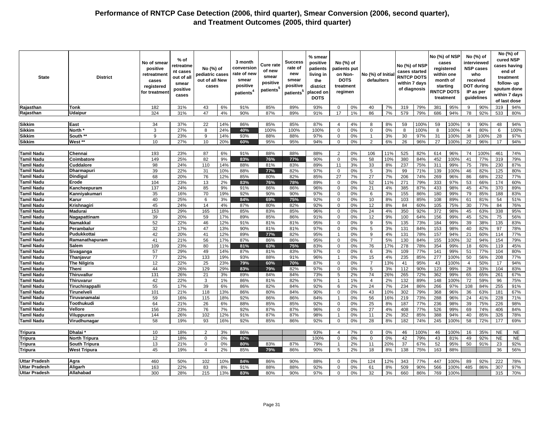| <b>State</b>         | <b>District</b>      | No of smear<br>positive<br>retreatmen<br>cases<br>registered<br>for treatmen | % of<br>retreatme<br>nt cases<br>out of all<br>smear<br>positive<br>cases | No (%) of<br>pediatric cases<br>out of all New<br>cases |     | 3 month<br>conversior<br>rate of new<br>smear<br>positive<br>patients <sup>4</sup> | <b>Cure rate</b><br>of new<br>smear<br>positive<br>patients <sup>®</sup> | Success<br>rate of<br>new<br>smear<br>positive<br>patients <sup>5</sup> | % smear<br>positive<br>patients<br>living in<br>the<br>district<br>placed on<br><b>DOTS</b> | No (%) of<br>patients put<br>on Non-<br><b>DOTS</b><br>treatment<br>regimen |    | No (%) of Initia<br>defaulters |     | No (%) of NSP<br>cases started<br><b>RNTCP DOTS</b><br>within 7 days<br>of diagnosis |      |     | No (%) of NSP<br>cases<br>registered<br>within one<br>month of<br>starting<br><b>RNTCP DOTS</b><br>treatment |                | No (%) of<br>interviewed<br><b>NSP cases</b><br>who<br>received<br><b>DOT during</b><br>IP as per<br>guidelines |           | No (%) of<br>cured NSP<br>cases having<br>end of<br>treatment<br>follow- up<br>sputum done<br>within 7 days<br>of last dose |
|----------------------|----------------------|------------------------------------------------------------------------------|---------------------------------------------------------------------------|---------------------------------------------------------|-----|------------------------------------------------------------------------------------|--------------------------------------------------------------------------|-------------------------------------------------------------------------|---------------------------------------------------------------------------------------------|-----------------------------------------------------------------------------|----|--------------------------------|-----|--------------------------------------------------------------------------------------|------|-----|--------------------------------------------------------------------------------------------------------------|----------------|-----------------------------------------------------------------------------------------------------------------|-----------|-----------------------------------------------------------------------------------------------------------------------------|
| Rajasthan            | <b>Tonk</b>          | 182                                                                          | 31%                                                                       | 43                                                      | 6%  | 91%                                                                                | 85%                                                                      | 89%                                                                     | 93%                                                                                         | $\mathbf 0$                                                                 | 0% | 40                             | 7%  | 319                                                                                  | 79%  | 381 | 95%                                                                                                          | 9              | 90%                                                                                                             | 319       | 94%                                                                                                                         |
|                      |                      | 324                                                                          | 31%                                                                       | 47                                                      | 4%  | 90%                                                                                |                                                                          | 89%                                                                     |                                                                                             | 17                                                                          | 1% | 86                             | 7%  | 579                                                                                  | 79%  | 686 | 94%                                                                                                          | 78             | 92%                                                                                                             | 533       |                                                                                                                             |
| Rajasthan            | Udaipur              |                                                                              |                                                                           |                                                         |     |                                                                                    | 87%                                                                      |                                                                         | 91%                                                                                         |                                                                             |    |                                |     |                                                                                      |      |     |                                                                                                              |                |                                                                                                                 |           | 80%                                                                                                                         |
|                      |                      |                                                                              |                                                                           |                                                         |     |                                                                                    |                                                                          |                                                                         |                                                                                             |                                                                             |    |                                |     |                                                                                      |      |     |                                                                                                              |                |                                                                                                                 |           |                                                                                                                             |
| <b>Sikkim</b>        | East                 | 34                                                                           | 37%                                                                       | 22                                                      | 14% | 86%                                                                                | 85%                                                                      | 85%                                                                     | 87%                                                                                         | $\overline{4}$                                                              | 4% | 8                              | 8%  | 59                                                                                   | 100% | 59  | 100%                                                                                                         | 9              | 90%                                                                                                             | 48        | 94%                                                                                                                         |
| Sikkim               | <b>North</b>         | 3                                                                            | 27%                                                                       | 8                                                       | 24% | 40%                                                                                | 100%                                                                     | 100%                                                                    | 100%                                                                                        | $\mathbf 0$                                                                 | 0% | $\mathbf 0$                    | 0%  | 8                                                                                    | 100% | 8   | 100%                                                                                                         | $\overline{4}$ | 80%                                                                                                             | 6         | 100%                                                                                                                        |
| Sikkim               | South **             | 9                                                                            | 23%                                                                       | 9                                                       | 14% | 93%                                                                                | 88%                                                                      | 88%                                                                     | 97%                                                                                         | $\Omega$                                                                    | 0% | $\overline{1}$                 | 3%  | 30                                                                                   | 97%  | 31  | 100%                                                                                                         | 38             | 100%                                                                                                            | 28        | 97%                                                                                                                         |
| <b>Sikkim</b>        | West **              | 10                                                                           | 27%                                                                       | 10                                                      | 20% | 60%                                                                                | 95%                                                                      | 95%                                                                     | 94%                                                                                         | $\mathbf 0$                                                                 | 0% | 2                              | 6%  | 26                                                                                   | 96%  | 27  | 100%                                                                                                         | 22             | 96%                                                                                                             | 17        | 94%                                                                                                                         |
|                      |                      |                                                                              |                                                                           |                                                         |     |                                                                                    |                                                                          |                                                                         |                                                                                             |                                                                             |    |                                |     |                                                                                      |      |     |                                                                                                              |                |                                                                                                                 |           |                                                                                                                             |
| Tamil Nadu           | Chennai              | 193                                                                          | 23%                                                                       | 87                                                      | 6%  | 91%                                                                                | 88%                                                                      | 88%                                                                     | 88%                                                                                         | $\overline{2}$                                                              | 0% | 106                            | 11% | 525                                                                                  | 82%  | 614 | 96%                                                                                                          | 74             | 100%                                                                                                            | 461       | 74%                                                                                                                         |
| Tamil Nadu           | Coimbatore           | 149                                                                          | 25%                                                                       | 82                                                      | 9%  | 83%                                                                                | 76%                                                                      | 77%                                                                     | 90%                                                                                         | $\mathbf 0$                                                                 | 0% | 58                             | 10% | 380                                                                                  | 84%  | 452 | 100%                                                                                                         | 41             | 77%                                                                                                             | 319       | 79%                                                                                                                         |
| Tamil Nadu           | Cuddalore            | 98                                                                           | 24%                                                                       | 110                                                     | 14% | 88%                                                                                | 81%                                                                      | 83%                                                                     | 89%                                                                                         | 11                                                                          | 3% | 33                             | 8%  | 237                                                                                  | 75%  | 311 | 99%                                                                                                          | 75             | 78%                                                                                                             | 230       | 87%                                                                                                                         |
| Tamil Nadu           | Dharmapuri           | 39                                                                           | 22%                                                                       | 31                                                      | 10% | 88%                                                                                | 77%                                                                      | 82%                                                                     | 97%                                                                                         | $\mathbf 0$                                                                 | 0% | 5                              | 3%  | 99                                                                                   | 71%  | 139 | 100%                                                                                                         | 46             | 82%                                                                                                             | 125       | 80%                                                                                                                         |
| Tamil Nadu           | <b>Dindigul</b>      | 68                                                                           | 20%                                                                       | 76                                                      | 12% | 85%                                                                                | 80%                                                                      | 82%                                                                     | 85%                                                                                         | 27                                                                          | 7% | 27                             | 7%  | 206                                                                                  | 74%  | 269 | 96%                                                                                                          | 86             | 68%                                                                                                             | 232       | 77%                                                                                                                         |
| Tamil Nadu           | Erode                | 104                                                                          | 23%                                                                       | 13                                                      | 2%  | 83%                                                                                | 76%                                                                      | 78%                                                                     | 89%                                                                                         | $\Omega$                                                                    | 0% | 52                             | 11% | 271                                                                                  | 79%  | 333 | 97%                                                                                                          | 53             | 66%                                                                                                             | 174       | 60%                                                                                                                         |
| Tamil Nadu           | Kancheepuram         | 137                                                                          | 24%                                                                       | 85                                                      | 9%  | 91%                                                                                | 86%                                                                      | 86%                                                                     | 96%                                                                                         | $\mathbf 0$                                                                 | 0% | 21                             | 4%  | 385                                                                                  | 87%  | 433 | 98%                                                                                                          | 45             | 47%                                                                                                             | 370       | 89%                                                                                                                         |
| Tamil Nadu           | Kanniyakumari        | 35                                                                           | 16%                                                                       | 70                                                      | 19% | 92%                                                                                | 90%                                                                      | 90%                                                                     | 97%                                                                                         | $\mathbf 0$                                                                 | 0% | 6                              | 3%  | 155                                                                                  | 86%  | 180 | 99%                                                                                                          | 79             | 85%                                                                                                             | 188       | 83%                                                                                                                         |
| Tamil Nadu           | Karur                | 40                                                                           | 25%                                                                       | 6                                                       | 3%  | 84%                                                                                | 69%                                                                      | 75%                                                                     | 92%                                                                                         | $\mathbf 0$                                                                 | 0% | 10                             | 8%  | 103                                                                                  | 85%  | 108 | 89%                                                                                                          | 61             | 81%                                                                                                             | 54        | 51%                                                                                                                         |
| <b>Tamil Nadu</b>    | Krishnagiri          | 45                                                                           | 24%                                                                       | 14                                                      | 4%  | 87%                                                                                | 80%                                                                      | 82%                                                                     | 92%                                                                                         | $\mathbf 0$                                                                 | 0% | 12                             | 8%  | 84                                                                                   | 60%  | 105 | 75%                                                                                                          | 30             | 77%                                                                                                             | 84        | 76%                                                                                                                         |
| Tamil Nadu           | Madurai              | 153                                                                          | 29%                                                                       | 165                                                     | 18% | 85%                                                                                | 83%                                                                      | 85%                                                                     | 96%                                                                                         | 0                                                                           | 0% | 24                             | 4%  | 350                                                                                  | 92%  | 372 | 98%                                                                                                          | 45             | 63%                                                                                                             | 338       | 95%                                                                                                                         |
| Tamil Nadu           | Nagapattinam         | 39                                                                           | 20%                                                                       | 59                                                      | 17% | 89%                                                                                | 85%                                                                      | 86%                                                                     | 91%                                                                                         | $\mathbf 0$                                                                 | 0% | 12                             | 9%  | 100                                                                                  | 64%  | 156 | 99%                                                                                                          | 45             | 52%                                                                                                             | 75        | 56%                                                                                                                         |
| Tamil Nadu           | <b>Namakkal</b>      | 52                                                                           | 22%                                                                       | 46                                                      | 12% | 91%                                                                                | 81%                                                                      | 81%                                                                     | 95%                                                                                         | $\mathbf 0$                                                                 | 0% | 9                              | 5%  | 135                                                                                  | 73%  | 184 | 99%                                                                                                          | 39             | 38%                                                                                                             | 135       | 83%                                                                                                                         |
| Tamil Nadu           | Perambalur           | 32                                                                           | 17%                                                                       | 47                                                      | 13% | 90%                                                                                | 81%                                                                      | 81%                                                                     | 97%                                                                                         | $\mathbf 0$                                                                 | 0% | 5                              | 3%  | 131                                                                                  | 84%  | 153 | 98%                                                                                                          | 40             | 82%                                                                                                             | 97        | 78%                                                                                                                         |
| <b>Tamil Nadu</b>    | Pudukkottai          | 42                                                                           | 20%                                                                       | 41                                                      | 12% | 89%                                                                                | 77%                                                                      | 82%                                                                     | 95%                                                                                         | $\overline{1}$                                                              | 0% | 9                              | 4%  | 131                                                                                  | 78%  | 157 | 94%                                                                                                          | 21             | 60%                                                                                                             | 114       | 77%                                                                                                                         |
|                      |                      | 41                                                                           |                                                                           | 56                                                      | 17% |                                                                                    |                                                                          |                                                                         |                                                                                             |                                                                             | 0% | $\overline{7}$                 |     |                                                                                      |      | 155 | 100%                                                                                                         |                |                                                                                                                 | 154       |                                                                                                                             |
| Tamil Nadu           | Ramanathapuram       | 109                                                                          | 21%                                                                       | 80                                                      |     | 87%                                                                                | 86%                                                                      | 86%                                                                     | 95%                                                                                         | 0                                                                           | 0% | 76                             | 5%  | 130<br>278                                                                           | 84%  | 354 |                                                                                                              | 32             | 94%                                                                                                             | 119       | 79%<br>45%                                                                                                                  |
| Tamil Nadu           | Salem                |                                                                              | 23%                                                                       |                                                         | 11% | 81%                                                                                | 63%                                                                      | 75%                                                                     | 83%                                                                                         | $\mathbf 0$                                                                 |    |                                | 17% |                                                                                      | 78%  |     | 99%                                                                                                          | 18             | 60%                                                                                                             |           |                                                                                                                             |
| Tamil Nadu           | Sivaganga            | 57                                                                           | 29%                                                                       | 49                                                      | 14% | 87%                                                                                | 81%                                                                      | 83%                                                                     | 97%                                                                                         | $\mathbf 0$                                                                 | 0% | 6                              | 3%  | 109                                                                                  | 77%  | 141 | 99%                                                                                                          | 51             | 77%                                                                                                             | 104       | 80%                                                                                                                         |
| Tamil Nadu           | Thanjavur            | 77                                                                           | 22%                                                                       | 133                                                     | 19% | 93%                                                                                | 88%                                                                      | 91%                                                                     | 96%                                                                                         | $\mathbf 1$                                                                 | 0% | 15                             | 4%  | 235                                                                                  | 85%  | 277 | 100%                                                                                                         | 50             | 56%                                                                                                             | 208       | 77%                                                                                                                         |
| Tamil Nadu           | <b>The Nilgiris</b>  | 12                                                                           | 22%                                                                       | 25                                                      | 23% | 79%                                                                                | 60%                                                                      | 70%                                                                     | 87%                                                                                         | $\Omega$                                                                    | 0% | $\overline{7}$                 | 13% | 41                                                                                   | 95%  | 43  | 100%                                                                                                         | $\overline{4}$ | 50%                                                                                                             | 17        | 94%                                                                                                                         |
| Tamil Nadu           | Theni                | 44                                                                           | 26%                                                                       | 129                                                     | 29% | 83%                                                                                | 79%                                                                      | 82%                                                                     | 97%                                                                                         | $\mathbf 0$                                                                 | 0% | $5\phantom{.0}$                | 3%  | 112                                                                                  | 90%  | 123 | 99%                                                                                                          | 28             | 33%                                                                                                             | 104       | 83%                                                                                                                         |
| Tamil Nadu           | <b>Thiruvallur</b>   | 131                                                                          | 26%                                                                       | 21                                                      | 3%  | 89%                                                                                | 84%                                                                      | 84%                                                                     | 73%                                                                                         | 5                                                                           | 2% | 74                             | 26% | 265                                                                                  | 72%  | 362 | 99%                                                                                                          | 65             | 65%                                                                                                             | 261       | 67%                                                                                                                         |
| Tamil Nadu           | Thiruvarur           | 42                                                                           | 22%                                                                       | 3                                                       | 1%  | 86%                                                                                | 81%                                                                      | 82%                                                                     | 97%                                                                                         | $\overline{1}$                                                              | 1% | $\overline{4}$                 | 2%  | 132                                                                                  | 89%  | 148 | 100%                                                                                                         | 72             | 59%                                                                                                             | 96        | 75%                                                                                                                         |
| Tamil Nadu           | Tiruchirappalli      | 55                                                                           | 17%                                                                       | 39                                                      | 6%  | 86%                                                                                | 82%                                                                      | 84%                                                                     | 92%                                                                                         | 6                                                                           | 2% | 24                             | 7%  | 234                                                                                  | 86%  | 266 | 97%                                                                                                          | 108            | 84%                                                                                                             | 255       | 91%                                                                                                                         |
| Tamil Nadu           | Tirunelveli          | 101                                                                          | 21%                                                                       | 118                                                     | 13% | 86%                                                                                | 80%                                                                      | 84%                                                                     | 90%                                                                                         | $\mathbf 0$                                                                 | 0% | 43                             | 10% | 302                                                                                  | 79%  | 368 | 96%                                                                                                          | 36             | 63%                                                                                                             | 181       | 67%                                                                                                                         |
| Tamil Nadu           | Tiruvanamalai        | 59                                                                           | 16%                                                                       | 115                                                     | 18% | 92%                                                                                | 86%                                                                      | 86%                                                                     | 84%                                                                                         | $\overline{1}$                                                              | 0% | 56                             | 16% | 219                                                                                  | 73%  | 288 | 96%                                                                                                          | 24             | 41%                                                                                                             | 228       | 71%                                                                                                                         |
| Tamil Nadu           | Toothukudi           | 64                                                                           | 21%                                                                       | 26                                                      | 6%  | 88%                                                                                | 85%                                                                      | 85%                                                                     | 92%                                                                                         | 0                                                                           | 0% | 25                             | 8%  | 187                                                                                  | 77%  | 236 | 98%                                                                                                          | 39             | 75%                                                                                                             | 226       | 98%                                                                                                                         |
| Tamil Nadu           | Vellore              | 156                                                                          | 23%                                                                       | 76                                                      | 7%  | 92%                                                                                | 87%                                                                      | 87%                                                                     | 96%                                                                                         | $\mathbf 0$                                                                 | 0% | 27                             | 4%  | 408                                                                                  | 77%  | 526 | 99%                                                                                                          | 69             | 74%                                                                                                             | 406       | 84%                                                                                                                         |
| <b>Tamil Nadu</b>    | Viluppuram           | 144                                                                          | 26%                                                                       | 102                                                     | 12% | 91%                                                                                | 87%                                                                      | 87%                                                                     | 98%                                                                                         | $\overline{1}$                                                              | 0% | 11                             | 2%  | 352                                                                                  | 85%  | 388 | 94%                                                                                                          | 40             | 85%                                                                                                             | 326       | 78%                                                                                                                         |
| <b>Tamil Nadu</b>    | Virudhunagar         | 58                                                                           | 19%                                                                       | 93                                                      | 16% | 92%                                                                                | 85%                                                                      | 86%                                                                     | 92%                                                                                         | $\mathbf 0$                                                                 | 0% | 28                             | 8%  | 182                                                                                  | 74%  | 245 | 100%                                                                                                         | 58             | 72%                                                                                                             | 177       | 69%                                                                                                                         |
|                      |                      |                                                                              |                                                                           |                                                         |     |                                                                                    |                                                                          |                                                                         |                                                                                             |                                                                             |    |                                |     |                                                                                      |      |     |                                                                                                              |                |                                                                                                                 |           |                                                                                                                             |
| <b>Tripura</b>       | <b>Dhalai</b>        | 10                                                                           | 18%                                                                       | 2                                                       | 3%  | 86%                                                                                |                                                                          |                                                                         | 93%                                                                                         | $\overline{4}$                                                              | 7% | $\mathbf 0$                    | 0%  | 46                                                                                   | 100% | 46  | 100%                                                                                                         | 16             | 35%                                                                                                             | <b>NE</b> | <b>NE</b>                                                                                                                   |
| Tripura              | <b>North Tripura</b> | 12                                                                           | 18%                                                                       | $\mathbf 0$                                             | 0%  | 82%                                                                                |                                                                          |                                                                         | 100%                                                                                        | $\mathbf 0$                                                                 | 0% | $\mathbf{0}$                   | 0%  | 42                                                                                   | 79%  | 43  | 81%                                                                                                          | 49             | 92%                                                                                                             | <b>NE</b> | <b>NE</b>                                                                                                                   |
| <b>Tripura</b>       | South Tripura        | 13                                                                           | 21%                                                                       | $\Omega$                                                | 0%  | 80%                                                                                | 83%                                                                      | 87%                                                                     | 79%                                                                                         | $\overline{1}$                                                              | 2% | 11                             | 20% | 37                                                                                   | 67%  | 52  | 95%                                                                                                          | 50             | 91%                                                                                                             | 23        | 92%                                                                                                                         |
| <b>Tripura</b>       | <b>West Tripura</b>  | 45                                                                           | 19%                                                                       | $\overline{4}$                                          | 2%  | 85%                                                                                | 79%                                                                      | 86%                                                                     | 90%                                                                                         | 5                                                                           | 2% | 18                             | 8%  | 138                                                                                  | 75%  | 163 | 88%                                                                                                          |                |                                                                                                                 | 36        | 56%                                                                                                                         |
|                      |                      |                                                                              |                                                                           |                                                         |     |                                                                                    |                                                                          |                                                                         |                                                                                             |                                                                             |    |                                |     |                                                                                      |      |     |                                                                                                              |                |                                                                                                                 |           |                                                                                                                             |
| <b>Uttar Pradesh</b> | Agra                 | 460                                                                          | 50%                                                                       | 102                                                     | 10% | 84%                                                                                | 86%                                                                      | 90%                                                                     | 88%                                                                                         | $\mathbf 0$                                                                 | 0% | 124                            | 12% | 343                                                                                  | 77%  | 447 | 100%                                                                                                         | 89             | 92%                                                                                                             | 222       | 78%                                                                                                                         |
| <b>Uttar Pradesh</b> | Aligarh              | 163                                                                          | 22%                                                                       | 83                                                      | 8%  | 91%                                                                                | 88%                                                                      | 88%                                                                     | 92%                                                                                         | $\mathbf 0$                                                                 | 0% | 61                             | 8%  | 509                                                                                  | 90%  | 566 | 100%                                                                                                         | 485            | 86%                                                                                                             | 307       | 97%                                                                                                                         |
| <b>Uttar Pradesh</b> | Allahabad            | 300                                                                          | 28%                                                                       | 215                                                     | 13% | 83%                                                                                | 80%                                                                      | 90%                                                                     | 97%                                                                                         | $\Omega$                                                                    | 0% | 32                             | 3%  | 660                                                                                  | 86%  | 769 | 100%                                                                                                         |                |                                                                                                                 | 315       | 70%                                                                                                                         |
|                      |                      |                                                                              |                                                                           |                                                         |     |                                                                                    |                                                                          |                                                                         |                                                                                             |                                                                             |    |                                |     |                                                                                      |      |     |                                                                                                              |                |                                                                                                                 |           |                                                                                                                             |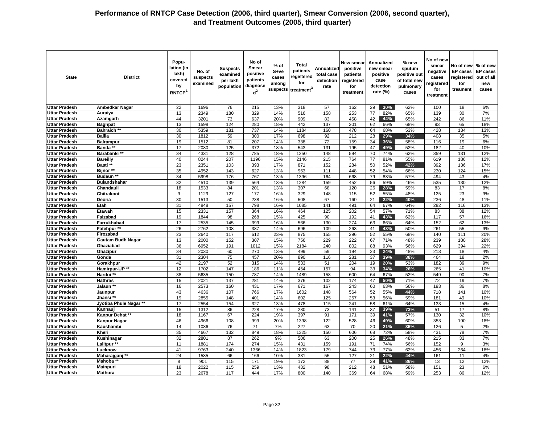| <b>State</b>                                 | <b>District</b>          | Popu-<br>lation (in<br>lakh)<br>covered<br>by<br>RNTCP <sup>1</sup> | No. of<br>suspects<br>examined | <b>Suspects</b><br>examined<br>per lakh<br>population | No of<br><b>Smear</b><br>positive<br>patients<br>diagnose<br>$d^2$ | $%$ of<br>S+ve<br>cases<br>among<br>suspects | <b>Total</b><br>patients<br>registered<br>for<br>treatment <sup>3</sup> | Annualized<br>total case<br>detection<br>rate | New smear<br>positive<br>patients<br>registered<br>for<br>treatment |          | Annualized<br>new smear<br>positive<br>case<br>detection<br>rate (%) | % new<br>sputum<br>positive out<br>of total new<br>pulmonary<br>cases | No of new<br>smear<br>negative<br>cases<br>registered<br>for<br>treatment | No of new<br><b>EP</b> cases<br>registered<br>for<br>treament | % of new<br><b>EP</b> cases<br>out of all<br>new<br>cases |
|----------------------------------------------|--------------------------|---------------------------------------------------------------------|--------------------------------|-------------------------------------------------------|--------------------------------------------------------------------|----------------------------------------------|-------------------------------------------------------------------------|-----------------------------------------------|---------------------------------------------------------------------|----------|----------------------------------------------------------------------|-----------------------------------------------------------------------|---------------------------------------------------------------------------|---------------------------------------------------------------|-----------------------------------------------------------|
| <b>Uttar Pradesh</b>                         | <b>Ambedkar Nagar</b>    | 22                                                                  | 1696                           | 76                                                    | 215                                                                | 13%                                          | 318                                                                     | 57                                            | 162                                                                 | 29       | 30%                                                                  | 62%                                                                   | 100                                                                       | 18                                                            | 6%                                                        |
| <b>Uttar Pradesh</b>                         | Auraiya                  | 13                                                                  | 2349                           | 180                                                   | 329                                                                | 14%                                          | 516                                                                     | 158                                           | 253                                                                 | 77       | 82%                                                                  | 65%                                                                   | 139                                                                       | 30                                                            | 7%                                                        |
| <b>Uttar Pradesh</b>                         | Azamgarh                 | 44                                                                  | 3201                           | 73                                                    | 637                                                                | 20%                                          | 909                                                                     | 83                                            | 458                                                                 | 42       | 44%                                                                  | 65%                                                                   | 242                                                                       | 86                                                            | 11%                                                       |
| <b>Uttar Pradesh</b>                         | <b>Baghpat</b>           | 13                                                                  | 1598                           | 124                                                   | 280                                                                | 18%                                          | 442                                                                     | 137                                           | 201                                                                 | 62       | 66%                                                                  | 68%                                                                   | 93                                                                        | 65                                                            | 18%                                                       |
| <b>Uttar Pradesh</b>                         | <b>Bahraich **</b>       | 30                                                                  | 5359                           | 181                                                   | 737                                                                | 14%                                          | 1184                                                                    | 160                                           | 478                                                                 | 64       | 68%                                                                  | 53%                                                                   | 428                                                                       | 134                                                           | 13%                                                       |
| <b>Uttar Pradesh</b>                         | <b>Ballia</b>            | 30                                                                  | 1812                           | 59                                                    | 300                                                                | 17%                                          | 698                                                                     | 92                                            | 212                                                                 | 28       | 29%                                                                  | 34%                                                                   | 408                                                                       | 35                                                            | 5%                                                        |
| <b>Uttar Pradesh</b>                         | <b>Balrampur</b>         | 19                                                                  | 1512                           | 81                                                    | 207                                                                | 14%                                          | 338                                                                     | 72                                            | 159                                                                 | 34       | 36%                                                                  | 58%                                                                   | 116                                                                       | 19                                                            | 6%                                                        |
| <b>Uttar Pradesh</b>                         | Banda **                 | 17                                                                  | 2080                           | 125                                                   | $\overline{372}$                                                   | 18%                                          | 543                                                                     | 131                                           | 195                                                                 | 47       | 49%                                                                  | 52%                                                                   | 182                                                                       | 40                                                            | 10%                                                       |
| <b>Uttar Pradesh</b>                         | Barabanki **             | 34                                                                  | 4331                           | 128                                                   | 785                                                                | 18%                                          | 1250                                                                    | 148                                           | 594                                                                 | 70       | 74%                                                                  | 62%                                                                   | 359                                                                       | 131                                                           | 12%                                                       |
| <b>Uttar Pradesh</b>                         | <b>Bareilly</b>          | 40                                                                  | 8244                           | 207                                                   | 1196                                                               | 15%                                          | 2146                                                                    | 215                                           | 764                                                                 | 77       | 81%                                                                  | 55%                                                                   | 619                                                                       | 186                                                           | 12%                                                       |
| <b>Uttar Pradesh</b>                         | Basti **                 | 23                                                                  | 2351                           | 103                                                   | 393                                                                | 17%                                          | 871                                                                     | 152                                           | 284                                                                 | 50       | 52%                                                                  | 42%                                                                   | 392                                                                       | 136                                                           | 17%                                                       |
| <b>Uttar Pradesh</b>                         | Bijnor**                 | 35                                                                  | 4952                           | 143                                                   | 627                                                                | 13%                                          | 963                                                                     | 111                                           | 448                                                                 | 52       | 54%                                                                  | 66%                                                                   | 230                                                                       | 124                                                           | 15%                                                       |
| Uttar Pradesh                                | Budaun <sup>**</sup>     | 34                                                                  | 5998                           | 176                                                   | 767                                                                | 13%                                          | 1396                                                                    | 164                                           | 668                                                                 | 79       | 83%                                                                  | 57%                                                                   | 494                                                                       | 43                                                            | 4%                                                        |
| <b>Uttar Pradesh</b>                         | <b>Bulandshahar</b>      | 32                                                                  | 4510                           | 139                                                   | 564                                                                | 13%                                          | 1284                                                                    | 159                                           | 452                                                                 | 56       | 59%                                                                  | 46%                                                                   | 535                                                                       | 130                                                           | 12%                                                       |
| <b>Uttar Pradesh</b>                         | Chandauli                | 18                                                                  | 1533                           | 84                                                    | 201                                                                | 13%                                          | 307                                                                     | 68                                            | 120                                                                 | 26       | 28%                                                                  | 59%                                                                   | 83                                                                        | 17                                                            | 8%                                                        |
| Uttar Pradesh                                | Chitrakoot               | 9<br>30                                                             | 1129                           | 127<br>50                                             | 177<br>238                                                         | 16%                                          | 329<br>508                                                              | 148<br>67                                     | 115<br>160                                                          | 52<br>21 | 55%                                                                  | 48%<br>40%                                                            | 125<br>236                                                                | 23                                                            | 9%<br>11%                                                 |
| <b>Uttar Pradesh</b><br><b>Uttar Pradesh</b> | Deoria<br>Etah           | $\overline{31}$                                                     | 1513<br>4848                   | 157                                                   | 798                                                                | 16%<br>16%                                   | 1085                                                                    | 141                                           | 491                                                                 | 64       | 22%<br>67%                                                           | 64%                                                                   | 282                                                                       | 48<br>116                                                     | 13%                                                       |
| Uttar Pradesh                                | Etawah                   | 15                                                                  | 2331                           | 157                                                   | 364                                                                | 16%                                          | 464                                                                     | 125                                           | 202                                                                 | 54       | 57%                                                                  | 71%                                                                   | 83                                                                        | 38                                                            | 12%                                                       |
| <b>Uttar Pradesh</b>                         | Faizabad                 | 19                                                                  | 1844                           | 98                                                    | 268                                                                | 15%                                          | 425                                                                     | 90                                            | 192                                                                 | 41       | 43%                                                                  | 62%                                                                   | 117                                                                       | 57                                                            | 16%                                                       |
| <b>Uttar Pradesh</b>                         | Farrukhabad              | 17                                                                  | 2535                           | 145                                                   | 399                                                                | 16%                                          | 566                                                                     | 130                                           | 274                                                                 | 63       | 66%                                                                  | 64%                                                                   | 152                                                                       | 62                                                            | 13%                                                       |
| <b>Uttar Pradesh</b>                         | Fatehpur **              | 26                                                                  | 2762                           | 108                                                   | 387                                                                | 14%                                          | 696                                                                     | 109                                           | 263                                                                 | 41       | 43%                                                                  | 50%                                                                   | 261                                                                       | 55                                                            | 9%                                                        |
| <b>Uttar Pradesh</b>                         | Firozabad                | 23                                                                  | 2640                           | 117                                                   | 612                                                                | 23%                                          | 875                                                                     | 155                                           | 296                                                                 | 52       | 55%                                                                  | 68%                                                                   | 140                                                                       | 111                                                           | 20%                                                       |
| <b>Uttar Pradesh</b>                         | <b>Gautam Budh Nagar</b> | 13                                                                  | 2000                           | 152                                                   | 307                                                                | 15%                                          | 756                                                                     | 229                                           | 222                                                                 | 67       | 71%                                                                  | 48%                                                                   | 239                                                                       | 180                                                           | 28%                                                       |
| <b>Uttar Pradesh</b>                         | Ghaziabad                | 36                                                                  | 6952                           | 191                                                   | 1012                                                               | 15%                                          | 2184                                                                    | 240                                           | 802                                                                 | 88       | 93%                                                                  | 56%                                                                   | 629                                                                       | 394                                                           | 22%                                                       |
| <b>Uttar Pradesh</b>                         | Ghazipur                 | 34                                                                  | 2030                           | 60                                                    | 270                                                                | 13%                                          | 499                                                                     | 59                                            | 194                                                                 | 23       | 24%                                                                  | 48%                                                                   | 213                                                                       | 18                                                            | 4%                                                        |
| <b>Uttar Pradesh</b>                         | Gonda                    | 31                                                                  | 2304                           | 75                                                    | 457                                                                | 20%                                          | 890                                                                     | 116                                           | 281                                                                 | 37       | 39%                                                                  | 38%                                                                   | 464                                                                       | 18                                                            | 2%                                                        |
| <b>Uttar Pradesh</b>                         | Gorakhpur                | 42                                                                  | 2197                           | 52                                                    | 315                                                                | 14%                                          | 533                                                                     | 51                                            | 204                                                                 | 19       | 20%                                                                  | 53%                                                                   | 182                                                                       | 39                                                            | 9%                                                        |
| <b>Uttar Pradesh</b>                         | Hamirpur-UP **           | 12                                                                  | 1702                           | 147                                                   | 186                                                                | 11%                                          | 454                                                                     | 157                                           | 94                                                                  | 33       | 34%                                                                  | 26%                                                                   | 265                                                                       | 41                                                            | 10%                                                       |
| <b>Uttar Pradesh</b>                         | Hardoi **                | 38                                                                  | 5635                           | 150                                                   | 787                                                                | 14%                                          | 1489                                                                    | 158                                           | 600                                                                 | 64       | 67%                                                                  | 52%                                                                   | 549                                                                       | 90                                                            | 7%                                                        |
| <b>Uttar Pradesh</b>                         | <b>Hathras</b>           | 15                                                                  | 2021                           | 137                                                   | 281                                                                | 14%                                          | 376                                                                     | 102                                           | 174                                                                 | 47       | 50%                                                                  | 71%                                                                   | 72                                                                        | 19                                                            | 7%                                                        |
| <b>Uttar Pradesh</b>                         | Jalaun **                | 16                                                                  | 2573                           | 160                                                   | 431                                                                | 17%                                          | 671                                                                     | 167                                           | 243                                                                 | 60       | 63%                                                                  | 56%                                                                   | 193                                                                       | 36                                                            | 8%                                                        |
| <b>Uttar Pradesh</b>                         | Jaunpur                  | 43                                                                  | 4636                           | 107                                                   | 766                                                                | 17%                                          | 1602                                                                    | 148                                           | 564                                                                 | 52       | 55%                                                                  | 44%                                                                   | 718                                                                       | 141                                                           | 10%                                                       |
| <b>Uttar Pradesh</b>                         | Jhansi **                | 19                                                                  | 2855                           | 148                                                   | 401                                                                | 14%                                          | 602                                                                     | 125                                           | 257                                                                 | 53       | 56%                                                                  | 59%                                                                   | 181                                                                       | 49                                                            | 10%                                                       |
| <b>Uttar Pradesh</b>                         | Jyotiba Phule Nagar **   | 17                                                                  | 2554                           | 154                                                   | 327                                                                | 13%                                          | 478                                                                     | $\overline{115}$                              | 241                                                                 | 58       | 61%                                                                  | 64%                                                                   | 133                                                                       | 15                                                            | 4%                                                        |
| <b>Uttar Pradesh</b>                         | Kannaui                  | 15                                                                  | 1312                           | 86                                                    | 228                                                                | 17%                                          | 280                                                                     | 73                                            | 141                                                                 | 37       | 39%                                                                  | 73%                                                                   | 51                                                                        | 17                                                            | 8%                                                        |
| <b>Uttar Pradesh</b>                         | Kanpur Dehat **          | 18                                                                  | 1167                           | 67                                                    | 224                                                                | 19%                                          | 397                                                                     | 91                                            | 171                                                                 | 39       | 41%                                                                  | 57%                                                                   | 130                                                                       | 32                                                            | 10%                                                       |
| <b>Uttar Pradesh</b>                         | <b>Kanpur Nagar</b>      | 46                                                                  | 4966                           | 108                                                   | 999                                                                | 20%                                          | 1398                                                                    | 122                                           | 528                                                                 | 46       | 49%                                                                  | 60%                                                                   | 353                                                                       | 190                                                           | 18%                                                       |
| <b>Uttar Pradesh</b>                         | <b>Kaushambi</b>         | 14                                                                  | 1086                           | 76                                                    | 71                                                                 | 7%                                           | 227                                                                     | 63                                            | 70                                                                  | 20       | 21%                                                                  | 36%                                                                   | 126                                                                       | 5                                                             | 2%                                                        |
| <b>Uttar Pradesh</b>                         | Kheri                    | $\overline{35}$                                                     | 4667                           | 132                                                   | 849                                                                | 18%                                          | 1325                                                                    | 150                                           | 606                                                                 | 68       | 72%                                                                  | 58%                                                                   | 431                                                                       | 78                                                            | 7%                                                        |
| <b>Uttar Pradesh</b>                         | Kushinagar               | 32                                                                  | 2801                           | 87                                                    | 262                                                                | 9%                                           | 506                                                                     | 63                                            | 200                                                                 | 25       | 26%                                                                  | 48%                                                                   | 215                                                                       | 33                                                            | 7%                                                        |
| <b>Uttar Pradesh</b>                         | Lalitpur <sup>**</sup>   | 11                                                                  | 1881                           | 174                                                   | 274                                                                | 15%                                          | 431                                                                     | 159                                           | 191                                                                 | 71       | 74%                                                                  | 56%                                                                   | 152                                                                       | 9                                                             | 3%                                                        |
| <b>Uttar Pradesh</b>                         | Lucknow                  | 41                                                                  | 9763                           | 240                                                   | 1366                                                               | 14%                                          | 1823                                                                    | 179                                           | 744                                                                 | 73       | 77%                                                                  | 62%                                                                   | 456                                                                       | 264                                                           | 18%                                                       |
| <b>Uttar Pradesh</b>                         | Maharajganj **           | 24                                                                  | 1585                           | 66                                                    | 166                                                                | 10%                                          | 331                                                                     | 55                                            | 127                                                                 | 21       | 22%                                                                  | 44%                                                                   | 161                                                                       | 11                                                            | 4%                                                        |
| <b>Uttar Pradesh</b><br><b>Uttar Pradesh</b> | Mahoba **                | 8<br>18                                                             | 901<br>2022                    | 115<br>115                                            | 171<br>259                                                         | 19%<br>13%                                   | 172<br>432                                                              | 88<br>98                                      | 77<br>212                                                           | 39<br>48 | 41%<br>51%                                                           | 86%                                                                   | 13<br>151                                                                 | 12<br>23                                                      | 12%<br>6%                                                 |
| <b>Uttar Pradesh</b>                         | <b>Mainpuri</b>          | 23                                                                  | 2678                           | 117                                                   | 444                                                                | 17%                                          | 800                                                                     | 140                                           | 369                                                                 | 64       | 68%                                                                  | 58%<br>59%                                                            | 253                                                                       |                                                               | 12%                                                       |
|                                              | <b>Mathura</b>           |                                                                     |                                |                                                       |                                                                    |                                              |                                                                         |                                               |                                                                     |          |                                                                      |                                                                       |                                                                           | 86                                                            |                                                           |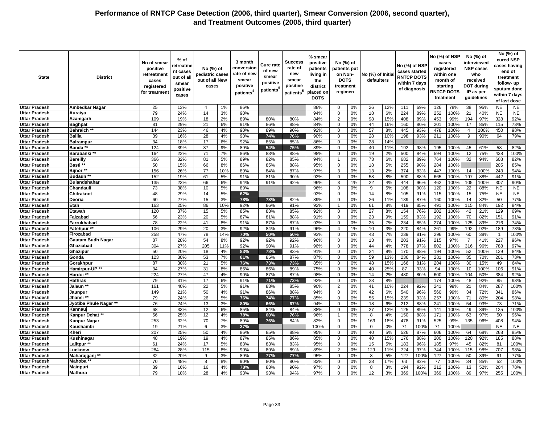| <b>State</b>         | <b>District</b>          | No of smear<br>positive<br>retreatment<br>cases<br>registered<br>for treatmen | % of<br>retreatme<br>nt cases<br>out of all<br>smear<br>positive<br>cases | No (%) of<br>pediatric cases<br>out of all New<br>cases |     | 3 month<br>conversior<br>rate of new<br>smear<br>positive<br>patients <sup>4</sup> | Cure rate<br>of new<br>smear<br>positive<br>patients | <b>Success</b><br>rate of<br>new<br>smear<br>positive<br>patients <sup>5</sup> | % smear<br>positive<br>patients<br>living in<br>the<br>district<br>placed on<br><b>DOTS</b> | No (%) of<br>patients put<br>on Non-<br><b>DOTS</b><br>treatment<br>regimen |    | No (%) of Initia<br>defaulters |     | No (%) of NSP<br>cases started<br><b>RNTCP DOTS</b><br>within 7 days<br>of diagnosis |      | No (%) of NSP<br>cases<br>registered<br>within one<br>month of<br><b>RNTCP DOTS</b><br>treatment | starting | IP as per      | No (%) of<br>interviewed<br><b>NSP cases</b><br>who<br>received<br><b>DOT during</b><br>guidelines |              | No (%) of<br>cured NSP<br>cases having<br>end of<br>treatment<br>follow-up<br>sputum done<br>within 7 days<br>of last dose |
|----------------------|--------------------------|-------------------------------------------------------------------------------|---------------------------------------------------------------------------|---------------------------------------------------------|-----|------------------------------------------------------------------------------------|------------------------------------------------------|--------------------------------------------------------------------------------|---------------------------------------------------------------------------------------------|-----------------------------------------------------------------------------|----|--------------------------------|-----|--------------------------------------------------------------------------------------|------|--------------------------------------------------------------------------------------------------|----------|----------------|----------------------------------------------------------------------------------------------------|--------------|----------------------------------------------------------------------------------------------------------------------------|
| <b>Uttar Pradesh</b> | Ambedkar Nagar           | 25                                                                            | 13%                                                                       | $\overline{4}$                                          | 1%  | 86%                                                                                |                                                      |                                                                                | 88%                                                                                         | $\mathbf 0$                                                                 | 0% | 26                             | 12% | 111                                                                                  | 69%  | 126                                                                                              | 78%      | 38             | 95%                                                                                                | <b>NE</b>    | <b>NE</b>                                                                                                                  |
| Uttar Pradesh        | Auraiya                  | 79                                                                            | 24%                                                                       | 14                                                      | 3%  | 90%                                                                                |                                                      |                                                                                | 94%                                                                                         | $\mathbf 0$                                                                 | 0% | 18                             | 6%  | 224                                                                                  | 89%  | 252                                                                                              | 100%     | 21             | 40%                                                                                                | NE           | <b>NE</b>                                                                                                                  |
| Uttar Pradesh        | Azamgarh                 | 109                                                                           | 19%                                                                       | 18                                                      | 2%  | 89%                                                                                | 80%                                                  | 80%                                                                            | 84%                                                                                         | $\overline{2}$                                                              | 0% | 98                             | 15% | 408                                                                                  | 89%  | 453                                                                                              | 99%      | 194            | 97%                                                                                                | 328          | 92%                                                                                                                        |
| <b>Uttar Pradesh</b> | <b>Baghpat</b>           | 81                                                                            | 29%                                                                       | 21                                                      | 6%  | 91%                                                                                | 86%                                                  | 88%                                                                            | 84%                                                                                         | $\mathbf 0$                                                                 | 0% | 44                             | 16% | 160                                                                                  | 80%  | 201                                                                                              | 100%     | 17             | 85%                                                                                                | 115          | 73%                                                                                                                        |
| Uttar Pradesh        | <b>Bahraich **</b>       | 144                                                                           | 23%                                                                       | 46                                                      | 4%  | 90%                                                                                | 89%                                                  | 90%                                                                            | 92%                                                                                         | 0                                                                           | 0% | 57                             | 8%  | 445                                                                                  | 93%  | 478                                                                                              | 100%     | $\overline{4}$ | 100%                                                                                               | 450          | 98%                                                                                                                        |
| Uttar Pradesh        | <b>Ballia</b>            | 39                                                                            | 16%                                                                       | 28                                                      | 4%  | 90%                                                                                | 74%                                                  | 76%                                                                            | 90%                                                                                         | $\Omega$                                                                    | 0% | 28                             | 10% | 198                                                                                  | 93%  | 211                                                                                              | 100%     | 9              | 90%                                                                                                | 64           | 79%                                                                                                                        |
| <b>Uttar Pradesh</b> | <b>Balrampur</b>         | 34                                                                            | 18%                                                                       | 17                                                      | 6%  | 92%                                                                                | 85%                                                  | 85%                                                                            | 86%                                                                                         | $\mathbf 0$                                                                 | 0% | 28                             | 14% |                                                                                      |      |                                                                                                  |          |                |                                                                                                    |              |                                                                                                                            |
| Uttar Pradesh        | Banda *                  | 124                                                                           | 39%                                                                       | 37                                                      | 9%  | 89%                                                                                | 54%                                                  | 75%                                                                            | 89%                                                                                         | $\Omega$                                                                    | 0% | 40                             | 11% | 192                                                                                  | 98%  | 195                                                                                              | 100%     | 45             | 61%                                                                                                | 58           | 82%                                                                                                                        |
| <b>Uttar Pradesh</b> | Barabanki **             | 164                                                                           | 22%                                                                       | 71                                                      | 7%  | 86%                                                                                | 83%                                                  | 88%                                                                            | 98%                                                                                         | $\mathbf 0$                                                                 | 0% | 19                             | 2%  | 500                                                                                  | 84%  | 594                                                                                              | 100%     | 12             | 75%                                                                                                | 438          | 100%                                                                                                                       |
| Uttar Pradesh        | <b>Bareilly</b>          | 366                                                                           | 32%                                                                       | 81                                                      | 5%  | 89%                                                                                | 82%                                                  | 85%                                                                            | 94%                                                                                         |                                                                             | 0% | 73                             | 6%  | 682                                                                                  | 89%  | 764                                                                                              | 100%     | 32             | 94%                                                                                                | 608          | 82%                                                                                                                        |
| Uttar Pradesh        | Basti **                 | 50                                                                            | 15%                                                                       | 66                                                      | 8%  | 86%                                                                                | 85%                                                  | 88%                                                                            | 95%                                                                                         | $\mathbf 0$                                                                 | 0% | 18                             | 5%  | 255                                                                                  | 90%  | 284                                                                                              | 100%     |                |                                                                                                    | 205          | 85%                                                                                                                        |
| Uttar Pradesh        | Bijnor**                 | 156                                                                           | 26%                                                                       | 77                                                      | 10% | 89%                                                                                | 84%                                                  | 87%                                                                            | 97%                                                                                         | 3                                                                           | 0% | 13                             | 2%  | 374                                                                                  | 83%  | 447                                                                                              | 100%     | 14             | 100%                                                                                               | 243          | 94%                                                                                                                        |
| Uttar Pradesh        | Budaun **                | 152                                                                           | 19%                                                                       | 61                                                      | 5%  | 91%                                                                                | 81%                                                  | 90%                                                                            | 92%                                                                                         | $\Omega$                                                                    | 0% | 58                             | 8%  | 590                                                                                  | 88%  | 665                                                                                              | 100%     | 197            | 88%                                                                                                | 442          | 91%                                                                                                                        |
| Uttar Pradesh        | <b>Bulandshahar</b>      | 135                                                                           | 23%                                                                       | 66                                                      | 6%  | 94%                                                                                | 91%                                                  | 92%                                                                            | 96%                                                                                         | 3                                                                           | 1% | 22                             | 4%  | 444                                                                                  | 96%  | 462                                                                                              | 100%     | 105            | 100%                                                                                               | 307          | 90%                                                                                                                        |
| <b>Uttar Pradesh</b> | Chandauli                | 73                                                                            | 38%                                                                       | 10                                                      | 5%  | 89%                                                                                |                                                      |                                                                                | 96%                                                                                         | 0                                                                           | 0% | 9                              | 5%  | 108                                                                                  | 90%  | 120                                                                                              | 100%     | 22             | 88%                                                                                                | <b>NE</b>    | <b>NE</b>                                                                                                                  |
| Uttar Pradesh        | Chitrakoot               | 48                                                                            | 29%                                                                       | 14                                                      | 5%  | 62%                                                                                |                                                      |                                                                                | 92%                                                                                         | $\mathbf 0$                                                                 | 0% | 14                             | 8%  | 105                                                                                  | 91%  | 115                                                                                              | 100%     | 15             | 75%                                                                                                | <b>NE</b>    | <b>NE</b>                                                                                                                  |
| <b>Uttar Pradesh</b> | Deoria                   | 60                                                                            | 27%                                                                       | 15                                                      | 3%  | 78%                                                                                | 78%                                                  | 82%                                                                            | 89%                                                                                         | $\Omega$                                                                    | 0% | 26                             | 11% | 139                                                                                  | 87%  | 160                                                                                              | 100%     | 14             | 82%                                                                                                | 50           | 77%                                                                                                                        |
| <b>Uttar Pradesh</b> | Etah                     | 163                                                                           | 25%                                                                       | 86                                                      | 10% | 92%                                                                                | 86%                                                  | 91%                                                                            | 92%                                                                                         | $\mathbf{1}$                                                                | 0% | 61                             | 8%  | 419                                                                                  | 85%  | 491                                                                                              | 100%     | 115            | 84%                                                                                                | 192          | 84%                                                                                                                        |
| Uttar Pradesh        | Etawah                   | 120                                                                           | 37%                                                                       | 15                                                      | 5%  | 85%                                                                                | 83%                                                  | 85%                                                                            | 92%                                                                                         | $\Omega$                                                                    | 0% | 27                             | 8%  | 154                                                                                  | 76%  | 202                                                                                              | 100%     | 42             | 21%                                                                                                | 129          | 69%                                                                                                                        |
| <b>Uttar Pradesh</b> | Faizabad                 | 56                                                                            | 23%                                                                       | 20                                                      | 5%  | 87%                                                                                | 81%                                                  | 88%                                                                            | 91%                                                                                         | $\mathbf 0$                                                                 | 0% | 23                             | 9%  | 159                                                                                  | 83%  | 192                                                                                              | 100%     | 70             | 82%                                                                                                | 151          | 91%                                                                                                                        |
| Uttar Pradesh        | Farrukhabad              | 78                                                                            | 22%                                                                       | 41                                                      | 8%  | 91%                                                                                | 87%                                                  | 87%                                                                            | 93%                                                                                         | $\Omega$                                                                    | 0% | 25                             | 7%  | 234                                                                                  | 85%  | 274                                                                                              | 100%     | 125            | 89%                                                                                                | 216          | 74%                                                                                                                        |
| Uttar Pradesh        | <b>Fatehpur **</b>       | 106                                                                           | 29%                                                                       | 20                                                      | 3%  | 92%                                                                                | 84%                                                  | 91%                                                                            | 96%                                                                                         | $\overline{4}$                                                              | 1% | 10                             | 3%  | 220                                                                                  | 84%  | 261                                                                                              | 99%      | 192            | 92%                                                                                                | 189          | 73%                                                                                                                        |
| <b>Uttar Pradesh</b> | Firozabad                | 258                                                                           | 47%                                                                       | 78                                                      | 14% | 70%                                                                                | 50%                                                  | 50%                                                                            | 93%                                                                                         | $\mathbf 0$                                                                 | 0% | 43                             | 7%  | 239                                                                                  | 81%  | 296                                                                                              | 100%     | 60             | 38%                                                                                                | $\mathbf{1}$ | 100%                                                                                                                       |
| Uttar Pradesh        | <b>Gautam Budh Nagar</b> | 87                                                                            | 28%                                                                       | 54                                                      | 8%  | 92%                                                                                | 92%                                                  | 92%                                                                            | 96%                                                                                         | $\mathbf 0$                                                                 | 0% | 13                             | 4%  | 203                                                                                  | 91%  | 215                                                                                              | 97%      | $\overline{7}$ | 41%                                                                                                | 227          | 96%                                                                                                                        |
| Uttar Pradesh        | Ghaziabad                | 304                                                                           | 27%                                                                       | 205                                                     | 11% | 92%                                                                                | 90%                                                  | 91%                                                                            | 96%                                                                                         | $\Omega$                                                                    | 0% | 44                             | 4%  | 778                                                                                  | 97%  | 802                                                                                              | 100%     | 316            | 96%                                                                                                | 788          | 97%                                                                                                                        |
| <b>Uttar Pradesh</b> | Ghazipur                 | 50                                                                            | 20%                                                                       | 18                                                      | 4%  | 83%                                                                                | 78%                                                  | 83%                                                                            | 91%                                                                                         | $\mathbf 0$                                                                 | 0% | 24                             | 9%  | 170                                                                                  | 88%  | 194                                                                                              | 100%     | 52             | 100%                                                                                               | 129          | 84%                                                                                                                        |
| Uttar Pradesh        | Gonda                    | 123                                                                           | 30%                                                                       | 53                                                      | 7%  | 81%                                                                                | 85%                                                  | 87%                                                                            | 87%                                                                                         | $\mathbf 0$                                                                 | 0% | 59                             | 13% | 236                                                                                  | 84%  | 281                                                                                              | 100%     | 35             | 70%                                                                                                | 201          | 73%                                                                                                                        |
| Uttar Pradesh        | Gorakhpur                | 87                                                                            | 30%                                                                       | 21                                                      | 5%  | 76%                                                                                | 73%                                                  | 73%                                                                            | 85%                                                                                         | $\Omega$                                                                    | 0% | 48                             | 15% | 166                                                                                  | 81%  | 204                                                                                              | 100%     | 30             | 15%                                                                                                | 49           | 64%                                                                                                                        |
| <b>Uttar Pradesh</b> | Hamirpur-UP **           | 34                                                                            | 27%                                                                       | 31                                                      | 8%  | 86%                                                                                | 86%                                                  | 89%                                                                            | 75%                                                                                         | $\mathbf 0$                                                                 | 0% | 40                             | 25% | 87                                                                                   | 93%  | 94                                                                                               | 100%     | 10             | 100%                                                                                               | 106          | 91%                                                                                                                        |
| Uttar Pradesh        | Hardoi **                | 224                                                                           | 27%                                                                       | 47                                                      | 4%  | 90%                                                                                | 87%                                                  | 87%                                                                            | 98%                                                                                         | $\Omega$                                                                    | 0% | 14                             | 2%  | 480                                                                                  | 80%  | 600                                                                                              | 100%     | 104            | 50%                                                                                                | 384          | 92%                                                                                                                        |
| Uttar Pradesh        | <b>Hathras</b>           | 79                                                                            | 31%                                                                       | 17                                                      | 6%  | 91%                                                                                | 71%                                                  | 73%                                                                            | 92%                                                                                         | $\mathbf 0$                                                                 | 0% | 23                             | 8%  |                                                                                      |      | 174                                                                                              | 100%     | 48             | 92%                                                                                                | 85           | 93%                                                                                                                        |
| Uttar Pradesh        | Jalaun *'                | 161                                                                           | 40%                                                                       | 22                                                      | 5%  | 91%                                                                                | 83%                                                  | 85%                                                                            | 90%                                                                                         | 2                                                                           | 0% | 41                             | 10% | 224                                                                                  | 92%  | 241                                                                                              | 99%      | 21             | 84%                                                                                                | 287          | 100%                                                                                                                       |
| Uttar Pradesh        | Jaunpur                  | 149                                                                           | 21%                                                                       | 50                                                      | 4%  | 91%                                                                                | 86%                                                  | 88%                                                                            | 94%                                                                                         | $\Omega$                                                                    | 0% | 42                             | 6%  | 540                                                                                  | 96%  | 560                                                                                              | 99%      | 34             | 72%                                                                                                | 341          | 86%                                                                                                                        |
| Uttar Pradesh        | Jhansi **                | 79                                                                            | 24%                                                                       | 26                                                      | 5%  | 76%                                                                                | 74%                                                  | 77%                                                                            | 85%                                                                                         | $\Omega$                                                                    | 0% | 55                             | 15% | 239                                                                                  | 93%  | 257                                                                                              | 100%     | 71             | 80%                                                                                                | 204          | 98%                                                                                                                        |
| Uttar Pradesh        | Jyotiba Phule Nagar **   | 76                                                                            | 24%                                                                       | 13                                                      | 3%  | 80%                                                                                | 66%                                                  | 67%                                                                            | 94%                                                                                         | $\mathbf 0$                                                                 | 0% | 18                             | 6%  | 212                                                                                  | 88%  | 241                                                                                              | 100%     | 54             | 93%                                                                                                | 73           | 71%                                                                                                                        |
| Uttar Pradesh        | Kannauj                  | 68                                                                            | 33%                                                                       | 12                                                      | 6%  | 85%                                                                                | 84%                                                  | 84%                                                                            | 88%                                                                                         | $\Omega$                                                                    | 0% | 27                             | 12% | 125                                                                                  | 89%  | 141                                                                                              | 100%     | 49             | 89%                                                                                                | 125          | 100%                                                                                                                       |
| <b>Uttar Pradesh</b> | Kanpur Dehat **          | 56                                                                            | 25%                                                                       | 12                                                      | 4%  | 78%                                                                                | 60%                                                  | 76%                                                                            | 96%                                                                                         | $\mathbf{1}$                                                                | 0% | 8                              | 4%  | 150                                                                                  | 88%  | 171                                                                                              | 100%     | 63             | 97%                                                                                                | 50           | 96%                                                                                                                        |
| Uttar Pradesh        | <b>Kanpur Nagar</b>      | 253                                                                           | 32%                                                                       | 70                                                      | 7%  | 89%                                                                                | 76%                                                  | 84%                                                                            | 82%                                                                                         | $\mathbf 0$                                                                 | 0% | 169                            | 18% | 478                                                                                  | 91%  | 525                                                                                              | 99%      | 135            | 96%                                                                                                | 408          | 94%                                                                                                                        |
| <b>Uttar Pradesh</b> | Kaushambi                | 19                                                                            | 21%                                                                       | 6                                                       | 3%  | 37%                                                                                |                                                      |                                                                                | 100%                                                                                        | $\Omega$                                                                    | 0% | $\mathbf 0$                    | 0%  | 71                                                                                   | 100% | 71                                                                                               | 100%     |                |                                                                                                    | <b>NE</b>    | <b>NE</b>                                                                                                                  |
| <b>Uttar Pradesh</b> | Kheri                    | 207                                                                           | 25%                                                                       | 50                                                      | 4%  | 86%                                                                                | 85%                                                  | 88%                                                                            | 95%                                                                                         | 0                                                                           | 0% | 40                             | 5%  | 526                                                                                  | 87%  | 606                                                                                              | 100%     | 64             | 68%                                                                                                | 268          | 85%                                                                                                                        |
| Uttar Pradesh        | Kushinagar               | 48                                                                            | 19%                                                                       | 19                                                      | 4%  | 87%                                                                                | 85%                                                  | 86%                                                                            | 85%                                                                                         | $\Omega$                                                                    | 0% | 40                             | 15% | 176                                                                                  | 88%  | 200                                                                                              | 100%     | 120            | 92%                                                                                                | 185          | 88%                                                                                                                        |
| <b>Uttar Pradesh</b> | Lalitpur <sup>**</sup>   | 61                                                                            | 24%                                                                       | 17                                                      | 5%  | 88%                                                                                | 83%                                                  | 83%                                                                            | 95%                                                                                         | $\mathbf 0$                                                                 | 0% | 15                             | 5%  | 183                                                                                  | 96%  | 185                                                                                              | 97%      | 45             | 82%                                                                                                | 81           | 100%                                                                                                                       |
| Uttar Pradesh        | Lucknow                  | 284                                                                           | 28%                                                                       | 115                                                     | 8%  | 90%                                                                                | 89%                                                  | 89%                                                                            | 89%                                                                                         | $\overline{2}$                                                              | 0% | 129                            | 11% | 724                                                                                  | 97%  | 744                                                                                              | 100%     | 115            | 98%                                                                                                | 707          | 98%                                                                                                                        |
| Uttar Pradesh        | Maharajganj **           | 32                                                                            | 20%                                                                       | 9                                                       | 3%  | 89%                                                                                | 77%                                                  | 77%                                                                            | 95%                                                                                         | $\Omega$                                                                    | 0% | 8                              | 5%  | 127                                                                                  | 100% | 127                                                                                              | 100%     | 50             | 39%                                                                                                | 91           | 77%                                                                                                                        |
| <b>Uttar Pradesh</b> | Mahoba                   | 70                                                                            | 48%                                                                       | 8                                                       | 8%  | 90%                                                                                | 80%                                                  | 80%                                                                            | 83%                                                                                         | $\Omega$                                                                    | 0% | 28                             | 17% | 63                                                                                   | 82%  | 77                                                                                               | 100%     | 34             | 85%                                                                                                | 52           | 100%                                                                                                                       |
| <b>Uttar Pradesh</b> | <b>Mainpuri</b>          | 39                                                                            | 16%                                                                       | 16                                                      | 4%  | 78%                                                                                | 83%                                                  | 90%                                                                            | 97%                                                                                         | $\Omega$                                                                    | 0% | 8                              | 3%  | 194                                                                                  | 92%  | 212                                                                                              | 100%     | 13             | 52%                                                                                                | 204          | 78%                                                                                                                        |
| <b>Uttar Pradesh</b> | <b>Mathura</b>           | 79                                                                            | 18%                                                                       | 28                                                      | 4%  | 93%                                                                                | 93%                                                  | 94%                                                                            | 97%                                                                                         | $\Omega$                                                                    | 0% | 12                             | 3%  | 369                                                                                  | 100% | 369                                                                                              | 100%     | 89             | 97%                                                                                                | 255          | 100%                                                                                                                       |
|                      |                          |                                                                               |                                                                           |                                                         |     |                                                                                    |                                                      |                                                                                |                                                                                             |                                                                             |    |                                |     |                                                                                      |      |                                                                                                  |          |                |                                                                                                    |              |                                                                                                                            |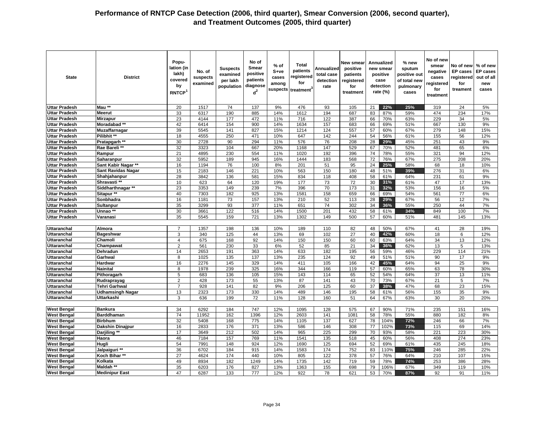| <b>State</b>                             | <b>District</b>           | Popu-<br>lation (in<br>lakh)<br>covered<br>by<br>RNTCP <sup>1</sup> | No. of<br>suspects<br>examined | <b>Suspects</b><br>examined<br>per lakh<br>population | No of<br><b>Smear</b><br>positive<br>patients<br>diagnose<br>$d^2$ | $%$ of<br>S+ve<br>cases<br>among<br>suspects | <b>Total</b><br>patients<br>registered<br>for<br>treatment <sup>3</sup> | Annualized<br>total case<br>detection<br>rate | New smear<br>positive<br>patients<br>registered<br>for<br>treatment |          | <b>Annualized</b><br>new smear<br>positive<br>case<br>detection<br>rate (%) | % new<br>sputum<br>positive out<br>of total new<br>pulmonary<br>cases | No of new<br>smear<br>negative<br>cases<br>registered<br>for<br>treatment | No of new<br><b>EP</b> cases<br>registered<br>for<br>treament | % of new<br><b>EP cases</b><br>out of all<br>new<br>cases |
|------------------------------------------|---------------------------|---------------------------------------------------------------------|--------------------------------|-------------------------------------------------------|--------------------------------------------------------------------|----------------------------------------------|-------------------------------------------------------------------------|-----------------------------------------------|---------------------------------------------------------------------|----------|-----------------------------------------------------------------------------|-----------------------------------------------------------------------|---------------------------------------------------------------------------|---------------------------------------------------------------|-----------------------------------------------------------|
| <b>Uttar Pradesh</b>                     | Mau <sup>**</sup>         | 20                                                                  | 1517                           | 74                                                    | 137                                                                | 9%                                           | 476                                                                     | 93                                            | 105                                                                 | 21       | 22%                                                                         | 25%                                                                   | 319                                                                       | 24                                                            | 5%                                                        |
| <b>Uttar Pradesh</b>                     | <b>Meerut</b>             | 33                                                                  | 6317                           | 190                                                   | 885                                                                | 14%                                          | 1612                                                                    | 194                                           | 687                                                                 | 83       | 87%                                                                         | 59%                                                                   | 474                                                                       | 234                                                           | 17%                                                       |
| <b>Uttar Pradesh</b>                     | Mirzapur                  | 23                                                                  | 4144                           | 177                                                   | 472                                                                | 11%                                          | 716                                                                     | 122                                           | 387                                                                 | 66       | 70%                                                                         | 63%                                                                   | 229                                                                       | 34                                                            | 5%                                                        |
| <b>Uttar Pradesh</b>                     | Moradabad **              | 42                                                                  | 6414                           | 154                                                   | 900                                                                | 14%                                          | 1634                                                                    | 157                                           | 683                                                                 | 66       | 69%                                                                         | 51%                                                                   | 667                                                                       | 130                                                           | 9%                                                        |
| <b>Uttar Pradesh</b>                     | <b>Muzaffarnagar</b>      | 39                                                                  | 5545                           | 141                                                   | 827                                                                | 15%                                          | 1214                                                                    | 124                                           | 557                                                                 | 57       | 60%                                                                         | 67%                                                                   | 279                                                                       | 148                                                           | 15%                                                       |
| <b>Uttar Pradesh</b>                     | Pilibhit **               | 18                                                                  | 4555                           | 250                                                   | 471                                                                | 10%                                          | 647                                                                     | 142                                           | 244                                                                 | 54       | 56%                                                                         | 61%                                                                   | 155                                                                       | 56                                                            | 12%                                                       |
| <b>Uttar Pradesh</b>                     | Pratapgarh **             | 30                                                                  | 2728                           | 90                                                    | 294                                                                | 11%                                          | 576                                                                     | 76                                            | 208                                                                 | 28       | 29%                                                                         | 45%                                                                   | 251                                                                       | 43                                                            | 9%                                                        |
| <b>Uttar Pradesh</b>                     | Rae Bareli **             | 32                                                                  | 3323                           | 104                                                   | 667                                                                | 20%                                          | 1168                                                                    | 147                                           | 529                                                                 | 67       | 70%                                                                         | 52%                                                                   | 481                                                                       | 65                                                            | 6%                                                        |
| <b>Uttar Pradesh</b>                     | Rampur                    | 21                                                                  | 4895                           | 230                                                   | 554                                                                | 11%                                          | 1020                                                                    | 192                                           | 396                                                                 | 74       | 78%                                                                         | 55%                                                                   | 321                                                                       | 94                                                            | 12%                                                       |
| <b>Uttar Pradesh</b>                     | Saharanpur                | 32                                                                  | 5952                           | 189                                                   | 945                                                                | 16%                                          | 1444                                                                    | 183                                           | 568                                                                 | 72       | 76%                                                                         | 67%                                                                   | 275                                                                       | 208                                                           | 20%                                                       |
| <b>Uttar Pradesh</b>                     | Sant Kabir Nagar **       | 16                                                                  | 1194                           | 76                                                    | 100                                                                | 8%                                           | 201                                                                     | 51                                            | 95                                                                  | 24       | 25%                                                                         | 58%                                                                   | 68                                                                        | 18                                                            | 10%                                                       |
| <b>Uttar Pradesh</b>                     | <b>Sant Ravidas Nagar</b> | 15                                                                  | 2183                           | 146                                                   | 221                                                                | 10%                                          | 563                                                                     | 150                                           | 180                                                                 | 48       | 51%                                                                         | 39%                                                                   | 276                                                                       | 31                                                            | 6%                                                        |
| <b>Uttar Pradesh</b>                     | Shahjahanpur              | 28                                                                  | 3842                           | 136                                                   | 581                                                                | 15%                                          | 834                                                                     | 118                                           | 408                                                                 | 58       | 61%                                                                         | 64%                                                                   | 231                                                                       | 61                                                            | 9%                                                        |
| <b>Uttar Pradesh</b>                     | Shravasti **              | 10                                                                  | 623                            | 64                                                    | 120                                                                | 19%                                          | 177                                                                     | 73                                            | 72                                                                  | 30       | 31%                                                                         | 61%                                                                   | 47                                                                        | 17                                                            | 13%                                                       |
| <b>Uttar Pradesh</b>                     | Siddharthnagar **         | 23                                                                  | 3353                           | 149                                                   | 239                                                                | 7%                                           | 396                                                                     | 70                                            | 173                                                                 | 31       | 32%                                                                         | 53%                                                                   | 156                                                                       | 16                                                            | 5%                                                        |
| <b>Uttar Pradesh</b>                     | Sitapur **                | 40                                                                  | 7303                           | 182                                                   | 925                                                                | 13%                                          | 1581                                                                    | 158                                           | 659                                                                 | 66       | 69%                                                                         | 54%                                                                   | 561                                                                       | 77                                                            | 6%                                                        |
| <b>Uttar Pradesh</b>                     | Sonbhadra                 | 16                                                                  | 1181                           | 73                                                    | 157                                                                | 13%                                          | 210                                                                     | 52                                            | 113                                                                 | 28       | 29%                                                                         | 67%                                                                   | 56                                                                        | 12                                                            | 7%                                                        |
| <b>Uttar Pradesh</b>                     | Sultanpur                 | 35                                                                  | 3299                           | 93                                                    | 377                                                                | 11%                                          | 651                                                                     | 74                                            | 302                                                                 | 34       | 36%                                                                         | 55%                                                                   | 250                                                                       | 44                                                            | 7%                                                        |
| <b>Uttar Pradesh</b>                     | Unnao **                  | 30                                                                  | 3661                           | 122                                                   | 516                                                                | 14%                                          | 1500                                                                    | 201                                           | 432                                                                 | 58       | 61%                                                                         | 34%                                                                   | 849                                                                       | 100                                                           | 7%                                                        |
| <b>Uttar Pradesh</b>                     | Varanasi                  | 35                                                                  | 5545                           | 159                                                   | 721                                                                | 13%                                          | 1302                                                                    | 149                                           | 500                                                                 | 57       | 60%                                                                         | 51%                                                                   | 481                                                                       | 145                                                           | 13%                                                       |
|                                          |                           |                                                                     |                                |                                                       |                                                                    |                                              |                                                                         |                                               |                                                                     |          |                                                                             |                                                                       |                                                                           |                                                               |                                                           |
| <b>Uttaranchal</b>                       | Almora                    | 7                                                                   | 1357                           | 198                                                   | 136                                                                | 10%                                          | 189                                                                     | 110                                           | 82                                                                  | 48       | 50%                                                                         | 67%                                                                   | 41                                                                        | 28                                                            | 19%                                                       |
| <b>Uttaranchal</b>                       | <b>Bageshwar</b>          | 3                                                                   | 340                            | 125                                                   | 44                                                                 | 13%                                          | 69                                                                      | 102                                           | 27                                                                  | 40       | 42%                                                                         | 60%                                                                   | 18                                                                        | 6                                                             | 12%                                                       |
| <b>Uttaranchal</b>                       | Chamoli                   | $\overline{4}$                                                      | 675                            | 168                                                   | 92                                                                 | 14%                                          | 150                                                                     | 150                                           | 60                                                                  | 60       | 63%                                                                         | 64%                                                                   | 34                                                                        | 13                                                            | 12%                                                       |
| <b>Uttaranchal</b>                       | Champawat                 | $\overline{2}$                                                      | 561                            | 230                                                   | 33                                                                 | 6%                                           | 52                                                                      | 85                                            | 21                                                                  | 34       | 36%                                                                         | 62%                                                                   | 13                                                                        | $\overline{5}$                                                | 13%                                                       |
| <b>Uttaranchal</b>                       | Dehradun                  | 14                                                                  | 2653                           | 191                                                   | 363                                                                | 14%                                          | 633                                                                     | 182                                           | 195                                                                 | 56       | 59%                                                                         | 46%                                                                   | 229                                                                       | 114                                                           | 21%                                                       |
| <b>Uttaranchal</b><br><b>Uttaranchal</b> | Garhwal<br>Hardwar        | 8                                                                   | 1025                           | 135                                                   | 137                                                                | 13%                                          | 235                                                                     | 124                                           | 92                                                                  | 49       | 51%<br>45%                                                                  | 51%                                                                   | 90                                                                        | 17                                                            | 9%                                                        |
|                                          | <b>Nainital</b>           | 16                                                                  | 2276                           | 145<br>239                                            | 329                                                                | 14%<br>16%                                   | 411<br>344                                                              | 105<br>166                                    | 166                                                                 | 42<br>57 | 60%                                                                         | 64%<br>65%                                                            | 94<br>63                                                                  | 25                                                            | 9%<br>30%                                                 |
| <b>Uttaranchal</b><br><b>Uttaranchal</b> | Pithoragarh               | 8<br>5                                                              | 1978<br>683                    | 136                                                   | 325<br>105                                                         | 15%                                          | 143                                                                     | 114                                           | 119<br>65                                                           | 52       | 54%                                                                         | 64%                                                                   | 37                                                                        | 78<br>13                                                      | 11%                                                       |
| <b>Uttaranchal</b>                       | Rudraprayag               | $\overline{2}$                                                      | 428                            | 173                                                   | 55                                                                 | 13%                                          | 87                                                                      | 141                                           | 43                                                                  | 70       | 73%                                                                         | 67%                                                                   | 21                                                                        | 5                                                             | 7%                                                        |
| <b>Uttaranchal</b>                       | Tehri Garhwal             | $\overline{7}$                                                      | 928                            | 141                                                   | 82                                                                 | 9%                                           | 206                                                                     | 125                                           | 60                                                                  | 37       | 38%                                                                         | 47%                                                                   | 68                                                                        | 23                                                            | 15%                                                       |
| <b>Uttaranchal</b>                       | <b>Udhamsingh Nagar</b>   | 13                                                                  | 2323                           | 173                                                   | 330                                                                | 14%                                          | 489                                                                     | 146                                           | 195                                                                 | 58       | 61%                                                                         | 56%                                                                   | 155                                                                       | 35                                                            | 9%                                                        |
| <b>Uttaranchal</b>                       | Uttarkashi                | 3                                                                   | 636                            | 199                                                   | 72                                                                 | 11%                                          | 128                                                                     | 160                                           | 51                                                                  | 64       | 67%                                                                         | 63%                                                                   | 30                                                                        | 20                                                            | 20%                                                       |
|                                          |                           |                                                                     |                                |                                                       |                                                                    |                                              |                                                                         |                                               |                                                                     |          |                                                                             |                                                                       |                                                                           |                                                               |                                                           |
| <b>West Bengal</b>                       | <b>Bankura</b>            | 34                                                                  | 6292                           | 184                                                   | 747                                                                | 12%                                          | 1095                                                                    | 128                                           | 575                                                                 | 67       | 90%                                                                         | 71%                                                                   | 235                                                                       | 151                                                           | 16%                                                       |
| <b>West Bengal</b>                       | <b>Barddhaman</b>         | 74                                                                  | 11952                          | 162                                                   | 1396                                                               | 12%                                          | 2603                                                                    | 141                                           | 1081                                                                | 58       | 78%                                                                         | 55%                                                                   | 880                                                                       | 182                                                           | 8%                                                        |
| <b>West Bengal</b>                       | <b>Birbhum</b>            | 32                                                                  | 5408                           | 168                                                   | 775                                                                | 14%                                          | 1105                                                                    | $\frac{137}{2}$                               | 627                                                                 | 78       | 104%                                                                        | 72%                                                                   | 246                                                                       | 66                                                            | 7%                                                        |
| <b>West Bengal</b>                       | Dakshin Dinajpur          | 16                                                                  | 2833                           | 176                                                   | $\overline{371}$                                                   | 13%                                          | 586                                                                     | 146                                           | 308                                                                 | 77       | 102%                                                                        | 73%                                                                   | 115                                                                       | 69                                                            | 14%                                                       |
| <b>West Bengal</b>                       | Darjiling **              | 17                                                                  | 3649                           | 212                                                   | 502                                                                | 14%                                          | 965                                                                     | 225                                           | 299                                                                 | 70       | 93%                                                                         | 58%                                                                   | 221                                                                       | 223                                                           | 30%                                                       |
| <b>West Bengal</b>                       | Haora                     | 46                                                                  | 7184                           | 157                                                   | 769                                                                | 11%                                          | 1541                                                                    | 135                                           | 518                                                                 | 45       | 60%                                                                         | 56%                                                                   | 408                                                                       | 274                                                           | 23%                                                       |
| <b>West Bengal</b>                       | Hugli                     | 54                                                                  | 7991                           | 148                                                   | 924                                                                | 12%                                          | 1690                                                                    | $\frac{125}{25}$                              | 694                                                                 | 52       | 69%                                                                         | 61%                                                                   | 435                                                                       | 245                                                           | 18%                                                       |
| <b>West Bengal</b>                       | Jalpaiguri **             | 36                                                                  | 6702                           | 184                                                   | 915                                                                | 14%                                          | 1583                                                                    | 174                                           | 752                                                                 | 83       | 110%                                                                        | 75%                                                                   | 246                                                                       | 285                                                           | 22%                                                       |
| <b>West Bengal</b>                       | Koch Bihar**              | 27                                                                  | 4624                           | 174                                                   | 440                                                                | 10%                                          | 805                                                                     | 122                                           | 378                                                                 | 57       | 76%                                                                         | 64%                                                                   | 210                                                                       | 107                                                           | 15%                                                       |
| <b>West Bengal</b>                       | Kolkata                   | 49                                                                  | 8934                           | 182                                                   | 1249                                                               | 14%                                          | 1735                                                                    | 142                                           | 719                                                                 | 59       | 78%                                                                         | 74%                                                                   | 253                                                                       | 386                                                           | 28%                                                       |
| <b>West Bengal</b>                       | Maldah **                 | 35                                                                  | 6203                           | 176                                                   | 827                                                                | 13%                                          | 1363                                                                    | 155                                           | 698                                                                 | 79       | 106%                                                                        | 67%                                                                   | 349                                                                       | 119                                                           | 10%                                                       |
| <b>West Bengal</b>                       | <b>Medinipur East</b>     | 47                                                                  | 6287                           | 133                                                   | 777                                                                | 12%                                          | 922                                                                     | 78                                            | 621                                                                 | 53       | 70%                                                                         | 87%                                                                   | 92                                                                        | 91                                                            | 11%                                                       |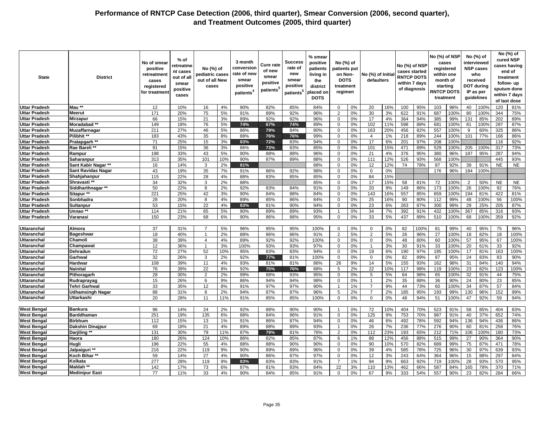| <b>State</b>                             | <b>District</b>                  | No of smear<br>positive<br>retreatmen<br>cases<br>registered<br>for treatmen | % of<br>retreatme<br>nt cases<br>out of all<br>smear<br>positive<br>cases | No (%) of<br>pediatric cases<br>out of all New<br>cases |           | 3 month<br>conversion<br>rate of new<br>smear<br>positive<br>patients <sup>4</sup> | <b>Cure rate</b><br>of new<br>smear<br>positive<br>patients <sup>5</sup> | <b>Success</b><br>rate of<br>new<br>smear<br>positive<br>patients <sup>5</sup> | % smear<br>positive<br>patients<br>living in<br>the<br>district<br>placed on<br><b>DOTS</b> | No (%) of<br>patients put<br>on Non-<br><b>DOTS</b><br>treatment<br>regimen |          | No (%) of Initia<br>defaulters |           | No (%) of NSP<br>cases started<br><b>RNTCP DOTS</b><br>within 7 days<br>of diagnosis |            | No (%) of NSP | cases<br>registered<br>within one<br>month of<br>starting<br><b>RNTCP DOTS</b><br>treatment |               | No (%) of<br>interviewed<br><b>NSP cases</b><br>who<br>received<br><b>DOT during</b><br>IP as per<br>guidelines |            | No (%) of<br>cured NSP<br>cases having<br>end of<br>treatment<br>follow- up<br>sputum done<br>within 7 days<br>of last dose |
|------------------------------------------|----------------------------------|------------------------------------------------------------------------------|---------------------------------------------------------------------------|---------------------------------------------------------|-----------|------------------------------------------------------------------------------------|--------------------------------------------------------------------------|--------------------------------------------------------------------------------|---------------------------------------------------------------------------------------------|-----------------------------------------------------------------------------|----------|--------------------------------|-----------|--------------------------------------------------------------------------------------|------------|---------------|---------------------------------------------------------------------------------------------|---------------|-----------------------------------------------------------------------------------------------------------------|------------|-----------------------------------------------------------------------------------------------------------------------------|
| <b>Uttar Pradesh</b>                     | Mau <sup>3</sup>                 | 12                                                                           | 10%                                                                       | 16                                                      | 4%        | 90%                                                                                | 82%                                                                      | 85%                                                                            | 84%                                                                                         | $\mathbf 0$                                                                 | 0%       | 20                             | 16%       | 100                                                                                  | 95%        | 103           | 98%                                                                                         | 40            | 100%                                                                                                            | 120        | 81%                                                                                                                         |
| <b>Uttar Pradesh</b>                     | Meerut                           | 171                                                                          | 20%                                                                       | 75                                                      | 5%        | 91%                                                                                | 89%                                                                      | 92%                                                                            | 96%                                                                                         | 2                                                                           | 0%       | 30                             | 3%        | 622                                                                                  | 91%        | 687           | 100%                                                                                        | 80            | 100%                                                                                                            | 344        | 75%                                                                                                                         |
| <b>Uttar Pradesh</b>                     | <b>Mirzapur</b>                  | 66                                                                           | 15%                                                                       | 21                                                      | 3%        | 89%                                                                                | 92%                                                                      | 92%                                                                            | 96%                                                                                         | $\Omega$                                                                    | 0%       | 17                             | 4%        | 364                                                                                  | 94%        | 385           | 99%                                                                                         | 131           | 85%                                                                                                             | 202        | 89%                                                                                                                         |
| <b>Uttar Pradesh</b>                     | Moradabad **                     | 149                                                                          | 18%                                                                       | 76                                                      | 5%        | 74%                                                                                | 67%                                                                      | 74%                                                                            | 89%                                                                                         | $\mathbf 0$                                                                 | 0%       | 102                            | 11%       | 598                                                                                  | 88%        | 681           | 100%                                                                                        | 81            | 100%                                                                                                            | 287        | 87%                                                                                                                         |
| <b>Uttar Pradesh</b>                     | Muzaffarnagar                    | 211                                                                          | 27%                                                                       | 46                                                      | 5%        | 86%                                                                                | 79%                                                                      | 84%                                                                            | 80%                                                                                         | $\Omega$                                                                    | 0%       | 163                            | 20%       | 456                                                                                  | 82%        | 557           | 100%                                                                                        | 9             | 60%                                                                                                             | 325        | 86%                                                                                                                         |
| <b>Uttar Pradesh</b>                     | Pilibhit **                      | 183                                                                          | 43%                                                                       | 35                                                      | 8%        | 88%                                                                                | 76%                                                                      | 76%                                                                            | 99%                                                                                         | $\Omega$                                                                    | 0%       | $\overline{4}$                 | 1%        | 218                                                                                  | 89%        | 244           | 100%                                                                                        | 101           | 77%                                                                                                             | 166        | 86%                                                                                                                         |
| <b>Uttar Pradesh</b>                     | Pratapgarh **                    | 71                                                                           | 25%                                                                       | 15                                                      | 3%        | 83%                                                                                | 72%                                                                      | 83%                                                                            | 94%                                                                                         | $\mathbf 0$                                                                 | 0%       | 17                             | 6%        | 201                                                                                  | 97%        | 208           | 100%                                                                                        |               |                                                                                                                 | 116        | 92%                                                                                                                         |
| <b>Uttar Pradesh</b>                     | Rae Bareli*                      | 91                                                                           | 15%                                                                       | 36                                                      | 3%        | 86%                                                                                | 73%                                                                      | 83%                                                                            | 85%                                                                                         | $\mathbf 0$                                                                 | 0%       | 101                            | 15%       | 471                                                                                  | 89%        | 529           | 100%                                                                                        | 205           | 100%                                                                                                            | 317        | 73%                                                                                                                         |
| <b>Uttar Pradesh</b>                     | Rampur                           | 198                                                                          | 33%                                                                       | 43                                                      | 5%        | 90%                                                                                | 88%                                                                      | 88%                                                                            | 96%                                                                                         | $\mathbf 0$                                                                 | 0%       | 21                             | 4%        | 376                                                                                  | 95%        | 380           | 96%                                                                                         | 187           | 95%                                                                                                             | 287        | 94%                                                                                                                         |
| <b>Uttar Pradesh</b>                     | Saharanpur                       | 313                                                                          | 35%                                                                       | 101                                                     | 10%       | 90%                                                                                | 87%                                                                      | 89%                                                                            | 88%                                                                                         | 0                                                                           | 0%       | 111                            | 12%       | 526                                                                                  | 93%        | 568           | 100%                                                                                        |               |                                                                                                                 | 445        | 93%                                                                                                                         |
| <b>Uttar Pradesh</b>                     | Sant Kabir Nagar **              | 16                                                                           | 14%                                                                       | 3                                                       | 2%        | 81%                                                                                |                                                                          |                                                                                | 88%                                                                                         | $\mathbf 0$                                                                 | 0%       | 12                             | 12%       | 74                                                                                   | 78%        | 87            | 92%                                                                                         | 39            | 91%                                                                                                             | <b>NE</b>  | <b>NE</b>                                                                                                                   |
| <b>Uttar Pradesh</b>                     | <b>Sant Ravidas Nagar</b>        | 43                                                                           | 19%                                                                       | 35                                                      | 7%        | 91%                                                                                | 86%                                                                      | 92%                                                                            | 98%                                                                                         | $\mathbf 0$                                                                 | 0%       | $\mathbf 0$                    | 0%        |                                                                                      |            | 176           | 96%                                                                                         | 184           | 100%                                                                                                            |            |                                                                                                                             |
| <b>Uttar Pradesh</b>                     | Shahjahanpur                     | 115                                                                          | 22%                                                                       | 28                                                      | 4%        | 88%                                                                                | 83%                                                                      | 85%                                                                            | 85%                                                                                         | 0                                                                           | 0%       | 84                             | 15%       |                                                                                      |            |               |                                                                                             |               |                                                                                                                 |            |                                                                                                                             |
| <b>Uttar Pradesh</b>                     | Shravasti **                     | 34                                                                           | 32%                                                                       | 3                                                       | 2%        | 88%                                                                                |                                                                          |                                                                                | 85%                                                                                         | $\mathbf 0$                                                                 | 0%       | 17                             | 15%       | 58                                                                                   | 81%        | 72            | 100%                                                                                        | $\mathcal{P}$ | 50%                                                                                                             | <b>NE</b>  | <b>NE</b>                                                                                                                   |
| <b>Uttar Pradesh</b>                     | Siddharthnagar **                | 50                                                                           | 22%                                                                       | 8                                                       | 2%        | 92%                                                                                | 83%                                                                      | 84%                                                                            | 91%                                                                                         | $\mathbf 0$                                                                 | 0%       | 20                             | 9%        | 149                                                                                  | 86%        | 173           | 100%                                                                                        | 26            | 100%                                                                                                            | 92         | 76%                                                                                                                         |
| <b>Uttar Pradesh</b>                     | Sitapur **                       | 221                                                                          | 25%                                                                       | 42                                                      | 3%        | 90%                                                                                | 84%                                                                      | 88%                                                                            | 84%                                                                                         | $\mathbf 0$                                                                 | 0%       | 143                            | 16%       | 557                                                                                  | 85%        | 659           | 100%                                                                                        | 194           | 81%                                                                                                             | 422        | 81%                                                                                                                         |
| <b>Uttar Pradesh</b>                     | Sonbhadra                        | 28                                                                           | 20%                                                                       | 8                                                       | 4%        | 89%                                                                                | 85%                                                                      | 86%                                                                            | 84%                                                                                         | $\mathbf 0$                                                                 | 0%       | 25                             | 16%       | 90                                                                                   | 80%        | 112           | 99%                                                                                         | 48            | 100%                                                                                                            | 56         | 100%                                                                                                                        |
| <b>Uttar Pradesh</b>                     | Sultanpur                        | 53                                                                           | 15%                                                                       | 22                                                      | 4%        | 83%                                                                                | 81%                                                                      | 90%                                                                            | 94%                                                                                         | $\mathbf 0$                                                                 | 0%       | 23                             | 6%        | 263                                                                                  | 87%        | 300           | 99%                                                                                         | 29            | 25%                                                                                                             | 205        | 87%                                                                                                                         |
| <b>Uttar Pradesh</b>                     | Unnao **                         | 114                                                                          | 21%                                                                       | 65                                                      | 5%        | 90%                                                                                | 89%                                                                      | 89%                                                                            | 93%                                                                                         |                                                                             | 0%       | 34                             | 7%        | 392                                                                                  | 91%        | 432           | 100%                                                                                        | 367           | 85%                                                                                                             | 316        | 93%                                                                                                                         |
| <b>Uttar Pradesh</b>                     | Varanasi                         | 150                                                                          | 23%                                                                       | 68                                                      | 6%        | 90%                                                                                | 86%                                                                      | 88%                                                                            | 95%                                                                                         | $\mathbf 0$                                                                 | 0%       | 33                             | 5%        | 437                                                                                  | 89%        | 510           | 100%                                                                                        | 68            | 100%                                                                                                            | 359        | 92%                                                                                                                         |
|                                          |                                  |                                                                              |                                                                           |                                                         |           |                                                                                    |                                                                          |                                                                                |                                                                                             |                                                                             |          |                                |           |                                                                                      |            |               |                                                                                             |               |                                                                                                                 |            |                                                                                                                             |
| <b>Uttaranchal</b>                       | Almora                           | 37                                                                           | 31%                                                                       | $\overline{7}$                                          | 5%        | 96%                                                                                | 95%                                                                      | 95%                                                                            | 100%                                                                                        | $\mathbf 0$                                                                 | 0%       | $\mathbf 0$                    | 0%        | 82                                                                                   | 100%       | 81            | 99%                                                                                         | 40            | 95%                                                                                                             | 75         | 96%                                                                                                                         |
| Uttaranchal                              | Bageshwar                        | 18                                                                           | 40%                                                                       | $\overline{1}$                                          | 2%        | 88%                                                                                | 86%                                                                      | 86%                                                                            | 91%                                                                                         | $\overline{2}$                                                              | 5%       | 2                              | 5%        | 26                                                                                   | 96%        | 27            | 100%                                                                                        | 18            | 82%                                                                                                             | 18         | 100%                                                                                                                        |
| Uttaranchal                              | Chamoli                          | 38                                                                           | 39%                                                                       | $\overline{4}$                                          | 4%        | 89%                                                                                | 92%                                                                      | 92%                                                                            | 100%                                                                                        | $\mathbf 0$                                                                 | 0%       | $\mathbf 0$                    | 0%        | 48                                                                                   | 80%        | 60            | 100%                                                                                        | 57            | 95%                                                                                                             | 67         | 100%                                                                                                                        |
| Uttaranchal                              | Champawat                        | 12                                                                           | 36%                                                                       |                                                         | 3%        | 100%                                                                               | 93%                                                                      | 93%                                                                            | 97%                                                                                         | $\mathbf 0$                                                                 | 0%       | $\mathbf{1}$                   | 3%        | 30                                                                                   | 91%        | 33            | 100%                                                                                        | 20            | 61%                                                                                                             | 33         | 92%                                                                                                                         |
| Uttaranchal                              | Dehradun                         | 72                                                                           | 27%                                                                       | 52                                                      | 10%       | 95%                                                                                | 83%                                                                      | 83%                                                                            | 94%                                                                                         | $\mathbf 0$                                                                 | 0%       | 19                             | 6%        | 190                                                                                  | 97%        | 195           | 100%                                                                                        | 17            | 81%                                                                                                             | 163        | 100%                                                                                                                        |
| Uttaranchal                              | Garhwal                          | 32                                                                           | 26%                                                                       | 3                                                       | 2%        | 92%                                                                                | 77%                                                                      | 81%                                                                            | 100%                                                                                        | $\mathbf 0$                                                                 | 0%       | $\mathbf 0$                    | 0%        | 82                                                                                   | 89%        | 87            | 95%                                                                                         | 24            | 83%                                                                                                             | 83         | 90%                                                                                                                         |
| Uttaranchal                              | Hardwar                          | 108                                                                          | 39%                                                                       | 11                                                      | 4%        | 93%                                                                                | 81%                                                                      | 81%                                                                            | 86%                                                                                         | 26                                                                          | 9%       | 14                             | 5%        | 155                                                                                  | 93%        | 162           | 98%                                                                                         | 31            | 84%                                                                                                             | 140        | 94%                                                                                                                         |
| Uttaranchal                              | Nainital                         | 76                                                                           | 39%                                                                       | 22                                                      | 8%        | 92%                                                                                | 75%                                                                      | 76%                                                                            | 88%                                                                                         | 5                                                                           | 2%       | 22                             | 10%       | 117                                                                                  | 98%        | 119           | 100%                                                                                        | 23            | 82%                                                                                                             | 123        | 100%                                                                                                                        |
| Uttaranchal                              | Pithoragarh                      | 28                                                                           | 30%                                                                       | $\overline{2}$                                          | 2%        | 99%                                                                                | 88%                                                                      | 93%                                                                            | 95%                                                                                         | $\Omega$                                                                    | 0%       | 5                              | 5%        | 64                                                                                   | 98%        | 65            | 100%                                                                                        | 32            | 91%                                                                                                             | 44         | 75%                                                                                                                         |
| Uttaranchal                              | Rudraprayag                      | 15                                                                           | 26%                                                                       | 6                                                       | 9%        | 86%                                                                                | 94%                                                                      | 94%                                                                            | 98%                                                                                         | $\Omega$                                                                    | 0%       | $\mathbf{1}$                   | 2%        | 35                                                                                   | 88%        | 36            | 90%                                                                                         | 24            | 80%                                                                                                             | 23         | 85%                                                                                                                         |
| Uttaranchal                              | Tehri Garhwal                    | 33                                                                           | 35%                                                                       | 12                                                      | 8%        | 91%                                                                                | 97%                                                                      | 97%                                                                            | 90%                                                                                         | $\overline{1}$                                                              | 1%       | $\overline{7}$                 | 9%        | 44                                                                                   | 73%        | 60            | 100%                                                                                        | 34            | 87%                                                                                                             | 57         | 84%                                                                                                                         |
| Uttaranchal                              | <b>Udhamsingh Nagar</b>          | 88                                                                           | 31%                                                                       | 8                                                       | 2%        | 94%                                                                                | 87%                                                                      | 87%                                                                            | 96%                                                                                         | 5                                                                           | 2%       | $\overline{7}$                 | 2%        | 185                                                                                  | 95%        | 193           | 99%                                                                                         | 130           | 96%                                                                                                             | 152        | 99%                                                                                                                         |
| <b>Uttaranchal</b>                       | Uttarkashi                       | 20                                                                           | 28%                                                                       | 11                                                      | 11%       | 91%                                                                                | 85%                                                                      | 85%                                                                            | 100%                                                                                        | $\mathbf 0$                                                                 | 0%       | $\mathbf 0$                    | 0%        | 48                                                                                   | 94%        | 51            | 100%                                                                                        | 47            | 92%                                                                                                             | 59         | 94%                                                                                                                         |
|                                          |                                  |                                                                              |                                                                           |                                                         |           |                                                                                    |                                                                          |                                                                                |                                                                                             |                                                                             |          |                                |           |                                                                                      |            |               |                                                                                             |               |                                                                                                                 |            |                                                                                                                             |
| <b>West Bengal</b>                       | <b>Bankura</b>                   | 96                                                                           | 14%                                                                       | 24                                                      | 2%        | 92%                                                                                | 88%                                                                      | 90%                                                                            | 90%                                                                                         | $\overline{1}$                                                              | 0%       | 72                             | 10%       | 404                                                                                  | 70%        | 523           | 91%                                                                                         | 58            | 85%                                                                                                             | 404        | 83%                                                                                                                         |
| <b>West Bengal</b>                       | <b>Barddhaman</b>                | 251                                                                          | 19%                                                                       | 135                                                     | 6%        | 88%                                                                                | 84%                                                                      | 86%                                                                            | 91%                                                                                         | $\mathbf 0$                                                                 | 0%       | 125                            | 9%        | 753                                                                                  | 70%        | 987           | 91%                                                                                         | 40            | 37%                                                                                                             | 652        | 74%                                                                                                                         |
| <b>West Bengal</b>                       | <b>Birbhum</b>                   | 112                                                                          | 15%                                                                       | 13                                                      | 1%        | 91%                                                                                | 86%                                                                      | 87%                                                                            | 94%                                                                                         | $\mathbf 0$<br>$\overline{1}$                                               | 0%<br>0% | 46                             | 6%        | 492                                                                                  | 78%        | 592           | 94%                                                                                         | 136           | 94%                                                                                                             | 436        | 86%                                                                                                                         |
| <b>West Bengal</b><br><b>West Bengal</b> | Dakshin Dinajpur<br>Darjiling ** | 69<br>131                                                                    | 18%<br>30%                                                                | 21<br>79                                                | 4%<br>11% | 89%<br>87%                                                                         | 88%<br>79%                                                               | 89%<br>81%                                                                     | 93%<br>76%                                                                                  | 2                                                                           | 0%       | 26<br>112                      | 7%<br>23% | 236<br>193                                                                           | 77%<br>65% | 276<br>212    | 90%<br>71%                                                                                  | 60<br>106     | 81%<br>100%                                                                                                     | 256<br>180 | 76%<br>73%                                                                                                                  |
| <b>West Bengal</b>                       | Haora                            | 180                                                                          | 26%                                                                       | 124                                                     | 10%       | 86%                                                                                | 82%                                                                      | 85%                                                                            | 87%                                                                                         | 6                                                                           | 1%       | 88                             | 12%       | 456                                                                                  | 88%        | 515           | 99%                                                                                         | 27            | 90%                                                                                                             | 364        | 90%                                                                                                                         |
| <b>West Bengal</b>                       | Hugli                            | 196                                                                          | 22%                                                                       | 55                                                      | 4%        | 88%                                                                                | 88%                                                                      | 90%                                                                            | 90%                                                                                         | $\mathbf 0$                                                                 | 0%       | 90                             | 10%       | 570                                                                                  | 82%        | 689           | 99%                                                                                         | 75            | 87%                                                                                                             | 471        | 78%                                                                                                                         |
| <b>West Bengal</b>                       | Jalpaiguri **                    | 216                                                                          | 22%                                                                       | 119                                                     | 9%        | 90%                                                                                | 89%                                                                      | 89%                                                                            | 96%                                                                                         | $\mathbf 0$                                                                 | 0%       | 39                             | 4%        | 585                                                                                  | 78%        | 725           | 96%                                                                                         | 30            | 97%                                                                                                             | 639        | 93%                                                                                                                         |
| <b>West Bengal</b>                       | Koch Bihar**                     | 59                                                                           | 14%                                                                       | 27                                                      | 4%        | 90%                                                                                | 86%                                                                      | 87%                                                                            | 97%                                                                                         | $\mathbf 0$                                                                 | 0%       | 12                             | 3%        | 243                                                                                  | 64%        | 364           | 96%                                                                                         | 15            | 88%                                                                                                             | 297        | 84%                                                                                                                         |
| <b>West Bengal</b>                       | Kolkata                          | 277                                                                          | 28%                                                                       | 119                                                     | 9%        | 83%                                                                                | 83%                                                                      | 83%                                                                            | 91%                                                                                         | $\overline{7}$                                                              | 1%       | 94                             | 9%        | 663                                                                                  | 92%        | 719           | 100%                                                                                        | 28            | 93%                                                                                                             | 570        | 95%                                                                                                                         |
| <b>West Bengal</b>                       | Maldah <sup>*</sup>              | 142                                                                          | 17%                                                                       | 73                                                      | 6%        | 87%                                                                                | 81%                                                                      | 83%                                                                            | 84%                                                                                         | 22                                                                          | 3%       | 110                            | 13%       | 462                                                                                  | 66%        | 587           | 84%                                                                                         | 165           | 78%                                                                                                             | 370        | 71%                                                                                                                         |
| <b>West Bengal</b>                       | <b>Medinipur East</b>            | 77                                                                           | 11%                                                                       | 33                                                      | 4%        | 90%                                                                                | 84%                                                                      | 85%                                                                            | 91%                                                                                         | $\Omega$                                                                    | 0%       | 67                             | 9%        | 333                                                                                  | 54%        | 557           | 90%                                                                                         | 23            | 82%                                                                                                             | 284        | 66%                                                                                                                         |
|                                          |                                  |                                                                              |                                                                           |                                                         |           |                                                                                    |                                                                          |                                                                                |                                                                                             |                                                                             |          |                                |           |                                                                                      |            |               |                                                                                             |               |                                                                                                                 |            |                                                                                                                             |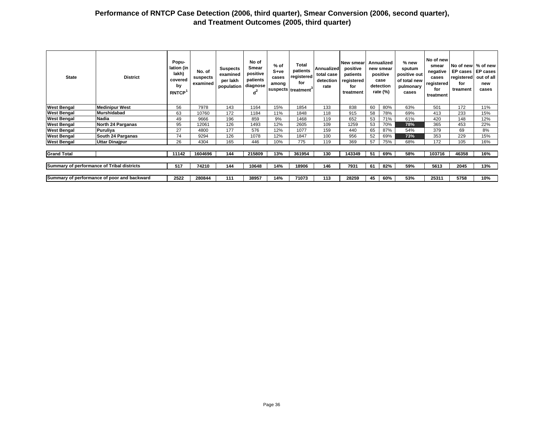| <b>State</b>                               | <b>District</b>                             | Popu-<br>lation (in<br>lakh)<br>covered<br>by<br><b>RNTCP</b> | No. of<br>suspects<br>examined | <b>Suspects</b><br>examined<br>per lakh<br>population | No of<br>Smear<br>positive<br>patients<br>diagnose<br>$d^2$ | $%$ of<br>$S+ve$<br>cases<br>among | Total<br>patients<br>registered<br>for<br>suspects treatment | Annualized<br>total case<br>detection<br>rate | New smear<br>positive<br>patients<br>registered<br>for<br>treatment |    | Annualized<br>new smear<br>positive<br>case<br>detection<br>rate $(\%)$ | % new<br>sputum<br>positive out<br>of total new<br>pulmonary<br>cases | No of new<br>smear<br>negative<br>cases<br>registered<br>for<br>treatment | No of new   % of new<br>EP cases<br>registered<br>for<br>treament | <b>EP cases</b><br>out of all<br>new<br>cases |
|--------------------------------------------|---------------------------------------------|---------------------------------------------------------------|--------------------------------|-------------------------------------------------------|-------------------------------------------------------------|------------------------------------|--------------------------------------------------------------|-----------------------------------------------|---------------------------------------------------------------------|----|-------------------------------------------------------------------------|-----------------------------------------------------------------------|---------------------------------------------------------------------------|-------------------------------------------------------------------|-----------------------------------------------|
| <b>West Bengal</b>                         | <b>Medinipur West</b>                       | 56                                                            | 7978                           | 143                                                   | 1164                                                        | 15%                                | 1854                                                         | 133                                           | 838                                                                 | 60 | 80%                                                                     | 63%                                                                   | 501                                                                       | 172                                                               | 11%                                           |
| <b>West Bengal</b>                         | <b>Murshidabad</b>                          | 63                                                            | 10760                          | 172                                                   | 1184                                                        | 11%                                | 1848                                                         | 118                                           | 915                                                                 | 58 | 78%                                                                     | 69%                                                                   | 413                                                                       | 233                                                               | 15%                                           |
| <b>West Bengal</b>                         | Nadia                                       | 49                                                            | 9666                           | 196                                                   | 859                                                         | 9%                                 | 1468                                                         | 119                                           | 652                                                                 | 53 | 71%                                                                     | 61%                                                                   | 420                                                                       | 148                                                               | 12%                                           |
| <b>West Bengal</b>                         | North 24 Parganas                           | 95                                                            | 12061                          | 126                                                   | 1493                                                        | 12%                                | 2605                                                         | 109                                           | 1259                                                                | 53 | 70%                                                                     | 78%                                                                   | 365                                                                       | 453                                                               | 22%                                           |
| <b>West Bengal</b>                         | Puruliya                                    | 27                                                            | 4800                           | 177                                                   | 576                                                         | 12%                                | 1077                                                         | 159                                           | 440                                                                 | 65 | 87%                                                                     | 54%                                                                   | 379                                                                       | 69                                                                | 8%                                            |
| <b>West Bengal</b>                         | South 24 Parganas                           | 74                                                            | 9294                           | 126                                                   | 1078                                                        | 12%                                | 1847                                                         | 100                                           | 956                                                                 | 52 | 69%                                                                     | 73%                                                                   | 353                                                                       | 229                                                               | 15%                                           |
| <b>West Bengal</b>                         | <b>Uttar Dinajpur</b>                       | 26                                                            | 4304                           | 165                                                   | 446                                                         | 10%                                | 775                                                          | 119                                           | 369                                                                 | 57 | 75%                                                                     | 68%                                                                   | 172                                                                       | 105                                                               | 16%                                           |
|                                            |                                             |                                                               |                                |                                                       |                                                             |                                    |                                                              |                                               |                                                                     |    |                                                                         |                                                                       |                                                                           |                                                                   |                                               |
| <b>Grand Total</b>                         |                                             | 11142                                                         | 1604696                        | 144                                                   | 215809                                                      | 13%                                | 361954                                                       | 130                                           | 143349                                                              | 51 | 69%                                                                     | 58%                                                                   | 103716                                                                    | 46358                                                             | 16%                                           |
|                                            |                                             |                                                               |                                |                                                       |                                                             |                                    |                                                              |                                               |                                                                     |    |                                                                         |                                                                       |                                                                           |                                                                   |                                               |
| Summary of performance of Tribal districts |                                             | 517                                                           | 74210                          | 144                                                   | 10648                                                       | 14%                                | 18906                                                        | 146                                           | 7931                                                                | 61 | 82%                                                                     | 59%                                                                   | 5613                                                                      | 2045                                                              | 13%                                           |
|                                            |                                             |                                                               |                                |                                                       |                                                             |                                    |                                                              |                                               |                                                                     |    |                                                                         |                                                                       |                                                                           |                                                                   |                                               |
|                                            | Summary of performance of poor and backward | 2522                                                          | 280844                         | 111                                                   | 38957                                                       | 14%                                | 71073                                                        | 113                                           | 28259                                                               | 45 | 60%                                                                     | 53%                                                                   | 25311                                                                     | 5758                                                              | 10%                                           |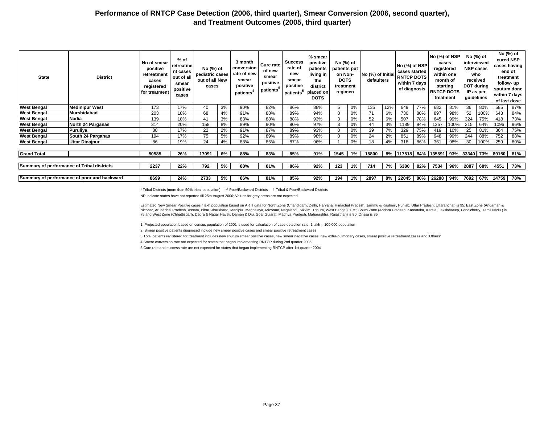| <b>State</b>       | <b>District</b>                             | No of smear<br>positive<br>retreatment<br>cases<br>registered<br>for treatment | % of<br>retreatme<br>nt cases<br>out of all<br>smear<br>positive<br>cases | No (%) of<br>pediatric cases<br>out of all New<br>cases |    | 3 month<br>conversion<br>rate of new<br>smear<br>positive<br>patients <sup>®</sup> | Cure rate<br>of new<br>smear<br>positive<br>patients <sup>5</sup> | <b>Success</b><br>rate of<br>new<br>smear<br>positive<br>patients | % smear<br>positive<br>patients<br>living in<br>the<br>district<br>placed on<br><b>DOTS</b> | No (%) of<br>patients put<br>on Non-<br><b>DOTS</b><br>treatment<br>regimen |       | No (%) of Initial<br>defaulters |     | No (%) of NSP<br>cases started<br><b>RNTCP DOTS</b><br>within 7 days<br>of diagnosis |     | No (%) of NSP<br>cases<br>registered<br>within one<br>month of<br>starting<br><b>RNTCP DOTS</b><br>treatment |      | No (%) of<br>received<br>IP as per | interviewed<br><b>NSP cases</b><br>who<br>DOT during<br>guidelines |                   | No (%) of<br>cured NSP<br>cases having<br>end of<br>treatment<br>follow- up<br>sputum done<br>within 7 days<br>of last dose |
|--------------------|---------------------------------------------|--------------------------------------------------------------------------------|---------------------------------------------------------------------------|---------------------------------------------------------|----|------------------------------------------------------------------------------------|-------------------------------------------------------------------|-------------------------------------------------------------------|---------------------------------------------------------------------------------------------|-----------------------------------------------------------------------------|-------|---------------------------------|-----|--------------------------------------------------------------------------------------|-----|--------------------------------------------------------------------------------------------------------------|------|------------------------------------|--------------------------------------------------------------------|-------------------|-----------------------------------------------------------------------------------------------------------------------------|
| <b>West Bengal</b> | <b>Medinipur West</b>                       | 173                                                                            | 17%                                                                       | 40                                                      | 3% | 90%                                                                                | 82%                                                               | 86%                                                               | 88%                                                                                         | 5                                                                           | 0%    | 135                             | 12% | 649                                                                                  | 77% | 682                                                                                                          | 81%  | 36                                 | 80%                                                                | 585               | 87%                                                                                                                         |
| <b>West Bengal</b> | Murshidabad                                 | 203                                                                            | 18%                                                                       | 68                                                      | 4% | 91%                                                                                | 88%                                                               | 89%                                                               | 94%                                                                                         | $\mathbf 0$                                                                 | 0%    | 71                              | 6%  | 730                                                                                  | 80% | 897                                                                                                          | 98%  | 52                                 | 100%                                                               | 643               | 84%                                                                                                                         |
| <b>West Bengal</b> | Nadia                                       | 139                                                                            | 18%                                                                       | 4                                                       | 3% | 88%                                                                                | 88%                                                               | 88%                                                               | 93%                                                                                         | 3                                                                           | 0%    | 52                              | 6%  | 507                                                                                  | 78% | 645                                                                                                          | 99%  | 324                                | 75%                                                                | 418               | 73%                                                                                                                         |
| <b>West Bengal</b> | North 24 Parganas                           | 314                                                                            | 20%                                                                       | 158                                                     | 8% | 89%                                                                                | 90%                                                               | 90%                                                               | 97%                                                                                         | 3                                                                           | 0%    | 44                              | 3%  | 189                                                                                  | 94% | 1257                                                                                                         | 100% | 215                                | 64%                                                                | 1096              | 96%                                                                                                                         |
| <b>West Bengal</b> | Puruliya                                    | 88                                                                             | 17%                                                                       | 22                                                      | 2% | 91%                                                                                | 87%                                                               | 89%                                                               | 93%                                                                                         | $\Omega$                                                                    | 0%    | 39                              | 7%  | 329                                                                                  | 75% | 419                                                                                                          | 10%  | 25                                 | 81%                                                                | 364               | 75%                                                                                                                         |
| <b>West Bengal</b> | South 24 Parganas                           | 194                                                                            | 17%                                                                       | 75                                                      | 5% | 92%                                                                                | 89%                                                               | 89%                                                               | 98%                                                                                         | $\Omega$                                                                    | 0%    | 24                              | 2%  | 851                                                                                  | 89% | 948                                                                                                          | 99%  | 244                                | 88%                                                                | 752               | 88%                                                                                                                         |
| <b>West Bengal</b> | <b>Uttar Dinajpur</b>                       | 86                                                                             | 19%                                                                       | 24                                                      | 4% | 88%                                                                                | 85%                                                               | 87%                                                               | 96%                                                                                         |                                                                             | 0%    | 18                              | 4%  | 318                                                                                  | 86% | 361                                                                                                          | 98%  | 30                                 | 100%                                                               | 259               | 80%                                                                                                                         |
| <b>Grand Total</b> |                                             | 50585                                                                          | 26%                                                                       | 17091                                                   | 6% | 88%                                                                                | 83%                                                               | 85%                                                               | 91%                                                                                         | 1545                                                                        | 1%    | 15800                           |     | 8%  117518   84%  135591   93%  33340   73%   89150   81%                            |     |                                                                                                              |      |                                    |                                                                    |                   |                                                                                                                             |
|                    | Summary of performance of Tribal districts  | 2237                                                                           | 22%                                                                       | 792                                                     | 5% | 88%                                                                                | 81%                                                               | 86%                                                               | 92%                                                                                         | 123                                                                         | $1\%$ | 714                             | 7%  | 6380                                                                                 | 82% | 7534                                                                                                         |      |                                    |                                                                    | 96% 2887 68% 4551 | 73%                                                                                                                         |
|                    | Summary of performance of poor and backward | 8699                                                                           | 24%                                                                       | 2733                                                    | 5% | 86%                                                                                | 81%                                                               | 85%                                                               | 92%                                                                                         | 194                                                                         | 1%    | 2897                            | 8%  |                                                                                      |     | 22045   80%   26288   94%   7692   67%   14759                                                               |      |                                    |                                                                    |                   | 78%                                                                                                                         |

\* Tribal Districts (more than 50% tribal population) \*\* Poor/Backward Districts † Tribal & Poor/Backward Districts

NR indicate states have not reported till 25th August 2006; Values for grey areas are not expected

Estimated New Smear Positive cases / lakh population based on ARTI data for North Zone (Chandigarh, Delhi, Haryana, Himachal Pradesh, Jammu & Kashmir, Punjab, Uttar Pradesh, Uttaranchal) is 95; East Zone (Andaman & Nicobar, Arunachal Pradesh, Assam, Bihar, Jharkhand, Manipur, Meghalaya, Mizoram, Nagaland, Sikkim, Tripura, West Bengal) is 75; South Zone (Andhra Pradesh, Karnataka, Kerala, Lakshdweep, Pondicherry, Tamil Nadu ) is 75 and West Zone (Chhattisgarh, Dadra & Nagar Haveli, Daman & Diu, Goa, Gujarat, Madhya Pradesh, Maharashtra, Rajasthan) is 80; Orissa is 85

1 Projected population based on census population of 2001 is used for calculation of case-detection rate. 1 lakh = 100,000 population

2 Smear positive patients diagnosed include new smear positive cases and smear positive retreatment cases

3 Total patients registered for treatment includes new sputum smear positive cases, new smear negative cases, new extra-pulmonary cases, smear positive retreatment cases and 'Others'

4 Smear conversion rate not expected for states that began implementing RNTCP during 2nd quarter 2005

5 Cure rate and success rate are not expected for states that began implementing RNTCP after 1st quarter 2004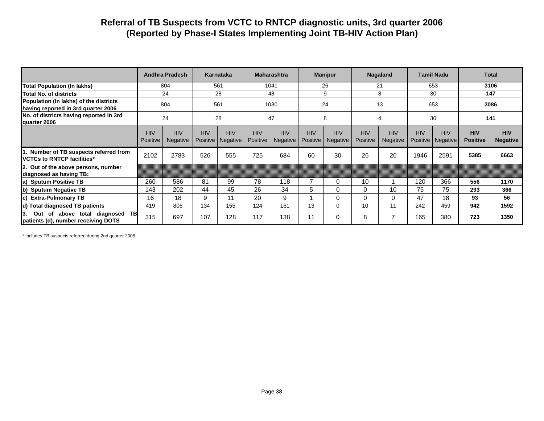## **Referral of TB Suspects from VCTC to RNTCP diagnostic units, 3rd quarter 2006 (Reported by Phase-I States Implementing Joint TB-HIV Action Plan)**

|                                                                               | <b>Andhra Pradesh</b>  |                        | Karnataka                     |                        | <b>Maharashtra</b>     |                        | <b>Manipur</b>         |                        | Nagaland                      |                        | <b>Tamil Nadu</b> |                                   | <b>Total</b>                  |                               |
|-------------------------------------------------------------------------------|------------------------|------------------------|-------------------------------|------------------------|------------------------|------------------------|------------------------|------------------------|-------------------------------|------------------------|-------------------|-----------------------------------|-------------------------------|-------------------------------|
| <b>Total Population (In lakhs)</b>                                            | 804                    |                        | 561                           |                        | 1041                   |                        | 26                     |                        | 21                            |                        | 653               |                                   | 3106                          |                               |
| Total No. of districts                                                        | 24                     |                        | 28                            |                        | 48                     |                        | 9                      |                        | 8                             |                        | 30                |                                   | 147                           |                               |
| Population (In lakhs) of the districts<br>having reported in 3rd quarter 2006 | 804                    |                        | 561                           |                        | 1030                   |                        | 24                     |                        | 13                            |                        | 653               |                                   | 3086                          |                               |
| No. of districts having reported in 3rd<br>quarter 2006                       | 24                     |                        | 28                            |                        | 47                     |                        | 8                      |                        | 4                             |                        | 30                |                                   | 141                           |                               |
|                                                                               | <b>HIV</b><br>Positive | <b>HIV</b><br>Negative | <b>HIV</b><br><b>Positive</b> | <b>HIV</b><br>Negative | <b>HIV</b><br>Positive | <b>HIV</b><br>Negative | <b>HIV</b><br>Positive | <b>HIV</b><br>Negative | <b>HIV</b><br><b>Positive</b> | <b>HIV</b><br>Negative | <b>HIV</b>        | <b>HIV</b><br>Positive   Negative | <b>HIV</b><br><b>Positive</b> | <b>HIV</b><br><b>Negative</b> |
| 1. Number of TB suspects referred from<br><b>VCTCs to RNTCP facilities*</b>   | 2102                   | 2783                   | 526                           | 555                    | 725                    | 684                    | 60                     | 30                     | 26                            | 20                     | 1946              | 2591                              | 5385                          | 6663                          |
| 2. Out of the above persons, number<br>diagnosed as having TB:                |                        |                        |                               |                        |                        |                        |                        |                        |                               |                        |                   |                                   |                               |                               |
| a) Sputum Positive TB                                                         | 260                    | 586                    | 81                            | 99                     | 78                     | 118                    |                        | 0                      | 10                            |                        | 120               | 366                               | 556                           | 1170                          |
| b) Sputum Negative TB                                                         | 143                    | 202                    | 44                            | 45                     | 26                     | 34                     | 5                      | $\Omega$               | $\Omega$                      | 10                     | 75                | 75                                | 293                           | 366                           |
| <b>Extra-Pulmonary TB</b><br>lc)                                              | 16                     | 18                     | 9                             | 11                     | 20                     | 9                      |                        | $\Omega$               | $\Omega$                      | 0                      | 47                | 18                                | 93                            | 56                            |
| d) Total diagnosed TB patients                                                | 419                    | 806                    | 134                           | 155                    | 124                    | 161                    | 13                     | $\Omega$               | 10                            | 11                     | 242               | 459                               | 942                           | 1592                          |
| Out of above total diagnosed TB<br>I3.<br>patients (d), number receiving DOTS | 315                    | 697                    | 107                           | 128                    | 117                    | 138                    | 11                     | 0                      | 8                             |                        | 165               | 380                               | 723                           | 1350                          |

\* Includes TB suspects referred during 2nd quarter 2006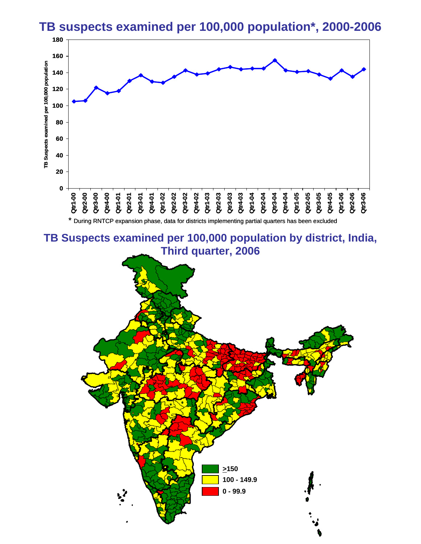

# **TB suspects examined per 100,000 population\*, 2000-2006**

**TB Suspects examined per 100,000 population by district, India, Third quarter, 2006**